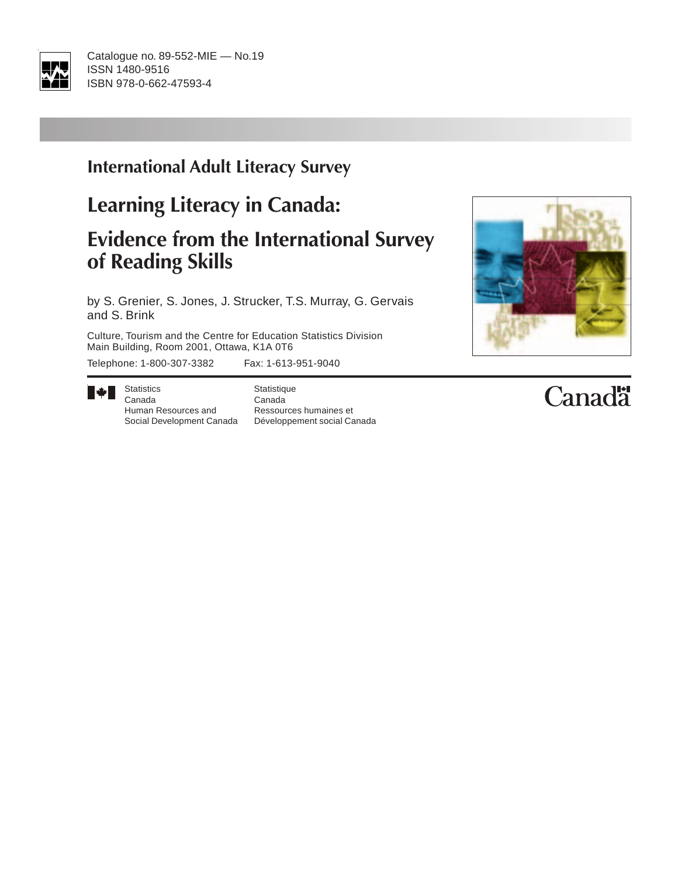

### **International Adult Literacy Survey**

## **Learning Literacy in Canada:**

## **Evidence from the International Survey of Reading Skills**

by S. Grenier, S. Jones, J. Strucker, T.S. Murray, G. Gervais and S. Brink

Culture, Tourism and the Centre for Education Statistics Division Main Building, Room 2001, Ottawa, K1A 0T6

Telephone: 1-800-307-3382 Fax: 1-613-951-9040



## Canadä



Statistics Statistique Canada Canada<br>Human Resources and Ressour

Ressources humaines et Social Development Canada Développement social Canada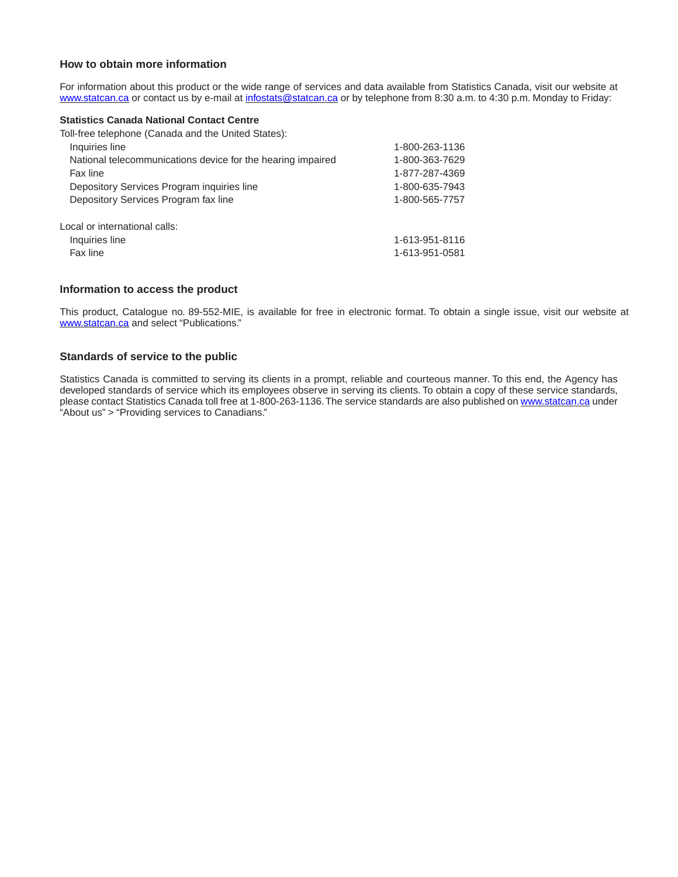### **How to obtain more information**

For information about this product or the wide range of services and data available from Statistics Canada, visit our website at [www.statcan.ca o](http://www.statcan.ca)r contact us by e-mail at [infostats@statcan.ca](mailto:infostats@statcan.ca) or by telephone from 8:30 a.m. to 4:30 p.m. Monday to Friday:

### **Statistics Canada National Contact Centre**

Toll-free telephone (Canada and the United States):

| Inquiries line                                              | 1-800-263-1136 |
|-------------------------------------------------------------|----------------|
| National telecommunications device for the hearing impaired | 1-800-363-7629 |
| Fax line                                                    | 1-877-287-4369 |
| Depository Services Program inquiries line                  | 1-800-635-7943 |
| Depository Services Program fax line                        | 1-800-565-7757 |
| Local or international calls:                               |                |
| Inquiries line                                              | 1-613-951-8116 |
| Fax line                                                    | 1-613-951-0581 |
|                                                             |                |

### **Information to access the product**

This product, Catalogue no. 89-552-MIE, is available for free in electronic format. To obtain a single issue, visit our website at [www.statcan.ca](http://www.statcan.ca) and select "Publications."

### **Standards of service to the public**

Statistics Canada is committed to serving its clients in a prompt, reliable and courteous manner. To this end, the Agency has developed standards of service which its employees observe in serving its clients. To obtain a copy of these service standards, please contact Statistics Canada toll free at 1-800-263-1136. The service standards are also published on [www.statcan.ca](http://www.statcan.ca) under "About us" > "Providing services to Canadians."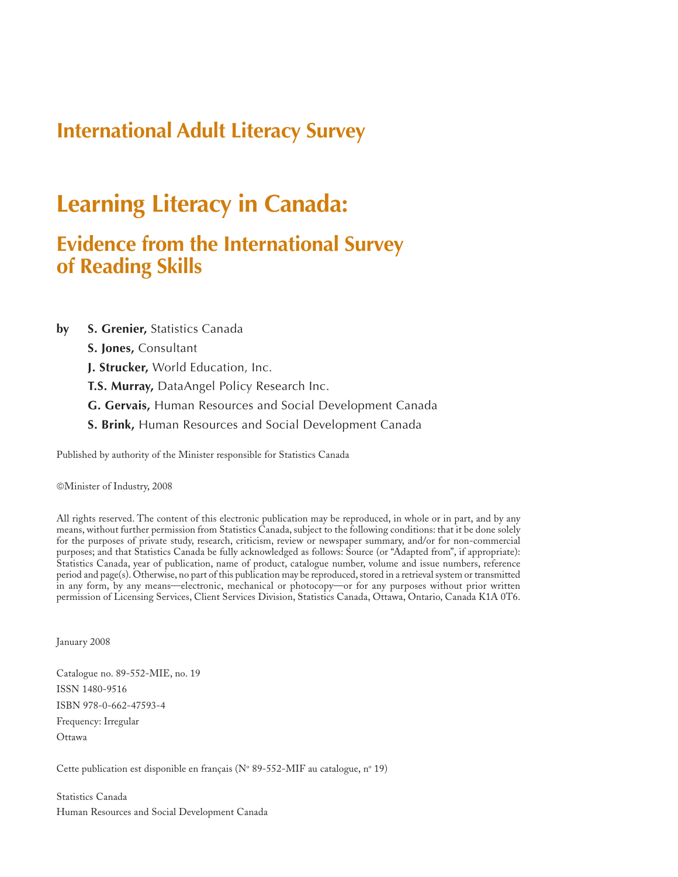## **International Adult Literacy Survey**

## **Learning Literacy in Canada:**

## **Evidence from the International Survey of Reading Skills**

**by S. Grenier,** Statistics Canada

**S. Jones,** Consultant

**J. Strucker,** World Education, Inc.

**T.S. Murray,** DataAngel Policy Research Inc.

**G. Gervais,** Human Resources and Social Development Canada

**S. Brink,** Human Resources and Social Development Canada

Published by authority of the Minister responsible for Statistics Canada

©Minister of Industry, 2008

All rights reserved. The content of this electronic publication may be reproduced, in whole or in part, and by any means, without further permission from Statistics Canada, subject to the following conditions: that it be done solely for the purposes of private study, research, criticism, review or newspaper summary, and/or for non-commercial purposes; and that Statistics Canada be fully acknowledged as follows: Source (or "Adapted from", if appropriate): Statistics Canada, year of publication, name of product, catalogue number, volume and issue numbers, reference period and page(s). Otherwise, no part of this publication may be reproduced, stored in a retrieval system or transmitted in any form, by any means—electronic, mechanical or photocopy—or for any purposes without prior written permission of Licensing Services, Client Services Division, Statistics Canada, Ottawa, Ontario, Canada K1A 0T6.

January 2008

Catalogue no. 89-552-MIE, no. 19 ISSN 1480-9516 ISBN 978-0-662-47593-4 Frequency: Irregular Ottawa

Cette publication est disponible en français (N° 89-552-MIF au catalogue, n° 19)

Statistics Canada Human Resources and Social Development Canada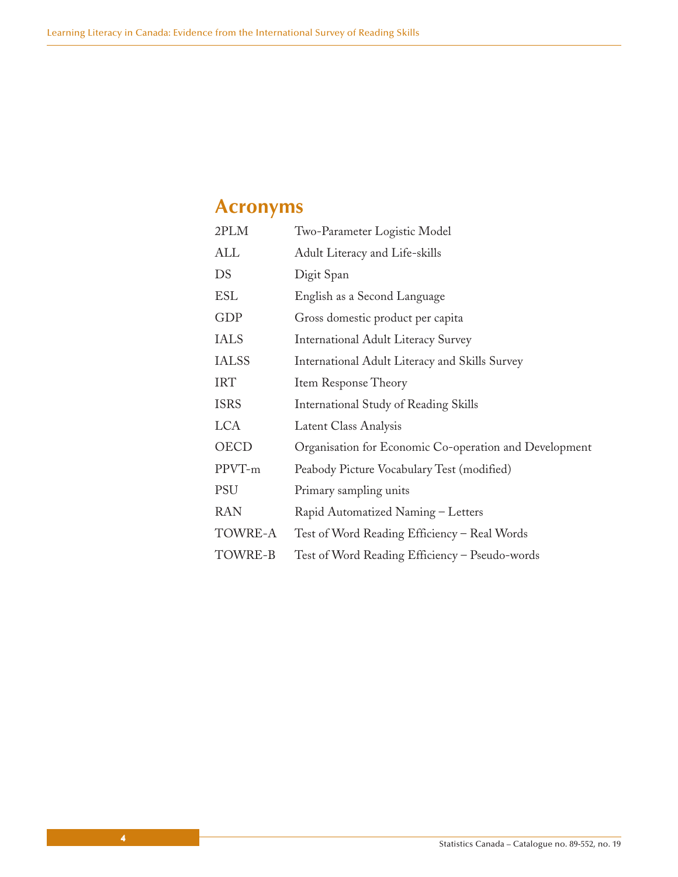## **Acronyms**

| 2PLM         | Two-Parameter Logistic Model                           |  |  |
|--------------|--------------------------------------------------------|--|--|
| ALL          | Adult Literacy and Life-skills                         |  |  |
| DS           | Digit Span                                             |  |  |
| ESL          | English as a Second Language                           |  |  |
| GDP          | Gross domestic product per capita                      |  |  |
| <b>IALS</b>  | <b>International Adult Literacy Survey</b>             |  |  |
| <b>IALSS</b> | International Adult Literacy and Skills Survey         |  |  |
| <b>IRT</b>   | Item Response Theory                                   |  |  |
| <b>ISRS</b>  | International Study of Reading Skills                  |  |  |
| <b>LCA</b>   | Latent Class Analysis                                  |  |  |
| OECD         | Organisation for Economic Co-operation and Development |  |  |
| PPVT-m       | Peabody Picture Vocabulary Test (modified)             |  |  |
| PSU          | Primary sampling units                                 |  |  |
| <b>RAN</b>   | Rapid Automatized Naming - Letters                     |  |  |
| TOWRE-A      | Test of Word Reading Efficiency - Real Words           |  |  |
| TOWRE-B      | Test of Word Reading Efficiency – Pseudo-words         |  |  |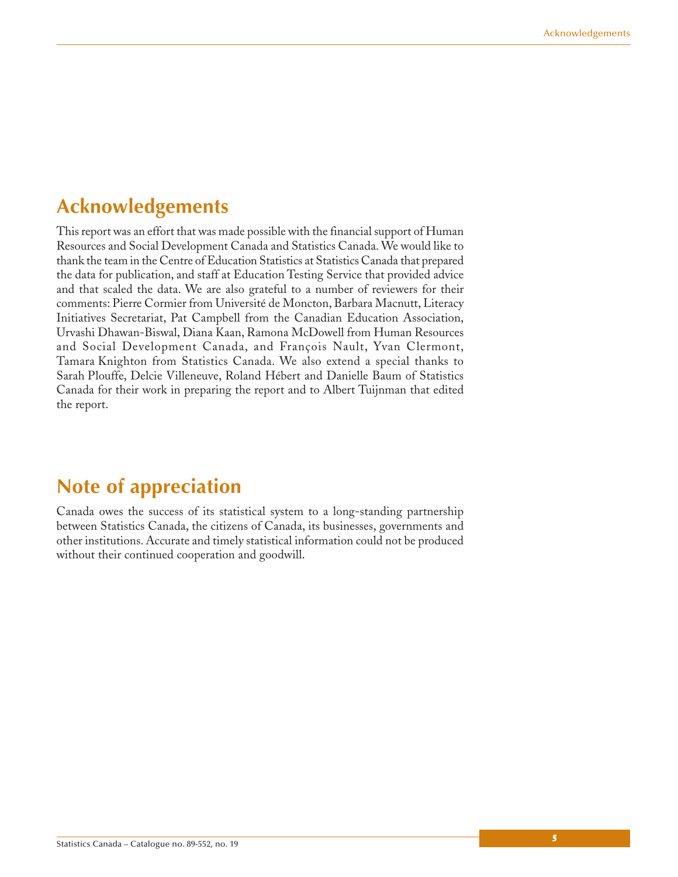## **Acknowledgements**

This report was an effort that was made possible with the financial support of Human Resources and Social Development Canada and Statistics Canada. We would like to thank the team in the Centre of Education Statistics at Statistics Canada that prepared the data for publication, and staff at Education Testing Service that provided advice and that scaled the data. We are also grateful to a number of reviewers for their comments: Pierre Cormier from Université de Moncton, Barbara Macnutt, Literacy Initiatives Secretariat, Pat Campbell from the Canadian Education Association, Urvashi Dhawan-Biswal, Diana Kaan, Ramona McDowell from Human Resources and Social Development Canada, and François Nault, Yvan Clermont, Tamara Knighton from Statistics Canada. We also extend a special thanks to Sarah Plouffe, Delcie Villeneuve, Roland Hébert and Danielle Baum of Statistics Canada for their work in preparing the report and to Albert Tuijnman that edited the report.

## **Note of appreciation**

Canada owes the success of its statistical system to a long-standing partnership between Statistics Canada, the citizens of Canada, its businesses, governments and other institutions. Accurate and timely statistical information could not be produced without their continued cooperation and goodwill.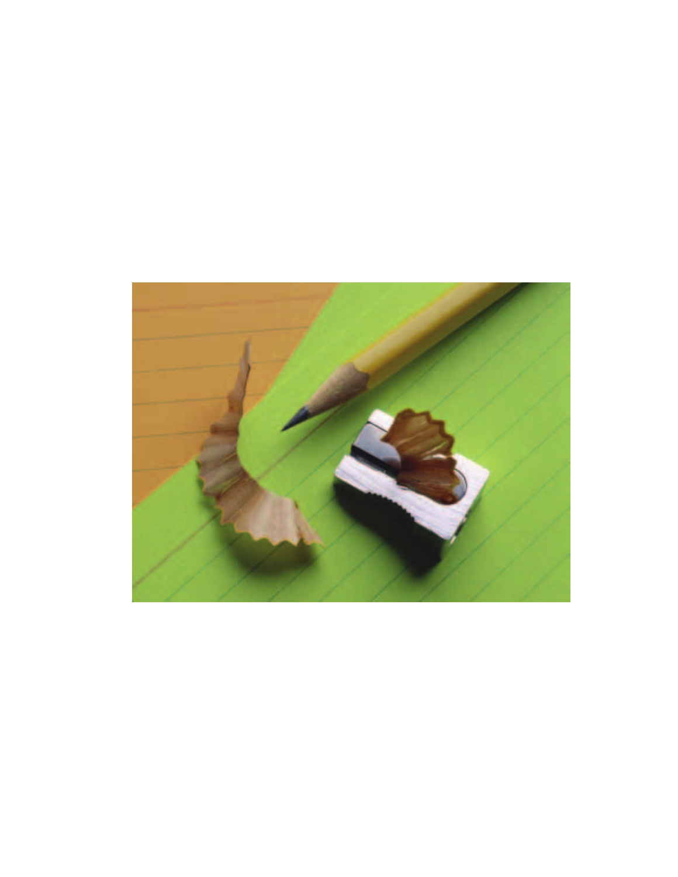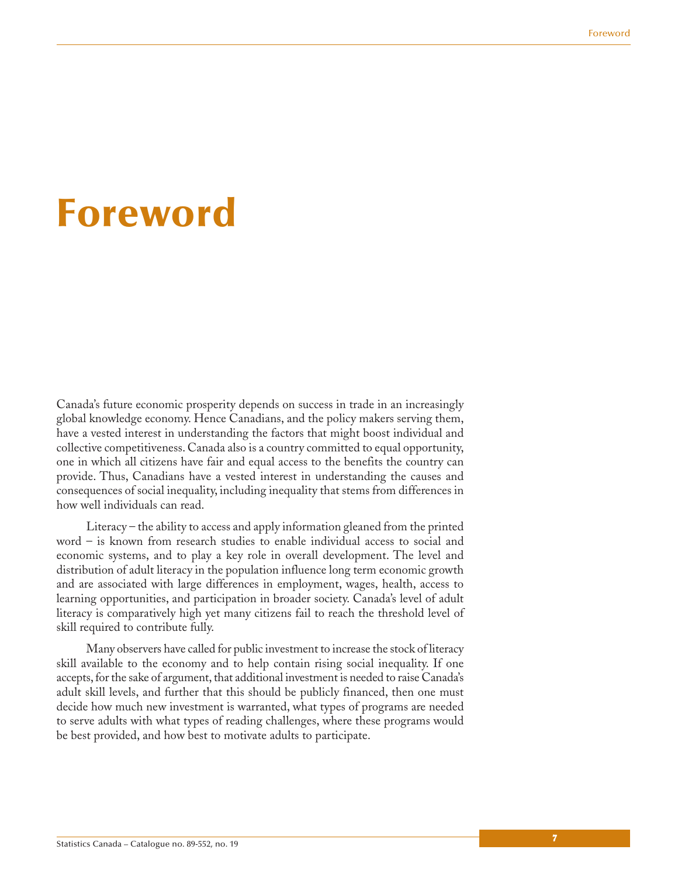# **Foreword**

Canada's future economic prosperity depends on success in trade in an increasingly global knowledge economy. Hence Canadians, and the policy makers serving them, have a vested interest in understanding the factors that might boost individual and collective competitiveness. Canada also is a country committed to equal opportunity, one in which all citizens have fair and equal access to the benefits the country can provide. Thus, Canadians have a vested interest in understanding the causes and consequences of social inequality, including inequality that stems from differences in how well individuals can read.

Literacy – the ability to access and apply information gleaned from the printed word – is known from research studies to enable individual access to social and economic systems, and to play a key role in overall development. The level and distribution of adult literacy in the population influence long term economic growth and are associated with large differences in employment, wages, health, access to learning opportunities, and participation in broader society. Canada's level of adult literacy is comparatively high yet many citizens fail to reach the threshold level of skill required to contribute fully.

Many observers have called for public investment to increase the stock of literacy skill available to the economy and to help contain rising social inequality. If one accepts, for the sake of argument, that additional investment is needed to raise Canada's adult skill levels, and further that this should be publicly financed, then one must decide how much new investment is warranted, what types of programs are needed to serve adults with what types of reading challenges, where these programs would be best provided, and how best to motivate adults to participate.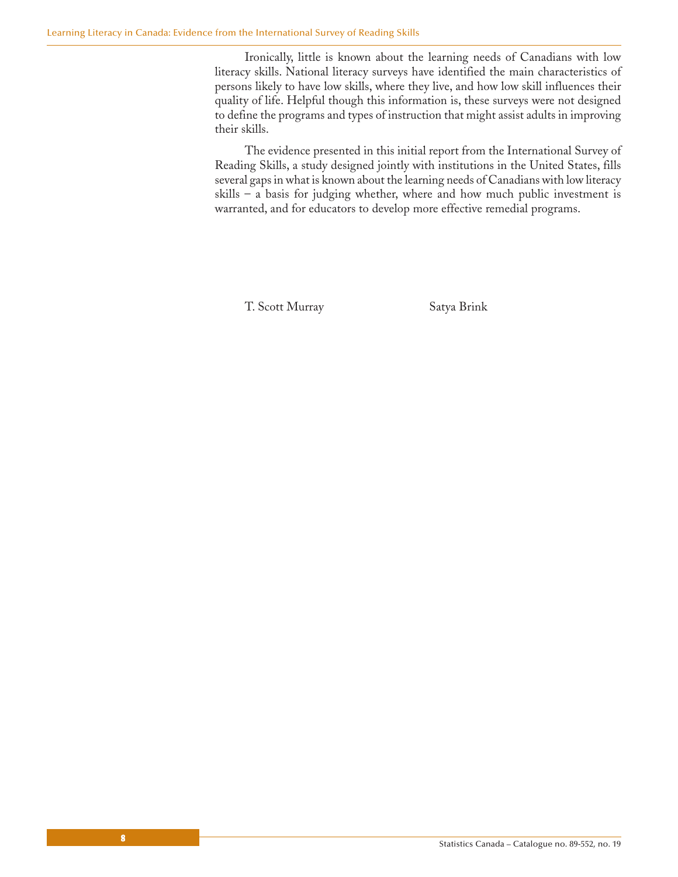Ironically, little is known about the learning needs of Canadians with low literacy skills. National literacy surveys have identified the main characteristics of persons likely to have low skills, where they live, and how low skill influences their quality of life. Helpful though this information is, these surveys were not designed to define the programs and types of instruction that might assist adults in improving their skills.

The evidence presented in this initial report from the International Survey of Reading Skills, a study designed jointly with institutions in the United States, fills several gaps in what is known about the learning needs of Canadians with low literacy skills – a basis for judging whether, where and how much public investment is warranted, and for educators to develop more effective remedial programs.

T. Scott Murray Satya Brink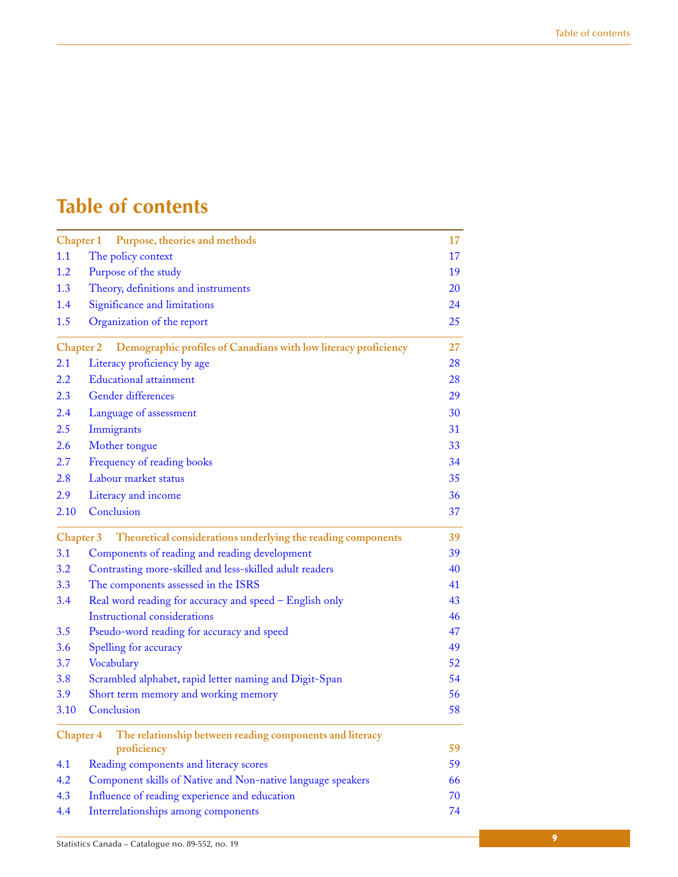## **Table of contents**

| Chapter 1                   | Purpose, theories and methods                                                        | 17       |  |
|-----------------------------|--------------------------------------------------------------------------------------|----------|--|
| 1.1                         | The policy context                                                                   | 17       |  |
| 1.2<br>Purpose of the study |                                                                                      | 19       |  |
| 1.3                         | Theory, definitions and instruments                                                  | 20       |  |
| 1.4                         | Significance and limitations                                                         |          |  |
| 1.5                         | Organization of the report                                                           | 25       |  |
| <b>Chapter 2</b>            | Demographic profiles of Canadians with low literacy proficiency                      | 27       |  |
| 2.1                         | Literacy proficiency by age                                                          | 28       |  |
| 2.2                         | <b>Educational attainment</b>                                                        | 28       |  |
| 2.3                         | Gender differences                                                                   | 29       |  |
| 2.4                         | Language of assessment                                                               | 30       |  |
| 2.5                         | Immigrants                                                                           | 31       |  |
| 2.6                         | Mother tongue                                                                        | 33       |  |
| 2.7                         | Frequency of reading books                                                           | 34       |  |
| 2.8                         | Labour market status                                                                 | 35       |  |
| 2.9                         | Literacy and income                                                                  | 36       |  |
| 2.10                        | Conclusion                                                                           |          |  |
| Chapter 3                   | Theoretical considerations underlying the reading components                         | 39       |  |
| 3.1                         | Components of reading and reading development                                        | 39       |  |
| 3.2                         | Contrasting more-skilled and less-skilled adult readers                              | 40       |  |
| 3.3                         | The components assessed in the ISRS                                                  | 41       |  |
| 3.4                         | Real word reading for accuracy and speed - English only                              | 43       |  |
|                             | <b>Instructional considerations</b>                                                  | 46       |  |
| 3.5                         | Pseudo-word reading for accuracy and speed                                           | 47       |  |
| 3.6                         | Spelling for accuracy                                                                | 49       |  |
| 3.7                         | Vocabulary                                                                           | 52       |  |
| 3.8                         | Scrambled alphabet, rapid letter naming and Digit-Span                               | 54       |  |
| 3.9                         | Short term memory and working memory                                                 | 56       |  |
| 3.10                        | Conclusion                                                                           | 58       |  |
| <b>Chapter 4</b>            | The relationship between reading components and literacy                             |          |  |
|                             | proficiency                                                                          | 59       |  |
| 4.1<br>4.2                  | Reading components and literacy scores                                               | 59<br>66 |  |
| 4.3                         | Component skills of Native and Non-native language speakers                          | 70       |  |
| 4.4                         | Influence of reading experience and education<br>Interrelationships among components | 74       |  |
|                             |                                                                                      |          |  |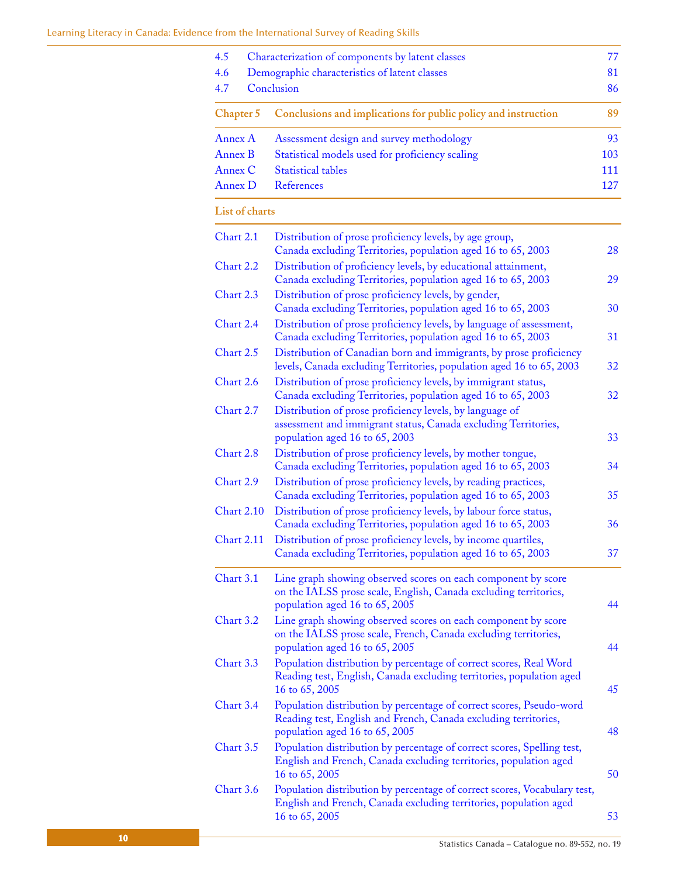| 4.5               | Characterization of components by latent classes                                                                                                                          | 77  |
|-------------------|---------------------------------------------------------------------------------------------------------------------------------------------------------------------------|-----|
| 4.6               | Demographic characteristics of latent classes                                                                                                                             | 81  |
| 4.7               | Conclusion                                                                                                                                                                | 86  |
| Chapter 5         | Conclusions and implications for public policy and instruction                                                                                                            | 89  |
| Annex A           | Assessment design and survey methodology                                                                                                                                  | 93  |
| Annex B           | Statistical models used for proficiency scaling                                                                                                                           | 103 |
| <b>Annex C</b>    | <b>Statistical tables</b>                                                                                                                                                 | 111 |
| Annex D           | References                                                                                                                                                                | 127 |
| List of charts    |                                                                                                                                                                           |     |
| Chart 2.1         | Distribution of prose proficiency levels, by age group,<br>Canada excluding Territories, population aged 16 to 65, 2003                                                   | 28  |
| Chart 2.2         | Distribution of proficiency levels, by educational attainment,<br>Canada excluding Territories, population aged 16 to 65, 2003                                            | 29  |
| Chart 2.3         | Distribution of prose proficiency levels, by gender,<br>Canada excluding Territories, population aged 16 to 65, 2003                                                      | 30  |
| Chart 2.4         | Distribution of prose proficiency levels, by language of assessment,<br>Canada excluding Territories, population aged 16 to 65, 2003                                      | 31  |
| Chart 2.5         | Distribution of Canadian born and immigrants, by prose proficiency<br>levels, Canada excluding Territories, population aged 16 to 65, 2003                                | 32  |
| Chart 2.6         | Distribution of prose proficiency levels, by immigrant status,<br>Canada excluding Territories, population aged 16 to 65, 2003                                            | 32  |
| Chart 2.7         | Distribution of prose proficiency levels, by language of<br>assessment and immigrant status, Canada excluding Territories,<br>population aged 16 to 65, 2003              | 33  |
| Chart 2.8         | Distribution of prose proficiency levels, by mother tongue,<br>Canada excluding Territories, population aged 16 to 65, 2003                                               | 34  |
| Chart 2.9         | Distribution of prose proficiency levels, by reading practices,<br>Canada excluding Territories, population aged 16 to 65, 2003                                           | 35  |
| <b>Chart 2.10</b> | Distribution of prose proficiency levels, by labour force status,<br>Canada excluding Territories, population aged 16 to 65, 2003                                         | 36  |
| <b>Chart 2.11</b> | Distribution of prose proficiency levels, by income quartiles,<br>Canada excluding Territories, population aged 16 to 65, 2003                                            | 37  |
| Chart 3.1         | Line graph showing observed scores on each component by score<br>on the IALSS prose scale, English, Canada excluding territories,<br>population aged 16 to 65, 2005       | 44  |
| Chart 3.2         | Line graph showing observed scores on each component by score<br>on the IALSS prose scale, French, Canada excluding territories,<br>population aged 16 to 65, 2005        | 44  |
| Chart 3.3         | Population distribution by percentage of correct scores, Real Word<br>Reading test, English, Canada excluding territories, population aged<br>16 to 65, 2005              | 45  |
| Chart 3.4         | Population distribution by percentage of correct scores, Pseudo-word<br>Reading test, English and French, Canada excluding territories,<br>population aged 16 to 65, 2005 | 48  |
| Chart 3.5         | Population distribution by percentage of correct scores, Spelling test,<br>English and French, Canada excluding territories, population aged<br>16 to 65, 2005            | 50  |
| Chart 3.6         | Population distribution by percentage of correct scores, Vocabulary test,<br>English and French, Canada excluding territories, population aged<br>16 to 65, 2005          | 53  |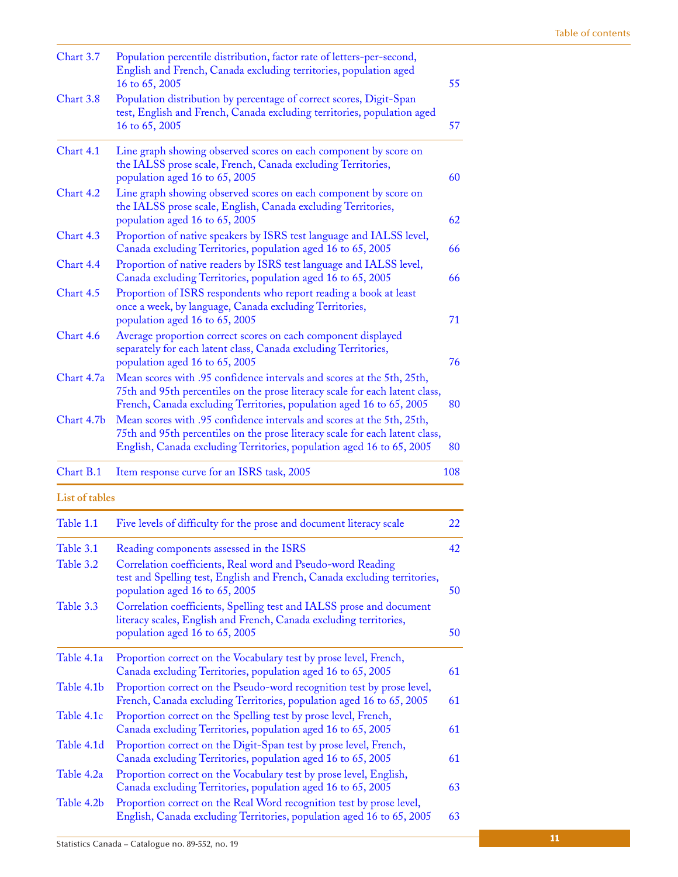| Chart 3.7      | Population percentile distribution, factor rate of letters-per-second,<br>English and French, Canada excluding territories, population aged<br>55<br>16 to 65, 2005<br>Population distribution by percentage of correct scores, Digit-Span<br>test, English and French, Canada excluding territories, population aged<br>16 to 65, 2005<br>57 |     |
|----------------|-----------------------------------------------------------------------------------------------------------------------------------------------------------------------------------------------------------------------------------------------------------------------------------------------------------------------------------------------|-----|
| Chart 3.8      |                                                                                                                                                                                                                                                                                                                                               |     |
| Chart 4.1      | Line graph showing observed scores on each component by score on<br>the IALSS prose scale, French, Canada excluding Territories,<br>population aged 16 to 65, 2005                                                                                                                                                                            | 60  |
| Chart 4.2      | Line graph showing observed scores on each component by score on<br>the IALSS prose scale, English, Canada excluding Territories,<br>population aged 16 to 65, 2005                                                                                                                                                                           | 62  |
| Chart 4.3      | Proportion of native speakers by ISRS test language and IALSS level,<br>Canada excluding Territories, population aged 16 to 65, 2005                                                                                                                                                                                                          | 66  |
| Chart 4.4      | Proportion of native readers by ISRS test language and IALSS level,<br>Canada excluding Territories, population aged 16 to 65, 2005                                                                                                                                                                                                           | 66  |
| Chart 4.5      | Proportion of ISRS respondents who report reading a book at least<br>once a week, by language, Canada excluding Territories,<br>population aged 16 to 65, 2005                                                                                                                                                                                | 71  |
| Chart 4.6      | Average proportion correct scores on each component displayed<br>separately for each latent class, Canada excluding Territories,<br>population aged 16 to 65, 2005                                                                                                                                                                            | 76  |
| Chart 4.7a     | Mean scores with .95 confidence intervals and scores at the 5th, 25th,<br>75th and 95th percentiles on the prose literacy scale for each latent class,<br>French, Canada excluding Territories, population aged 16 to 65, 2005                                                                                                                | 80  |
| Chart 4.7b     | Mean scores with .95 confidence intervals and scores at the 5th, 25th,<br>75th and 95th percentiles on the prose literacy scale for each latent class,<br>English, Canada excluding Territories, population aged 16 to 65, 2005                                                                                                               | 80  |
| Chart B.1      | Item response curve for an ISRS task, 2005                                                                                                                                                                                                                                                                                                    | 108 |
| List of tables |                                                                                                                                                                                                                                                                                                                                               |     |
| Table 1.1      | Five levels of difficulty for the prose and document literacy scale                                                                                                                                                                                                                                                                           | 22  |
| Table 3.1      | Reading components assessed in the ISRS                                                                                                                                                                                                                                                                                                       | 42  |
| Table 3.2      | Correlation coefficients, Real word and Pseudo-word Reading<br>test and Spelling test, English and French, Canada excluding territories,<br>population aged 16 to 65, 2005                                                                                                                                                                    | 50  |
| Table 3.3      | Correlation coefficients, Spelling test and IALSS prose and document<br>literacy scales, English and French, Canada excluding territories,<br>population aged 16 to 65, 2005                                                                                                                                                                  | 50  |
| Table 4.1a     | Proportion correct on the Vocabulary test by prose level, French,<br>Canada excluding Territories, population aged 16 to 65, 2005                                                                                                                                                                                                             | 61  |
| Table 4.1b     | Proportion correct on the Pseudo-word recognition test by prose level,<br>French, Canada excluding Territories, population aged 16 to 65, 2005                                                                                                                                                                                                | 61  |
| Table 4.1c     | Proportion correct on the Spelling test by prose level, French,<br>Canada excluding Territories, population aged 16 to 65, 2005                                                                                                                                                                                                               |     |
| Table 4.1d     | Proportion correct on the Digit-Span test by prose level, French,<br>Canada excluding Territories, population aged 16 to 65, 2005                                                                                                                                                                                                             |     |
| Table 4.2a     | Proportion correct on the Vocabulary test by prose level, English,<br>Canada excluding Territories, population aged 16 to 65, 2005                                                                                                                                                                                                            |     |
| Table 4.2b     | Proportion correct on the Real Word recognition test by prose level,<br>English, Canada excluding Territories, population aged 16 to 65, 2005                                                                                                                                                                                                 | 63  |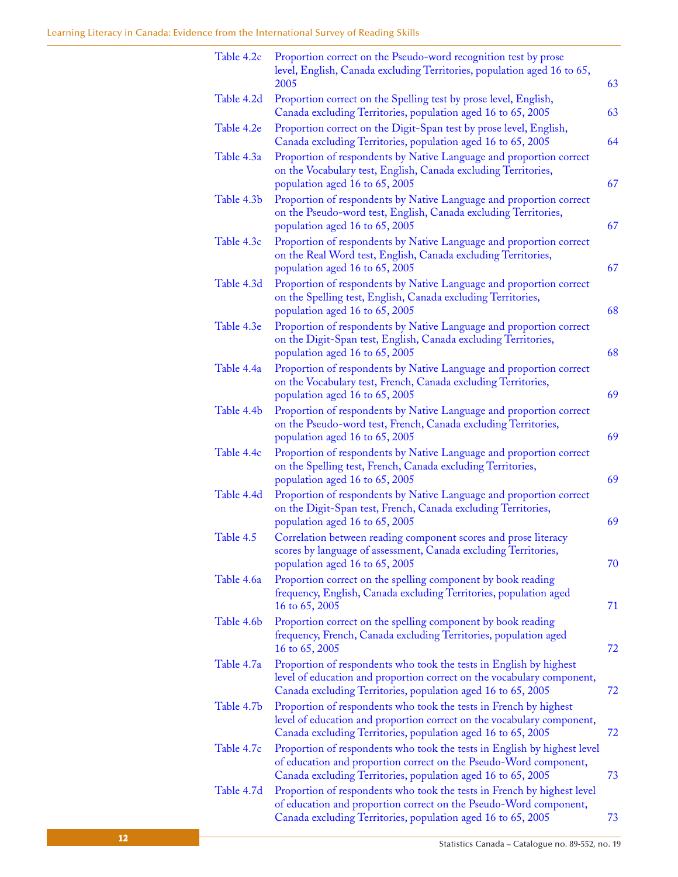| Table 4.2c | Proportion correct on the Pseudo-word recognition test by prose<br>level, English, Canada excluding Territories, population aged 16 to 65,<br>2005                                                           | 63                                                                                                                                                                                                                                                                                                                                                                                                                                                                                                                                                                                   |
|------------|--------------------------------------------------------------------------------------------------------------------------------------------------------------------------------------------------------------|--------------------------------------------------------------------------------------------------------------------------------------------------------------------------------------------------------------------------------------------------------------------------------------------------------------------------------------------------------------------------------------------------------------------------------------------------------------------------------------------------------------------------------------------------------------------------------------|
| Table 4.2d | Proportion correct on the Spelling test by prose level, English,<br>Canada excluding Territories, population aged 16 to 65, 2005                                                                             | 63                                                                                                                                                                                                                                                                                                                                                                                                                                                                                                                                                                                   |
| Table 4.2e | Proportion correct on the Digit-Span test by prose level, English,<br>Canada excluding Territories, population aged 16 to 65, 2005                                                                           | 64                                                                                                                                                                                                                                                                                                                                                                                                                                                                                                                                                                                   |
| Table 4.3a | Proportion of respondents by Native Language and proportion correct<br>on the Vocabulary test, English, Canada excluding Territories,                                                                        | 67                                                                                                                                                                                                                                                                                                                                                                                                                                                                                                                                                                                   |
| Table 4.3b | Proportion of respondents by Native Language and proportion correct<br>on the Pseudo-word test, English, Canada excluding Territories,                                                                       | 67                                                                                                                                                                                                                                                                                                                                                                                                                                                                                                                                                                                   |
| Table 4.3c | Proportion of respondents by Native Language and proportion correct<br>on the Real Word test, English, Canada excluding Territories,                                                                         | 67                                                                                                                                                                                                                                                                                                                                                                                                                                                                                                                                                                                   |
| Table 4.3d | Proportion of respondents by Native Language and proportion correct<br>on the Spelling test, English, Canada excluding Territories,                                                                          | 68                                                                                                                                                                                                                                                                                                                                                                                                                                                                                                                                                                                   |
| Table 4.3e | Proportion of respondents by Native Language and proportion correct<br>on the Digit-Span test, English, Canada excluding Territories,                                                                        | 68                                                                                                                                                                                                                                                                                                                                                                                                                                                                                                                                                                                   |
| Table 4.4a | Proportion of respondents by Native Language and proportion correct<br>on the Vocabulary test, French, Canada excluding Territories,                                                                         | 69                                                                                                                                                                                                                                                                                                                                                                                                                                                                                                                                                                                   |
| Table 4.4b | Proportion of respondents by Native Language and proportion correct<br>on the Pseudo-word test, French, Canada excluding Territories,                                                                        | 69                                                                                                                                                                                                                                                                                                                                                                                                                                                                                                                                                                                   |
| Table 4.4c | Proportion of respondents by Native Language and proportion correct<br>on the Spelling test, French, Canada excluding Territories,                                                                           | 69                                                                                                                                                                                                                                                                                                                                                                                                                                                                                                                                                                                   |
| Table 4.4d | Proportion of respondents by Native Language and proportion correct<br>on the Digit-Span test, French, Canada excluding Territories,                                                                         | 69                                                                                                                                                                                                                                                                                                                                                                                                                                                                                                                                                                                   |
| Table 4.5  | Correlation between reading component scores and prose literacy<br>scores by language of assessment, Canada excluding Territories,                                                                           | 70                                                                                                                                                                                                                                                                                                                                                                                                                                                                                                                                                                                   |
| Table 4.6a | Proportion correct on the spelling component by book reading<br>frequency, English, Canada excluding Territories, population aged                                                                            | 71                                                                                                                                                                                                                                                                                                                                                                                                                                                                                                                                                                                   |
| Table 4.6b | Proportion correct on the spelling component by book reading<br>frequency, French, Canada excluding Territories, population aged                                                                             |                                                                                                                                                                                                                                                                                                                                                                                                                                                                                                                                                                                      |
| Table 4.7a | Proportion of respondents who took the tests in English by highest<br>level of education and proportion correct on the vocabulary component,                                                                 | 72<br>72                                                                                                                                                                                                                                                                                                                                                                                                                                                                                                                                                                             |
| Table 4.7b | Proportion of respondents who took the tests in French by highest<br>level of education and proportion correct on the vocabulary component,                                                                  | 72                                                                                                                                                                                                                                                                                                                                                                                                                                                                                                                                                                                   |
| Table 4.7c | Proportion of respondents who took the tests in English by highest level<br>of education and proportion correct on the Pseudo-Word component,                                                                | 73                                                                                                                                                                                                                                                                                                                                                                                                                                                                                                                                                                                   |
| Table 4.7d | Proportion of respondents who took the tests in French by highest level<br>of education and proportion correct on the Pseudo-Word component,<br>Canada excluding Territories, population aged 16 to 65, 2005 | 73                                                                                                                                                                                                                                                                                                                                                                                                                                                                                                                                                                                   |
|            |                                                                                                                                                                                                              | population aged 16 to 65, 2005<br>population aged 16 to 65, 2005<br>population aged 16 to 65, 2005<br>population aged 16 to 65, 2005<br>population aged 16 to 65, 2005<br>population aged 16 to 65, 2005<br>population aged 16 to 65, 2005<br>population aged 16 to 65, 2005<br>population aged 16 to 65, 2005<br>population aged 16 to 65, 2005<br>16 to 65, 2005<br>16 to 65, 2005<br>Canada excluding Territories, population aged 16 to 65, 2005<br>Canada excluding Territories, population aged 16 to 65, 2005<br>Canada excluding Territories, population aged 16 to 65, 2005 |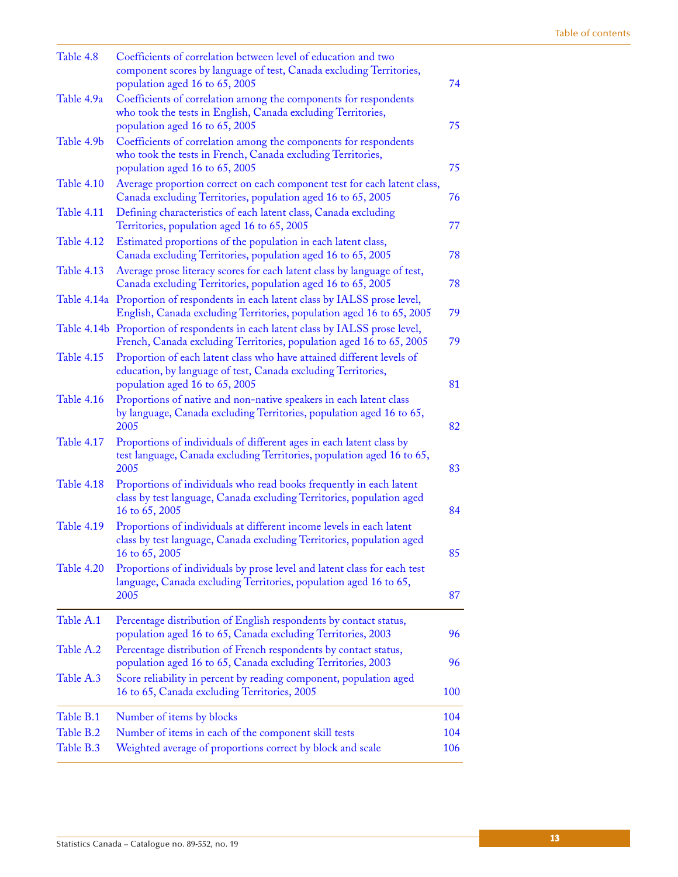| Table 4.8  | Coefficients of correlation between level of education and two<br>component scores by language of test, Canada excluding Territories,<br>population aged 16 to 65, 2005  | 74         |
|------------|--------------------------------------------------------------------------------------------------------------------------------------------------------------------------|------------|
| Table 4.9a | Coefficients of correlation among the components for respondents<br>who took the tests in English, Canada excluding Territories,<br>population aged 16 to 65, 2005       | 75         |
| Table 4.9b | Coefficients of correlation among the components for respondents<br>who took the tests in French, Canada excluding Territories,<br>population aged 16 to 65, 2005        | 75         |
| Table 4.10 | Average proportion correct on each component test for each latent class,<br>Canada excluding Territories, population aged 16 to 65, 2005                                 | 76         |
| Table 4.11 | Defining characteristics of each latent class, Canada excluding<br>Territories, population aged 16 to 65, 2005                                                           | 77         |
| Table 4.12 | Estimated proportions of the population in each latent class,<br>Canada excluding Territories, population aged 16 to 65, 2005                                            | 78         |
| Table 4.13 | Average prose literacy scores for each latent class by language of test,<br>Canada excluding Territories, population aged 16 to 65, 2005                                 | 78         |
|            | Table 4.14a Proportion of respondents in each latent class by IALSS prose level,<br>English, Canada excluding Territories, population aged 16 to 65, 2005                | 79         |
|            | Table 4.14b Proportion of respondents in each latent class by IALSS prose level,<br>French, Canada excluding Territories, population aged 16 to 65, 2005                 | 79         |
| Table 4.15 | Proportion of each latent class who have attained different levels of<br>education, by language of test, Canada excluding Territories,<br>population aged 16 to 65, 2005 | 81         |
| Table 4.16 | Proportions of native and non-native speakers in each latent class<br>by language, Canada excluding Territories, population aged 16 to 65,<br>2005                       | 82         |
| Table 4.17 | Proportions of individuals of different ages in each latent class by<br>test language, Canada excluding Territories, population aged 16 to 65,<br>2005                   | 83         |
| Table 4.18 | Proportions of individuals who read books frequently in each latent<br>class by test language, Canada excluding Territories, population aged<br>16 to 65, 2005           | 84         |
| Table 4.19 | Proportions of individuals at different income levels in each latent<br>class by test language, Canada excluding Territories, population aged<br>16 to 65, 2005          | 85         |
| Table 4.20 | Proportions of individuals by prose level and latent class for each test<br>language, Canada excluding Territories, population aged 16 to 65,<br>2005                    | 87         |
|            |                                                                                                                                                                          |            |
| Table A.1  | Percentage distribution of English respondents by contact status,<br>population aged 16 to 65, Canada excluding Territories, 2003                                        | 96         |
| Table A.2  | Percentage distribution of French respondents by contact status,<br>population aged 16 to 65, Canada excluding Territories, 2003                                         | 96         |
| Table A.3  | Score reliability in percent by reading component, population aged<br>16 to 65, Canada excluding Territories, 2005                                                       | <b>100</b> |
| Table B.1  | Number of items by blocks                                                                                                                                                | 104        |
| Table B.2  | Number of items in each of the component skill tests                                                                                                                     | 104        |
| Table B.3  | Weighted average of proportions correct by block and scale                                                                                                               | 106        |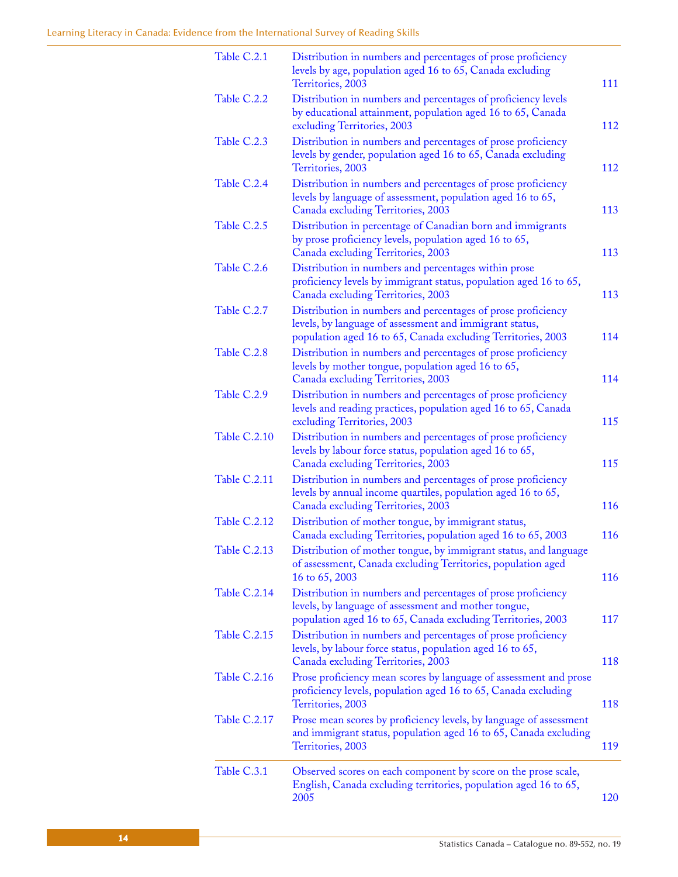| Table C.2.1         | Distribution in numbers and percentages of prose proficiency<br>levels by age, population aged 16 to 65, Canada excluding<br>Territories, 2003                                          | 111 |
|---------------------|-----------------------------------------------------------------------------------------------------------------------------------------------------------------------------------------|-----|
| Table C.2.2         | Distribution in numbers and percentages of proficiency levels<br>by educational attainment, population aged 16 to 65, Canada<br>excluding Territories, 2003                             | 112 |
| Table C.2.3         | Distribution in numbers and percentages of prose proficiency<br>levels by gender, population aged 16 to 65, Canada excluding<br>Territories, 2003                                       | 112 |
| Table C.2.4         | Distribution in numbers and percentages of prose proficiency<br>levels by language of assessment, population aged 16 to 65,<br>Canada excluding Territories, 2003                       | 113 |
| Table C.2.5         | Distribution in percentage of Canadian born and immigrants<br>by prose proficiency levels, population aged 16 to 65,<br>Canada excluding Territories, 2003                              | 113 |
| Table C.2.6         | Distribution in numbers and percentages within prose<br>proficiency levels by immigrant status, population aged 16 to 65,<br>Canada excluding Territories, 2003                         | 113 |
| Table C.2.7         | Distribution in numbers and percentages of prose proficiency<br>levels, by language of assessment and immigrant status,<br>population aged 16 to 65, Canada excluding Territories, 2003 | 114 |
| Table C.2.8         | Distribution in numbers and percentages of prose proficiency<br>levels by mother tongue, population aged 16 to 65,<br>Canada excluding Territories, 2003                                | 114 |
| Table C.2.9         | Distribution in numbers and percentages of prose proficiency<br>levels and reading practices, population aged 16 to 65, Canada<br>excluding Territories, 2003                           | 115 |
| <b>Table C.2.10</b> | Distribution in numbers and percentages of prose proficiency<br>levels by labour force status, population aged 16 to 65,<br>Canada excluding Territories, 2003                          | 115 |
| Table C.2.11        | Distribution in numbers and percentages of prose proficiency<br>levels by annual income quartiles, population aged 16 to 65,<br>Canada excluding Territories, 2003                      | 116 |
| Table C.2.12        | Distribution of mother tongue, by immigrant status,<br>Canada excluding Territories, population aged 16 to 65, 2003                                                                     | 116 |
| Table C.2.13        | Distribution of mother tongue, by immigrant status, and language<br>of assessment, Canada excluding Territories, population aged<br>16 to 65, 2003                                      | 116 |
| Table C.2.14        | Distribution in numbers and percentages of prose proficiency<br>levels, by language of assessment and mother tongue,<br>population aged 16 to 65, Canada excluding Territories, 2003    | 117 |
| Table C.2.15        | Distribution in numbers and percentages of prose proficiency<br>levels, by labour force status, population aged 16 to 65,<br>Canada excluding Territories, 2003                         | 118 |
| Table C.2.16        | Prose proficiency mean scores by language of assessment and prose<br>proficiency levels, population aged 16 to 65, Canada excluding<br>Territories, 2003                                | 118 |
| Table C.2.17        | Prose mean scores by proficiency levels, by language of assessment<br>and immigrant status, population aged 16 to 65, Canada excluding<br>Territories, 2003                             | 119 |
| Table C.3.1         | Observed scores on each component by score on the prose scale,                                                                                                                          |     |
|                     | English, Canada excluding territories, population aged 16 to 65,<br>2005                                                                                                                | 120 |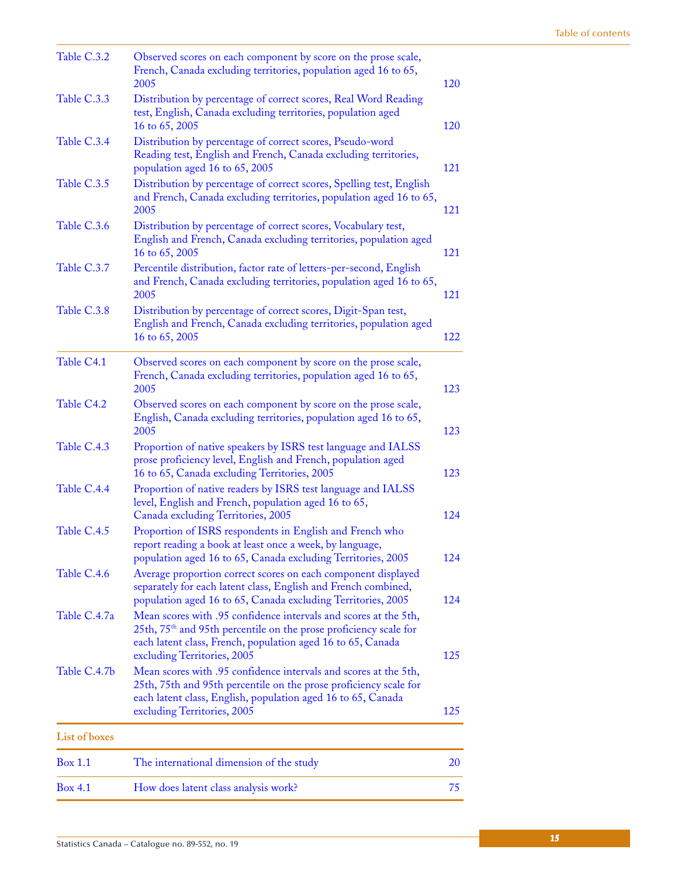| Table C.3.2   | Observed scores on each component by score on the prose scale,<br>French, Canada excluding territories, population aged 16 to 65,                                                                                                                                                |            |
|---------------|----------------------------------------------------------------------------------------------------------------------------------------------------------------------------------------------------------------------------------------------------------------------------------|------------|
| Table C.3.3   | 2005<br>Distribution by percentage of correct scores, Real Word Reading<br>test, English, Canada excluding territories, population aged<br>16 to 65, 2005                                                                                                                        | 120<br>120 |
| Table C.3.4   | Distribution by percentage of correct scores, Pseudo-word<br>Reading test, English and French, Canada excluding territories,<br>population aged 16 to 65, 2005                                                                                                                   | 121        |
| Table C.3.5   | Distribution by percentage of correct scores, Spelling test, English<br>and French, Canada excluding territories, population aged 16 to 65,<br>2005                                                                                                                              |            |
| Table C.3.6   | Distribution by percentage of correct scores, Vocabulary test,<br>English and French, Canada excluding territories, population aged<br>16 to 65, 2005                                                                                                                            | 121        |
| Table C.3.7   | Percentile distribution, factor rate of letters-per-second, English<br>and French, Canada excluding territories, population aged 16 to 65,<br>2005                                                                                                                               | 121        |
| Table C.3.8   | Distribution by percentage of correct scores, Digit-Span test,<br>English and French, Canada excluding territories, population aged<br>16 to 65, 2005                                                                                                                            | 122        |
| Table C4.1    | Observed scores on each component by score on the prose scale,<br>French, Canada excluding territories, population aged 16 to 65,<br>2005                                                                                                                                        | 123        |
| Table C4.2    | Observed scores on each component by score on the prose scale,<br>English, Canada excluding territories, population aged 16 to 65,<br>2005                                                                                                                                       | 123        |
| Table C.4.3   | Proportion of native speakers by ISRS test language and IALSS<br>prose proficiency level, English and French, population aged<br>16 to 65, Canada excluding Territories, 2005                                                                                                    | 123        |
| Table C.4.4   | Proportion of native readers by ISRS test language and IALSS<br>level, English and French, population aged 16 to 65,<br>Canada excluding Territories, 2005                                                                                                                       | 124        |
| Table C.4.5   | Proportion of ISRS respondents in English and French who<br>report reading a book at least once a week, by language,                                                                                                                                                             |            |
| Table C.4.6   | population aged 16 to 65, Canada excluding Territories, 2005<br>Average proportion correct scores on each component displayed<br>separately for each latent class, English and French combined,                                                                                  | 124        |
| Table C.4.7a  | population aged 16 to 65, Canada excluding Territories, 2005<br>Mean scores with .95 confidence intervals and scores at the 5th,<br>25th, 75 <sup>th</sup> and 95th percentile on the prose proficiency scale for<br>each latent class, French, population aged 16 to 65, Canada | 124<br>125 |
| Table C.4.7b  | excluding Territories, 2005<br>Mean scores with .95 confidence intervals and scores at the 5th,<br>25th, 75th and 95th percentile on the prose proficiency scale for<br>each latent class, English, population aged 16 to 65, Canada<br>excluding Territories, 2005              | <b>125</b> |
| List of boxes |                                                                                                                                                                                                                                                                                  |            |
| Box 1.1       | The international dimension of the study                                                                                                                                                                                                                                         | <b>20</b>  |
| Box 4.1       | How does latent class analysis work?                                                                                                                                                                                                                                             | 75         |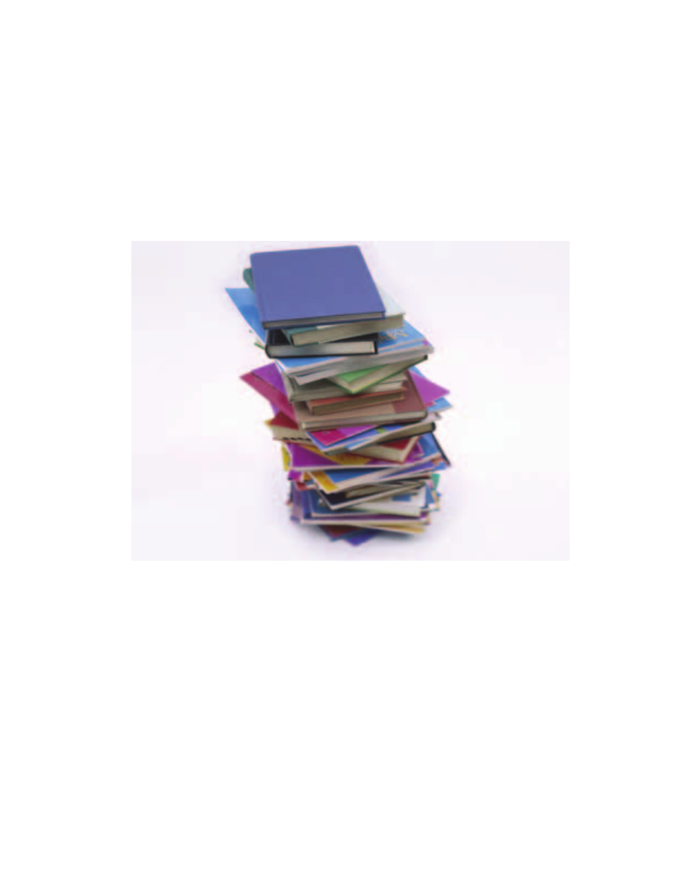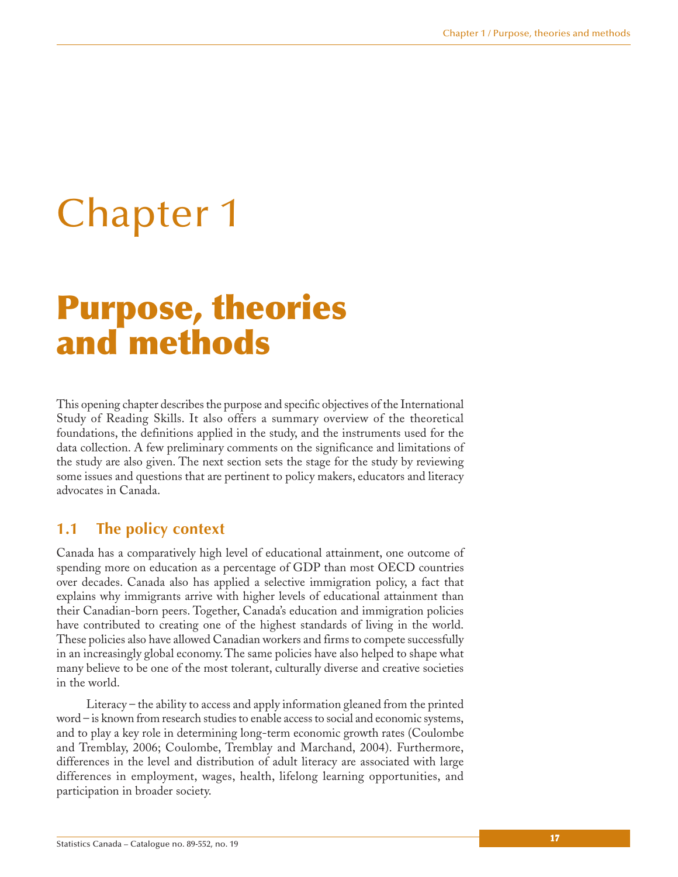# <span id="page-16-0"></span>Chapter 1

# **Purpose, theories and methods**

This opening chapter describes the purpose and specific objectives of the International Study of Reading Skills. It also offers a summary overview of the theoretical foundations, the definitions applied in the study, and the instruments used for the data collection. A few preliminary comments on the significance and limitations of the study are also given. The next section sets the stage for the study by reviewing some issues and questions that are pertinent to policy makers, educators and literacy advocates in Canada.

### **1.1 The policy context**

Canada has a comparatively high level of educational attainment, one outcome of spending more on education as a percentage of GDP than most OECD countries over decades. Canada also has applied a selective immigration policy, a fact that explains why immigrants arrive with higher levels of educational attainment than their Canadian-born peers. Together, Canada's education and immigration policies have contributed to creating one of the highest standards of living in the world. These policies also have allowed Canadian workers and firms to compete successfully in an increasingly global economy. The same policies have also helped to shape what many believe to be one of the most tolerant, culturally diverse and creative societies in the world.

Literacy – the ability to access and apply information gleaned from the printed word – is known from research studies to enable access to social and economic systems, and to play a key role in determining long-term economic growth rates (Coulombe and Tremblay, 2006; Coulombe, Tremblay and Marchand, 2004). Furthermore, differences in the level and distribution of adult literacy are associated with large differences in employment, wages, health, lifelong learning opportunities, and participation in broader society.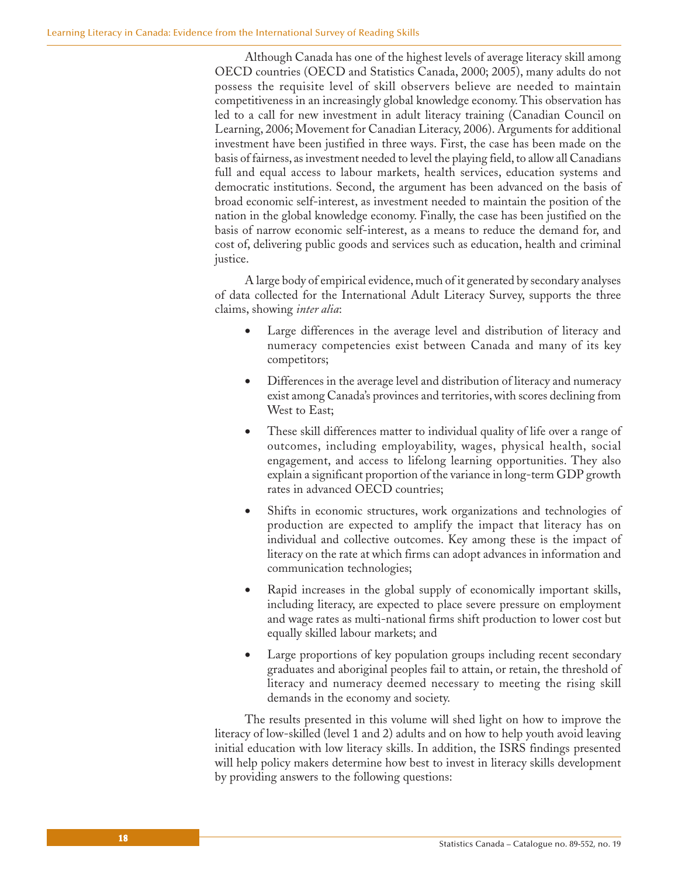Although Canada has one of the highest levels of average literacy skill among OECD countries (OECD and Statistics Canada, 2000; 2005), many adults do not possess the requisite level of skill observers believe are needed to maintain competitiveness in an increasingly global knowledge economy. This observation has led to a call for new investment in adult literacy training (Canadian Council on Learning, 2006; Movement for Canadian Literacy, 2006). Arguments for additional investment have been justified in three ways. First, the case has been made on the basis of fairness, as investment needed to level the playing field, to allow all Canadians full and equal access to labour markets, health services, education systems and democratic institutions. Second, the argument has been advanced on the basis of broad economic self-interest, as investment needed to maintain the position of the nation in the global knowledge economy. Finally, the case has been justified on the basis of narrow economic self-interest, as a means to reduce the demand for, and cost of, delivering public goods and services such as education, health and criminal justice.

A large body of empirical evidence, much of it generated by secondary analyses of data collected for the International Adult Literacy Survey, supports the three claims, showing *inter alia*:

- Large differences in the average level and distribution of literacy and numeracy competencies exist between Canada and many of its key competitors;
- Differences in the average level and distribution of literacy and numeracy exist among Canada's provinces and territories, with scores declining from West to East;
- These skill differences matter to individual quality of life over a range of outcomes, including employability, wages, physical health, social engagement, and access to lifelong learning opportunities. They also explain a significant proportion of the variance in long-term GDP growth rates in advanced OECD countries;
- Shifts in economic structures, work organizations and technologies of production are expected to amplify the impact that literacy has on individual and collective outcomes. Key among these is the impact of literacy on the rate at which firms can adopt advances in information and communication technologies;
- Rapid increases in the global supply of economically important skills, including literacy, are expected to place severe pressure on employment and wage rates as multi-national firms shift production to lower cost but equally skilled labour markets; and
- Large proportions of key population groups including recent secondary graduates and aboriginal peoples fail to attain, or retain, the threshold of literacy and numeracy deemed necessary to meeting the rising skill demands in the economy and society.

The results presented in this volume will shed light on how to improve the literacy of low-skilled (level 1 and 2) adults and on how to help youth avoid leaving initial education with low literacy skills. In addition, the ISRS findings presented will help policy makers determine how best to invest in literacy skills development by providing answers to the following questions: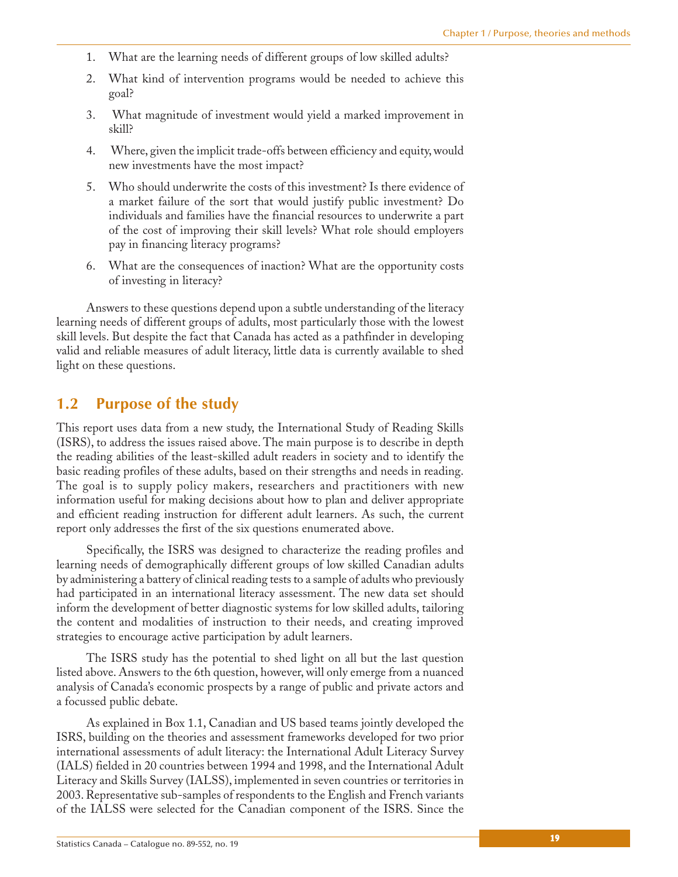- <span id="page-18-0"></span>1. What are the learning needs of different groups of low skilled adults?
- 2. What kind of intervention programs would be needed to achieve this goal?
- 3. What magnitude of investment would yield a marked improvement in skill?
- 4. Where, given the implicit trade-offs between efficiency and equity, would new investments have the most impact?
- 5. Who should underwrite the costs of this investment? Is there evidence of a market failure of the sort that would justify public investment? Do individuals and families have the financial resources to underwrite a part of the cost of improving their skill levels? What role should employers pay in financing literacy programs?
- 6. What are the consequences of inaction? What are the opportunity costs of investing in literacy?

Answers to these questions depend upon a subtle understanding of the literacy learning needs of different groups of adults, most particularly those with the lowest skill levels. But despite the fact that Canada has acted as a pathfinder in developing valid and reliable measures of adult literacy, little data is currently available to shed light on these questions.

### **1.2 Purpose of the study**

This report uses data from a new study, the International Study of Reading Skills (ISRS), to address the issues raised above. The main purpose is to describe in depth the reading abilities of the least-skilled adult readers in society and to identify the basic reading profiles of these adults, based on their strengths and needs in reading. The goal is to supply policy makers, researchers and practitioners with new information useful for making decisions about how to plan and deliver appropriate and efficient reading instruction for different adult learners. As such, the current report only addresses the first of the six questions enumerated above.

Specifically, the ISRS was designed to characterize the reading profiles and learning needs of demographically different groups of low skilled Canadian adults by administering a battery of clinical reading tests to a sample of adults who previously had participated in an international literacy assessment. The new data set should inform the development of better diagnostic systems for low skilled adults, tailoring the content and modalities of instruction to their needs, and creating improved strategies to encourage active participation by adult learners.

The ISRS study has the potential to shed light on all but the last question listed above. Answers to the 6th question, however, will only emerge from a nuanced analysis of Canada's economic prospects by a range of public and private actors and a focussed public debate.

As explained in Box 1.1, Canadian and US based teams jointly developed the ISRS, building on the theories and assessment frameworks developed for two prior international assessments of adult literacy: the International Adult Literacy Survey (IALS) fielded in 20 countries between 1994 and 1998, and the International Adult Literacy and Skills Survey (IALSS), implemented in seven countries or territories in 2003. Representative sub-samples of respondents to the English and French variants of the IALSS were selected for the Canadian component of the ISRS. Since the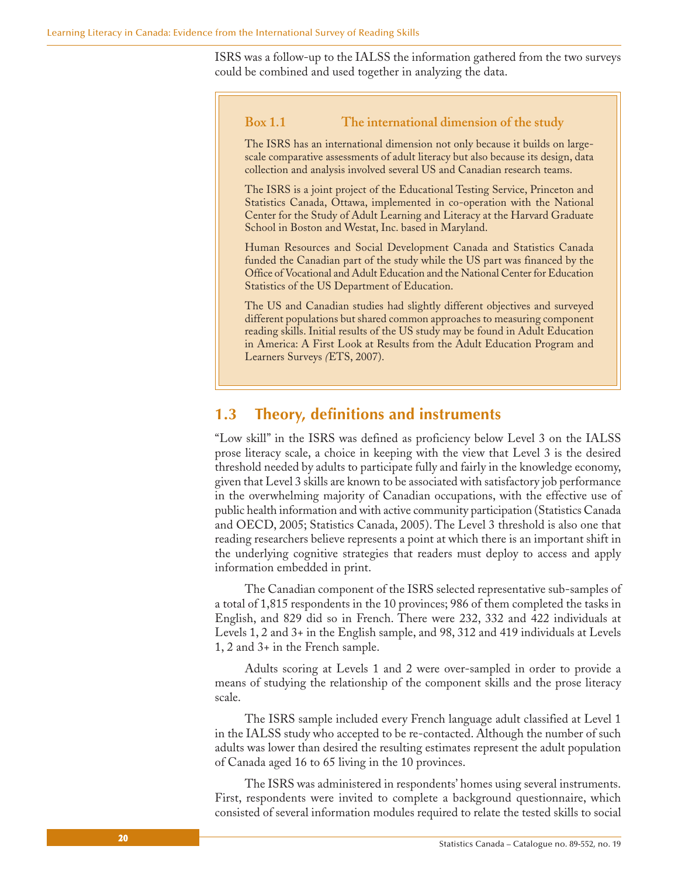<span id="page-19-0"></span>ISRS was a follow-up to the IALSS the information gathered from the two surveys could be combined and used together in analyzing the data.

### **Box 1.1 The international dimension of the study**

The ISRS has an international dimension not only because it builds on largescale comparative assessments of adult literacy but also because its design, data collection and analysis involved several US and Canadian research teams.

The ISRS is a joint project of the Educational Testing Service, Princeton and Statistics Canada, Ottawa, implemented in co-operation with the National Center for the Study of Adult Learning and Literacy at the Harvard Graduate School in Boston and Westat, Inc. based in Maryland.

Human Resources and Social Development Canada and Statistics Canada funded the Canadian part of the study while the US part was financed by the Office of Vocational and Adult Education and the National Center for Education Statistics of the US Department of Education.

The US and Canadian studies had slightly different objectives and surveyed different populations but shared common approaches to measuring component reading skills. Initial results of the US study may be found in Adult Education in America: A First Look at Results from the Adult Education Program and Learners Surveys *(*ETS, 2007).

### **1.3 Theory, definitions and instruments**

"Low skill" in the ISRS was defined as proficiency below Level 3 on the IALSS prose literacy scale, a choice in keeping with the view that Level 3 is the desired threshold needed by adults to participate fully and fairly in the knowledge economy, given that Level 3 skills are known to be associated with satisfactory job performance in the overwhelming majority of Canadian occupations, with the effective use of public health information and with active community participation (Statistics Canada and OECD, 2005; Statistics Canada, 2005). The Level 3 threshold is also one that reading researchers believe represents a point at which there is an important shift in the underlying cognitive strategies that readers must deploy to access and apply information embedded in print.

The Canadian component of the ISRS selected representative sub-samples of a total of 1,815 respondents in the 10 provinces; 986 of them completed the tasks in English, and 829 did so in French. There were 232, 332 and 422 individuals at Levels 1, 2 and 3+ in the English sample, and 98, 312 and 419 individuals at Levels 1, 2 and 3+ in the French sample.

Adults scoring at Levels 1 and 2 were over-sampled in order to provide a means of studying the relationship of the component skills and the prose literacy scale.

The ISRS sample included every French language adult classified at Level 1 in the IALSS study who accepted to be re-contacted. Although the number of such adults was lower than desired the resulting estimates represent the adult population of Canada aged 16 to 65 living in the 10 provinces.

The ISRS was administered in respondents' homes using several instruments. First, respondents were invited to complete a background questionnaire, which consisted of several information modules required to relate the tested skills to social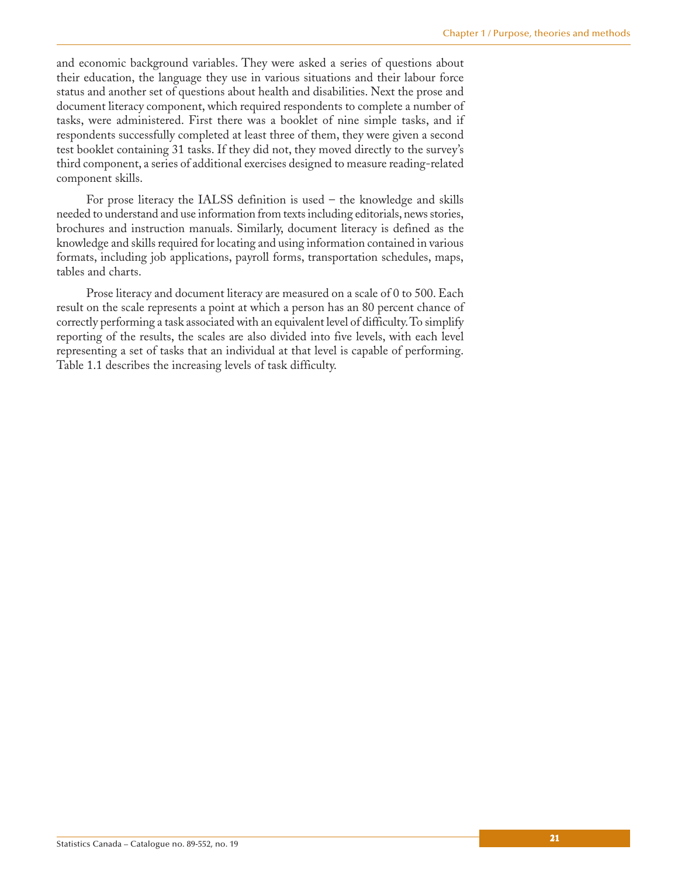and economic background variables. They were asked a series of questions about their education, the language they use in various situations and their labour force status and another set of questions about health and disabilities. Next the prose and document literacy component, which required respondents to complete a number of tasks, were administered. First there was a booklet of nine simple tasks, and if respondents successfully completed at least three of them, they were given a second test booklet containing 31 tasks. If they did not, they moved directly to the survey's third component, a series of additional exercises designed to measure reading-related component skills.

For prose literacy the IALSS definition is used – the knowledge and skills needed to understand and use information from texts including editorials, news stories, brochures and instruction manuals. Similarly, document literacy is defined as the knowledge and skills required for locating and using information contained in various formats, including job applications, payroll forms, transportation schedules, maps, tables and charts.

Prose literacy and document literacy are measured on a scale of 0 to 500. Each result on the scale represents a point at which a person has an 80 percent chance of correctly performing a task associated with an equivalent level of difficulty. To simplify reporting of the results, the scales are also divided into five levels, with each level representing a set of tasks that an individual at that level is capable of performing. Table 1.1 describes the increasing levels of task difficulty.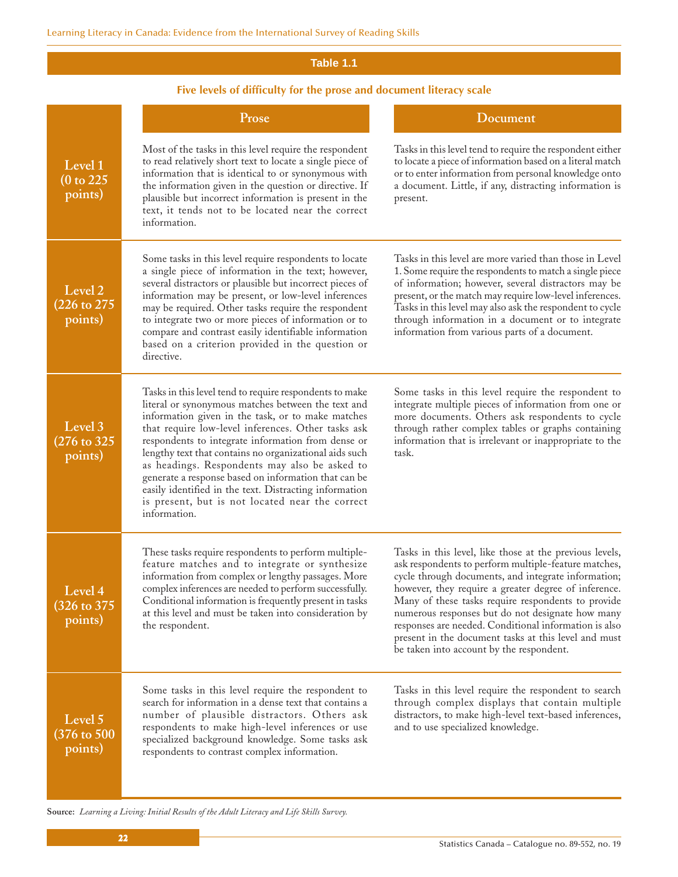### **Table 1.1**

### **Five levels of difficulty for the prose and document literacy scale**

<span id="page-21-0"></span>

|                                   | Prose                                                                                                                                                                                                                                                                                                                                                                                                                                                                                                                                                                          | <b>Document</b>                                                                                                                                                                                                                                                                                                                                                                                                                                                                                       |
|-----------------------------------|--------------------------------------------------------------------------------------------------------------------------------------------------------------------------------------------------------------------------------------------------------------------------------------------------------------------------------------------------------------------------------------------------------------------------------------------------------------------------------------------------------------------------------------------------------------------------------|-------------------------------------------------------------------------------------------------------------------------------------------------------------------------------------------------------------------------------------------------------------------------------------------------------------------------------------------------------------------------------------------------------------------------------------------------------------------------------------------------------|
| Level 1<br>(0 to 225)<br>points)  | Most of the tasks in this level require the respondent<br>to read relatively short text to locate a single piece of<br>information that is identical to or synonymous with<br>the information given in the question or directive. If<br>plausible but incorrect information is present in the<br>text, it tends not to be located near the correct<br>information.                                                                                                                                                                                                             | Tasks in this level tend to require the respondent either<br>to locate a piece of information based on a literal match<br>or to enter information from personal knowledge onto<br>a document. Little, if any, distracting information is<br>present.                                                                                                                                                                                                                                                  |
| Level 2<br>(226 to 275<br>points) | Some tasks in this level require respondents to locate<br>a single piece of information in the text; however,<br>several distractors or plausible but incorrect pieces of<br>information may be present, or low-level inferences<br>may be required. Other tasks require the respondent<br>to integrate two or more pieces of information or to<br>compare and contrast easily identifiable information<br>based on a criterion provided in the question or<br>directive.                                                                                                      | Tasks in this level are more varied than those in Level<br>1. Some require the respondents to match a single piece<br>of information; however, several distractors may be<br>present, or the match may require low-level inferences.<br>Tasks in this level may also ask the respondent to cycle<br>through information in a document or to integrate<br>information from various parts of a document.                                                                                                |
| Level 3<br>(276 to 325<br>points) | Tasks in this level tend to require respondents to make<br>literal or synonymous matches between the text and<br>information given in the task, or to make matches<br>that require low-level inferences. Other tasks ask<br>respondents to integrate information from dense or<br>lengthy text that contains no organizational aids such<br>as headings. Respondents may also be asked to<br>generate a response based on information that can be<br>easily identified in the text. Distracting information<br>is present, but is not located near the correct<br>information. | Some tasks in this level require the respondent to<br>integrate multiple pieces of information from one or<br>more documents. Others ask respondents to cycle<br>through rather complex tables or graphs containing<br>information that is irrelevant or inappropriate to the<br>task.                                                                                                                                                                                                                |
| Level 4<br>(326 to 375<br>points) | These tasks require respondents to perform multiple-<br>feature matches and to integrate or synthesize<br>information from complex or lengthy passages. More<br>complex inferences are needed to perform successfully.<br>Conditional information is frequently present in tasks<br>at this level and must be taken into consideration by<br>the respondent.                                                                                                                                                                                                                   | Tasks in this level, like those at the previous levels,<br>ask respondents to perform multiple-feature matches,<br>cycle through documents, and integrate information;<br>however, they require a greater degree of inference.<br>Many of these tasks require respondents to provide<br>numerous responses but do not designate how many<br>responses are needed. Conditional information is also<br>present in the document tasks at this level and must<br>be taken into account by the respondent. |
| Level 5<br>(376 to 500<br>points) | Some tasks in this level require the respondent to<br>search for information in a dense text that contains a<br>number of plausible distractors. Others ask<br>respondents to make high-level inferences or use<br>specialized background knowledge. Some tasks ask<br>respondents to contrast complex information.                                                                                                                                                                                                                                                            | Tasks in this level require the respondent to search<br>through complex displays that contain multiple<br>distractors, to make high-level text-based inferences,<br>and to use specialized knowledge.                                                                                                                                                                                                                                                                                                 |

**Source:** *Learning a Living: Initial Results of the Adult Literacy and Life Skills Survey.*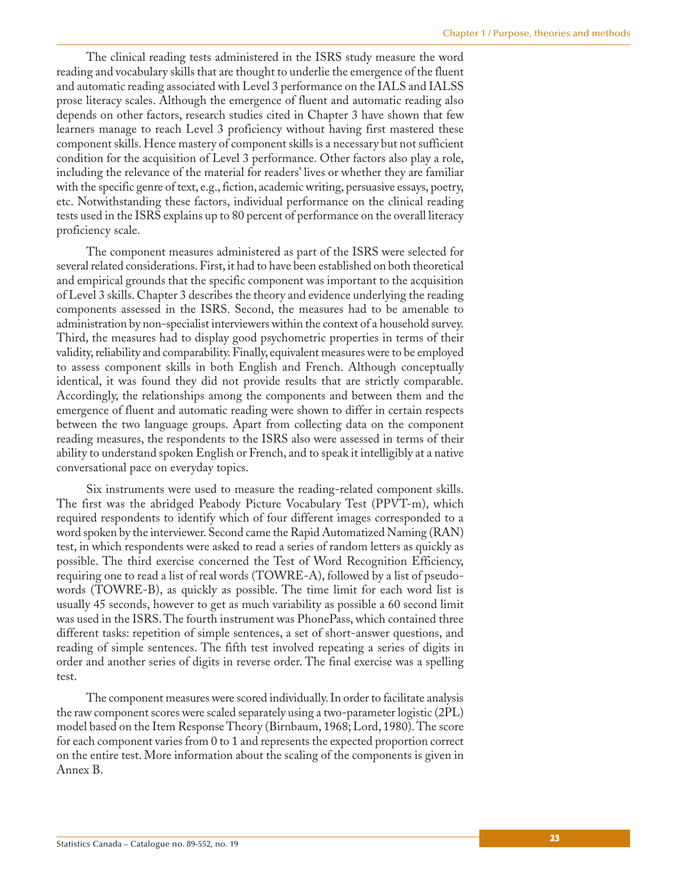The clinical reading tests administered in the ISRS study measure the word reading and vocabulary skills that are thought to underlie the emergence of the fluent and automatic reading associated with Level 3 performance on the IALS and IALSS prose literacy scales. Although the emergence of fluent and automatic reading also depends on other factors, research studies cited in Chapter 3 have shown that few learners manage to reach Level 3 proficiency without having first mastered these component skills. Hence mastery of component skills is a necessary but not sufficient condition for the acquisition of Level 3 performance. Other factors also play a role, including the relevance of the material for readers' lives or whether they are familiar with the specific genre of text, e.g., fiction, academic writing, persuasive essays, poetry, etc. Notwithstanding these factors, individual performance on the clinical reading tests used in the ISRS explains up to 80 percent of performance on the overall literacy proficiency scale.

The component measures administered as part of the ISRS were selected for several related considerations. First, it had to have been established on both theoretical and empirical grounds that the specific component was important to the acquisition of Level 3 skills. Chapter 3 describes the theory and evidence underlying the reading components assessed in the ISRS. Second, the measures had to be amenable to administration by non-specialist interviewers within the context of a household survey. Third, the measures had to display good psychometric properties in terms of their validity, reliability and comparability. Finally, equivalent measures were to be employed to assess component skills in both English and French. Although conceptually identical, it was found they did not provide results that are strictly comparable. Accordingly, the relationships among the components and between them and the emergence of fluent and automatic reading were shown to differ in certain respects between the two language groups. Apart from collecting data on the component reading measures, the respondents to the ISRS also were assessed in terms of their ability to understand spoken English or French, and to speak it intelligibly at a native conversational pace on everyday topics.

Six instruments were used to measure the reading-related component skills. The first was the abridged Peabody Picture Vocabulary Test (PPVT-m), which required respondents to identify which of four different images corresponded to a word spoken by the interviewer. Second came the Rapid Automatized Naming (RAN) test, in which respondents were asked to read a series of random letters as quickly as possible. The third exercise concerned the Test of Word Recognition Efficiency, requiring one to read a list of real words (TOWRE-A), followed by a list of pseudowords (TOWRE-B), as quickly as possible. The time limit for each word list is usually 45 seconds, however to get as much variability as possible a 60 second limit was used in the ISRS. The fourth instrument was PhonePass, which contained three different tasks: repetition of simple sentences, a set of short-answer questions, and reading of simple sentences. The fifth test involved repeating a series of digits in order and another series of digits in reverse order. The final exercise was a spelling test.

The component measures were scored individually. In order to facilitate analysis the raw component scores were scaled separately using a two-parameter logistic (2PL) model based on the Item Response Theory (Birnbaum, 1968; Lord, 1980). The score for each component varies from 0 to 1 and represents the expected proportion correct on the entire test. More information about the scaling of the components is given in Annex B.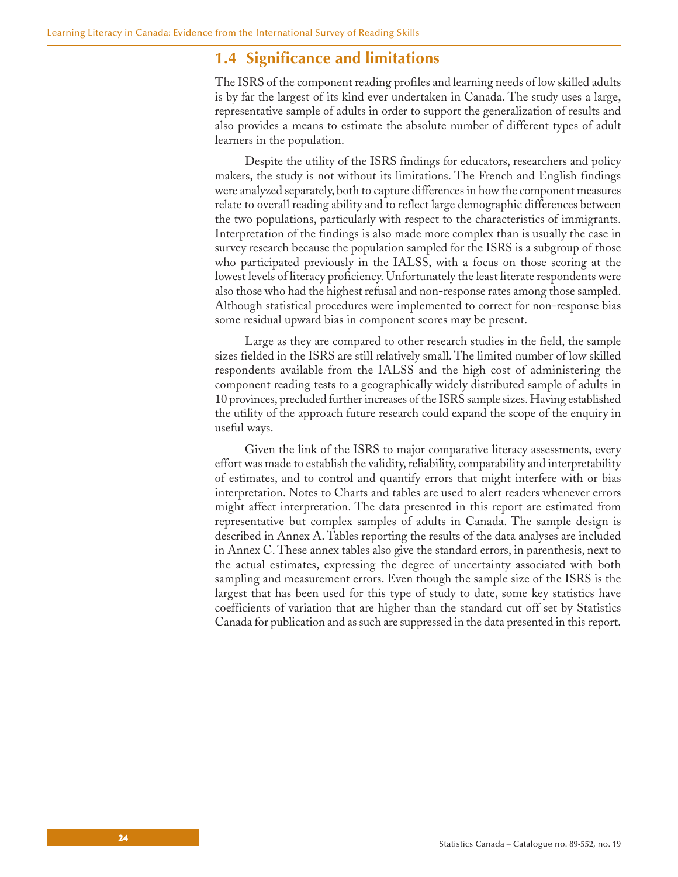### <span id="page-23-0"></span>**1.4 Significance and limitations**

The ISRS of the component reading profiles and learning needs of low skilled adults is by far the largest of its kind ever undertaken in Canada. The study uses a large, representative sample of adults in order to support the generalization of results and also provides a means to estimate the absolute number of different types of adult learners in the population.

Despite the utility of the ISRS findings for educators, researchers and policy makers, the study is not without its limitations. The French and English findings were analyzed separately, both to capture differences in how the component measures relate to overall reading ability and to reflect large demographic differences between the two populations, particularly with respect to the characteristics of immigrants. Interpretation of the findings is also made more complex than is usually the case in survey research because the population sampled for the ISRS is a subgroup of those who participated previously in the IALSS, with a focus on those scoring at the lowest levels of literacy proficiency. Unfortunately the least literate respondents were also those who had the highest refusal and non-response rates among those sampled. Although statistical procedures were implemented to correct for non-response bias some residual upward bias in component scores may be present.

Large as they are compared to other research studies in the field, the sample sizes fielded in the ISRS are still relatively small. The limited number of low skilled respondents available from the IALSS and the high cost of administering the component reading tests to a geographically widely distributed sample of adults in 10 provinces, precluded further increases of the ISRS sample sizes. Having established the utility of the approach future research could expand the scope of the enquiry in useful ways.

Given the link of the ISRS to major comparative literacy assessments, every effort was made to establish the validity, reliability, comparability and interpretability of estimates, and to control and quantify errors that might interfere with or bias interpretation. Notes to Charts and tables are used to alert readers whenever errors might affect interpretation. The data presented in this report are estimated from representative but complex samples of adults in Canada. The sample design is described in Annex A. Tables reporting the results of the data analyses are included in Annex C. These annex tables also give the standard errors, in parenthesis, next to the actual estimates, expressing the degree of uncertainty associated with both sampling and measurement errors. Even though the sample size of the ISRS is the largest that has been used for this type of study to date, some key statistics have coefficients of variation that are higher than the standard cut off set by Statistics Canada for publication and as such are suppressed in the data presented in this report.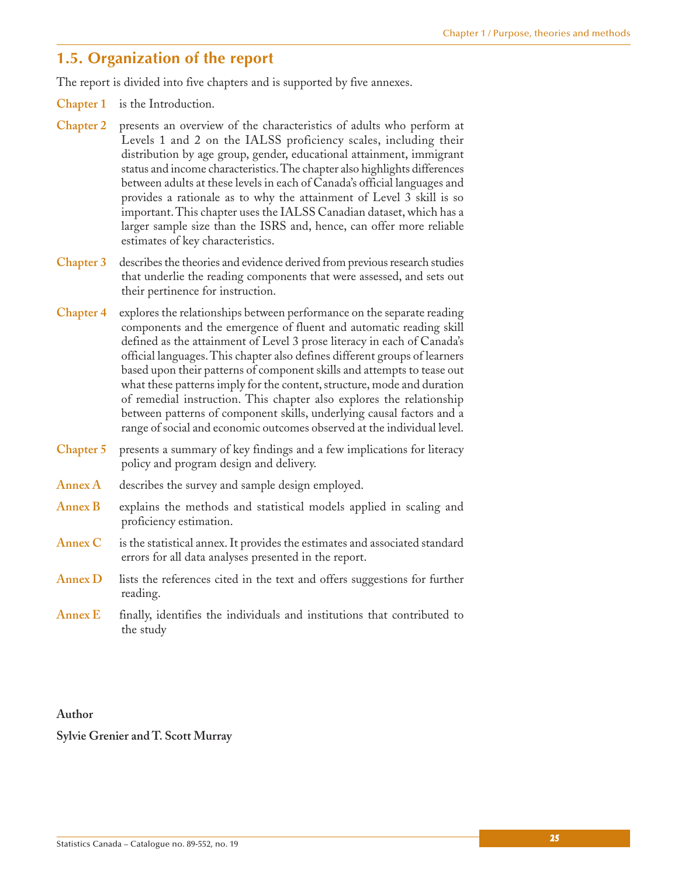### <span id="page-24-0"></span>**1.5. Organization of the report**

The report is divided into five chapters and is supported by five annexes.

**Chapter 1** is the Introduction.

- **Chapter 2** presents an overview of the characteristics of adults who perform at Levels 1 and 2 on the IALSS proficiency scales, including their distribution by age group, gender, educational attainment, immigrant status and income characteristics. The chapter also highlights differences between adults at these levels in each of Canada's official languages and provides a rationale as to why the attainment of Level 3 skill is so important. This chapter uses the IALSS Canadian dataset, which has a larger sample size than the ISRS and, hence, can offer more reliable estimates of key characteristics.
- **Chapter 3** describes the theories and evidence derived from previous research studies that underlie the reading components that were assessed, and sets out their pertinence for instruction.
- **Chapter 4** explores the relationships between performance on the separate reading components and the emergence of fluent and automatic reading skill defined as the attainment of Level 3 prose literacy in each of Canada's official languages. This chapter also defines different groups of learners based upon their patterns of component skills and attempts to tease out what these patterns imply for the content, structure, mode and duration of remedial instruction. This chapter also explores the relationship between patterns of component skills, underlying causal factors and a range of social and economic outcomes observed at the individual level.
- **Chapter 5** presents a summary of key findings and a few implications for literacy policy and program design and delivery.
- Annex A describes the survey and sample design employed.
- **Annex B** explains the methods and statistical models applied in scaling and proficiency estimation.
- **Annex C** is the statistical annex. It provides the estimates and associated standard errors for all data analyses presented in the report.
- Annex D lists the references cited in the text and offers suggestions for further reading.
- **Annex E** finally, identifies the individuals and institutions that contributed to the study

**Author**

**Sylvie Grenier and T. Scott Murray**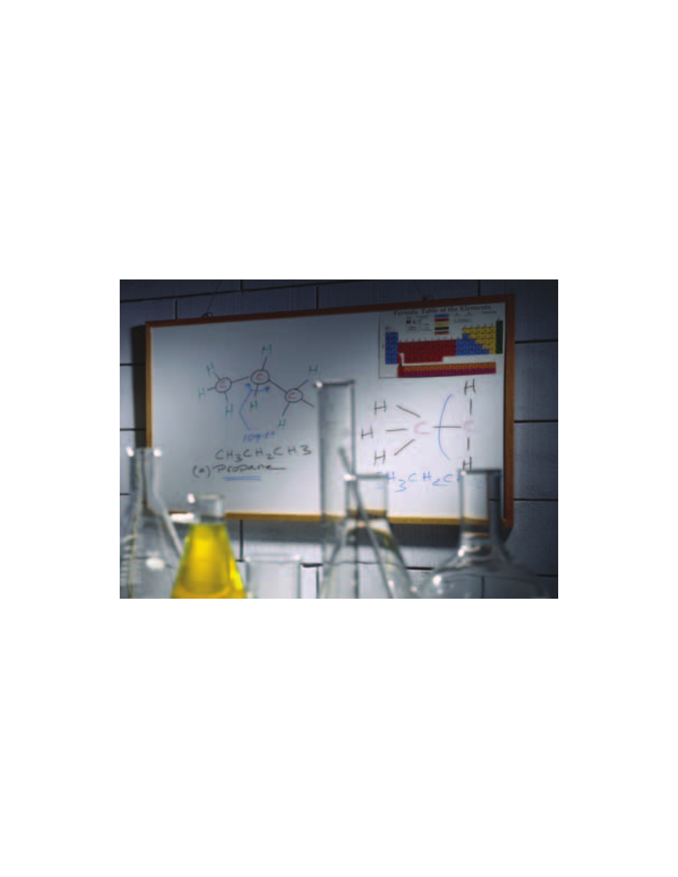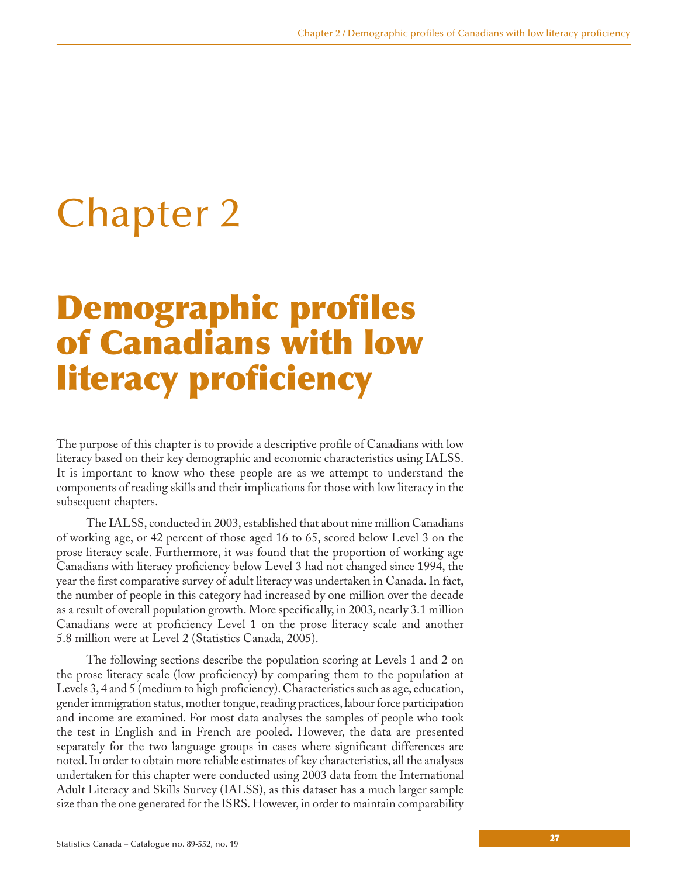# <span id="page-26-0"></span>Chapter 2

# **Demographic profiles of Canadians with low literacy proficiency**

The purpose of this chapter is to provide a descriptive profile of Canadians with low literacy based on their key demographic and economic characteristics using IALSS. It is important to know who these people are as we attempt to understand the components of reading skills and their implications for those with low literacy in the subsequent chapters.

The IALSS, conducted in 2003, established that about nine million Canadians of working age, or 42 percent of those aged 16 to 65, scored below Level 3 on the prose literacy scale. Furthermore, it was found that the proportion of working age Canadians with literacy proficiency below Level 3 had not changed since 1994, the year the first comparative survey of adult literacy was undertaken in Canada. In fact, the number of people in this category had increased by one million over the decade as a result of overall population growth. More specifically, in 2003, nearly 3.1 million Canadians were at proficiency Level 1 on the prose literacy scale and another 5.8 million were at Level 2 (Statistics Canada, 2005).

The following sections describe the population scoring at Levels 1 and 2 on the prose literacy scale (low proficiency) by comparing them to the population at Levels 3, 4 and 5 (medium to high proficiency). Characteristics such as age, education, gender immigration status, mother tongue, reading practices, labour force participation and income are examined. For most data analyses the samples of people who took the test in English and in French are pooled. However, the data are presented separately for the two language groups in cases where significant differences are noted. In order to obtain more reliable estimates of key characteristics, all the analyses undertaken for this chapter were conducted using 2003 data from the International Adult Literacy and Skills Survey (IALSS), as this dataset has a much larger sample size than the one generated for the ISRS. However, in order to maintain comparability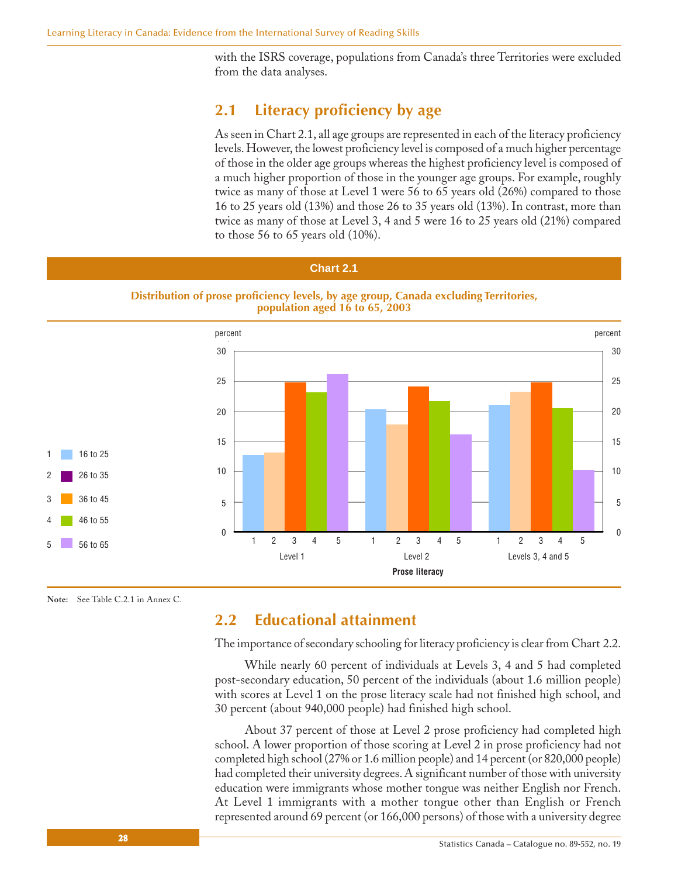<span id="page-27-0"></span>with the ISRS coverage, populations from Canada's three Territories were excluded from the data analyses.

### **2.1 Literacy proficiency by age**

As seen in Chart 2.1, all age groups are represented in each of the literacy proficiency levels. However, the lowest proficiency level is composed of a much higher percentage of those in the older age groups whereas the highest proficiency level is composed of a much higher proportion of those in the younger age groups. For example, roughly twice as many of those at Level 1 were 56 to 65 years old (26%) compared to those 16 to 25 years old (13%) and those 26 to 35 years old (13%). In contrast, more than twice as many of those at Level 3, 4 and 5 were 16 to 25 years old (21%) compared to those 56 to 65 years old (10%).

### **Chart 2.1**

**Distribution of prose proficiency levels, by age group, Canada excluding Territories, population aged 16 to 65, 2003**



**Note:** See Table C.2.1 in Annex C.

### **2.2 Educational attainment**

The importance of secondary schooling for literacy proficiency is clear from Chart 2.2.

While nearly 60 percent of individuals at Levels 3, 4 and 5 had completed post-secondary education, 50 percent of the individuals (about 1.6 million people) with scores at Level 1 on the prose literacy scale had not finished high school, and 30 percent (about 940,000 people) had finished high school.

About 37 percent of those at Level 2 prose proficiency had completed high school. A lower proportion of those scoring at Level 2 in prose proficiency had not completed high school (27% or 1.6 million people) and 14 percent (or 820,000 people) had completed their university degrees. A significant number of those with university education were immigrants whose mother tongue was neither English nor French. At Level 1 immigrants with a mother tongue other than English or French represented around 69 percent (or 166,000 persons) of those with a university degree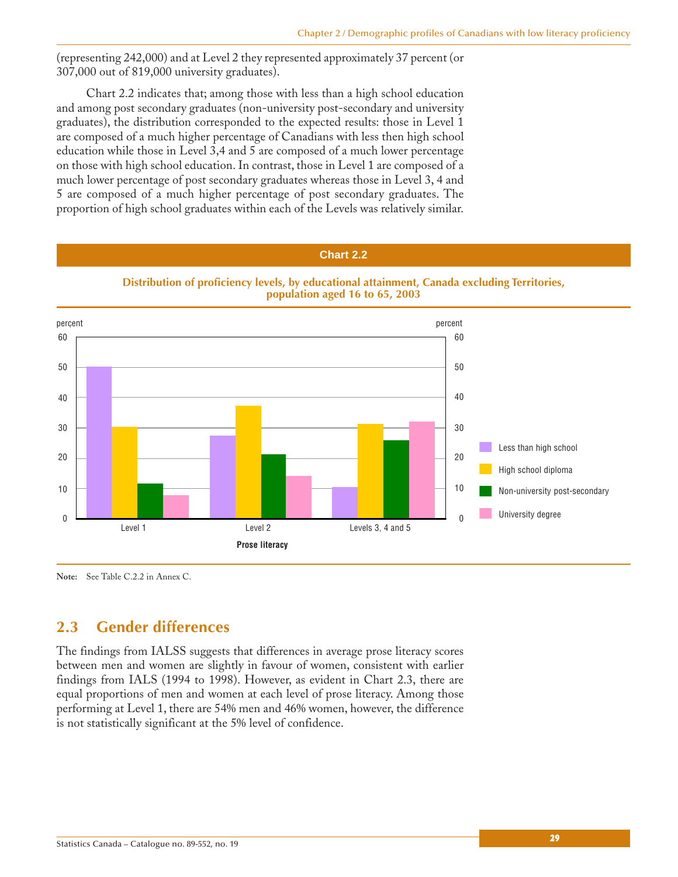<span id="page-28-0"></span>(representing 242,000) and at Level 2 they represented approximately 37 percent (or 307,000 out of 819,000 university graduates).

Chart 2.2 indicates that; among those with less than a high school education and among post secondary graduates (non-university post-secondary and university graduates), the distribution corresponded to the expected results: those in Level 1 are composed of a much higher percentage of Canadians with less then high school education while those in Level 3,4 and 5 are composed of a much lower percentage on those with high school education. In contrast, those in Level 1 are composed of a much lower percentage of post secondary graduates whereas those in Level 3, 4 and 5 are composed of a much higher percentage of post secondary graduates. The proportion of high school graduates within each of the Levels was relatively similar.

**Chart 2.2**



**Distribution of proficiency levels, by educational attainment, Canada excluding Territories,**

**Note:** See Table C.2.2 in Annex C.

### **2.3 Gender differences**

The findings from IALSS suggests that differences in average prose literacy scores between men and women are slightly in favour of women, consistent with earlier findings from IALS (1994 to 1998). However, as evident in Chart 2.3, there are equal proportions of men and women at each level of prose literacy. Among those performing at Level 1, there are 54% men and 46% women, however, the difference is not statistically significant at the 5% level of confidence.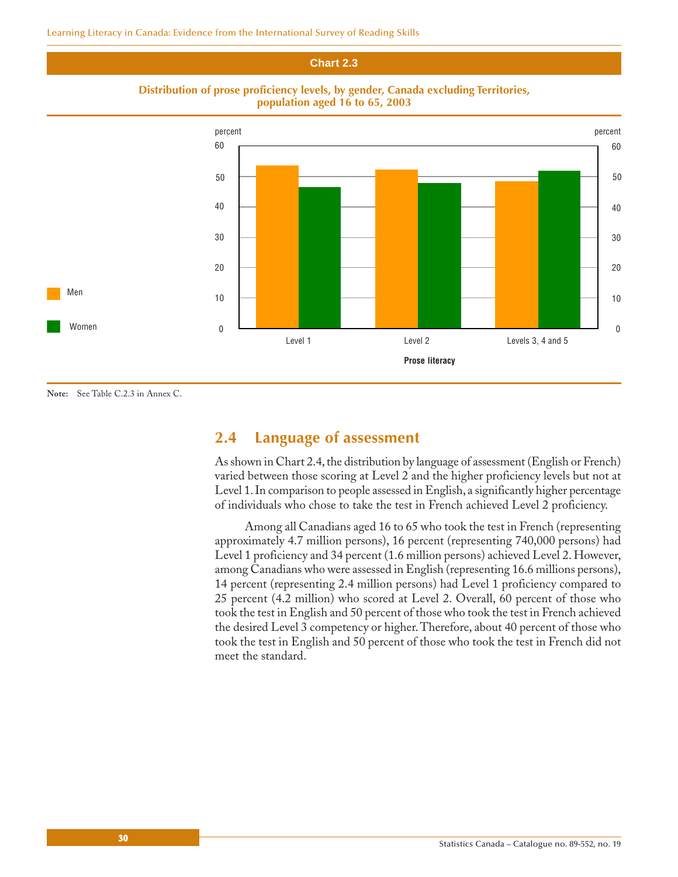### <span id="page-29-0"></span>Learning Literacy in Canada: Evidence from the International Survey of Reading Skills

### **Chart 2.3**

**Distribution of prose proficiency levels, by gender, Canada excluding Territories, population aged 16 to 65, 2003**



**Note:** See Table C.2.3 in Annex C.

### **2.4 Language of assessment**

As shown in Chart 2.4, the distribution by language of assessment (English or French) varied between those scoring at Level 2 and the higher proficiency levels but not at Level 1. In comparison to people assessed in English, a significantly higher percentage of individuals who chose to take the test in French achieved Level 2 proficiency.

Among all Canadians aged 16 to 65 who took the test in French (representing approximately 4.7 million persons), 16 percent (representing 740,000 persons) had Level 1 proficiency and 34 percent (1.6 million persons) achieved Level 2. However, among Canadians who were assessed in English (representing 16.6 millions persons), 14 percent (representing 2.4 million persons) had Level 1 proficiency compared to 25 percent (4.2 million) who scored at Level 2. Overall, 60 percent of those who took the test in English and 50 percent of those who took the test in French achieved the desired Level 3 competency or higher. Therefore, about 40 percent of those who took the test in English and 50 percent of those who took the test in French did not meet the standard.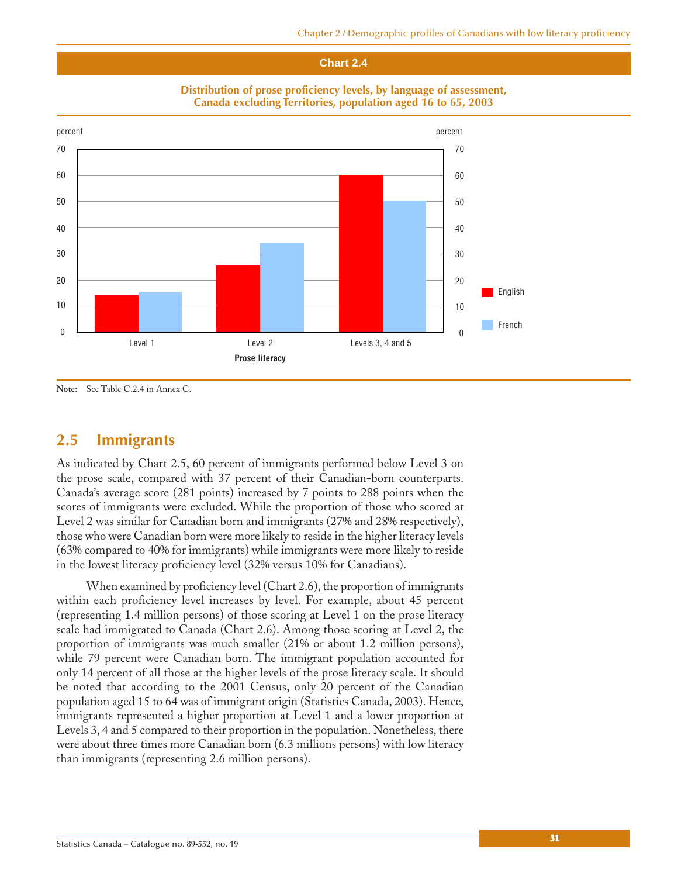**Chart 2.4**

<span id="page-30-0"></span>

**Distribution of prose proficiency levels, by language of assessment, Canada excluding Territories, population aged 16 to 65, 2003**

**Note:** See Table C.2.4 in Annex C.

### **2.5 Immigrants**

As indicated by Chart 2.5, 60 percent of immigrants performed below Level 3 on the prose scale, compared with 37 percent of their Canadian-born counterparts. Canada's average score (281 points) increased by 7 points to 288 points when the scores of immigrants were excluded. While the proportion of those who scored at Level 2 was similar for Canadian born and immigrants (27% and 28% respectively), those who were Canadian born were more likely to reside in the higher literacy levels (63% compared to 40% for immigrants) while immigrants were more likely to reside in the lowest literacy proficiency level (32% versus 10% for Canadians).

When examined by proficiency level (Chart 2.6), the proportion of immigrants within each proficiency level increases by level. For example, about 45 percent (representing 1.4 million persons) of those scoring at Level 1 on the prose literacy scale had immigrated to Canada (Chart 2.6). Among those scoring at Level 2, the proportion of immigrants was much smaller (21% or about 1.2 million persons), while 79 percent were Canadian born. The immigrant population accounted for only 14 percent of all those at the higher levels of the prose literacy scale. It should be noted that according to the 2001 Census, only 20 percent of the Canadian population aged 15 to 64 was of immigrant origin (Statistics Canada, 2003). Hence, immigrants represented a higher proportion at Level 1 and a lower proportion at Levels 3, 4 and 5 compared to their proportion in the population. Nonetheless, there were about three times more Canadian born (6.3 millions persons) with low literacy than immigrants (representing 2.6 million persons).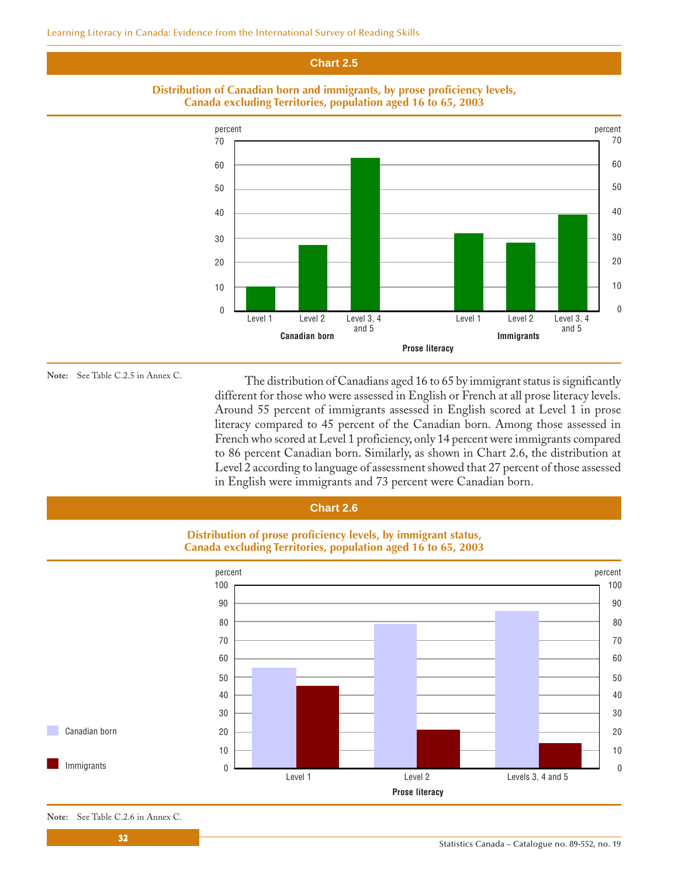### **Chart 2.5**

<span id="page-31-0"></span>



**Note:** See Table C.2.5 in Annex C.

The distribution of Canadians aged 16 to 65 by immigrant status is significantly different for those who were assessed in English or French at all prose literacy levels. Around 55 percent of immigrants assessed in English scored at Level 1 in prose literacy compared to 45 percent of the Canadian born. Among those assessed in French who scored at Level 1 proficiency, only 14 percent were immigrants compared to 86 percent Canadian born. Similarly, as shown in Chart 2.6, the distribution at Level 2 according to language of assessment showed that 27 percent of those assessed in English were immigrants and 73 percent were Canadian born.

#### **Chart 2.6**

### **Distribution of prose proficiency levels, by immigrant status, Canada excluding Territories, population aged 16 to 65, 2003**



**Note:** See Table C.2.6 in Annex C.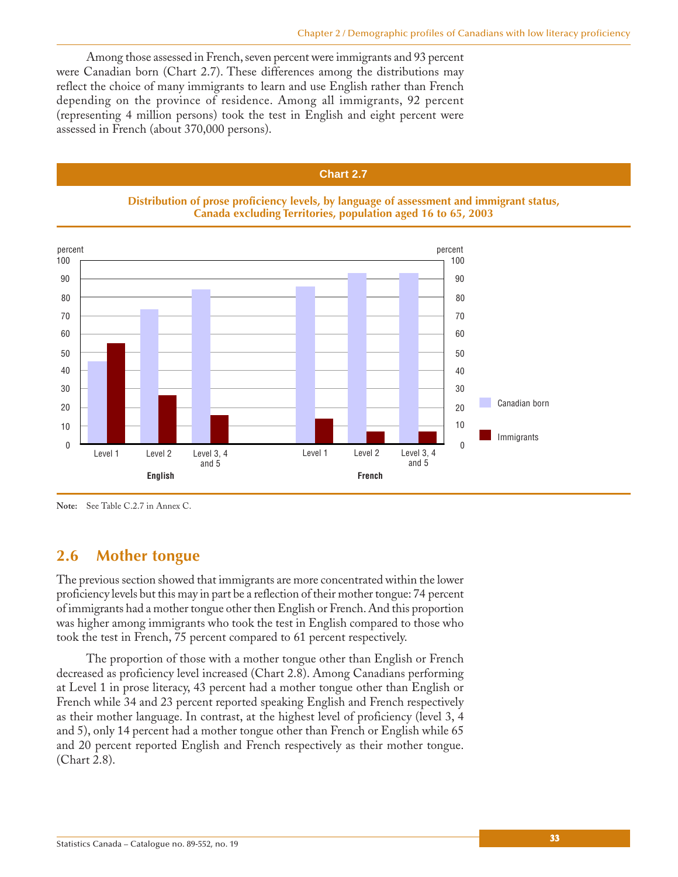<span id="page-32-0"></span>Among those assessed in French, seven percent were immigrants and 93 percent were Canadian born (Chart 2.7). These differences among the distributions may reflect the choice of many immigrants to learn and use English rather than French depending on the province of residence. Among all immigrants, 92 percent (representing 4 million persons) took the test in English and eight percent were assessed in French (about 370,000 persons).

### **Chart 2.7**

**Distribution of prose proficiency levels, by language of assessment and immigrant status, Canada excluding Territories, population aged 16 to 65, 2003**



**Note:** See Table C.2.7 in Annex C.

### **2.6 Mother tongue**

The previous section showed that immigrants are more concentrated within the lower proficiency levels but this may in part be a reflection of their mother tongue: 74 percent of immigrants had a mother tongue other then English or French. And this proportion was higher among immigrants who took the test in English compared to those who took the test in French, 75 percent compared to 61 percent respectively.

The proportion of those with a mother tongue other than English or French decreased as proficiency level increased (Chart 2.8). Among Canadians performing at Level 1 in prose literacy, 43 percent had a mother tongue other than English or French while 34 and 23 percent reported speaking English and French respectively as their mother language. In contrast, at the highest level of proficiency (level 3, 4 and 5), only 14 percent had a mother tongue other than French or English while 65 and 20 percent reported English and French respectively as their mother tongue. (Chart 2.8).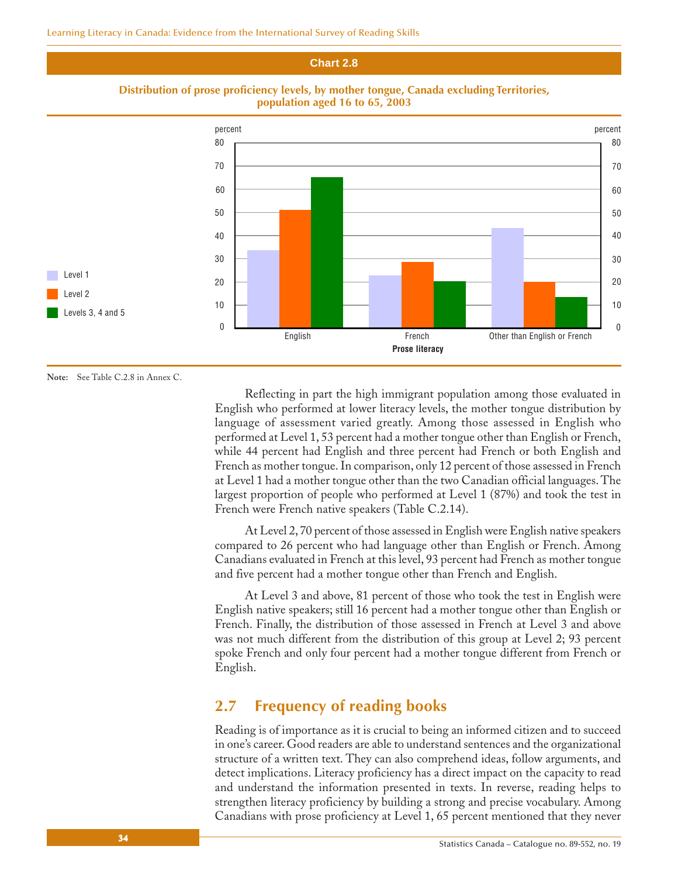#### <span id="page-33-0"></span>Learning Literacy in Canada: Evidence from the International Survey of Reading Skills

### **Chart 2.8**





**Note:** See Table C.2.8 in Annex C.

Reflecting in part the high immigrant population among those evaluated in English who performed at lower literacy levels, the mother tongue distribution by language of assessment varied greatly. Among those assessed in English who performed at Level 1, 53 percent had a mother tongue other than English or French, while 44 percent had English and three percent had French or both English and French as mother tongue. In comparison, only 12 percent of those assessed in French at Level 1 had a mother tongue other than the two Canadian official languages. The largest proportion of people who performed at Level 1 (87%) and took the test in French were French native speakers (Table C.2.14).

At Level 2, 70 percent of those assessed in English were English native speakers compared to 26 percent who had language other than English or French. Among Canadians evaluated in French at this level, 93 percent had French as mother tongue and five percent had a mother tongue other than French and English.

At Level 3 and above, 81 percent of those who took the test in English were English native speakers; still 16 percent had a mother tongue other than English or French. Finally, the distribution of those assessed in French at Level 3 and above was not much different from the distribution of this group at Level 2; 93 percent spoke French and only four percent had a mother tongue different from French or English.

### **2.7 Frequency of reading books**

Reading is of importance as it is crucial to being an informed citizen and to succeed in one's career. Good readers are able to understand sentences and the organizational structure of a written text. They can also comprehend ideas, follow arguments, and detect implications. Literacy proficiency has a direct impact on the capacity to read and understand the information presented in texts. In reverse, reading helps to strengthen literacy proficiency by building a strong and precise vocabulary. Among Canadians with prose proficiency at Level 1, 65 percent mentioned that they never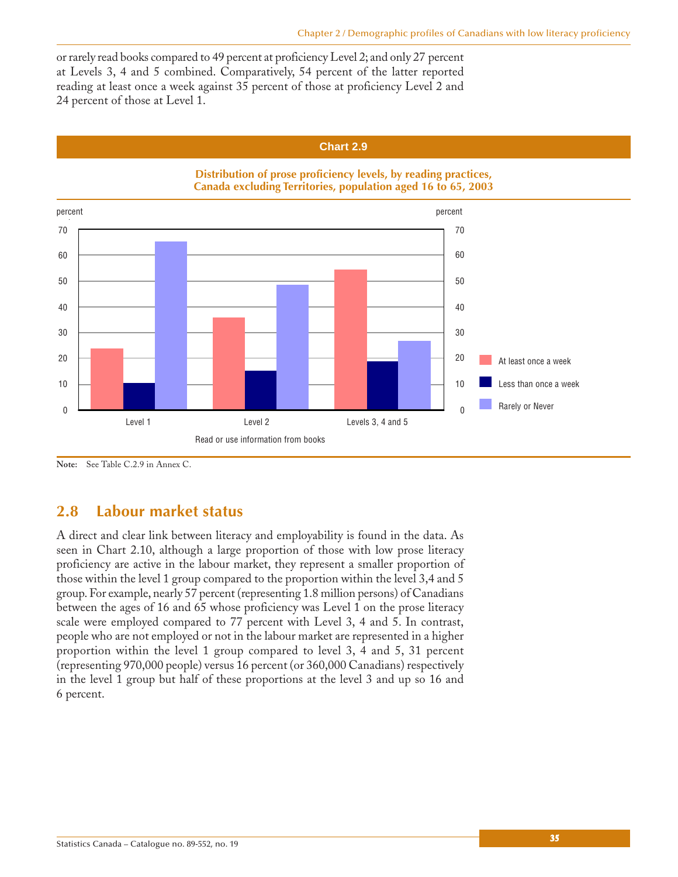<span id="page-34-0"></span>or rarely read books compared to 49 percent at proficiency Level 2; and only 27 percent at Levels 3, 4 and 5 combined. Comparatively, 54 percent of the latter reported reading at least once a week against 35 percent of those at proficiency Level 2 and 24 percent of those at Level 1.

### **Chart 2.9**

### **Distribution of prose proficiency levels, by reading practices, Canada excluding Territories, population aged 16 to 65, 2003**



**Note:** See Table C.2.9 in Annex C.

### **2.8 Labour market status**

A direct and clear link between literacy and employability is found in the data. As seen in Chart 2.10, although a large proportion of those with low prose literacy proficiency are active in the labour market, they represent a smaller proportion of those within the level 1 group compared to the proportion within the level 3,4 and 5 group. For example, nearly 57 percent (representing 1.8 million persons) of Canadians between the ages of 16 and 65 whose proficiency was Level 1 on the prose literacy scale were employed compared to 77 percent with Level 3, 4 and 5. In contrast, people who are not employed or not in the labour market are represented in a higher proportion within the level 1 group compared to level 3, 4 and 5, 31 percent (representing 970,000 people) versus 16 percent (or 360,000 Canadians) respectively in the level 1 group but half of these proportions at the level 3 and up so 16 and 6 percent.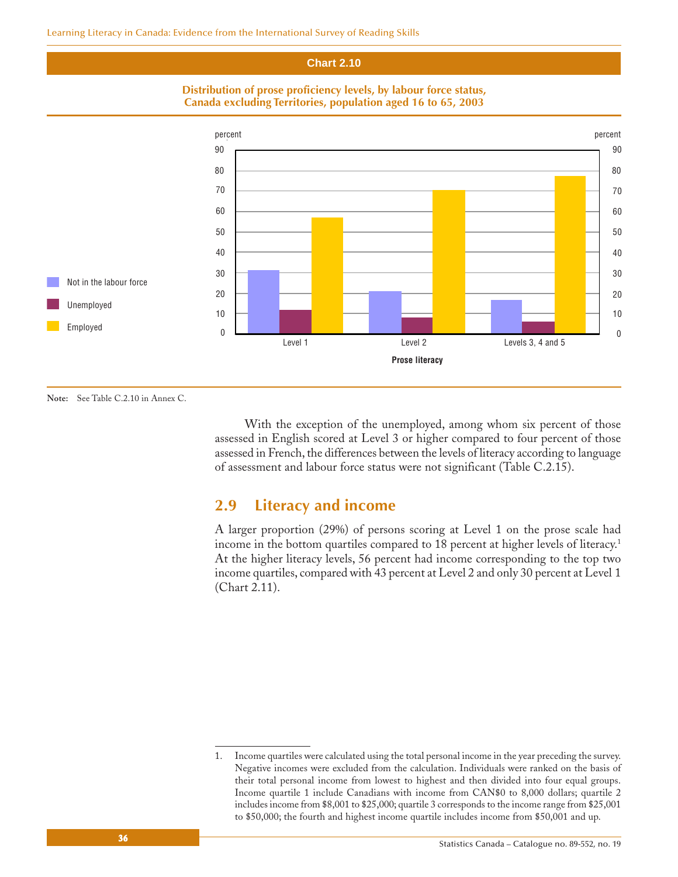### **Chart 2.10**



<span id="page-35-0"></span>

**Note:** See Table C.2.10 in Annex C.

With the exception of the unemployed, among whom six percent of those assessed in English scored at Level 3 or higher compared to four percent of those assessed in French, the differences between the levels of literacy according to language of assessment and labour force status were not significant (Table C.2.15).

### **2.9 Literacy and income**

A larger proportion (29%) of persons scoring at Level 1 on the prose scale had income in the bottom quartiles compared to 18 percent at higher levels of literacy.<sup>1</sup> At the higher literacy levels, 56 percent had income corresponding to the top two income quartiles, compared with 43 percent at Level 2 and only 30 percent at Level 1 (Chart 2.11).

<sup>1.</sup> Income quartiles were calculated using the total personal income in the year preceding the survey. Negative incomes were excluded from the calculation. Individuals were ranked on the basis of their total personal income from lowest to highest and then divided into four equal groups. Income quartile 1 include Canadians with income from CAN\$0 to 8,000 dollars; quartile 2 includes income from \$8,001 to \$25,000; quartile 3 corresponds to the income range from \$25,001 to \$50,000; the fourth and highest income quartile includes income from \$50,001 and up.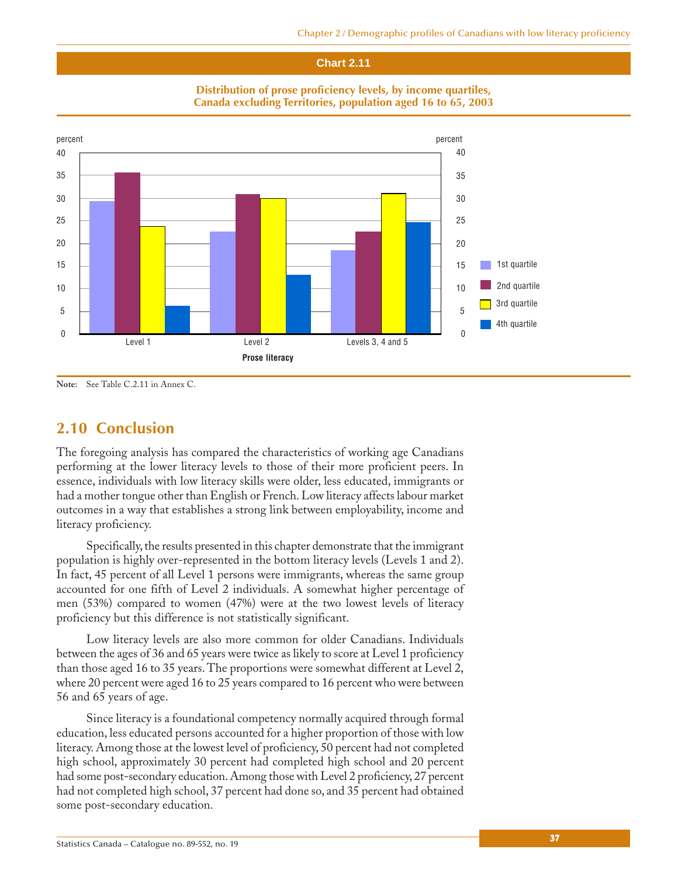#### **Chart 2.11**





**Note:** See Table C.2.11 in Annex C.

# **2.10 Conclusion**

The foregoing analysis has compared the characteristics of working age Canadians performing at the lower literacy levels to those of their more proficient peers. In essence, individuals with low literacy skills were older, less educated, immigrants or had a mother tongue other than English or French. Low literacy affects labour market outcomes in a way that establishes a strong link between employability, income and literacy proficiency.

Specifically, the results presented in this chapter demonstrate that the immigrant population is highly over-represented in the bottom literacy levels (Levels 1 and 2). In fact, 45 percent of all Level 1 persons were immigrants, whereas the same group accounted for one fifth of Level 2 individuals. A somewhat higher percentage of men (53%) compared to women (47%) were at the two lowest levels of literacy proficiency but this difference is not statistically significant.

Low literacy levels are also more common for older Canadians. Individuals between the ages of 36 and 65 years were twice as likely to score at Level 1 proficiency than those aged 16 to 35 years. The proportions were somewhat different at Level 2, where 20 percent were aged 16 to 25 years compared to 16 percent who were between 56 and 65 years of age.

Since literacy is a foundational competency normally acquired through formal education, less educated persons accounted for a higher proportion of those with low literacy. Among those at the lowest level of proficiency, 50 percent had not completed high school, approximately 30 percent had completed high school and 20 percent had some post-secondary education. Among those with Level 2 proficiency, 27 percent had not completed high school, 37 percent had done so, and 35 percent had obtained some post-secondary education.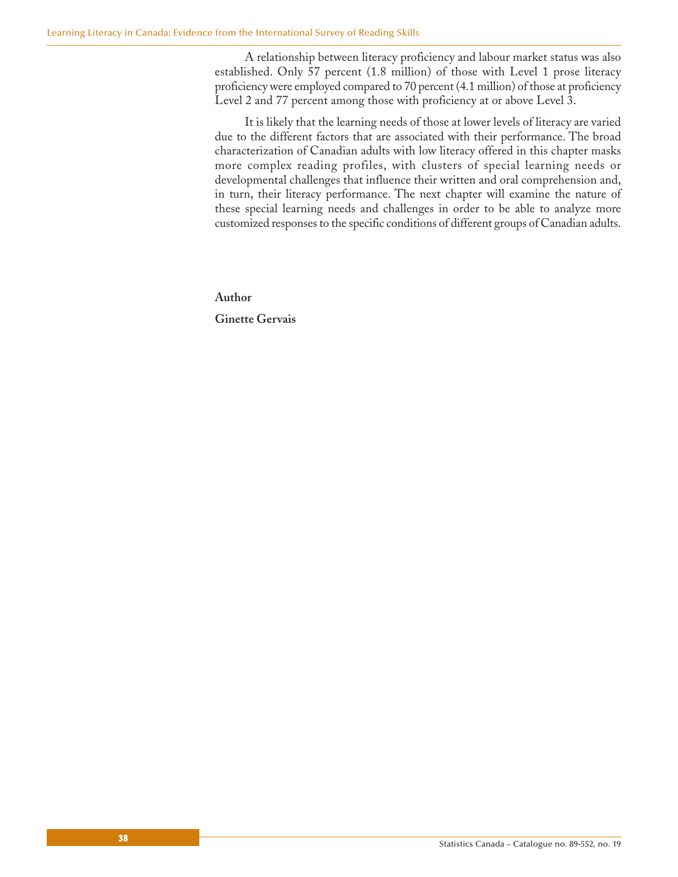A relationship between literacy proficiency and labour market status was also established. Only 57 percent (1.8 million) of those with Level 1 prose literacy proficiency were employed compared to 70 percent (4.1 million) of those at proficiency Level 2 and 77 percent among those with proficiency at or above Level 3.

It is likely that the learning needs of those at lower levels of literacy are varied due to the different factors that are associated with their performance. The broad characterization of Canadian adults with low literacy offered in this chapter masks more complex reading profiles, with clusters of special learning needs or developmental challenges that influence their written and oral comprehension and, in turn, their literacy performance. The next chapter will examine the nature of these special learning needs and challenges in order to be able to analyze more customized responses to the specific conditions of different groups of Canadian adults.

**Author Ginette Gervais**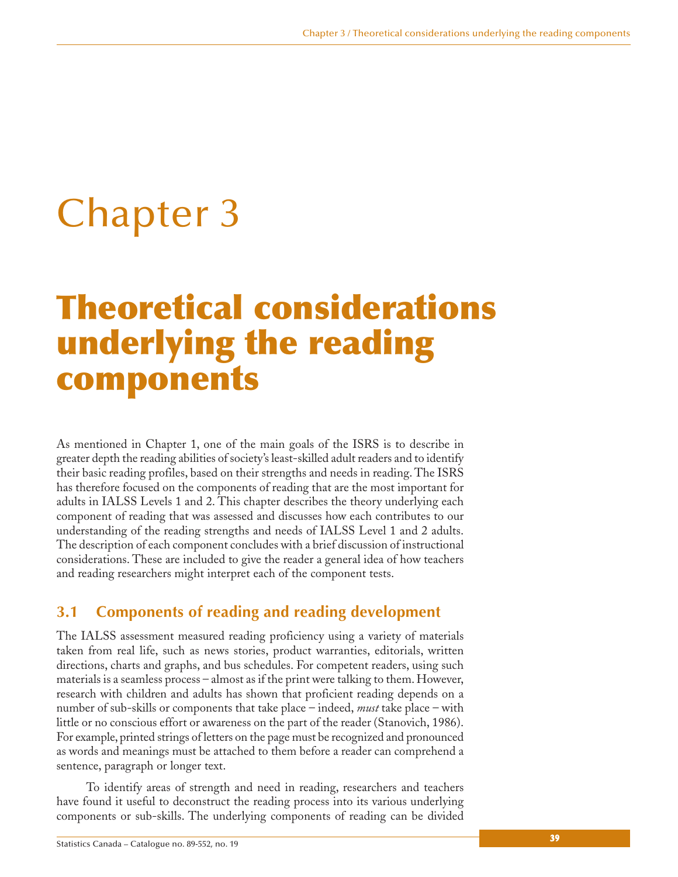# Chapter 3

# **Theoretical considerations underlying the reading components**

As mentioned in Chapter 1, one of the main goals of the ISRS is to describe in greater depth the reading abilities of society's least-skilled adult readers and to identify their basic reading profiles, based on their strengths and needs in reading. The ISRS has therefore focused on the components of reading that are the most important for adults in IALSS Levels 1 and 2. This chapter describes the theory underlying each component of reading that was assessed and discusses how each contributes to our understanding of the reading strengths and needs of IALSS Level 1 and 2 adults. The description of each component concludes with a brief discussion of instructional considerations. These are included to give the reader a general idea of how teachers and reading researchers might interpret each of the component tests.

# **3.1 Components of reading and reading development**

The IALSS assessment measured reading proficiency using a variety of materials taken from real life, such as news stories, product warranties, editorials, written directions, charts and graphs, and bus schedules. For competent readers, using such materials is a seamless process – almost as if the print were talking to them. However, research with children and adults has shown that proficient reading depends on a number of sub-skills or components that take place – indeed, *must* take place – with little or no conscious effort or awareness on the part of the reader (Stanovich, 1986). For example, printed strings of letters on the page must be recognized and pronounced as words and meanings must be attached to them before a reader can comprehend a sentence, paragraph or longer text.

To identify areas of strength and need in reading, researchers and teachers have found it useful to deconstruct the reading process into its various underlying components or sub-skills. The underlying components of reading can be divided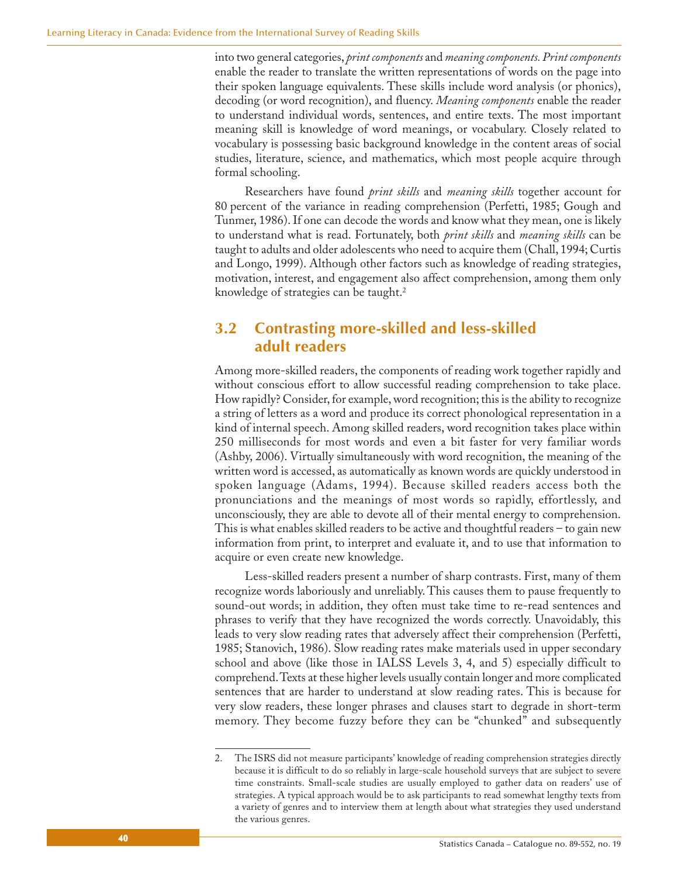into two general categories, *print components* and *meaning components. Print components* enable the reader to translate the written representations of words on the page into their spoken language equivalents. These skills include word analysis (or phonics), decoding (or word recognition), and fluency. *Meaning components* enable the reader to understand individual words, sentences, and entire texts. The most important meaning skill is knowledge of word meanings, or vocabulary. Closely related to vocabulary is possessing basic background knowledge in the content areas of social studies, literature, science, and mathematics, which most people acquire through formal schooling.

Researchers have found *print skills* and *meaning skills* together account for 80 percent of the variance in reading comprehension (Perfetti, 1985; Gough and Tunmer, 1986). If one can decode the words and know what they mean, one is likely to understand what is read. Fortunately, both *print skills* and *meaning skills* can be taught to adults and older adolescents who need to acquire them (Chall, 1994; Curtis and Longo, 1999). Although other factors such as knowledge of reading strategies, motivation, interest, and engagement also affect comprehension, among them only knowledge of strategies can be taught.<sup>2</sup>

# **3.2 Contrasting more-skilled and less-skilled adult readers**

Among more-skilled readers, the components of reading work together rapidly and without conscious effort to allow successful reading comprehension to take place. How rapidly? Consider, for example, word recognition; this is the ability to recognize a string of letters as a word and produce its correct phonological representation in a kind of internal speech. Among skilled readers, word recognition takes place within 250 milliseconds for most words and even a bit faster for very familiar words (Ashby, 2006). Virtually simultaneously with word recognition, the meaning of the written word is accessed, as automatically as known words are quickly understood in spoken language (Adams, 1994). Because skilled readers access both the pronunciations and the meanings of most words so rapidly, effortlessly, and unconsciously, they are able to devote all of their mental energy to comprehension. This is what enables skilled readers to be active and thoughtful readers – to gain new information from print, to interpret and evaluate it, and to use that information to acquire or even create new knowledge.

Less-skilled readers present a number of sharp contrasts. First, many of them recognize words laboriously and unreliably. This causes them to pause frequently to sound-out words; in addition, they often must take time to re-read sentences and phrases to verify that they have recognized the words correctly. Unavoidably, this leads to very slow reading rates that adversely affect their comprehension (Perfetti, 1985; Stanovich, 1986). Slow reading rates make materials used in upper secondary school and above (like those in IALSS Levels 3, 4, and 5) especially difficult to comprehend. Texts at these higher levels usually contain longer and more complicated sentences that are harder to understand at slow reading rates. This is because for very slow readers, these longer phrases and clauses start to degrade in short-term memory. They become fuzzy before they can be "chunked" and subsequently

<sup>2.</sup> The ISRS did not measure participants' knowledge of reading comprehension strategies directly because it is difficult to do so reliably in large-scale household surveys that are subject to severe time constraints. Small-scale studies are usually employed to gather data on readers' use of strategies. A typical approach would be to ask participants to read somewhat lengthy texts from a variety of genres and to interview them at length about what strategies they used understand the various genres.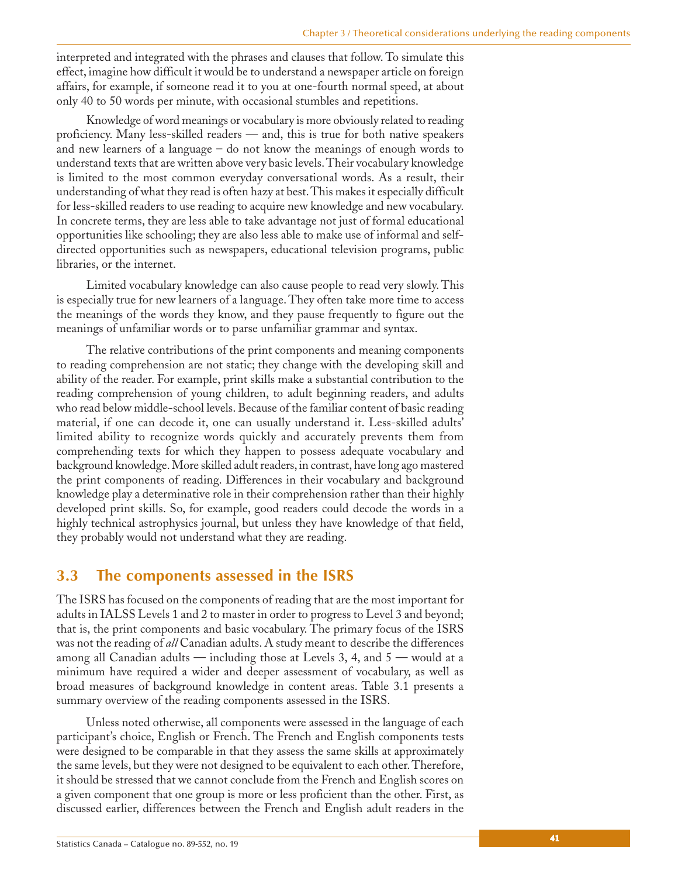interpreted and integrated with the phrases and clauses that follow. To simulate this effect, imagine how difficult it would be to understand a newspaper article on foreign affairs, for example, if someone read it to you at one-fourth normal speed, at about only 40 to 50 words per minute, with occasional stumbles and repetitions.

Knowledge of word meanings or vocabulary is more obviously related to reading proficiency. Many less-skilled readers — and, this is true for both native speakers and new learners of a language – do not know the meanings of enough words to understand texts that are written above very basic levels. Their vocabulary knowledge is limited to the most common everyday conversational words. As a result, their understanding of what they read is often hazy at best. This makes it especially difficult for less-skilled readers to use reading to acquire new knowledge and new vocabulary. In concrete terms, they are less able to take advantage not just of formal educational opportunities like schooling; they are also less able to make use of informal and selfdirected opportunities such as newspapers, educational television programs, public libraries, or the internet.

Limited vocabulary knowledge can also cause people to read very slowly. This is especially true for new learners of a language. They often take more time to access the meanings of the words they know, and they pause frequently to figure out the meanings of unfamiliar words or to parse unfamiliar grammar and syntax.

The relative contributions of the print components and meaning components to reading comprehension are not static; they change with the developing skill and ability of the reader. For example, print skills make a substantial contribution to the reading comprehension of young children, to adult beginning readers, and adults who read below middle-school levels. Because of the familiar content of basic reading material, if one can decode it, one can usually understand it. Less-skilled adults' limited ability to recognize words quickly and accurately prevents them from comprehending texts for which they happen to possess adequate vocabulary and background knowledge. More skilled adult readers, in contrast, have long ago mastered the print components of reading. Differences in their vocabulary and background knowledge play a determinative role in their comprehension rather than their highly developed print skills. So, for example, good readers could decode the words in a highly technical astrophysics journal, but unless they have knowledge of that field, they probably would not understand what they are reading.

# **3.3 The components assessed in the ISRS**

The ISRS has focused on the components of reading that are the most important for adults in IALSS Levels 1 and 2 to master in order to progress to Level 3 and beyond; that is, the print components and basic vocabulary. The primary focus of the ISRS was not the reading of *all* Canadian adults. A study meant to describe the differences among all Canadian adults — including those at Levels 3, 4, and 5 — would at a minimum have required a wider and deeper assessment of vocabulary, as well as broad measures of background knowledge in content areas. Table 3.1 presents a summary overview of the reading components assessed in the ISRS.

Unless noted otherwise, all components were assessed in the language of each participant's choice, English or French. The French and English components tests were designed to be comparable in that they assess the same skills at approximately the same levels, but they were not designed to be equivalent to each other. Therefore, it should be stressed that we cannot conclude from the French and English scores on a given component that one group is more or less proficient than the other. First, as discussed earlier, differences between the French and English adult readers in the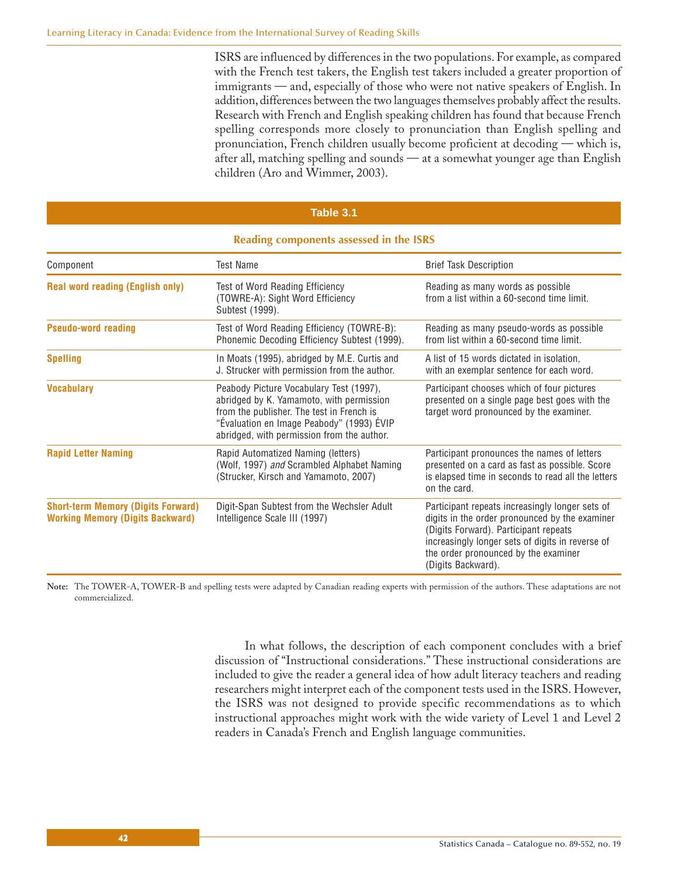ISRS are influenced by differences in the two populations. For example, as compared with the French test takers, the English test takers included a greater proportion of immigrants — and, especially of those who were not native speakers of English. In addition, differences between the two languages themselves probably affect the results. Research with French and English speaking children has found that because French spelling corresponds more closely to pronunciation than English spelling and pronunciation, French children usually become proficient at decoding — which is, after all, matching spelling and sounds — at a somewhat younger age than English children (Aro and Wimmer, 2003).

#### **Table 3.1**

#### **Reading components assessed in the ISRS**

| Component                                                                            | <b>Test Name</b>                                                                                                                                                                                                            | <b>Brief Task Description</b>                                                                                                                                                                                                                                |
|--------------------------------------------------------------------------------------|-----------------------------------------------------------------------------------------------------------------------------------------------------------------------------------------------------------------------------|--------------------------------------------------------------------------------------------------------------------------------------------------------------------------------------------------------------------------------------------------------------|
| <b>Real word reading (English only)</b>                                              | Test of Word Reading Efficiency<br>(TOWRE-A): Sight Word Efficiency<br>Subtest (1999).                                                                                                                                      | Reading as many words as possible<br>from a list within a 60-second time limit.                                                                                                                                                                              |
| <b>Pseudo-word reading</b>                                                           | Test of Word Reading Efficiency (TOWRE-B):<br>Phonemic Decoding Efficiency Subtest (1999).                                                                                                                                  | Reading as many pseudo-words as possible<br>from list within a 60-second time limit.                                                                                                                                                                         |
| <b>Spelling</b>                                                                      | In Moats (1995), abridged by M.E. Curtis and<br>J. Strucker with permission from the author.                                                                                                                                | A list of 15 words dictated in isolation.<br>with an exemplar sentence for each word.                                                                                                                                                                        |
| <b>Vocabulary</b>                                                                    | Peabody Picture Vocabulary Test (1997),<br>abridged by K. Yamamoto, with permission<br>from the publisher. The test in French is<br>"Évaluation en Image Peabody" (1993) ÉVIP<br>abridged, with permission from the author. | Participant chooses which of four pictures<br>presented on a single page best goes with the<br>target word pronounced by the examiner.                                                                                                                       |
| <b>Rapid Letter Naming</b>                                                           | Rapid Automatized Naming (letters)<br>(Wolf, 1997) and Scrambled Alphabet Naming<br>(Strucker, Kirsch and Yamamoto, 2007)                                                                                                   | Participant pronounces the names of letters<br>presented on a card as fast as possible. Score<br>is elapsed time in seconds to read all the letters<br>on the card.                                                                                          |
| <b>Short-term Memory (Digits Forward)</b><br><b>Working Memory (Digits Backward)</b> | Digit-Span Subtest from the Wechsler Adult<br>Intelligence Scale III (1997)                                                                                                                                                 | Participant repeats increasingly longer sets of<br>digits in the order pronounced by the examiner<br>(Digits Forward). Participant repeats<br>increasingly longer sets of digits in reverse of<br>the order pronounced by the examiner<br>(Digits Backward). |

**Note:** The TOWER-A, TOWER-B and spelling tests were adapted by Canadian reading experts with permission of the authors. These adaptations are not commercialized.

> In what follows, the description of each component concludes with a brief discussion of "Instructional considerations." These instructional considerations are included to give the reader a general idea of how adult literacy teachers and reading researchers might interpret each of the component tests used in the ISRS. However, the ISRS was not designed to provide specific recommendations as to which instructional approaches might work with the wide variety of Level 1 and Level 2 readers in Canada's French and English language communities.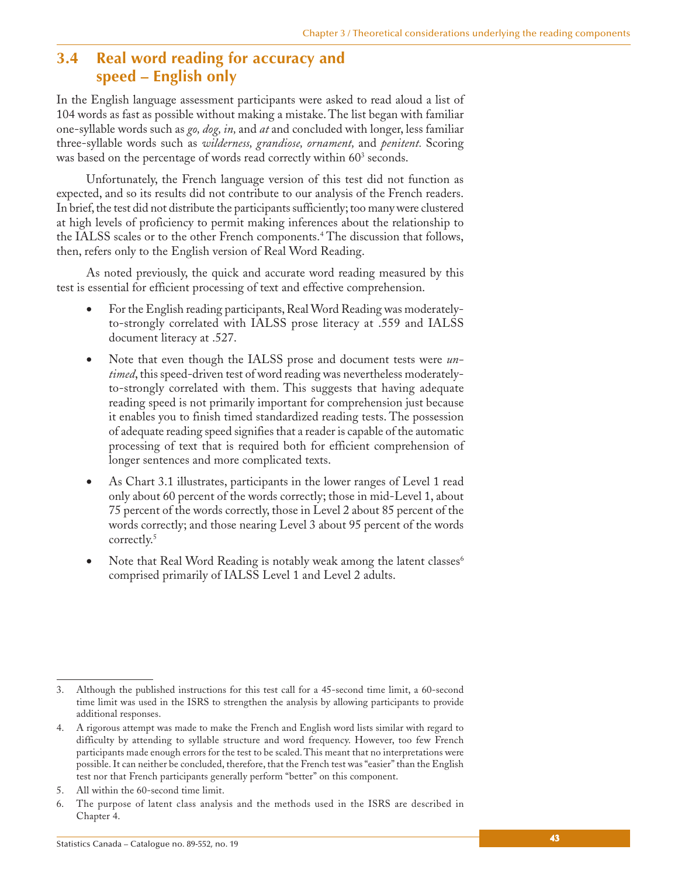# **3.4 Real word reading for accuracy and speed – English only**

In the English language assessment participants were asked to read aloud a list of 104 words as fast as possible without making a mistake. The list began with familiar one-syllable words such as *go, dog, in,* and *at* and concluded with longer, less familiar three-syllable words such as *wilderness, grandiose, ornament,* and *penitent.* Scoring was based on the percentage of words read correctly within 60 $^3$  seconds.

Unfortunately, the French language version of this test did not function as expected, and so its results did not contribute to our analysis of the French readers. In brief, the test did not distribute the participants sufficiently; too many were clustered at high levels of proficiency to permit making inferences about the relationship to the IALSS scales or to the other French components.4 The discussion that follows, then, refers only to the English version of Real Word Reading.

As noted previously, the quick and accurate word reading measured by this test is essential for efficient processing of text and effective comprehension.

- For the English reading participants, Real Word Reading was moderatelyto-strongly correlated with IALSS prose literacy at .559 and IALSS document literacy at .527.
- Note that even though the IALSS prose and document tests were *untimed*, this speed-driven test of word reading was nevertheless moderatelyto-strongly correlated with them. This suggests that having adequate reading speed is not primarily important for comprehension just because it enables you to finish timed standardized reading tests. The possession of adequate reading speed signifies that a reader is capable of the automatic processing of text that is required both for efficient comprehension of longer sentences and more complicated texts.
- As Chart 3.1 illustrates, participants in the lower ranges of Level 1 read only about 60 percent of the words correctly; those in mid-Level 1, about 75 percent of the words correctly, those in Level 2 about 85 percent of the words correctly; and those nearing Level 3 about 95 percent of the words correctly.5
- Note that Real Word Reading is notably weak among the latent classes $6$ comprised primarily of IALSS Level 1 and Level 2 adults.

<sup>3.</sup> Although the published instructions for this test call for a 45-second time limit, a 60-second time limit was used in the ISRS to strengthen the analysis by allowing participants to provide additional responses.

<sup>4.</sup> A rigorous attempt was made to make the French and English word lists similar with regard to difficulty by attending to syllable structure and word frequency. However, too few French participants made enough errors for the test to be scaled. This meant that no interpretations were possible. It can neither be concluded, therefore, that the French test was "easier" than the English test nor that French participants generally perform "better" on this component.

<sup>5.</sup> All within the 60-second time limit.

<sup>6.</sup> The purpose of latent class analysis and the methods used in the ISRS are described in Chapter 4.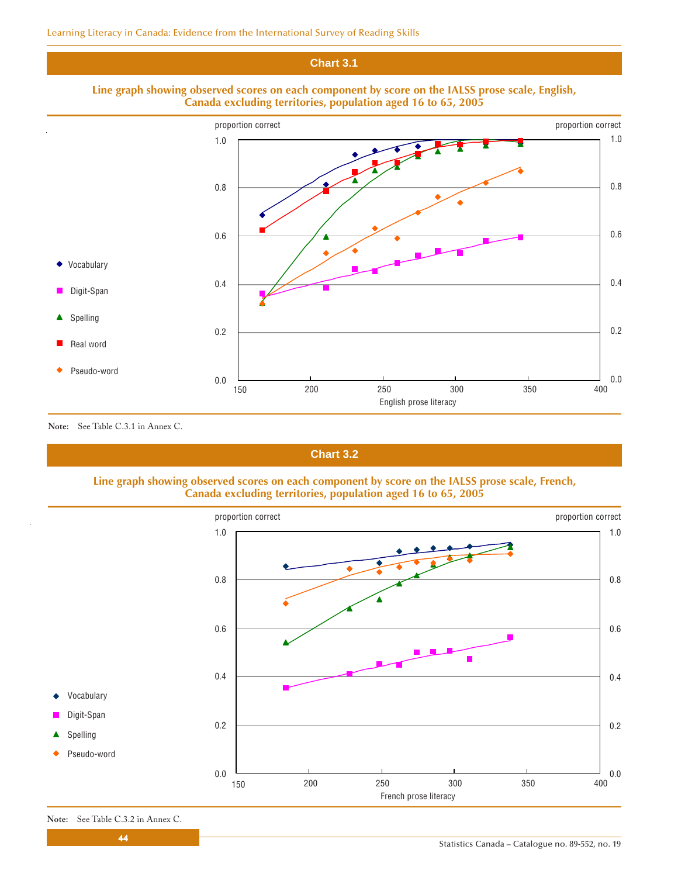**Chart 3.1**

## **Line graph showing observed scores on each component by score on the IALSS prose scale, English, Canada excluding territories, population aged 16 to 65, 2005**



**Note:** See Table C.3.1 in Annex C.

#### **Chart 3.2**

#### **Line graph showing observed scores on each component by score on the IALSS prose scale, French, Canada excluding territories, population aged 16 to 65, 2005**



**Note:** See Table C.3.2 in Annex C.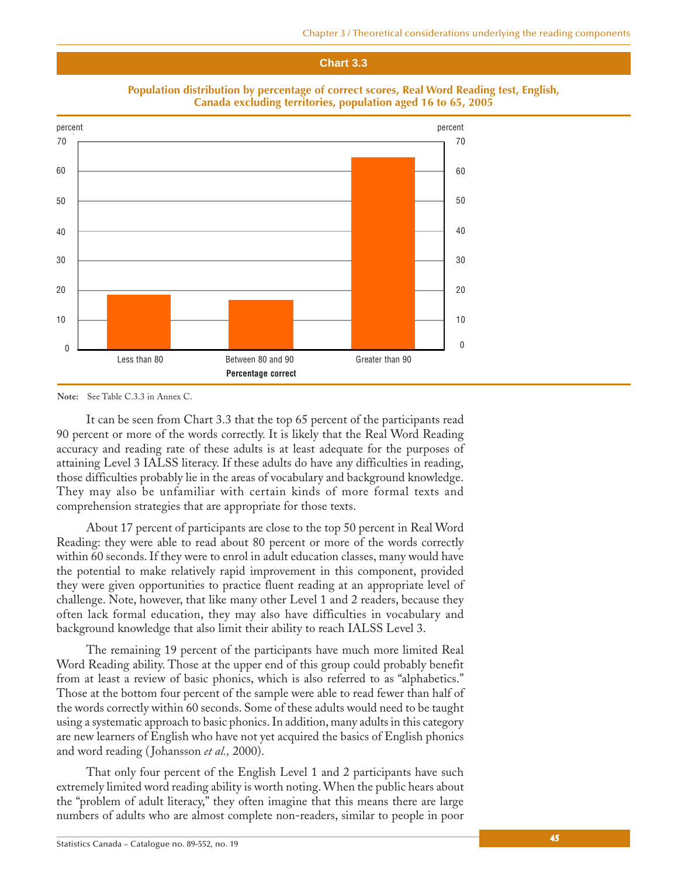**Chart 3.3**

**Population distribution by percentage of correct scores, Real Word Reading test, English, Canada excluding territories, population aged 16 to 65, 2005**



**Note:** See Table C.3.3 in Annex C.

It can be seen from Chart 3.3 that the top 65 percent of the participants read 90 percent or more of the words correctly. It is likely that the Real Word Reading accuracy and reading rate of these adults is at least adequate for the purposes of attaining Level 3 IALSS literacy. If these adults do have any difficulties in reading, those difficulties probably lie in the areas of vocabulary and background knowledge. They may also be unfamiliar with certain kinds of more formal texts and comprehension strategies that are appropriate for those texts.

About 17 percent of participants are close to the top 50 percent in Real Word Reading: they were able to read about 80 percent or more of the words correctly within 60 seconds. If they were to enrol in adult education classes, many would have the potential to make relatively rapid improvement in this component, provided they were given opportunities to practice fluent reading at an appropriate level of challenge. Note, however, that like many other Level 1 and 2 readers, because they often lack formal education, they may also have difficulties in vocabulary and background knowledge that also limit their ability to reach IALSS Level 3.

The remaining 19 percent of the participants have much more limited Real Word Reading ability. Those at the upper end of this group could probably benefit from at least a review of basic phonics, which is also referred to as "alphabetics." Those at the bottom four percent of the sample were able to read fewer than half of the words correctly within 60 seconds. Some of these adults would need to be taught using a systematic approach to basic phonics. In addition, many adults in this category are new learners of English who have not yet acquired the basics of English phonics and word reading ( Johansson *et al.,* 2000).

That only four percent of the English Level 1 and 2 participants have such extremely limited word reading ability is worth noting. When the public hears about the "problem of adult literacy," they often imagine that this means there are large numbers of adults who are almost complete non-readers, similar to people in poor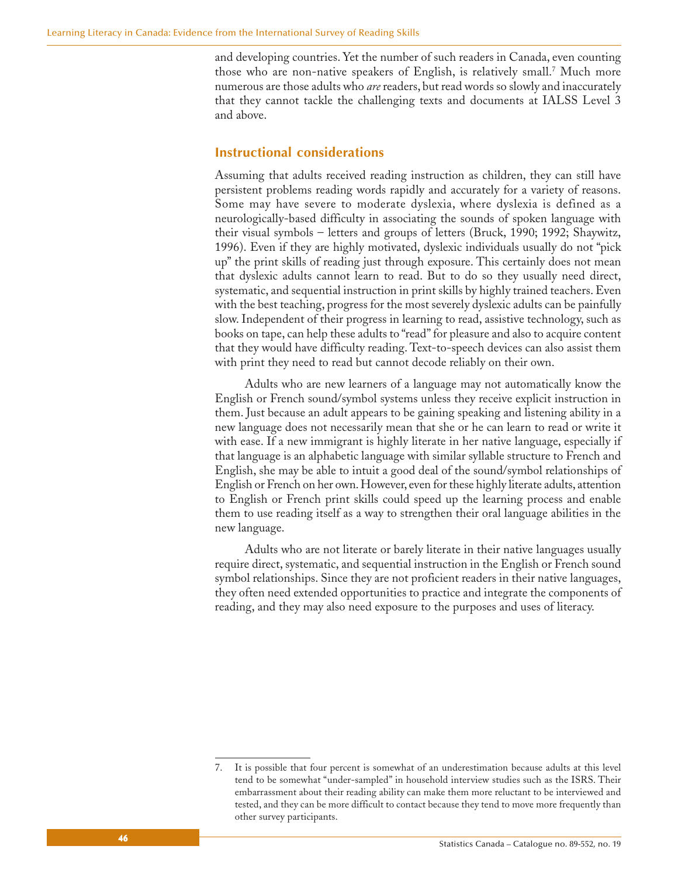and developing countries. Yet the number of such readers in Canada, even counting those who are non-native speakers of English, is relatively small.7 Much more numerous are those adults who *are* readers, but read words so slowly and inaccurately that they cannot tackle the challenging texts and documents at IALSS Level 3 and above.

## **Instructional considerations**

Assuming that adults received reading instruction as children, they can still have persistent problems reading words rapidly and accurately for a variety of reasons. Some may have severe to moderate dyslexia, where dyslexia is defined as a neurologically-based difficulty in associating the sounds of spoken language with their visual symbols – letters and groups of letters (Bruck, 1990; 1992; Shaywitz, 1996). Even if they are highly motivated, dyslexic individuals usually do not "pick up" the print skills of reading just through exposure. This certainly does not mean that dyslexic adults cannot learn to read. But to do so they usually need direct, systematic, and sequential instruction in print skills by highly trained teachers. Even with the best teaching, progress for the most severely dyslexic adults can be painfully slow. Independent of their progress in learning to read, assistive technology, such as books on tape, can help these adults to "read" for pleasure and also to acquire content that they would have difficulty reading. Text-to-speech devices can also assist them with print they need to read but cannot decode reliably on their own.

Adults who are new learners of a language may not automatically know the English or French sound/symbol systems unless they receive explicit instruction in them. Just because an adult appears to be gaining speaking and listening ability in a new language does not necessarily mean that she or he can learn to read or write it with ease. If a new immigrant is highly literate in her native language, especially if that language is an alphabetic language with similar syllable structure to French and English, she may be able to intuit a good deal of the sound/symbol relationships of English or French on her own. However, even for these highly literate adults, attention to English or French print skills could speed up the learning process and enable them to use reading itself as a way to strengthen their oral language abilities in the new language.

Adults who are not literate or barely literate in their native languages usually require direct, systematic, and sequential instruction in the English or French sound symbol relationships. Since they are not proficient readers in their native languages, they often need extended opportunities to practice and integrate the components of reading, and they may also need exposure to the purposes and uses of literacy.

<sup>7.</sup> It is possible that four percent is somewhat of an underestimation because adults at this level tend to be somewhat "under-sampled" in household interview studies such as the ISRS. Their embarrassment about their reading ability can make them more reluctant to be interviewed and tested, and they can be more difficult to contact because they tend to move more frequently than other survey participants.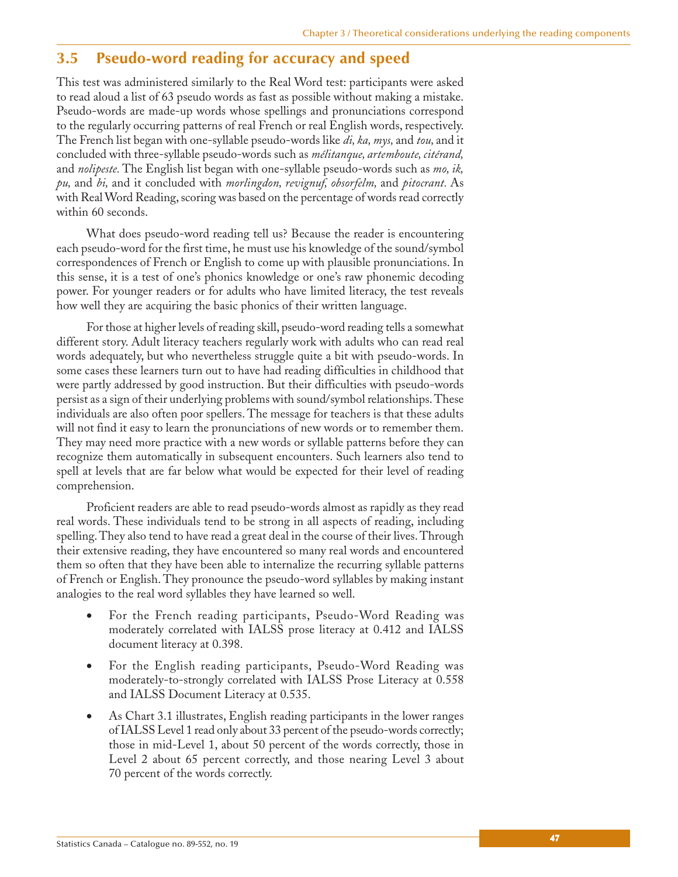# **3.5 Pseudo-word reading for accuracy and speed**

This test was administered similarly to the Real Word test: participants were asked to read aloud a list of 63 pseudo words as fast as possible without making a mistake. Pseudo-words are made-up words whose spellings and pronunciations correspond to the regularly occurring patterns of real French or real English words, respectively. The French list began with one-syllable pseudo-words like *di, ka, mys,* and *tou,* and it concluded with three-syllable pseudo-words such as *mélitanque, artemboute, citérand,* and *nolipeste.* The English list began with one-syllable pseudo-words such as *mo, ik, pu,* and *bi,* and it concluded with *morlingdon, revignuf, obsorfelm,* and *pitocrant.* As with Real Word Reading, scoring was based on the percentage of words read correctly within 60 seconds.

What does pseudo-word reading tell us? Because the reader is encountering each pseudo-word for the first time, he must use his knowledge of the sound/symbol correspondences of French or English to come up with plausible pronunciations. In this sense, it is a test of one's phonics knowledge or one's raw phonemic decoding power. For younger readers or for adults who have limited literacy, the test reveals how well they are acquiring the basic phonics of their written language.

For those at higher levels of reading skill, pseudo-word reading tells a somewhat different story. Adult literacy teachers regularly work with adults who can read real words adequately, but who nevertheless struggle quite a bit with pseudo-words. In some cases these learners turn out to have had reading difficulties in childhood that were partly addressed by good instruction. But their difficulties with pseudo-words persist as a sign of their underlying problems with sound/symbol relationships. These individuals are also often poor spellers. The message for teachers is that these adults will not find it easy to learn the pronunciations of new words or to remember them. They may need more practice with a new words or syllable patterns before they can recognize them automatically in subsequent encounters. Such learners also tend to spell at levels that are far below what would be expected for their level of reading comprehension.

Proficient readers are able to read pseudo-words almost as rapidly as they read real words. These individuals tend to be strong in all aspects of reading, including spelling. They also tend to have read a great deal in the course of their lives. Through their extensive reading, they have encountered so many real words and encountered them so often that they have been able to internalize the recurring syllable patterns of French or English. They pronounce the pseudo-word syllables by making instant analogies to the real word syllables they have learned so well.

- For the French reading participants, Pseudo-Word Reading was moderately correlated with IALSS prose literacy at 0.412 and IALSS document literacy at 0.398.
- For the English reading participants, Pseudo-Word Reading was moderately-to-strongly correlated with IALSS Prose Literacy at 0.558 and IALSS Document Literacy at 0.535.
- As Chart 3.1 illustrates, English reading participants in the lower ranges of IALSS Level 1 read only about 33 percent of the pseudo-words correctly; those in mid-Level 1, about 50 percent of the words correctly, those in Level 2 about 65 percent correctly, and those nearing Level 3 about 70 percent of the words correctly.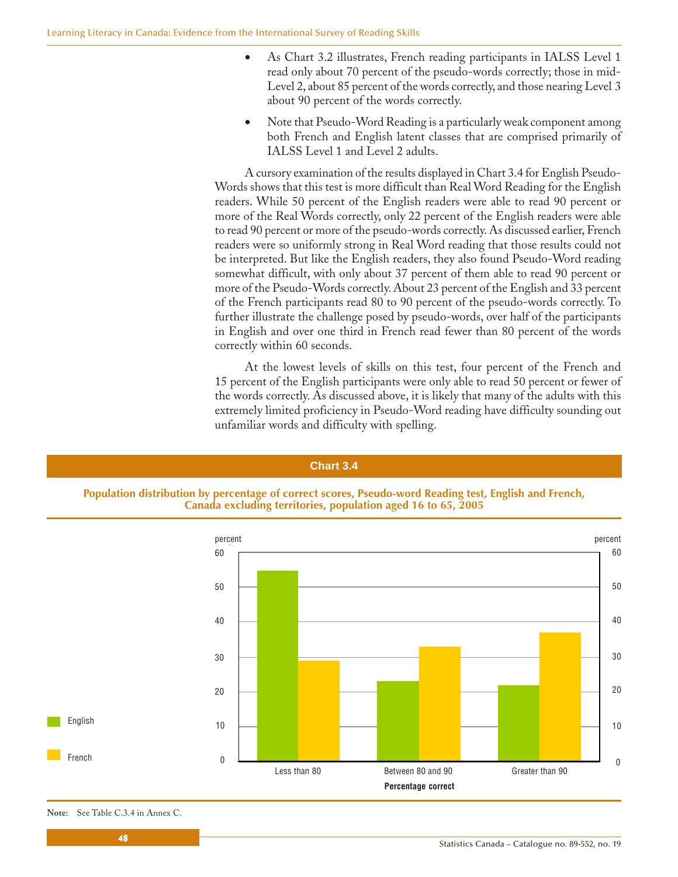- As Chart 3.2 illustrates, French reading participants in IALSS Level 1 read only about 70 percent of the pseudo-words correctly; those in mid-Level 2, about 85 percent of the words correctly, and those nearing Level 3 about 90 percent of the words correctly.
- Note that Pseudo-Word Reading is a particularly weak component among both French and English latent classes that are comprised primarily of IALSS Level 1 and Level 2 adults.

A cursory examination of the results displayed in Chart 3.4 for English Pseudo-Words shows that this test is more difficult than Real Word Reading for the English readers. While 50 percent of the English readers were able to read 90 percent or more of the Real Words correctly, only 22 percent of the English readers were able to read 90 percent or more of the pseudo-words correctly. As discussed earlier, French readers were so uniformly strong in Real Word reading that those results could not be interpreted. But like the English readers, they also found Pseudo-Word reading somewhat difficult, with only about 37 percent of them able to read 90 percent or more of the Pseudo-Words correctly. About 23 percent of the English and 33 percent of the French participants read 80 to 90 percent of the pseudo-words correctly. To further illustrate the challenge posed by pseudo-words, over half of the participants in English and over one third in French read fewer than 80 percent of the words correctly within 60 seconds.

At the lowest levels of skills on this test, four percent of the French and 15 percent of the English participants were only able to read 50 percent or fewer of the words correctly. As discussed above, it is likely that many of the adults with this extremely limited proficiency in Pseudo-Word reading have difficulty sounding out unfamiliar words and difficulty with spelling.



## **Chart 3.4**

**Population distribution by percentage of correct scores, Pseudo-word Reading test, English and French,**

**Note:** See Table C.3.4 in Annex C.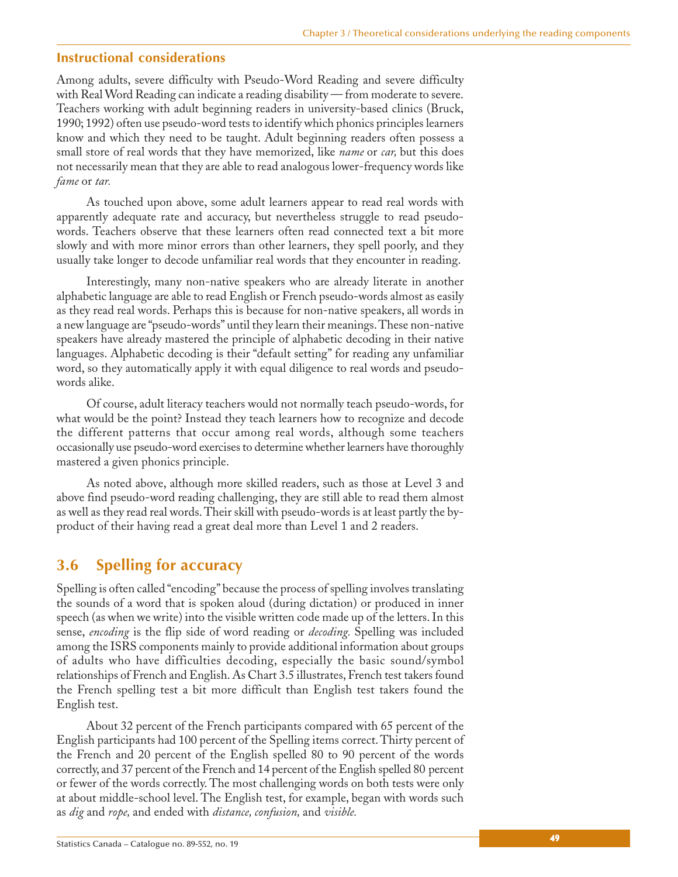## **Instructional considerations**

Among adults, severe difficulty with Pseudo-Word Reading and severe difficulty with Real Word Reading can indicate a reading disability — from moderate to severe. Teachers working with adult beginning readers in university-based clinics (Bruck, 1990; 1992) often use pseudo-word tests to identify which phonics principles learners know and which they need to be taught. Adult beginning readers often possess a small store of real words that they have memorized, like *name* or *car,* but this does not necessarily mean that they are able to read analogous lower-frequency words like *fame* or *tar.*

As touched upon above, some adult learners appear to read real words with apparently adequate rate and accuracy, but nevertheless struggle to read pseudowords. Teachers observe that these learners often read connected text a bit more slowly and with more minor errors than other learners, they spell poorly, and they usually take longer to decode unfamiliar real words that they encounter in reading.

Interestingly, many non-native speakers who are already literate in another alphabetic language are able to read English or French pseudo-words almost as easily as they read real words. Perhaps this is because for non-native speakers, all words in a new language are "pseudo-words" until they learn their meanings. These non-native speakers have already mastered the principle of alphabetic decoding in their native languages. Alphabetic decoding is their "default setting" for reading any unfamiliar word, so they automatically apply it with equal diligence to real words and pseudowords alike.

Of course, adult literacy teachers would not normally teach pseudo-words, for what would be the point? Instead they teach learners how to recognize and decode the different patterns that occur among real words, although some teachers occasionally use pseudo-word exercises to determine whether learners have thoroughly mastered a given phonics principle.

As noted above, although more skilled readers, such as those at Level 3 and above find pseudo-word reading challenging, they are still able to read them almost as well as they read real words. Their skill with pseudo-words is at least partly the byproduct of their having read a great deal more than Level 1 and 2 readers.

# **3.6 Spelling for accuracy**

Spelling is often called "encoding" because the process of spelling involves translating the sounds of a word that is spoken aloud (during dictation) or produced in inner speech (as when we write) into the visible written code made up of the letters. In this sense, *encoding* is the flip side of word reading or *decoding.* Spelling was included among the ISRS components mainly to provide additional information about groups of adults who have difficulties decoding, especially the basic sound/symbol relationships of French and English. As Chart 3.5 illustrates, French test takers found the French spelling test a bit more difficult than English test takers found the English test.

About 32 percent of the French participants compared with 65 percent of the English participants had 100 percent of the Spelling items correct. Thirty percent of the French and 20 percent of the English spelled 80 to 90 percent of the words correctly, and 37 percent of the French and 14 percent of the English spelled 80 percent or fewer of the words correctly. The most challenging words on both tests were only at about middle-school level. The English test, for example, began with words such as *dig* and *rope,* and ended with *distance, confusion,* and *visible.*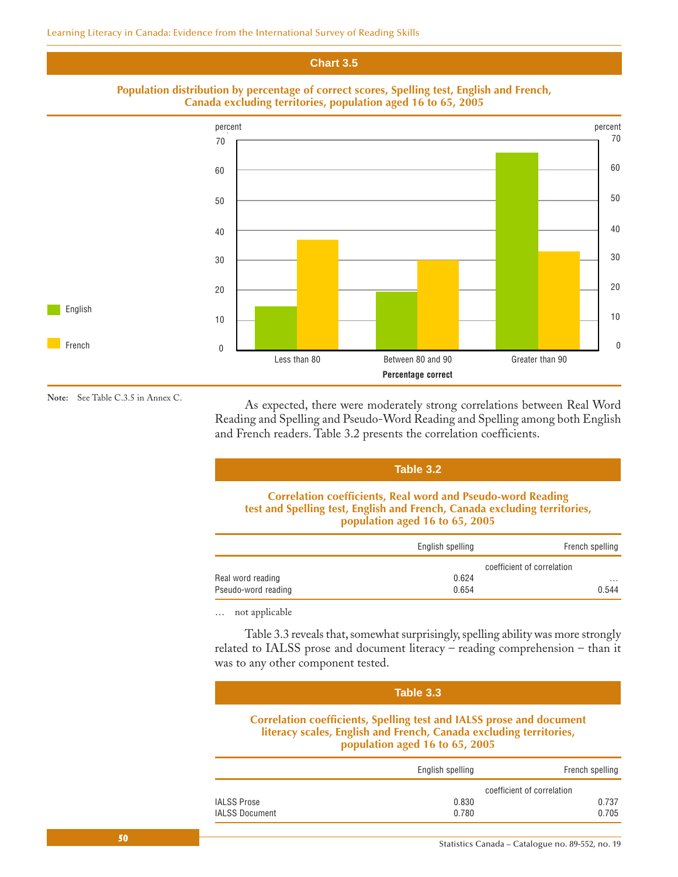#### Learning Literacy in Canada: Evidence from the International Survey of Reading Skills

#### **Chart 3.5**





**Note:** See Table C.3.5 in Annex C.

As expected, there were moderately strong correlations between Real Word Reading and Spelling and Pseudo-Word Reading and Spelling among both English and French readers. Table 3.2 presents the correlation coefficients.

### **Table 3.2**

## **Correlation coefficients, Real word and Pseudo-word Reading test and Spelling test, English and French, Canada excluding territories, population aged 16 to 65, 2005**

|                     | English spelling | French spelling            |
|---------------------|------------------|----------------------------|
|                     |                  | coefficient of correlation |
| Real word reading   | 0.624            | $\cdots$                   |
| Pseudo-word reading | 0.654            | 0.544                      |

… not applicable

Table 3.3 reveals that, somewhat surprisingly, spelling ability was more strongly related to IALSS prose and document literacy – reading comprehension – than it was to any other component tested.

|             | Table 3.3                                                                                                                                                                           |                                     |
|-------------|-------------------------------------------------------------------------------------------------------------------------------------------------------------------------------------|-------------------------------------|
|             | <b>Correlation coefficients, Spelling test and IALSS prose and document</b><br>literacy scales, English and French, Canada excluding territories,<br>population aged 16 to 65, 2005 |                                     |
|             | English spelling                                                                                                                                                                    | French spelling                     |
| IALSS Prose | 0.830                                                                                                                                                                               | coefficient of correlation<br>0.737 |

IALSS Document 0.780 0.705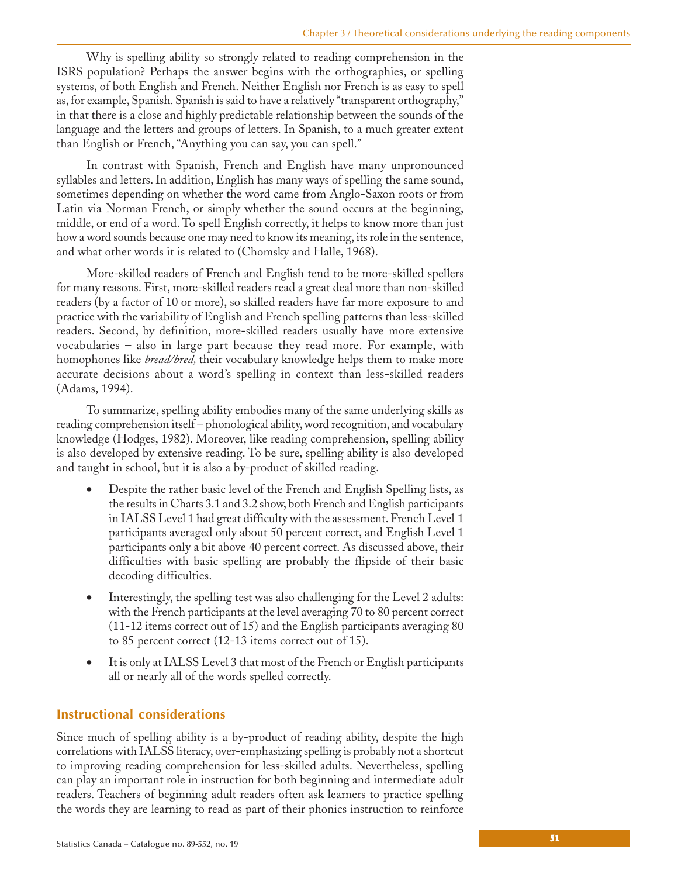Why is spelling ability so strongly related to reading comprehension in the ISRS population? Perhaps the answer begins with the orthographies, or spelling systems, of both English and French. Neither English nor French is as easy to spell as, for example, Spanish. Spanish is said to have a relatively "transparent orthography," in that there is a close and highly predictable relationship between the sounds of the language and the letters and groups of letters. In Spanish, to a much greater extent than English or French, "Anything you can say, you can spell."

In contrast with Spanish, French and English have many unpronounced syllables and letters. In addition, English has many ways of spelling the same sound, sometimes depending on whether the word came from Anglo-Saxon roots or from Latin via Norman French, or simply whether the sound occurs at the beginning, middle, or end of a word. To spell English correctly, it helps to know more than just how a word sounds because one may need to know its meaning, its role in the sentence, and what other words it is related to (Chomsky and Halle, 1968).

More-skilled readers of French and English tend to be more-skilled spellers for many reasons. First, more-skilled readers read a great deal more than non-skilled readers (by a factor of 10 or more), so skilled readers have far more exposure to and practice with the variability of English and French spelling patterns than less-skilled readers. Second, by definition, more-skilled readers usually have more extensive vocabularies – also in large part because they read more. For example, with homophones like *bread/bred,* their vocabulary knowledge helps them to make more accurate decisions about a word's spelling in context than less-skilled readers (Adams, 1994).

To summarize, spelling ability embodies many of the same underlying skills as reading comprehension itself – phonological ability, word recognition, and vocabulary knowledge (Hodges, 1982). Moreover, like reading comprehension, spelling ability is also developed by extensive reading. To be sure, spelling ability is also developed and taught in school, but it is also a by-product of skilled reading.

- Despite the rather basic level of the French and English Spelling lists, as the results in Charts 3.1 and 3.2 show, both French and English participants in IALSS Level 1 had great difficulty with the assessment. French Level 1 participants averaged only about 50 percent correct, and English Level 1 participants only a bit above 40 percent correct. As discussed above, their difficulties with basic spelling are probably the flipside of their basic decoding difficulties.
- Interestingly, the spelling test was also challenging for the Level 2 adults: with the French participants at the level averaging 70 to 80 percent correct (11-12 items correct out of 15) and the English participants averaging 80 to 85 percent correct (12-13 items correct out of 15).
- It is only at IALSS Level 3 that most of the French or English participants all or nearly all of the words spelled correctly.

# **Instructional considerations**

Since much of spelling ability is a by-product of reading ability, despite the high correlations with IALSS literacy, over-emphasizing spelling is probably not a shortcut to improving reading comprehension for less-skilled adults. Nevertheless, spelling can play an important role in instruction for both beginning and intermediate adult readers. Teachers of beginning adult readers often ask learners to practice spelling the words they are learning to read as part of their phonics instruction to reinforce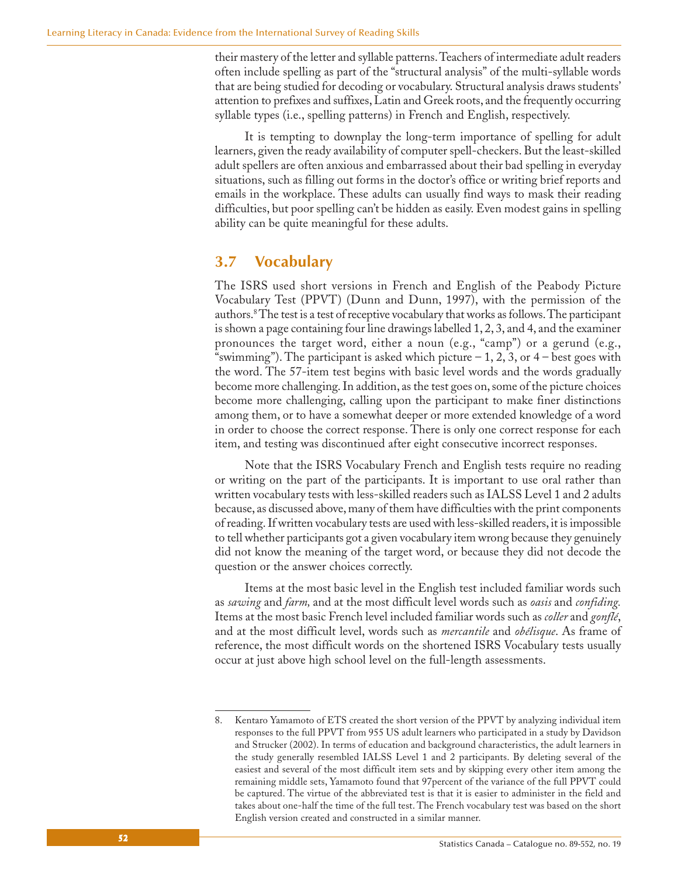their mastery of the letter and syllable patterns. Teachers of intermediate adult readers often include spelling as part of the "structural analysis" of the multi-syllable words that are being studied for decoding or vocabulary. Structural analysis draws students' attention to prefixes and suffixes, Latin and Greek roots, and the frequently occurring syllable types (i.e., spelling patterns) in French and English, respectively.

It is tempting to downplay the long-term importance of spelling for adult learners, given the ready availability of computer spell-checkers. But the least-skilled adult spellers are often anxious and embarrassed about their bad spelling in everyday situations, such as filling out forms in the doctor's office or writing brief reports and emails in the workplace. These adults can usually find ways to mask their reading difficulties, but poor spelling can't be hidden as easily. Even modest gains in spelling ability can be quite meaningful for these adults.

## **3.7 Vocabulary**

The ISRS used short versions in French and English of the Peabody Picture Vocabulary Test (PPVT) (Dunn and Dunn, 1997), with the permission of the authors.8 The test is a test of receptive vocabulary that works as follows. The participant is shown a page containing four line drawings labelled 1, 2, 3, and 4, and the examiner pronounces the target word, either a noun (e.g., "camp") or a gerund (e.g., "swimming"). The participant is asked which picture  $-1$ , 2, 3, or  $4$  – best goes with the word. The 57-item test begins with basic level words and the words gradually become more challenging. In addition, as the test goes on, some of the picture choices become more challenging, calling upon the participant to make finer distinctions among them, or to have a somewhat deeper or more extended knowledge of a word in order to choose the correct response. There is only one correct response for each item, and testing was discontinued after eight consecutive incorrect responses.

Note that the ISRS Vocabulary French and English tests require no reading or writing on the part of the participants. It is important to use oral rather than written vocabulary tests with less-skilled readers such as IALSS Level 1 and 2 adults because, as discussed above, many of them have difficulties with the print components of reading. If written vocabulary tests are used with less-skilled readers, it is impossible to tell whether participants got a given vocabulary item wrong because they genuinely did not know the meaning of the target word, or because they did not decode the question or the answer choices correctly.

Items at the most basic level in the English test included familiar words such as *sawing* and *farm,* and at the most difficult level words such as *oasis* and *confiding.* Items at the most basic French level included familiar words such as *coller* and *gonflé*, and at the most difficult level, words such as *mercantile* and *obélisque*. As frame of reference, the most difficult words on the shortened ISRS Vocabulary tests usually occur at just above high school level on the full-length assessments.

<sup>8.</sup> Kentaro Yamamoto of ETS created the short version of the PPVT by analyzing individual item responses to the full PPVT from 955 US adult learners who participated in a study by Davidson and Strucker (2002). In terms of education and background characteristics, the adult learners in the study generally resembled IALSS Level 1 and 2 participants. By deleting several of the easiest and several of the most difficult item sets and by skipping every other item among the remaining middle sets, Yamamoto found that 97percent of the variance of the full PPVT could be captured. The virtue of the abbreviated test is that it is easier to administer in the field and takes about one-half the time of the full test. The French vocabulary test was based on the short English version created and constructed in a similar manner.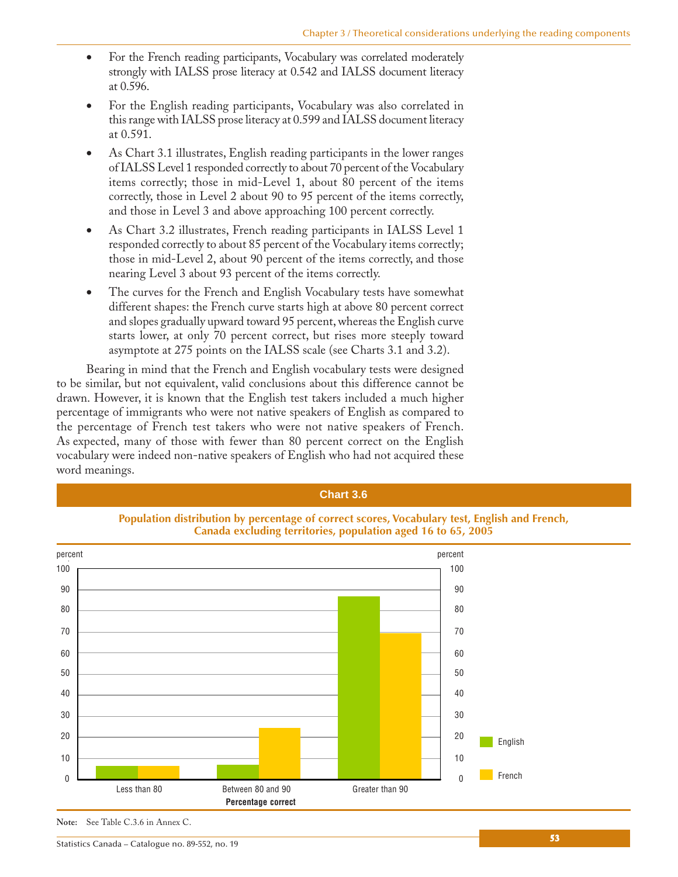- For the French reading participants, Vocabulary was correlated moderately strongly with IALSS prose literacy at 0.542 and IALSS document literacy at 0.596.
- For the English reading participants, Vocabulary was also correlated in this range with IALSS prose literacy at 0.599 and IALSS document literacy at 0.591.
- As Chart 3.1 illustrates, English reading participants in the lower ranges of IALSS Level 1 responded correctly to about 70 percent of the Vocabulary items correctly; those in mid-Level 1, about 80 percent of the items correctly, those in Level 2 about 90 to 95 percent of the items correctly, and those in Level 3 and above approaching 100 percent correctly.
- As Chart 3.2 illustrates, French reading participants in IALSS Level 1 responded correctly to about 85 percent of the Vocabulary items correctly; those in mid-Level 2, about 90 percent of the items correctly, and those nearing Level 3 about 93 percent of the items correctly.
- The curves for the French and English Vocabulary tests have somewhat different shapes: the French curve starts high at above 80 percent correct and slopes gradually upward toward 95 percent, whereas the English curve starts lower, at only 70 percent correct, but rises more steeply toward asymptote at 275 points on the IALSS scale (see Charts 3.1 and 3.2).

Bearing in mind that the French and English vocabulary tests were designed to be similar, but not equivalent, valid conclusions about this difference cannot be drawn. However, it is known that the English test takers included a much higher percentage of immigrants who were not native speakers of English as compared to the percentage of French test takers who were not native speakers of French. As expected, many of those with fewer than 80 percent correct on the English vocabulary were indeed non-native speakers of English who had not acquired these word meanings.

#### **Chart 3.6**



**Population distribution by percentage of correct scores, Vocabulary test, English and French, Canada excluding territories, population aged 16 to 65, 2005**

**Note:** See Table C.3.6 in Annex C.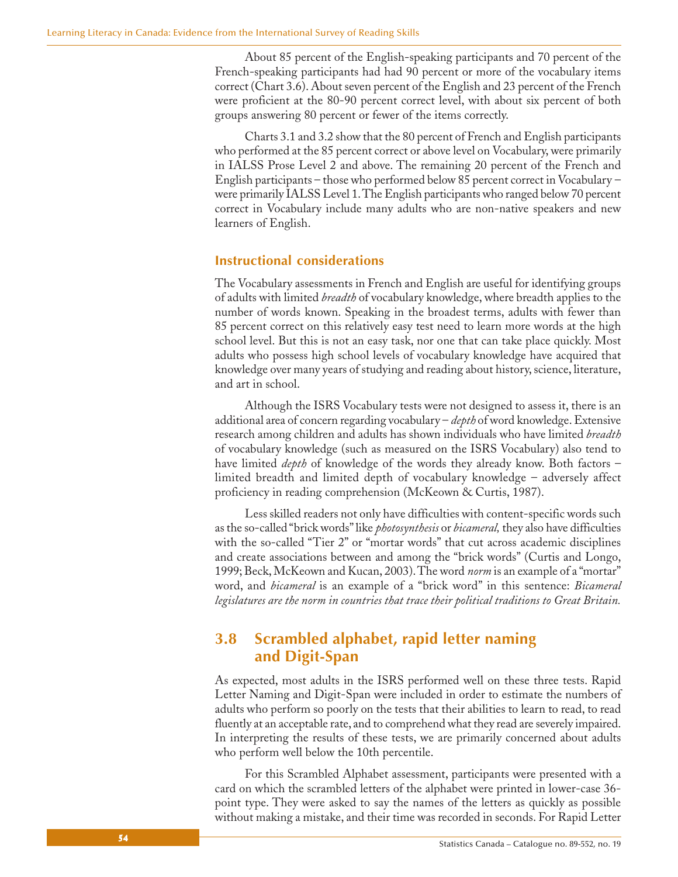About 85 percent of the English-speaking participants and 70 percent of the French-speaking participants had had 90 percent or more of the vocabulary items correct (Chart 3.6). About seven percent of the English and 23 percent of the French were proficient at the 80-90 percent correct level, with about six percent of both groups answering 80 percent or fewer of the items correctly.

Charts 3.1 and 3.2 show that the 80 percent of French and English participants who performed at the 85 percent correct or above level on Vocabulary, were primarily in IALSS Prose Level 2 and above. The remaining 20 percent of the French and English participants – those who performed below 85 percent correct in Vocabulary – were primarily IALSS Level 1. The English participants who ranged below 70 percent correct in Vocabulary include many adults who are non-native speakers and new learners of English.

## **Instructional considerations**

The Vocabulary assessments in French and English are useful for identifying groups of adults with limited *breadth* of vocabulary knowledge, where breadth applies to the number of words known. Speaking in the broadest terms, adults with fewer than 85 percent correct on this relatively easy test need to learn more words at the high school level. But this is not an easy task, nor one that can take place quickly. Most adults who possess high school levels of vocabulary knowledge have acquired that knowledge over many years of studying and reading about history, science, literature, and art in school.

Although the ISRS Vocabulary tests were not designed to assess it, there is an additional area of concern regarding vocabulary – *depth* of word knowledge. Extensive research among children and adults has shown individuals who have limited *breadth* of vocabulary knowledge (such as measured on the ISRS Vocabulary) also tend to have limited *depth* of knowledge of the words they already know. Both factors – limited breadth and limited depth of vocabulary knowledge – adversely affect proficiency in reading comprehension (McKeown & Curtis, 1987).

Less skilled readers not only have difficulties with content-specific words such as the so-called "brick words" like *photosynthesis* or *bicameral,* they also have difficulties with the so-called "Tier 2" or "mortar words" that cut across academic disciplines and create associations between and among the "brick words" (Curtis and Longo, 1999; Beck, McKeown and Kucan, 2003). The word *norm* is an example of a "mortar" word, and *bicameral* is an example of a "brick word" in this sentence: *Bicameral legislatures are the norm in countries that trace their political traditions to Great Britain.*

# **3.8 Scrambled alphabet, rapid letter naming and Digit-Span**

As expected, most adults in the ISRS performed well on these three tests. Rapid Letter Naming and Digit-Span were included in order to estimate the numbers of adults who perform so poorly on the tests that their abilities to learn to read, to read fluently at an acceptable rate, and to comprehend what they read are severely impaired. In interpreting the results of these tests, we are primarily concerned about adults who perform well below the 10th percentile.

For this Scrambled Alphabet assessment, participants were presented with a card on which the scrambled letters of the alphabet were printed in lower-case 36 point type. They were asked to say the names of the letters as quickly as possible without making a mistake, and their time was recorded in seconds. For Rapid Letter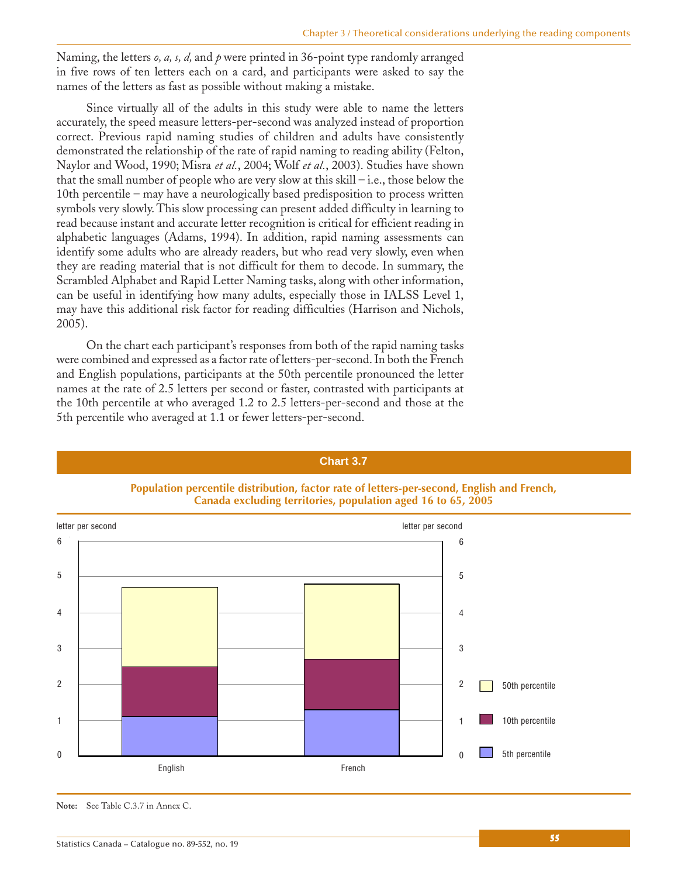Naming, the letters *o, a, s, d,* and *p* were printed in 36-point type randomly arranged in five rows of ten letters each on a card, and participants were asked to say the names of the letters as fast as possible without making a mistake.

Since virtually all of the adults in this study were able to name the letters accurately, the speed measure letters-per-second was analyzed instead of proportion correct. Previous rapid naming studies of children and adults have consistently demonstrated the relationship of the rate of rapid naming to reading ability (Felton, Naylor and Wood, 1990; Misra *et al.*, 2004; Wolf *et al.*, 2003). Studies have shown that the small number of people who are very slow at this skill – i.e., those below the 10th percentile – may have a neurologically based predisposition to process written symbols very slowly. This slow processing can present added difficulty in learning to read because instant and accurate letter recognition is critical for efficient reading in alphabetic languages (Adams, 1994). In addition, rapid naming assessments can identify some adults who are already readers, but who read very slowly, even when they are reading material that is not difficult for them to decode. In summary, the Scrambled Alphabet and Rapid Letter Naming tasks, along with other information, can be useful in identifying how many adults, especially those in IALSS Level 1, may have this additional risk factor for reading difficulties (Harrison and Nichols, 2005).

On the chart each participant's responses from both of the rapid naming tasks were combined and expressed as a factor rate of letters-per-second. In both the French and English populations, participants at the 50th percentile pronounced the letter names at the rate of 2.5 letters per second or faster, contrasted with participants at the 10th percentile at who averaged 1.2 to 2.5 letters-per-second and those at the 5th percentile who averaged at 1.1 or fewer letters-per-second.

#### **Chart 3.7**

**Population percentile distribution, factor rate of letters-per-second, English and French, Canada excluding territories, population aged 16 to 65, 2005**



**Note:** See Table C.3.7 in Annex C.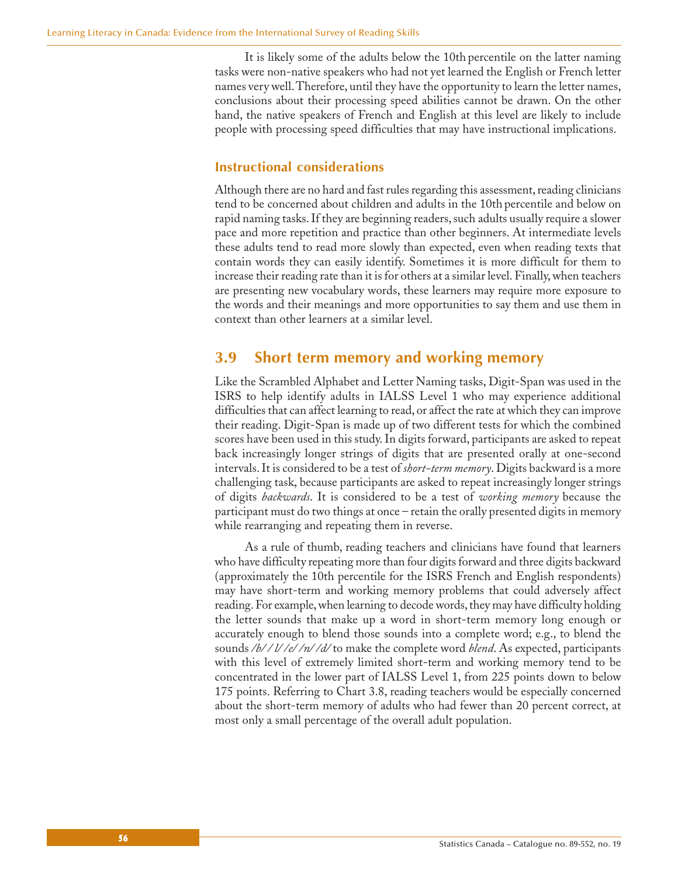It is likely some of the adults below the 10th percentile on the latter naming tasks were non-native speakers who had not yet learned the English or French letter names very well. Therefore, until they have the opportunity to learn the letter names, conclusions about their processing speed abilities cannot be drawn. On the other hand, the native speakers of French and English at this level are likely to include people with processing speed difficulties that may have instructional implications.

## **Instructional considerations**

Although there are no hard and fast rules regarding this assessment, reading clinicians tend to be concerned about children and adults in the 10th percentile and below on rapid naming tasks. If they are beginning readers, such adults usually require a slower pace and more repetition and practice than other beginners. At intermediate levels these adults tend to read more slowly than expected, even when reading texts that contain words they can easily identify. Sometimes it is more difficult for them to increase their reading rate than it is for others at a similar level. Finally, when teachers are presenting new vocabulary words, these learners may require more exposure to the words and their meanings and more opportunities to say them and use them in context than other learners at a similar level.

## **3.9 Short term memory and working memory**

Like the Scrambled Alphabet and Letter Naming tasks, Digit-Span was used in the ISRS to help identify adults in IALSS Level 1 who may experience additional difficulties that can affect learning to read, or affect the rate at which they can improve their reading. Digit-Span is made up of two different tests for which the combined scores have been used in this study. In digits forward, participants are asked to repeat back increasingly longer strings of digits that are presented orally at one-second intervals. It is considered to be a test of *short-term memory*. Digits backward is a more challenging task, because participants are asked to repeat increasingly longer strings of digits *backwards*. It is considered to be a test of *working memory* because the participant must do two things at once – retain the orally presented digits in memory while rearranging and repeating them in reverse.

As a rule of thumb, reading teachers and clinicians have found that learners who have difficulty repeating more than four digits forward and three digits backward (approximately the 10th percentile for the ISRS French and English respondents) may have short-term and working memory problems that could adversely affect reading. For example, when learning to decode words, they may have difficulty holding the letter sounds that make up a word in short-term memory long enough or accurately enough to blend those sounds into a complete word; e.g., to blend the sounds */b/ / l/ /e/ /n/ /d/* to make the complete word *blend*. As expected, participants with this level of extremely limited short-term and working memory tend to be concentrated in the lower part of IALSS Level 1, from 225 points down to below 175 points. Referring to Chart 3.8, reading teachers would be especially concerned about the short-term memory of adults who had fewer than 20 percent correct, at most only a small percentage of the overall adult population.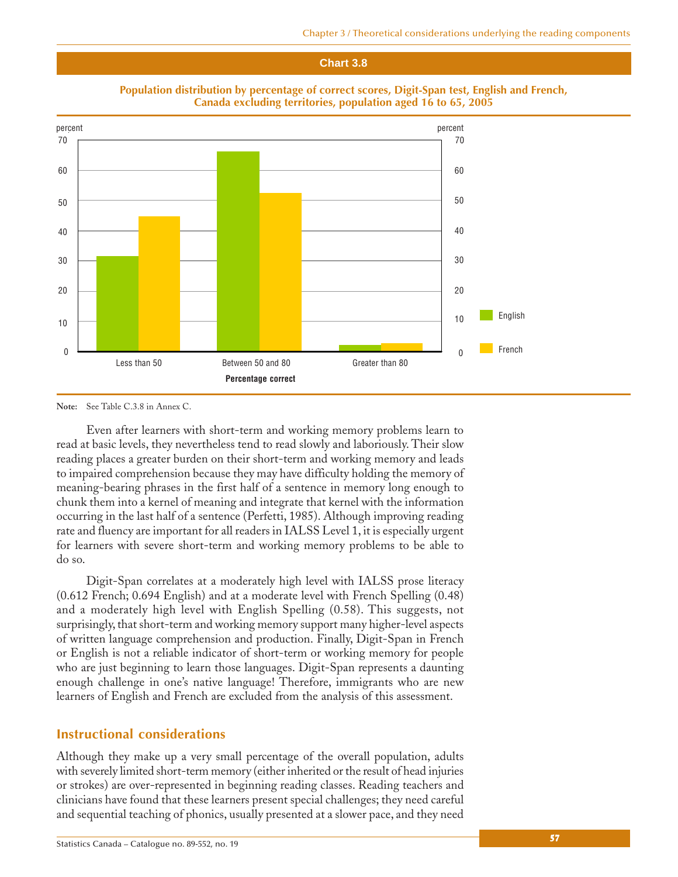



**Population distribution by percentage of correct scores, Digit-Span test, English and French, Canada excluding territories, population aged 16 to 65, 2005**

**Note:** See Table C.3.8 in Annex C.

Even after learners with short-term and working memory problems learn to read at basic levels, they nevertheless tend to read slowly and laboriously. Their slow reading places a greater burden on their short-term and working memory and leads to impaired comprehension because they may have difficulty holding the memory of meaning-bearing phrases in the first half of a sentence in memory long enough to chunk them into a kernel of meaning and integrate that kernel with the information occurring in the last half of a sentence (Perfetti, 1985). Although improving reading rate and fluency are important for all readers in IALSS Level 1, it is especially urgent for learners with severe short-term and working memory problems to be able to do so.

Digit-Span correlates at a moderately high level with IALSS prose literacy (0.612 French; 0.694 English) and at a moderate level with French Spelling (0.48) and a moderately high level with English Spelling (0.58). This suggests, not surprisingly, that short-term and working memory support many higher-level aspects of written language comprehension and production. Finally, Digit-Span in French or English is not a reliable indicator of short-term or working memory for people who are just beginning to learn those languages. Digit-Span represents a daunting enough challenge in one's native language! Therefore, immigrants who are new learners of English and French are excluded from the analysis of this assessment.

## **Instructional considerations**

Although they make up a very small percentage of the overall population, adults with severely limited short-term memory (either inherited or the result of head injuries or strokes) are over-represented in beginning reading classes. Reading teachers and clinicians have found that these learners present special challenges; they need careful and sequential teaching of phonics, usually presented at a slower pace, and they need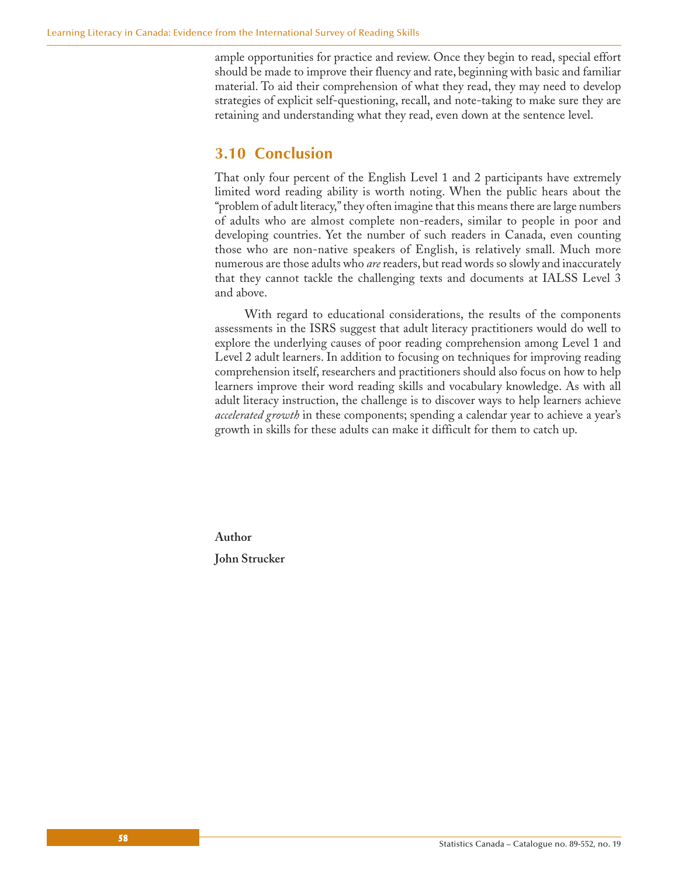ample opportunities for practice and review. Once they begin to read, special effort should be made to improve their fluency and rate, beginning with basic and familiar material. To aid their comprehension of what they read, they may need to develop strategies of explicit self-questioning, recall, and note-taking to make sure they are retaining and understanding what they read, even down at the sentence level.

# **3.10 Conclusion**

That only four percent of the English Level 1 and 2 participants have extremely limited word reading ability is worth noting. When the public hears about the "problem of adult literacy," they often imagine that this means there are large numbers of adults who are almost complete non-readers, similar to people in poor and developing countries. Yet the number of such readers in Canada, even counting those who are non-native speakers of English, is relatively small. Much more numerous are those adults who *are* readers, but read words so slowly and inaccurately that they cannot tackle the challenging texts and documents at IALSS Level 3 and above.

With regard to educational considerations, the results of the components assessments in the ISRS suggest that adult literacy practitioners would do well to explore the underlying causes of poor reading comprehension among Level 1 and Level 2 adult learners. In addition to focusing on techniques for improving reading comprehension itself, researchers and practitioners should also focus on how to help learners improve their word reading skills and vocabulary knowledge. As with all adult literacy instruction, the challenge is to discover ways to help learners achieve *accelerated growth* in these components; spending a calendar year to achieve a year's growth in skills for these adults can make it difficult for them to catch up.

**Author John Strucker**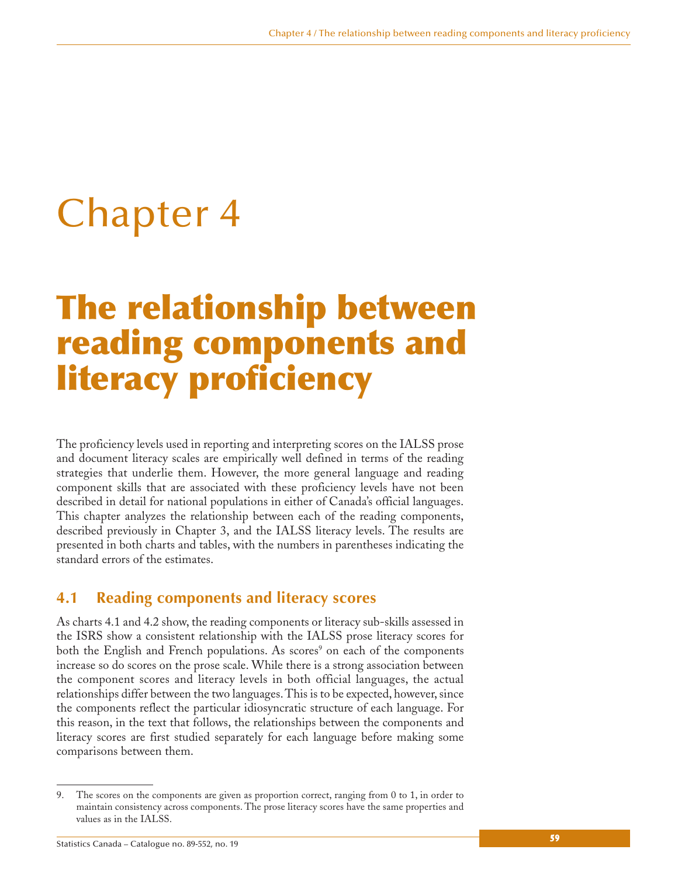# Chapter 4

# **The relationship between reading components and literacy proficiency**

The proficiency levels used in reporting and interpreting scores on the IALSS prose and document literacy scales are empirically well defined in terms of the reading strategies that underlie them. However, the more general language and reading component skills that are associated with these proficiency levels have not been described in detail for national populations in either of Canada's official languages. This chapter analyzes the relationship between each of the reading components, described previously in Chapter 3, and the IALSS literacy levels. The results are presented in both charts and tables, with the numbers in parentheses indicating the standard errors of the estimates.

# **4.1 Reading components and literacy scores**

As charts 4.1 and 4.2 show, the reading components or literacy sub-skills assessed in the ISRS show a consistent relationship with the IALSS prose literacy scores for both the English and French populations. As scores' on each of the components increase so do scores on the prose scale. While there is a strong association between the component scores and literacy levels in both official languages, the actual relationships differ between the two languages. This is to be expected, however, since the components reflect the particular idiosyncratic structure of each language. For this reason, in the text that follows, the relationships between the components and literacy scores are first studied separately for each language before making some comparisons between them.

Statistics Canada – Catalogue no. 89-552, no. 19

<sup>9.</sup> The scores on the components are given as proportion correct, ranging from 0 to 1, in order to maintain consistency across components. The prose literacy scores have the same properties and values as in the IALSS.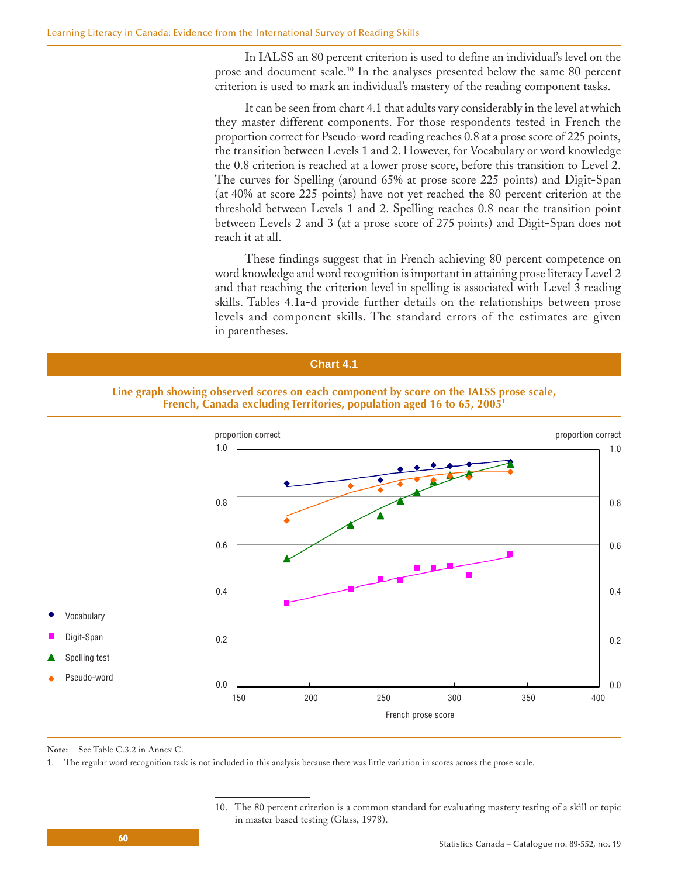In IALSS an 80 percent criterion is used to define an individual's level on the prose and document scale.10 In the analyses presented below the same 80 percent criterion is used to mark an individual's mastery of the reading component tasks.

It can be seen from chart 4.1 that adults vary considerably in the level at which they master different components. For those respondents tested in French the proportion correct for Pseudo-word reading reaches 0.8 at a prose score of 225 points, the transition between Levels 1 and 2. However, for Vocabulary or word knowledge the 0.8 criterion is reached at a lower prose score, before this transition to Level 2. The curves for Spelling (around 65% at prose score 225 points) and Digit-Span (at 40% at score 225 points) have not yet reached the 80 percent criterion at the threshold between Levels 1 and 2. Spelling reaches 0.8 near the transition point between Levels 2 and 3 (at a prose score of 275 points) and Digit-Span does not reach it at all.

These findings suggest that in French achieving 80 percent competence on word knowledge and word recognition is important in attaining prose literacy Level 2 and that reaching the criterion level in spelling is associated with Level 3 reading skills. Tables 4.1a-d provide further details on the relationships between prose levels and component skills. The standard errors of the estimates are given in parentheses.

#### **Chart 4.1**

**Line graph showing observed scores on each component by score on the IALSS prose scale, French, Canada excluding Territories, population aged 16 to 65, 20051**



#### **Note:** See Table C.3.2 in Annex C.

1. The regular word recognition task is not included in this analysis because there was little variation in scores across the prose scale.

10. The 80 percent criterion is a common standard for evaluating mastery testing of a skill or topic in master based testing (Glass, 1978).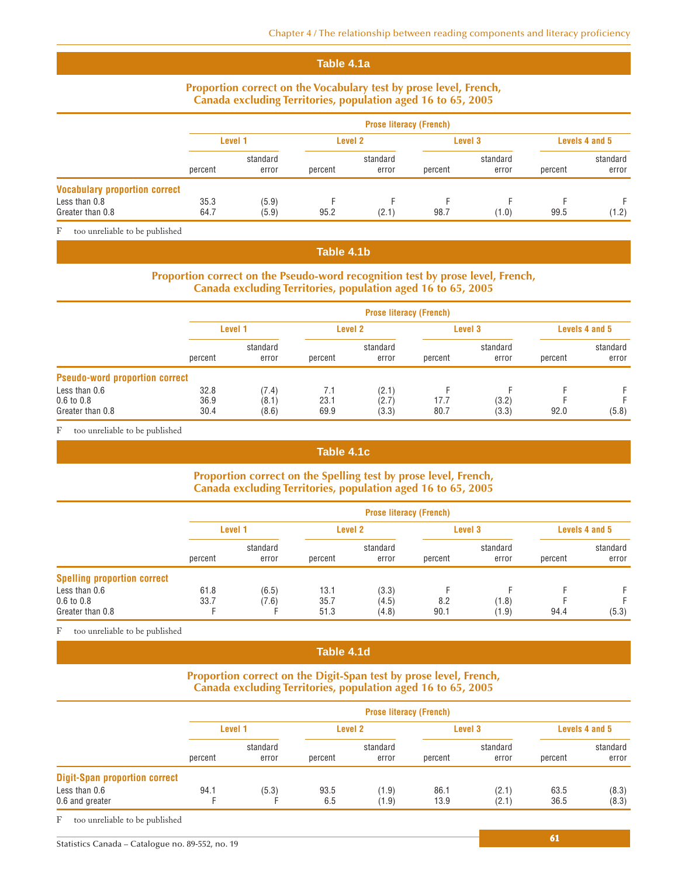#### **Table 4.1a**

**Proportion correct on the Vocabulary test by prose level, French, Canada excluding Territories, population aged 16 to 65, 2005**

|                                      |              | <b>Prose literacy (French)</b> |         |                   |         |                   |                |                   |  |  |
|--------------------------------------|--------------|--------------------------------|---------|-------------------|---------|-------------------|----------------|-------------------|--|--|
|                                      | Level 1      |                                | Level 2 |                   | Level 3 |                   | Levels 4 and 5 |                   |  |  |
|                                      | percent      | standard<br>error              | percent | standard<br>error | percent | standard<br>error | percent        | standard<br>error |  |  |
| <b>Vocabulary proportion correct</b> |              |                                |         |                   |         |                   |                |                   |  |  |
| Less than 0.8<br>Greater than 0.8    | 35.3<br>64.7 | (5.9)<br>(5.9)                 | 95.2    | (2.1)             | 98.7    | (1.0)             | 99.5           | F.<br>(1.2)       |  |  |

F too unreliable to be published

#### **Table 4.1b**

## **Proportion correct on the Pseudo-word recognition test by prose level, French, Canada excluding Territories, population aged 16 to 65, 2005**

|                                        |              | <b>Prose literacy (French)</b> |             |                   |         |                   |         |                   |  |  |  |
|----------------------------------------|--------------|--------------------------------|-------------|-------------------|---------|-------------------|---------|-------------------|--|--|--|
|                                        |              | Level 1                        |             | Level 2           |         | Level 3           |         | Levels 4 and 5    |  |  |  |
|                                        | percent      | standard<br>error              | percent     | standard<br>error | percent | standard<br>error | percent | standard<br>error |  |  |  |
| <b>Pseudo-word proportion correct</b>  |              |                                |             |                   |         |                   |         |                   |  |  |  |
| Less than 0.6<br>$0.6 \text{ to } 0.8$ | 32.8<br>36.9 | (7.4)<br>(8.1)                 | 7.1<br>23.1 | (2.1)<br>(2.7)    | 17.7    | (3.2)             |         | (5.8)             |  |  |  |
| Greater than 0.8                       | 30.4         | (8.6)                          | 69.9        | (3.3)             | 80.7    | (3.3)             | 92.0    |                   |  |  |  |

F too unreliable to be published

#### **Table 4.1c**

#### **Proportion correct on the Spelling test by prose level, French, Canada excluding Territories, population aged 16 to 65, 2005**

|                                    |                | <b>Prose literacy (French)</b> |              |                   |             |                   |         |                   |  |  |  |
|------------------------------------|----------------|--------------------------------|--------------|-------------------|-------------|-------------------|---------|-------------------|--|--|--|
|                                    | <b>Level 1</b> |                                |              | <b>Level 2</b>    |             | Level 3           |         | Levels 4 and 5    |  |  |  |
|                                    | percent        | standard<br>error              | percent      | standard<br>error | percent     | standard<br>error | percent | standard<br>error |  |  |  |
| <b>Spelling proportion correct</b> |                |                                |              |                   |             |                   |         |                   |  |  |  |
| Less than 0.6                      | 61.8           | (6.5)                          | 13.1         | (3.3)             |             |                   |         |                   |  |  |  |
| $0.6$ to $0.8$<br>Greater than 0.8 | 33.7           | (7.6)                          | 35.7<br>51.3 | (4.5)<br>(4.8)    | 8.2<br>90.1 | (1.8)<br>(1.9)    | 94.4    | (5.3)             |  |  |  |

F too unreliable to be published

#### **Table 4.1d**

## **Proportion correct on the Digit-Span test by prose level, French, Canada excluding Territories, population aged 16 to 65, 2005**

|                                                                          |         | <b>Prose literacy (French)</b> |                |                   |              |                   |                |                   |  |  |  |
|--------------------------------------------------------------------------|---------|--------------------------------|----------------|-------------------|--------------|-------------------|----------------|-------------------|--|--|--|
|                                                                          | Level 1 |                                | <b>Level 2</b> |                   | Level 3      |                   | Levels 4 and 5 |                   |  |  |  |
|                                                                          | percent | standard<br>error              | percent        | standard<br>error | percent      | standard<br>error | percent        | standard<br>error |  |  |  |
| <b>Digit-Span proportion correct</b><br>Less than 0.6<br>0.6 and greater | 94.1    | (5.3)                          | 93.5<br>6.5    | (1.9)<br>(1.9)    | 86.1<br>13.9 | (2.1)<br>(2.1)    | 63.5<br>36.5   | (8.3)<br>(8.3)    |  |  |  |

F too unreliable to be published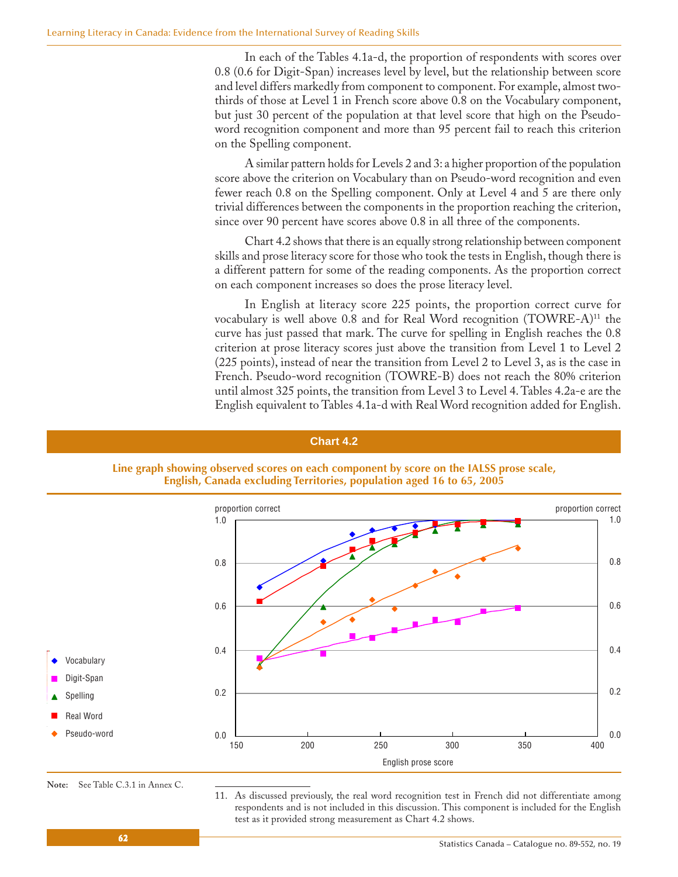In each of the Tables 4.1a-d, the proportion of respondents with scores over 0.8 (0.6 for Digit-Span) increases level by level, but the relationship between score and level differs markedly from component to component. For example, almost twothirds of those at Level 1 in French score above 0.8 on the Vocabulary component, but just 30 percent of the population at that level score that high on the Pseudoword recognition component and more than 95 percent fail to reach this criterion on the Spelling component.

A similar pattern holds for Levels 2 and 3: a higher proportion of the population score above the criterion on Vocabulary than on Pseudo-word recognition and even fewer reach 0.8 on the Spelling component. Only at Level 4 and 5 are there only trivial differences between the components in the proportion reaching the criterion, since over 90 percent have scores above 0.8 in all three of the components.

Chart 4.2 shows that there is an equally strong relationship between component skills and prose literacy score for those who took the tests in English, though there is a different pattern for some of the reading components. As the proportion correct on each component increases so does the prose literacy level.

In English at literacy score 225 points, the proportion correct curve for vocabulary is well above 0.8 and for Real Word recognition (TOWRE-A)11 the curve has just passed that mark. The curve for spelling in English reaches the 0.8 criterion at prose literacy scores just above the transition from Level 1 to Level 2 (225 points), instead of near the transition from Level 2 to Level 3, as is the case in French. Pseudo-word recognition (TOWRE-B) does not reach the 80% criterion until almost 325 points, the transition from Level 3 to Level 4. Tables 4.2a-e are the English equivalent to Tables 4.1a-d with Real Word recognition added for English.

#### **Chart 4.2**

**Line graph showing observed scores on each component by score on the IALSS prose scale, English, Canada excluding Territories, population aged 16 to 65, 2005**



**Note:** See Table C.3.1 in Annex C.

11. As discussed previously, the real word recognition test in French did not differentiate among respondents and is not included in this discussion. This component is included for the English test as it provided strong measurement as Chart 4.2 shows.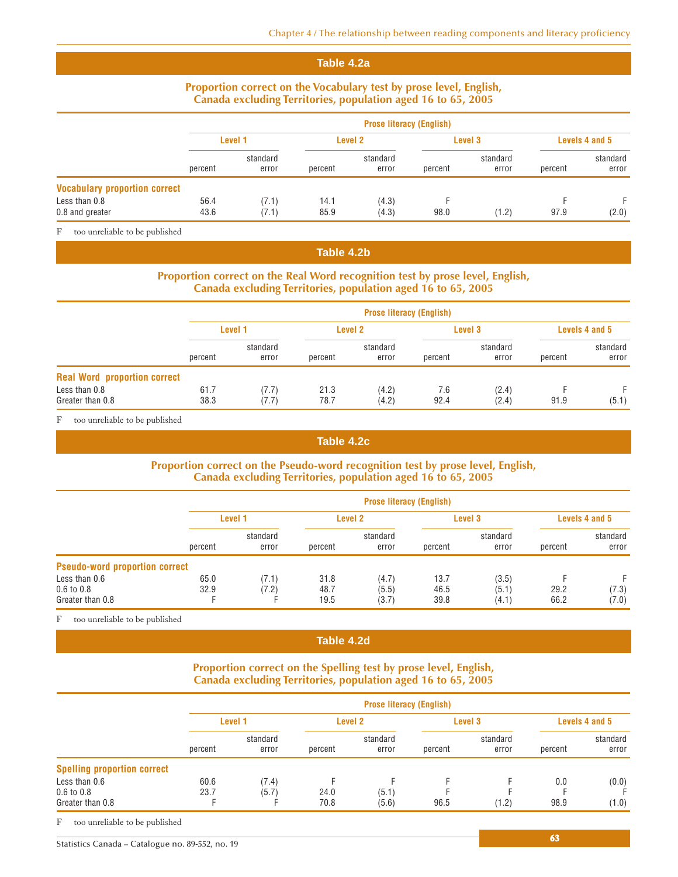#### **Table 4.2a**

**Proportion correct on the Vocabulary test by prose level, English, Canada excluding Territories, population aged 16 to 65, 2005**

|                                      |         | <b>Prose literacy (English)</b> |         |                    |         |                   |         |                   |  |  |
|--------------------------------------|---------|---------------------------------|---------|--------------------|---------|-------------------|---------|-------------------|--|--|
|                                      |         | Level 1                         |         | Level <sub>2</sub> |         | Level 3           |         | Levels 4 and 5    |  |  |
|                                      | percent | standard<br>error               | percent | standard<br>error  | percent | standard<br>error | percent | standard<br>error |  |  |
| <b>Vocabulary proportion correct</b> |         |                                 |         |                    |         |                   |         |                   |  |  |
| Less than 0.8                        | 56.4    | (7.1)                           | 14.1    | (4.3)              |         |                   |         | F.                |  |  |
| 0.8 and greater                      | 43.6    | (7.1)                           | 85.9    | (4.3)              | 98.0    | (1.2)             | 97.9    | (2.0)             |  |  |

F too unreliable to be published

#### **Table 4.2b**

## **Proportion correct on the Real Word recognition test by prose level, English, Canada excluding Territories, population aged 16 to 65, 2005**

|                                             | <b>Prose literacy (English)</b> |         |                   |         |                   |                |                   |  |  |
|---------------------------------------------|---------------------------------|---------|-------------------|---------|-------------------|----------------|-------------------|--|--|
| Level 1                                     |                                 | Level 2 |                   | Level 3 |                   | Levels 4 and 5 |                   |  |  |
| percent                                     | standard<br>error               | percent | standard<br>error | percent | standard<br>error | percent        | standard<br>error |  |  |
| <b>Real Word proportion correct</b><br>61.7 | (7.7)                           | 21.3    | (4.2)             | 7.6     | (2.4)             |                | (5.1)             |  |  |
|                                             | 38.3                            | (7.7)   | 78.7              | (4.2)   | 92.4              | (2.4)          | 91.9              |  |  |

F too unreliable to be published

**Table 4.2c**

#### **Proportion correct on the Pseudo-word recognition test by prose level, English, Canada excluding Territories, population aged 16 to 65, 2005**

|                                                     |              | <b>Prose literacy (English)</b> |                      |                         |                      |                         |              |                      |  |  |
|-----------------------------------------------------|--------------|---------------------------------|----------------------|-------------------------|----------------------|-------------------------|--------------|----------------------|--|--|
|                                                     |              | Level 1                         |                      | <b>Level 2</b>          |                      | Level 3                 |              | Levels 4 and 5       |  |  |
|                                                     | percent      | standard<br>error               | percent              | standard<br>error       | percent              | standard<br>error       | percent      | standard<br>error    |  |  |
| <b>Pseudo-word proportion correct</b>               |              |                                 |                      |                         |                      |                         |              |                      |  |  |
| Less than 0.6<br>$0.6$ to $0.8$<br>Greater than 0.8 | 65.0<br>32.9 | (7.1)<br>(7.2)                  | 31.8<br>48.7<br>19.5 | (4.7)<br>(5.5)<br>(3.7) | 13.7<br>46.5<br>39.8 | (3.5)<br>(5.1)<br>(4.1) | 29.2<br>66.2 | F.<br>(7.3)<br>(7.0) |  |  |

F too unreliable to be published

#### **Table 4.2d**

#### **Proportion correct on the Spelling test by prose level, English, Canada excluding Territories, population aged 16 to 65, 2005**

|                                    |         | <b>Prose literacy (English)</b> |         |                   |         |                   |         |                   |  |  |  |
|------------------------------------|---------|---------------------------------|---------|-------------------|---------|-------------------|---------|-------------------|--|--|--|
|                                    |         | Level 1                         |         | Level 2           |         | Level 3           |         | Levels 4 and 5    |  |  |  |
|                                    | percent | standard<br>error               | percent | standard<br>error | percent | standard<br>error | percent | standard<br>error |  |  |  |
| <b>Spelling proportion correct</b> |         |                                 |         |                   |         |                   |         |                   |  |  |  |
| Less than 0.6                      | 60.6    | (7.4)                           |         |                   |         |                   | 0.0     | (0.0)             |  |  |  |
| $0.6$ to $0.8$                     | 23.7    | (5.7)                           | 24.0    | (5.1)             |         |                   |         |                   |  |  |  |
| Greater than 0.8                   |         |                                 | 70.8    | (5.6)             | 96.5    | (1.2)             | 98.9    | (1.0)             |  |  |  |

F too unreliable to be published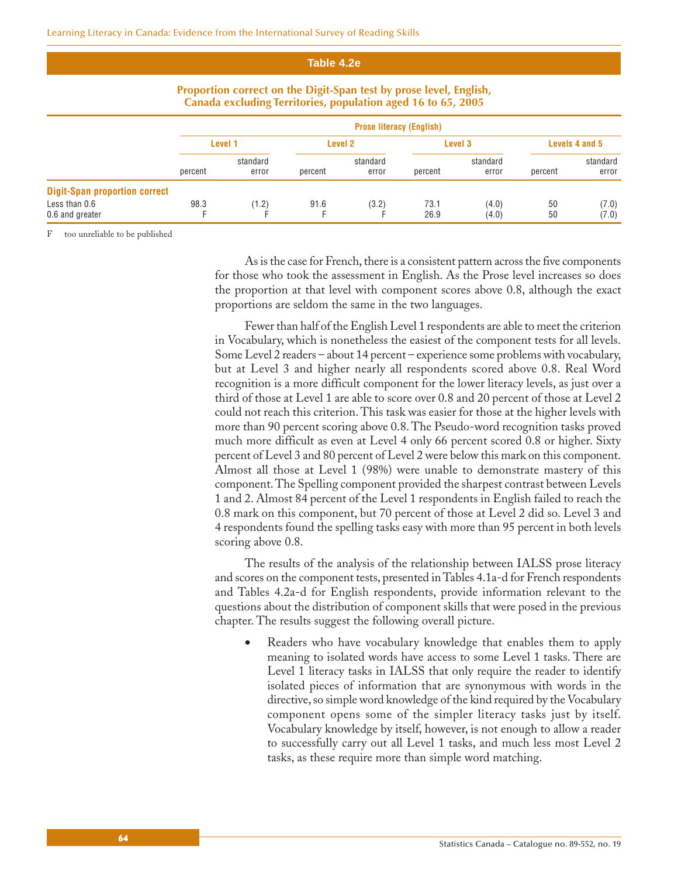|                                                                          |                                                                                                                                    |                   | Table 4.2e         |                   |              |                   |                |                   |  |  |  |  |
|--------------------------------------------------------------------------|------------------------------------------------------------------------------------------------------------------------------------|-------------------|--------------------|-------------------|--------------|-------------------|----------------|-------------------|--|--|--|--|
|                                                                          | Proportion correct on the Digit-Span test by prose level, English,<br>Canada excluding Territories, population aged 16 to 65, 2005 |                   |                    |                   |              |                   |                |                   |  |  |  |  |
|                                                                          | <b>Prose literacy (English)</b>                                                                                                    |                   |                    |                   |              |                   |                |                   |  |  |  |  |
|                                                                          | Level 1                                                                                                                            |                   | Level <sub>2</sub> |                   | Level 3      |                   | Levels 4 and 5 |                   |  |  |  |  |
|                                                                          | percent                                                                                                                            | standard<br>error | percent            | standard<br>error | percent      | standard<br>error | percent        | standard<br>error |  |  |  |  |
| <b>Digit-Span proportion correct</b><br>Less than 0.6<br>0.6 and greater | 98.3                                                                                                                               | (1.2)             | 91.6               | (3.2)             | 73.1<br>26.9 | (4.0)<br>(4.0)    | 50<br>50       | (7.0)<br>(7.0)    |  |  |  |  |

F too unreliable to be published

As is the case for French, there is a consistent pattern across the five components for those who took the assessment in English. As the Prose level increases so does the proportion at that level with component scores above 0.8, although the exact proportions are seldom the same in the two languages.

Fewer than half of the English Level 1 respondents are able to meet the criterion in Vocabulary, which is nonetheless the easiest of the component tests for all levels. Some Level 2 readers – about 14 percent – experience some problems with vocabulary, but at Level 3 and higher nearly all respondents scored above 0.8. Real Word recognition is a more difficult component for the lower literacy levels, as just over a third of those at Level 1 are able to score over 0.8 and 20 percent of those at Level 2 could not reach this criterion. This task was easier for those at the higher levels with more than 90 percent scoring above 0.8. The Pseudo-word recognition tasks proved much more difficult as even at Level 4 only 66 percent scored 0.8 or higher. Sixty percent of Level 3 and 80 percent of Level 2 were below this mark on this component. Almost all those at Level 1 (98%) were unable to demonstrate mastery of this component. The Spelling component provided the sharpest contrast between Levels 1 and 2. Almost 84 percent of the Level 1 respondents in English failed to reach the 0.8 mark on this component, but 70 percent of those at Level 2 did so. Level 3 and 4 respondents found the spelling tasks easy with more than 95 percent in both levels scoring above 0.8.

The results of the analysis of the relationship between IALSS prose literacy and scores on the component tests, presented in Tables 4.1a-d for French respondents and Tables 4.2a-d for English respondents, provide information relevant to the questions about the distribution of component skills that were posed in the previous chapter. The results suggest the following overall picture.

Readers who have vocabulary knowledge that enables them to apply meaning to isolated words have access to some Level 1 tasks. There are Level 1 literacy tasks in IALSS that only require the reader to identify isolated pieces of information that are synonymous with words in the directive, so simple word knowledge of the kind required by the Vocabulary component opens some of the simpler literacy tasks just by itself. Vocabulary knowledge by itself, however, is not enough to allow a reader to successfully carry out all Level 1 tasks, and much less most Level 2 tasks, as these require more than simple word matching.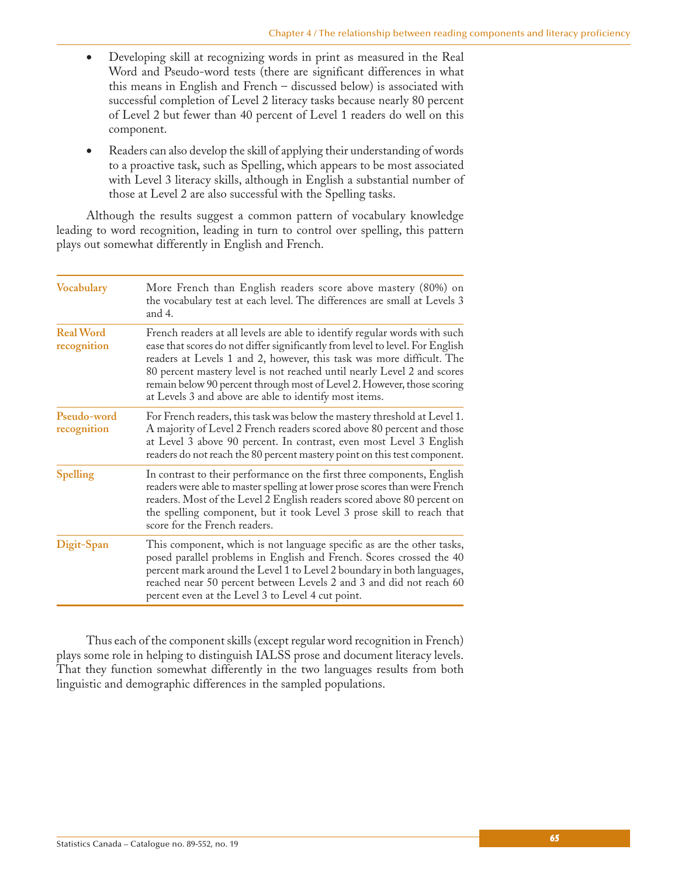- Developing skill at recognizing words in print as measured in the Real Word and Pseudo-word tests (there are significant differences in what this means in English and French – discussed below) is associated with successful completion of Level 2 literacy tasks because nearly 80 percent of Level 2 but fewer than 40 percent of Level 1 readers do well on this component.
- Readers can also develop the skill of applying their understanding of words to a proactive task, such as Spelling, which appears to be most associated with Level 3 literacy skills, although in English a substantial number of those at Level 2 are also successful with the Spelling tasks.

Although the results suggest a common pattern of vocabulary knowledge leading to word recognition, leading in turn to control over spelling, this pattern plays out somewhat differently in English and French.

| Vocabulary                      | More French than English readers score above mastery (80%) on<br>the vocabulary test at each level. The differences are small at Levels 3<br>and $4$ .                                                                                                                                                                                                                                                                                              |
|---------------------------------|-----------------------------------------------------------------------------------------------------------------------------------------------------------------------------------------------------------------------------------------------------------------------------------------------------------------------------------------------------------------------------------------------------------------------------------------------------|
| <b>Real Word</b><br>recognition | French readers at all levels are able to identify regular words with such<br>ease that scores do not differ significantly from level to level. For English<br>readers at Levels 1 and 2, however, this task was more difficult. The<br>80 percent mastery level is not reached until nearly Level 2 and scores<br>remain below 90 percent through most of Level 2. However, those scoring<br>at Levels 3 and above are able to identify most items. |
| Pseudo-word<br>recognition      | For French readers, this task was below the mastery threshold at Level 1.<br>A majority of Level 2 French readers scored above 80 percent and those<br>at Level 3 above 90 percent. In contrast, even most Level 3 English<br>readers do not reach the 80 percent mastery point on this test component.                                                                                                                                             |
| Spelling                        | In contrast to their performance on the first three components, English<br>readers were able to master spelling at lower prose scores than were French<br>readers. Most of the Level 2 English readers scored above 80 percent on<br>the spelling component, but it took Level 3 prose skill to reach that<br>score for the French readers.                                                                                                         |
| Digit-Span                      | This component, which is not language specific as are the other tasks,<br>posed parallel problems in English and French. Scores crossed the 40<br>percent mark around the Level 1 to Level 2 boundary in both languages,<br>reached near 50 percent between Levels 2 and 3 and did not reach 60<br>percent even at the Level 3 to Level 4 cut point.                                                                                                |

Thus each of the component skills (except regular word recognition in French) plays some role in helping to distinguish IALSS prose and document literacy levels. That they function somewhat differently in the two languages results from both linguistic and demographic differences in the sampled populations.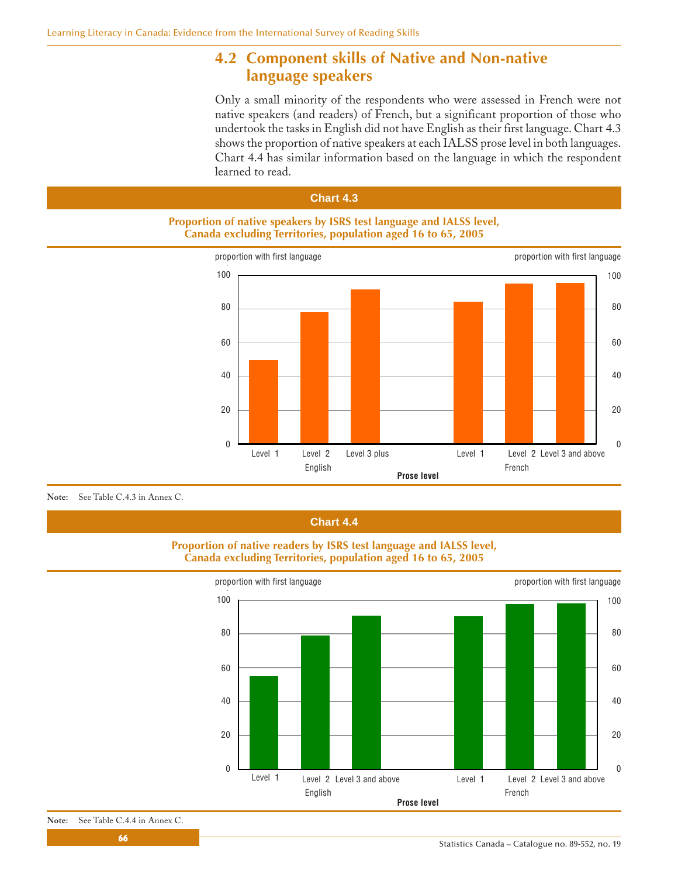# **4.2 Component skills of Native and Non-native language speakers**

Only a small minority of the respondents who were assessed in French were not native speakers (and readers) of French, but a significant proportion of those who undertook the tasks in English did not have English as their first language. Chart 4.3 shows the proportion of native speakers at each IALSS prose level in both languages. Chart 4.4 has similar information based on the language in which the respondent learned to read.

## **Chart 4.3**

## **Proportion of native speakers by ISRS test language and IALSS level, Canada excluding Territories, population aged 16 to 65, 2005**



**Note:** See Table C.4.3 in Annex C.

**Chart 4.4**

#### **Proportion of native readers by ISRS test language and IALSS level, Canada excluding Territories, population aged 16 to 65, 2005**



#### **Note:** See Table C.4.4 in Annex C.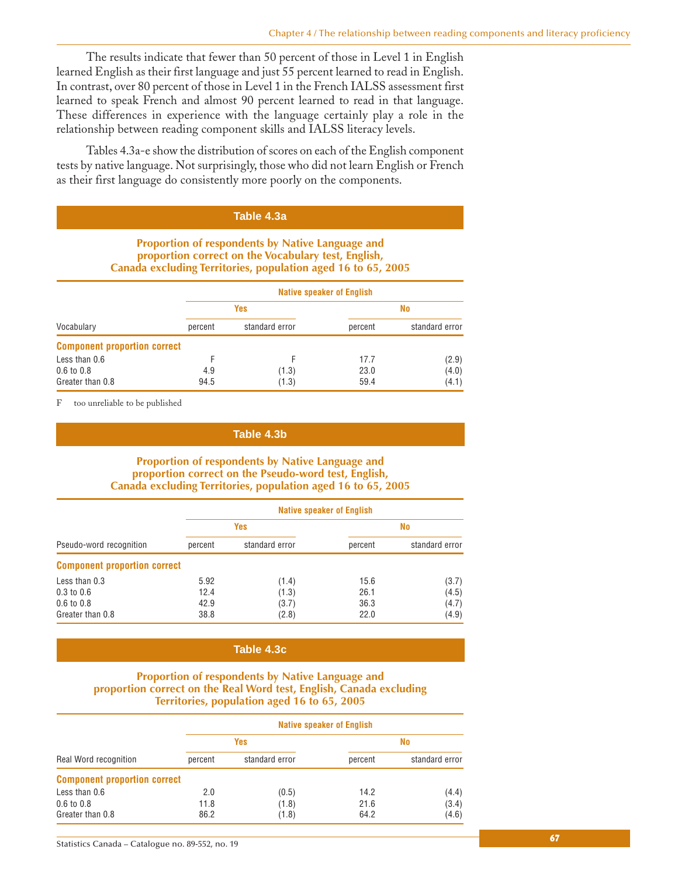The results indicate that fewer than 50 percent of those in Level 1 in English learned English as their first language and just 55 percent learned to read in English. In contrast, over 80 percent of those in Level 1 in the French IALSS assessment first learned to speak French and almost 90 percent learned to read in that language. These differences in experience with the language certainly play a role in the relationship between reading component skills and IALSS literacy levels.

Tables 4.3a-e show the distribution of scores on each of the English component tests by native language. Not surprisingly, those who did not learn English or French as their first language do consistently more poorly on the components.

# **Table 4.3a**

#### **Proportion of respondents by Native Language and proportion correct on the Vocabulary test, English, Canada excluding Territories, population aged 16 to 65, 2005**

| Vocabulary                          |         | <b>Native speaker of English</b> |         |                |  |  |
|-------------------------------------|---------|----------------------------------|---------|----------------|--|--|
|                                     |         | <b>Yes</b>                       | No      |                |  |  |
|                                     | percent | standard error                   | percent | standard error |  |  |
| <b>Component proportion correct</b> |         |                                  |         |                |  |  |
| Less than 0.6                       | F       |                                  | 17.7    | (2.9)          |  |  |
| $0.6$ to $0.8$                      | 4.9     | (1.3)                            | 23.0    | (4.0)          |  |  |
| Greater than 0.8                    | 94.5    | (1.3)                            | 59.4    | (4.1)          |  |  |

F too unreliable to be published

## **Table 4.3b**

## **Proportion of respondents by Native Language and proportion correct on the Pseudo-word test, English, Canada excluding Territories, population aged 16 to 65, 2005**

|                                     |         | <b>Native speaker of English</b> |         |                |  |  |
|-------------------------------------|---------|----------------------------------|---------|----------------|--|--|
|                                     |         | Yes                              |         | <b>No</b>      |  |  |
| Pseudo-word recognition             | percent | standard error                   | percent | standard error |  |  |
| <b>Component proportion correct</b> |         |                                  |         |                |  |  |
| Less than 0.3                       | 5.92    | (1.4)                            | 15.6    | (3.7)          |  |  |
| $0.3 \text{ to } 0.6$               | 12.4    | (1.3)                            | 26.1    | (4.5)          |  |  |
| $0.6 \text{ to } 0.8$               | 42.9    | (3.7)                            | 36.3    | (4.7)          |  |  |
| Greater than 0.8                    | 38.8    | (2.8)                            | 22.0    | (4.9)          |  |  |

#### **Table 4.3c**

### **Proportion of respondents by Native Language and proportion correct on the Real Word test, English, Canada excluding Territories, population aged 16 to 65, 2005**

|                                     |         | <b>Native speaker of English</b> |         |                |  |  |
|-------------------------------------|---------|----------------------------------|---------|----------------|--|--|
|                                     |         | <b>Yes</b>                       | No      |                |  |  |
| Real Word recognition               | percent | standard error                   | percent | standard error |  |  |
| <b>Component proportion correct</b> |         |                                  |         |                |  |  |
| Less than 0.6                       | 2.0     | (0.5)                            | 14.2    | (4.4)          |  |  |
| $0.6 \text{ to } 0.8$               | 11.8    | (1.8)                            | 21.6    | (3.4)          |  |  |
| Greater than 0.8                    | 86.2    | (1.8)                            | 64.2    | (4.6)          |  |  |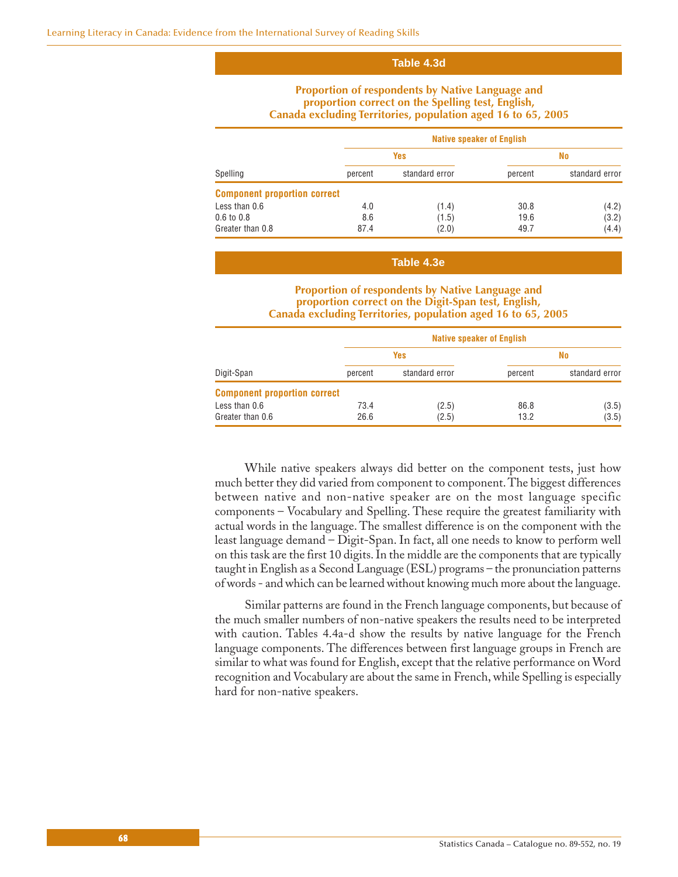#### **Table 4.3d**

#### **Proportion of respondents by Native Language and proportion correct on the Spelling test, English, Canada excluding Territories, population aged 16 to 65, 2005**

| Spelling                            |         | <b>Native speaker of English</b> |         |                |  |  |  |
|-------------------------------------|---------|----------------------------------|---------|----------------|--|--|--|
|                                     |         | Yes                              | No      |                |  |  |  |
|                                     | percent | standard error                   | percent | standard error |  |  |  |
| <b>Component proportion correct</b> |         |                                  |         |                |  |  |  |
| Less than 0.6                       | 4.0     | (1.4)                            | 30.8    | (4.2)          |  |  |  |
| $0.6$ to $0.8$                      | 8.6     | (1.5)                            | 19.6    | (3.2)          |  |  |  |
| Greater than 0.8                    | 87.4    | (2.0)                            | 49.7    | (4.4)          |  |  |  |

#### **Table 4.3e**

#### **Proportion of respondents by Native Language and proportion correct on the Digit-Span test, English, Canada excluding Territories, population aged 16 to 65, 2005**

|                                     |         | <b>Native speaker of English</b> |         |                |  |  |
|-------------------------------------|---------|----------------------------------|---------|----------------|--|--|
|                                     |         | <b>Yes</b>                       | No      |                |  |  |
| Digit-Span                          | percent | standard error                   | percent | standard error |  |  |
| <b>Component proportion correct</b> |         |                                  |         |                |  |  |
| Less than 0.6                       | 73.4    | (2.5)                            | 86.8    | (3.5)          |  |  |
| Greater than 0.6                    | 26.6    | (2.5)                            | 13.2    | (3.5)          |  |  |

While native speakers always did better on the component tests, just how much better they did varied from component to component. The biggest differences between native and non-native speaker are on the most language specific components – Vocabulary and Spelling. These require the greatest familiarity with actual words in the language. The smallest difference is on the component with the least language demand – Digit-Span. In fact, all one needs to know to perform well on this task are the first 10 digits. In the middle are the components that are typically taught in English as a Second Language (ESL) programs – the pronunciation patterns of words - and which can be learned without knowing much more about the language.

Similar patterns are found in the French language components, but because of the much smaller numbers of non-native speakers the results need to be interpreted with caution. Tables 4.4a-d show the results by native language for the French language components. The differences between first language groups in French are similar to what was found for English, except that the relative performance on Word recognition and Vocabulary are about the same in French, while Spelling is especially hard for non-native speakers.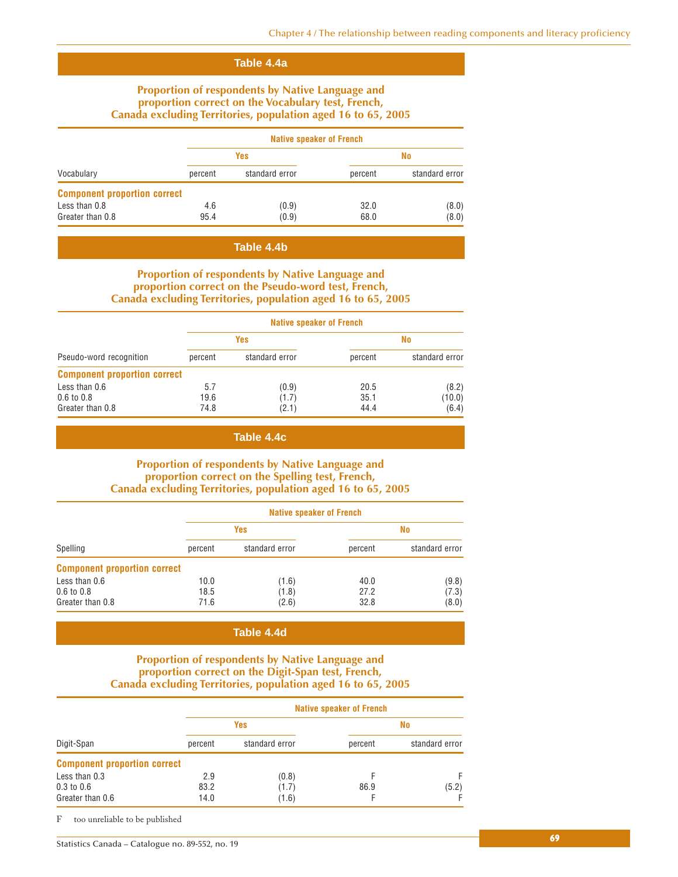#### **Table 4.4a**

#### **Proportion of respondents by Native Language and proportion correct on the Vocabulary test, French, Canada excluding Territories, population aged 16 to 65, 2005**

|                                     |         | <b>Native speaker of French</b> |         |                |  |  |
|-------------------------------------|---------|---------------------------------|---------|----------------|--|--|
|                                     |         | Yes                             | No      |                |  |  |
| Vocabulary                          | percent | standard error                  | percent | standard error |  |  |
| <b>Component proportion correct</b> |         |                                 |         |                |  |  |
| Less than 0.8                       | 4.6     | (0.9)                           | 32.0    | (8.0)          |  |  |
| Greater than 0.8                    | 95.4    | (0.9)                           | 68.0    | (8.0)          |  |  |

**Table 4.4b**

#### **Proportion of respondents by Native Language and proportion correct on the Pseudo-word test, French, Canada excluding Territories, population aged 16 to 65, 2005**

|                                     |         | <b>Native speaker of French</b> |         |                |  |  |
|-------------------------------------|---------|---------------------------------|---------|----------------|--|--|
|                                     |         | Yes                             |         | No             |  |  |
| Pseudo-word recognition             | percent | standard error                  | percent | standard error |  |  |
| <b>Component proportion correct</b> |         |                                 |         |                |  |  |
| Less than 0.6                       | 5.7     | (0.9)                           | 20.5    | (8.2)          |  |  |
| $0.6 \text{ to } 0.8$               | 19.6    | (1.7)                           | 35.1    | (10.0)         |  |  |
| Greater than 0.8                    | 74.8    | (2.1)                           | 44.4    | (6.4)          |  |  |

**Table 4.4c**

#### **Proportion of respondents by Native Language and proportion correct on the Spelling test, French, Canada excluding Territories, population aged 16 to 65, 2005**

|                                     |         | <b>Native speaker of French</b> |         |                |  |  |
|-------------------------------------|---------|---------------------------------|---------|----------------|--|--|
|                                     |         | Yes                             | No      |                |  |  |
| Spelling                            | percent | standard error                  | percent | standard error |  |  |
| <b>Component proportion correct</b> |         |                                 |         |                |  |  |
| Less than 0.6                       | 10.0    | (1.6)                           | 40.0    | (9.8)          |  |  |
| $0.6$ to $0.8$                      | 18.5    | (1.8)                           | 27.2    | (7.3)          |  |  |
| Greater than 0.8                    | 71.6    | (2.6)                           | 32.8    | (8.0)          |  |  |

**Table 4.4d**

#### **Proportion of respondents by Native Language and proportion correct on the Digit-Span test, French, Canada excluding Territories, population aged 16 to 65, 2005**

|                                     |         |                | <b>Native speaker of French</b> |                |  |
|-------------------------------------|---------|----------------|---------------------------------|----------------|--|
|                                     | Yes     |                | No.                             |                |  |
| Digit-Span                          | percent | standard error | percent                         | standard error |  |
| <b>Component proportion correct</b> |         |                |                                 |                |  |
| Less than 0.3                       | 2.9     | (0.8)          |                                 |                |  |
| $0.3$ to $0.6$                      | 83.2    | (1.7)          | 86.9                            | (5.2)          |  |
| Greater than 0.6                    | 14.0    | (1.6)          |                                 |                |  |

F too unreliable to be published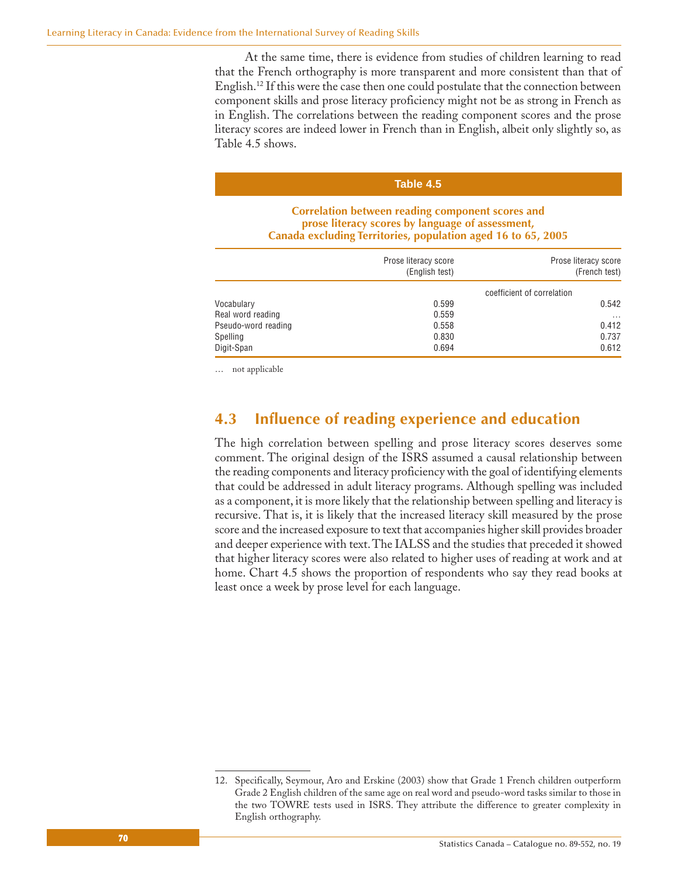At the same time, there is evidence from studies of children learning to read that the French orthography is more transparent and more consistent than that of English.12 If this were the case then one could postulate that the connection between component skills and prose literacy proficiency might not be as strong in French as in English. The correlations between the reading component scores and the prose literacy scores are indeed lower in French than in English, albeit only slightly so, as Table 4.5 shows.

#### **Table 4.5**

#### **Correlation between reading component scores and prose literacy scores by language of assessment, Canada excluding Territories, population aged 16 to 65, 2005**

|                     | Prose literacy score<br>(English test) | Prose literacy score<br>(French test) |
|---------------------|----------------------------------------|---------------------------------------|
|                     |                                        | coefficient of correlation            |
| Vocabulary          | 0.599                                  | 0.542                                 |
| Real word reading   | 0.559                                  | $\cdots$                              |
| Pseudo-word reading | 0.558                                  | 0.412                                 |
| Spelling            | 0.830                                  | 0.737                                 |
| Digit-Span          | 0.694                                  | 0.612                                 |

… not applicable

# **4.3 Influence of reading experience and education**

The high correlation between spelling and prose literacy scores deserves some comment. The original design of the ISRS assumed a causal relationship between the reading components and literacy proficiency with the goal of identifying elements that could be addressed in adult literacy programs. Although spelling was included as a component, it is more likely that the relationship between spelling and literacy is recursive. That is, it is likely that the increased literacy skill measured by the prose score and the increased exposure to text that accompanies higher skill provides broader and deeper experience with text. The IALSS and the studies that preceded it showed that higher literacy scores were also related to higher uses of reading at work and at home. Chart 4.5 shows the proportion of respondents who say they read books at least once a week by prose level for each language.

<sup>12.</sup> Specifically, Seymour, Aro and Erskine (2003) show that Grade 1 French children outperform Grade 2 English children of the same age on real word and pseudo-word tasks similar to those in the two TOWRE tests used in ISRS. They attribute the difference to greater complexity in English orthography.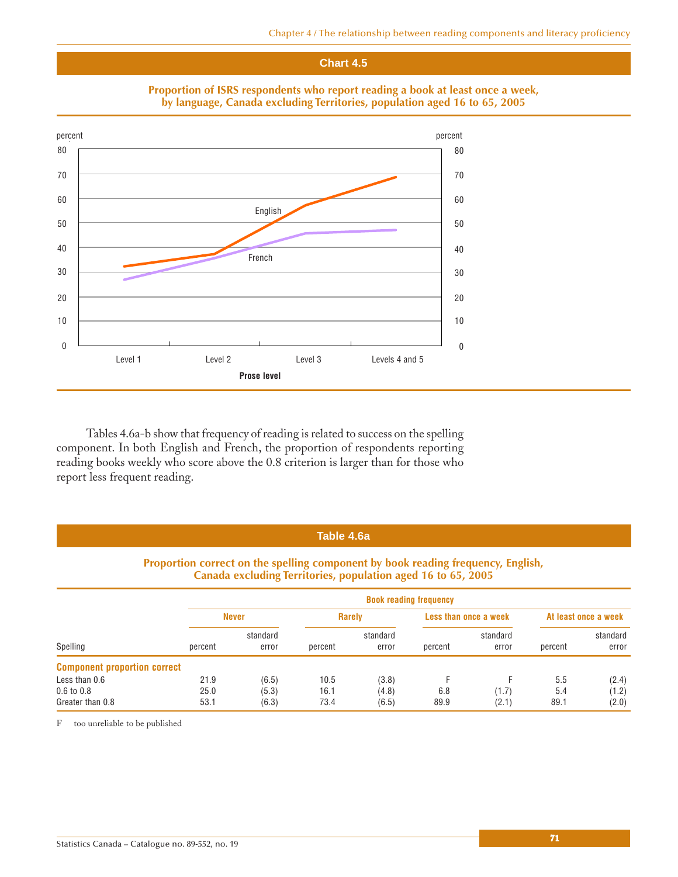**Chart 4.5**





Tables 4.6a-b show that frequency of reading is related to success on the spelling component. In both English and French, the proportion of respondents reporting reading books weekly who score above the 0.8 criterion is larger than for those who report less frequent reading.

## **Table 4.6a**

#### **Proportion correct on the spelling component by book reading frequency, English, Canada excluding Territories, population aged 16 to 65, 2005**

|                                     |         | <b>Book reading frequency</b> |         |                   |         |                       |         |                      |
|-------------------------------------|---------|-------------------------------|---------|-------------------|---------|-----------------------|---------|----------------------|
|                                     |         | <b>Never</b>                  |         | <b>Rarely</b>     |         | Less than once a week |         | At least once a week |
| Spelling                            | percent | standard<br>error             | percent | standard<br>error | percent | standard<br>error     | percent | standard<br>error    |
| <b>Component proportion correct</b> |         |                               |         |                   |         |                       |         |                      |
| Less than 0.6                       | 21.9    | (6.5)                         | 10.5    | (3.8)             |         |                       | 5.5     | (2.4)                |
| $0.6$ to $0.8$                      | 25.0    | (5.3)                         | 16.1    | (4.8)             | 6.8     | (1.7)                 | 5.4     | (1.2)                |
| Greater than 0.8                    | 53.1    | (6.3)                         | 73.4    | (6.5)             | 89.9    | (2.1)                 | 89.1    | (2.0)                |

F too unreliable to be published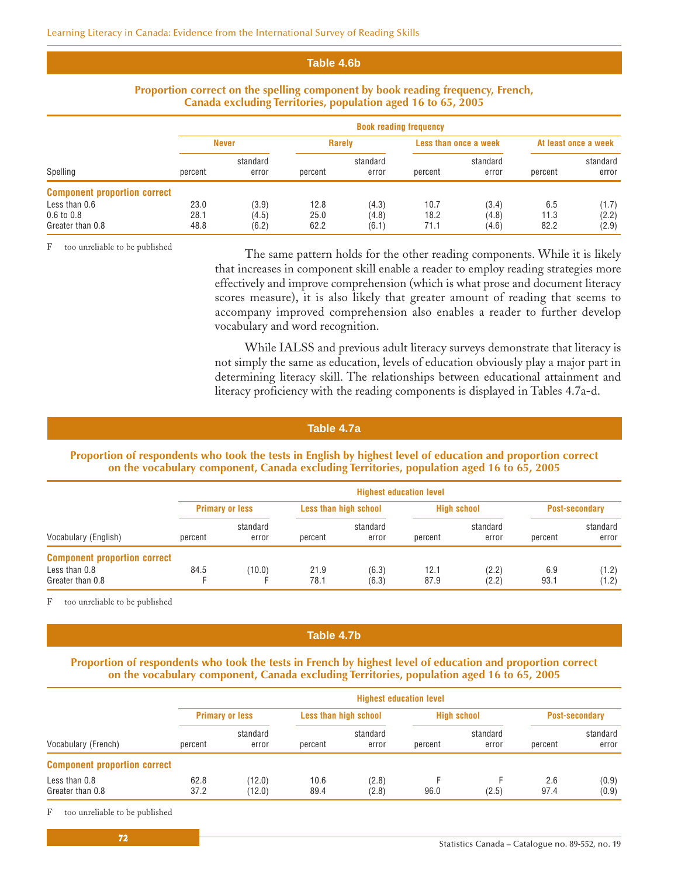#### **Table 4.6b**

#### **Proportion correct on the spelling component by book reading frequency, French, Canada excluding Territories, population aged 16 to 65, 2005**

| Spelling                            |              | <b>Book reading frequency</b> |               |                   |                       |                   |                      |                   |  |  |
|-------------------------------------|--------------|-------------------------------|---------------|-------------------|-----------------------|-------------------|----------------------|-------------------|--|--|
|                                     | <b>Never</b> |                               | <b>Rarely</b> |                   | Less than once a week |                   | At least once a week |                   |  |  |
|                                     | percent      | standard<br>error             | percent       | standard<br>error | percent               | standard<br>error | percent              | standard<br>error |  |  |
| <b>Component proportion correct</b> |              |                               |               |                   |                       |                   |                      |                   |  |  |
| Less than 0.6<br>$0.6$ to $0.8$     | 23.0<br>28.1 | (3.9)<br>(4.5)                | 12.8<br>25.0  | (4.3)<br>(4.8)    | 10.7<br>18.2          | (3.4)<br>(4.8)    | 6.5<br>11.3          | (1.7)<br>(2.2)    |  |  |
| Greater than 0.8                    | 48.8         | (6.2)                         | 62.2          | (6.1)             | 71.1                  | (4.6)             | 82.2                 | (2.9)             |  |  |

F too unreliable to be published

The same pattern holds for the other reading components. While it is likely that increases in component skill enable a reader to employ reading strategies more effectively and improve comprehension (which is what prose and document literacy scores measure), it is also likely that greater amount of reading that seems to accompany improved comprehension also enables a reader to further develop vocabulary and word recognition.

While IALSS and previous adult literacy surveys demonstrate that literacy is not simply the same as education, levels of education obviously play a major part in determining literacy skill. The relationships between educational attainment and literacy proficiency with the reading components is displayed in Tables 4.7a-d.

#### **Table 4.7a**

#### **Proportion of respondents who took the tests in English by highest level of education and proportion correct on the vocabulary component, Canada excluding Territories, population aged 16 to 65, 2005**

|                                                                          | <b>Highest education level</b> |                   |                       |                   |                    |                   |                       |                   |
|--------------------------------------------------------------------------|--------------------------------|-------------------|-----------------------|-------------------|--------------------|-------------------|-----------------------|-------------------|
|                                                                          | <b>Primary or less</b>         |                   | Less than high school |                   | <b>High school</b> |                   | <b>Post-secondary</b> |                   |
| Vocabulary (English)                                                     | percent                        | standard<br>error | percent               | standard<br>error | percent            | standard<br>error | percent               | standard<br>error |
| <b>Component proportion correct</b><br>Less than 0.8<br>Greater than 0.8 | 84.5                           | (10.0)            | 21.9<br>78.1          | (6.3)<br>(6.3)    | 12.1<br>87.9       | (2.2)<br>(2.2)    | 6.9<br>93.1           | (1.2)<br>(1.2)    |

F too unreliable to be published

#### **Table 4.7b**

#### **Proportion of respondents who took the tests in French by highest level of education and proportion correct on the vocabulary component, Canada excluding Territories, population aged 16 to 65, 2005**

|                                     | <b>Highest education level</b> |                   |                              |                   |                    |                   |                       |                   |  |
|-------------------------------------|--------------------------------|-------------------|------------------------------|-------------------|--------------------|-------------------|-----------------------|-------------------|--|
|                                     | <b>Primary or less</b>         |                   | <b>Less than high school</b> |                   | <b>High school</b> |                   | <b>Post-secondary</b> |                   |  |
| Vocabulary (French)                 | percent                        | standard<br>error | percent                      | standard<br>error | percent            | standard<br>error | percent               | standard<br>error |  |
| <b>Component proportion correct</b> |                                |                   |                              |                   |                    |                   |                       |                   |  |
| Less than 0.8<br>Greater than 0.8   | 62.8<br>37.2                   | (12.0)<br>(12.0)  | 10.6<br>89.4                 | (2.8)<br>(2.8)    | 96.0               | (2.5)             | 2.6<br>97.4           | (0.9)<br>(0.9)    |  |

F too unreliable to be published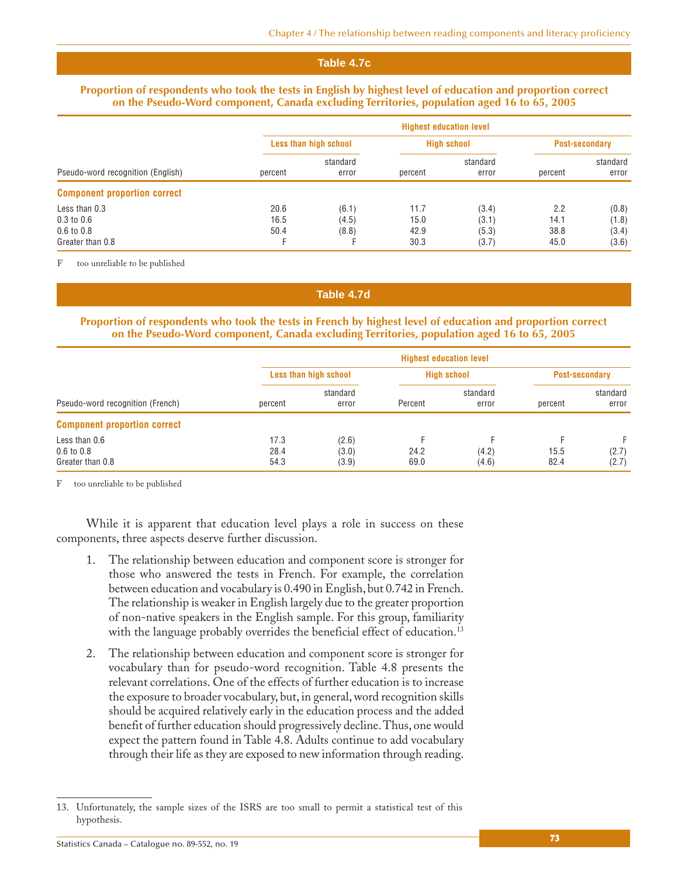#### **Table 4.7c**

#### **Proportion of respondents who took the tests in English by highest level of education and proportion correct on the Pseudo-Word component, Canada excluding Territories, population aged 16 to 65, 2005**

|                                     | <b>Highest education level</b> |                   |                    |                   |                       |                   |  |  |
|-------------------------------------|--------------------------------|-------------------|--------------------|-------------------|-----------------------|-------------------|--|--|
|                                     | <b>Less than high school</b>   |                   | <b>High school</b> |                   | <b>Post-secondary</b> |                   |  |  |
| Pseudo-word recognition (English)   | percent                        | standard<br>error | percent            | standard<br>error | percent               | standard<br>error |  |  |
| <b>Component proportion correct</b> |                                |                   |                    |                   |                       |                   |  |  |
| Less than 0.3                       | 20.6                           | (6.1)             | 11.7               | (3.4)             | 2.2                   | (0.8)             |  |  |
| $0.3 \text{ to } 0.6$               | 16.5                           | (4.5)             | 15.0               | (3.1)             | 14.1                  | (1.8)             |  |  |
| $0.6 \text{ to } 0.8$               | 50.4                           | (8.8)             | 42.9               | (5.3)             | 38.8                  | (3.4)             |  |  |
| Greater than 0.8                    |                                |                   | 30.3               | (3.7)             | 45.0                  | (3.6)             |  |  |

too unreliable to be published

#### **Table 4.7d**

#### **Proportion of respondents who took the tests in French by highest level of education and proportion correct on the Pseudo-Word component, Canada excluding Territories, population aged 16 to 65, 2005**

|                                                            | <b>Highest education level</b> |                         |                    |                   |                       |                      |  |  |
|------------------------------------------------------------|--------------------------------|-------------------------|--------------------|-------------------|-----------------------|----------------------|--|--|
|                                                            | <b>Less than high school</b>   |                         | <b>High school</b> |                   | <b>Post-secondary</b> |                      |  |  |
| Pseudo-word recognition (French)                           | percent                        | standard<br>error       | Percent            | standard<br>error | percent               | standard<br>error    |  |  |
| <b>Component proportion correct</b>                        |                                |                         |                    |                   |                       |                      |  |  |
| Less than 0.6<br>$0.6 \text{ to } 0.8$<br>Greater than 0.8 | 17.3<br>28.4<br>54.3           | (2.6)<br>(3.0)<br>(3.9) | 24.2<br>69.0       | (4.2)<br>(4.6)    | 15.5<br>82.4          | F.<br>(2.7)<br>(2.7) |  |  |

F too unreliable to be published

While it is apparent that education level plays a role in success on these components, three aspects deserve further discussion.

- 1. The relationship between education and component score is stronger for those who answered the tests in French. For example, the correlation between education and vocabulary is 0.490 in English, but 0.742 in French. The relationship is weaker in English largely due to the greater proportion of non-native speakers in the English sample. For this group, familiarity with the language probably overrides the beneficial effect of education.<sup>13</sup>
- 2. The relationship between education and component score is stronger for vocabulary than for pseudo-word recognition. Table 4.8 presents the relevant correlations. One of the effects of further education is to increase the exposure to broader vocabulary, but, in general, word recognition skills should be acquired relatively early in the education process and the added benefit of further education should progressively decline. Thus, one would expect the pattern found in Table 4.8. Adults continue to add vocabulary through their life as they are exposed to new information through reading.

<sup>13.</sup> Unfortunately, the sample sizes of the ISRS are too small to permit a statistical test of this hypothesis.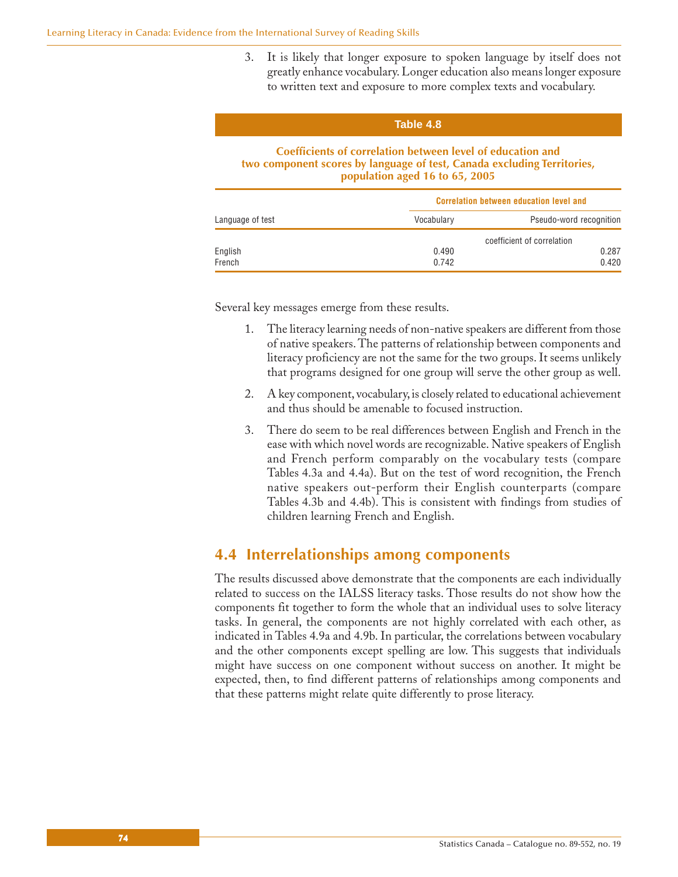3. It is likely that longer exposure to spoken language by itself does not greatly enhance vocabulary. Longer education also means longer exposure to written text and exposure to more complex texts and vocabulary.

| Table 4.8                                                                                                                                                               |            |                                                |  |  |  |  |  |
|-------------------------------------------------------------------------------------------------------------------------------------------------------------------------|------------|------------------------------------------------|--|--|--|--|--|
| Coefficients of correlation between level of education and<br>two component scores by language of test, Canada excluding Territories,<br>population aged 16 to 65, 2005 |            |                                                |  |  |  |  |  |
|                                                                                                                                                                         |            | <b>Correlation between education level and</b> |  |  |  |  |  |
| Language of test                                                                                                                                                        | Vocabulary | Pseudo-word recognition                        |  |  |  |  |  |
|                                                                                                                                                                         |            | coefficient of correlation                     |  |  |  |  |  |
| English                                                                                                                                                                 | 0.490      | 0.287                                          |  |  |  |  |  |
| French                                                                                                                                                                  | 0.742      | 0.420                                          |  |  |  |  |  |

Several key messages emerge from these results.

- 1. The literacy learning needs of non-native speakers are different from those of native speakers. The patterns of relationship between components and literacy proficiency are not the same for the two groups. It seems unlikely that programs designed for one group will serve the other group as well.
- 2. A key component, vocabulary, is closely related to educational achievement and thus should be amenable to focused instruction.
- 3. There do seem to be real differences between English and French in the ease with which novel words are recognizable. Native speakers of English and French perform comparably on the vocabulary tests (compare Tables 4.3a and 4.4a). But on the test of word recognition, the French native speakers out-perform their English counterparts (compare Tables 4.3b and 4.4b). This is consistent with findings from studies of children learning French and English.

## **4.4 Interrelationships among components**

The results discussed above demonstrate that the components are each individually related to success on the IALSS literacy tasks. Those results do not show how the components fit together to form the whole that an individual uses to solve literacy tasks. In general, the components are not highly correlated with each other, as indicated in Tables 4.9a and 4.9b. In particular, the correlations between vocabulary and the other components except spelling are low. This suggests that individuals might have success on one component without success on another. It might be expected, then, to find different patterns of relationships among components and that these patterns might relate quite differently to prose literacy.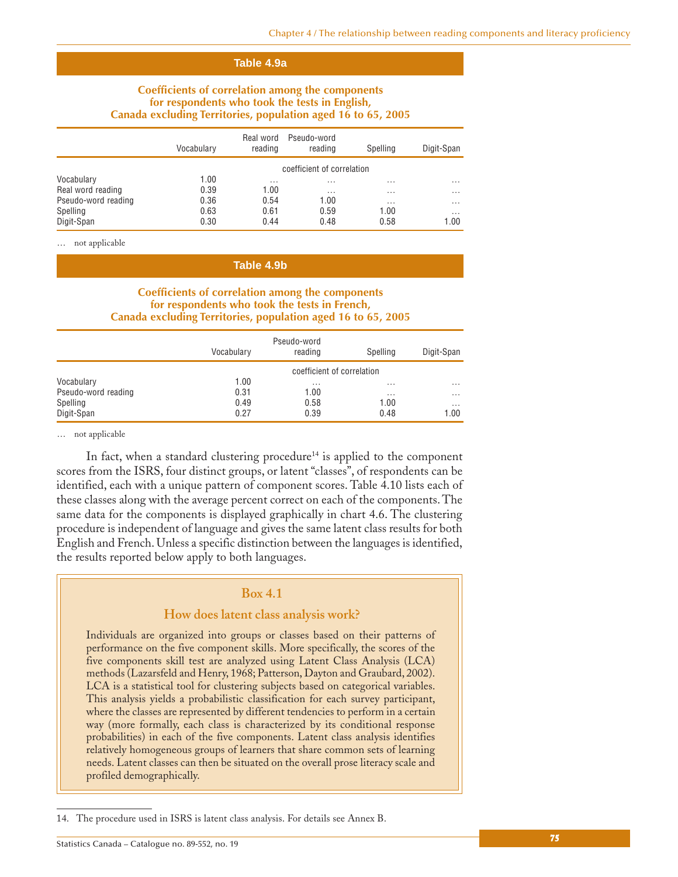#### **Table 4.9a**

#### **Coefficients of correlation among the components for respondents who took the tests in English, Canada excluding Territories, population aged 16 to 65, 2005**

|                     | Vocabulary | Real word<br>reading       | Pseudo-word<br>reading | Spelling | Digit-Span |  |  |  |  |
|---------------------|------------|----------------------------|------------------------|----------|------------|--|--|--|--|
|                     |            | coefficient of correlation |                        |          |            |  |  |  |  |
| Vocabulary          | 1.00       | $\cdots$                   | $\cdots$               | $\cdots$ | $\cdots$   |  |  |  |  |
| Real word reading   | 0.39       | 1.00                       | $\cdots$               | $\cdots$ | $\cdots$   |  |  |  |  |
| Pseudo-word reading | 0.36       | 0.54                       | 1.00                   | $\cdots$ | $\cdots$   |  |  |  |  |
| Spelling            | 0.63       | 0.61                       | 0.59                   | 1.00     | $\cdots$   |  |  |  |  |
| Digit-Span          | 0.30       | 0.44                       | 0.48                   | 0.58     | 1.00       |  |  |  |  |

… not applicable

#### **Table 4.9b**

#### **Coefficients of correlation among the components for respondents who took the tests in French, Canada excluding Territories, population aged 16 to 65, 2005**

|                     | Vocabulary                 | Pseudo-word<br>reading | Spelling | Digit-Span |  |  |  |  |
|---------------------|----------------------------|------------------------|----------|------------|--|--|--|--|
|                     | coefficient of correlation |                        |          |            |  |  |  |  |
| Vocabulary          | 1.00                       | $\cdots$               | $\cdots$ | $\cdots$   |  |  |  |  |
| Pseudo-word reading | 0.31                       | 1.00                   | $\cdots$ | $\cdots$   |  |  |  |  |
| Spelling            | 0.49                       | 0.58                   | 1.00     | $\cdots$   |  |  |  |  |
| Digit-Span          | 0.27                       | 0.39                   | 0.48     | 1.00       |  |  |  |  |

… not applicable

In fact, when a standard clustering procedure<sup>14</sup> is applied to the component scores from the ISRS, four distinct groups, or latent "classes", of respondents can be identified, each with a unique pattern of component scores. Table 4.10 lists each of these classes along with the average percent correct on each of the components. The same data for the components is displayed graphically in chart 4.6. The clustering procedure is independent of language and gives the same latent class results for both English and French. Unless a specific distinction between the languages is identified, the results reported below apply to both languages.

#### **Box 4.1**

#### **How does latent class analysis work?**

Individuals are organized into groups or classes based on their patterns of performance on the five component skills. More specifically, the scores of the five components skill test are analyzed using Latent Class Analysis (LCA) methods (Lazarsfeld and Henry, 1968; Patterson, Dayton and Graubard, 2002). LCA is a statistical tool for clustering subjects based on categorical variables. This analysis yields a probabilistic classification for each survey participant, where the classes are represented by different tendencies to perform in a certain way (more formally, each class is characterized by its conditional response probabilities) in each of the five components. Latent class analysis identifies relatively homogeneous groups of learners that share common sets of learning needs. Latent classes can then be situated on the overall prose literacy scale and profiled demographically.

<sup>14.</sup> The procedure used in ISRS is latent class analysis. For details see Annex B.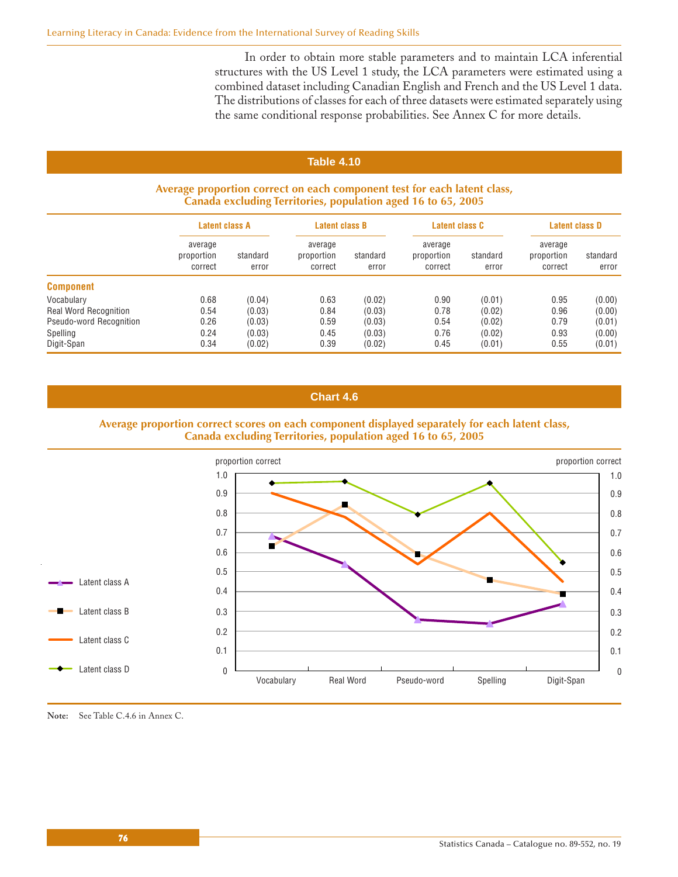In order to obtain more stable parameters and to maintain LCA inferential structures with the US Level 1 study, the LCA parameters were estimated using a combined dataset including Canadian English and French and the US Level 1 data. The distributions of classes for each of three datasets were estimated separately using the same conditional response probabilities. See Annex C for more details.

#### **Table 4.10**

#### **Average proportion correct on each component test for each latent class, Canada excluding Territories, population aged 16 to 65, 2005**

|                              | Latent class A                   |                   |                                  | Latent class B    |                                  | Latent class C    |                                  | Latent class D    |  |
|------------------------------|----------------------------------|-------------------|----------------------------------|-------------------|----------------------------------|-------------------|----------------------------------|-------------------|--|
|                              | average<br>proportion<br>correct | standard<br>error | average<br>proportion<br>correct | standard<br>error | average<br>proportion<br>correct | standard<br>error | average<br>proportion<br>correct | standard<br>error |  |
| <b>Component</b>             |                                  |                   |                                  |                   |                                  |                   |                                  |                   |  |
| Vocabulary                   | 0.68                             | (0.04)            | 0.63                             | (0.02)            | 0.90                             | (0.01)            | 0.95                             | (0.00)            |  |
| <b>Real Word Recognition</b> | 0.54                             | (0.03)            | 0.84                             | (0.03)            | 0.78                             | (0.02)            | 0.96                             | (0.00)            |  |
| Pseudo-word Recognition      | 0.26                             | (0.03)            | 0.59                             | (0.03)            | 0.54                             | (0.02)            | 0.79                             | (0.01)            |  |
| Spelling                     | 0.24                             | (0.03)            | 0.45                             | (0.03)            | 0.76                             | (0.02)            | 0.93                             | (0.00)            |  |
| Digit-Span                   | 0.34                             | (0.02)            | 0.39                             | (0.02)            | 0.45                             | (0.01)            | 0.55                             | (0.01)            |  |

**Chart 4.6**

#### **Average proportion correct scores on each component displayed separately for each latent class, Canada excluding Territories, population aged 16 to 65, 2005**



**Note:** See Table C.4.6 in Annex C.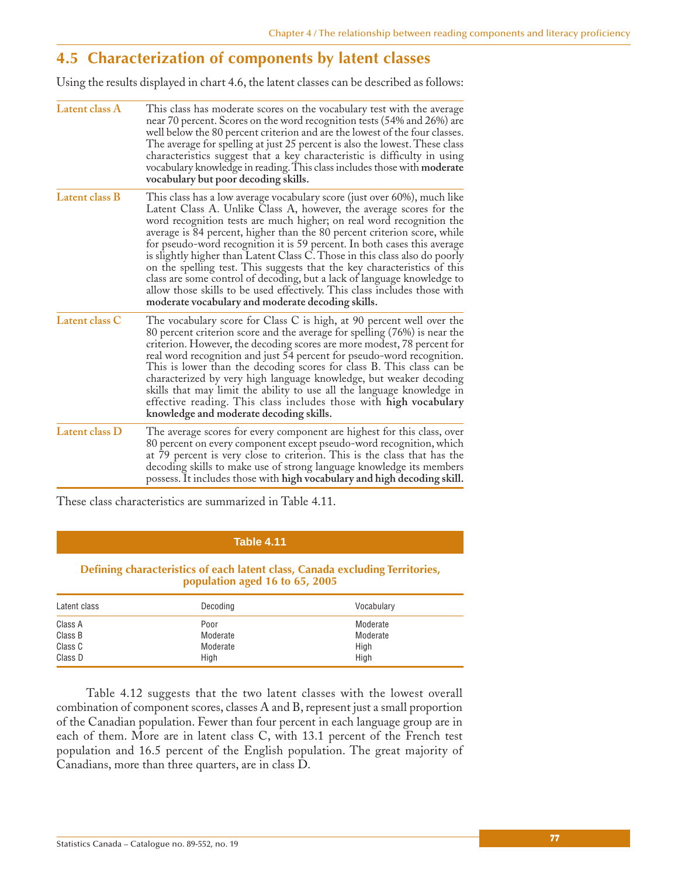## **4.5 Characterization of components by latent classes**

Using the results displayed in chart 4.6, the latent classes can be described as follows:

| Latent class A | This class has moderate scores on the vocabulary test with the average<br>near 70 percent. Scores on the word recognition tests (54% and 26%) are<br>well below the 80 percent criterion and are the lowest of the four classes.<br>The average for spelling at just 25 percent is also the lowest. These class<br>characteristics suggest that a key characteristic is difficulty in using<br>vocabulary knowledge in reading. This class includes those with moderate<br>vocabulary but poor decoding skills.                                                                                                                                                                                                                                        |
|----------------|--------------------------------------------------------------------------------------------------------------------------------------------------------------------------------------------------------------------------------------------------------------------------------------------------------------------------------------------------------------------------------------------------------------------------------------------------------------------------------------------------------------------------------------------------------------------------------------------------------------------------------------------------------------------------------------------------------------------------------------------------------|
| Latent class B | This class has a low average vocabulary score (just over 60%), much like<br>Latent Class A. Unlike Class A, however, the average scores for the<br>word recognition tests are much higher; on real word recognition the<br>average is 84 percent, higher than the 80 percent criterion score, while<br>for pseudo-word recognition it is 59 percent. In both cases this average<br>is slightly higher than Latent Class C. Those in this class also do poorly<br>on the spelling test. This suggests that the key characteristics of this<br>class are some control of decoding, but a lack of language knowledge to<br>allow those skills to be used effectively. This class includes those with<br>moderate vocabulary and moderate decoding skills. |
| Latent class C | The vocabulary score for Class C is high, at 90 percent well over the<br>80 percent criterion score and the average for spelling (76%) is near the<br>criterion. However, the decoding scores are more modest, 78 percent for<br>real word recognition and just 54 percent for pseudo-word recognition.<br>This is lower than the decoding scores for class B. This class can be<br>characterized by very high language knowledge, but weaker decoding<br>skills that may limit the ability to use all the language knowledge in<br>effective reading. This class includes those with high vocabulary<br>knowledge and moderate decoding skills.                                                                                                       |
| Latent class D | The average scores for every component are highest for this class, over<br>80 percent on every component except pseudo-word recognition, which<br>at 79 percent is very close to criterion. This is the class that has the<br>decoding skills to make use of strong language knowledge its members<br>possess. It includes those with high vocabulary and high decoding skill.                                                                                                                                                                                                                                                                                                                                                                         |

These class characteristics are summarized in Table 4.11.

#### **Table 4.11**

#### **Defining characteristics of each latent class, Canada excluding Territories, population aged 16 to 65, 2005**

| Latent class | Decoding | Vocabulary |
|--------------|----------|------------|
| Class A      | Poor     | Moderate   |
| Class B      | Moderate | Moderate   |
| Class C      | Moderate | High       |
| Class D      | High     | High       |

Table 4.12 suggests that the two latent classes with the lowest overall combination of component scores, classes A and B, represent just a small proportion of the Canadian population. Fewer than four percent in each language group are in each of them. More are in latent class C, with 13.1 percent of the French test population and 16.5 percent of the English population. The great majority of Canadians, more than three quarters, are in class D.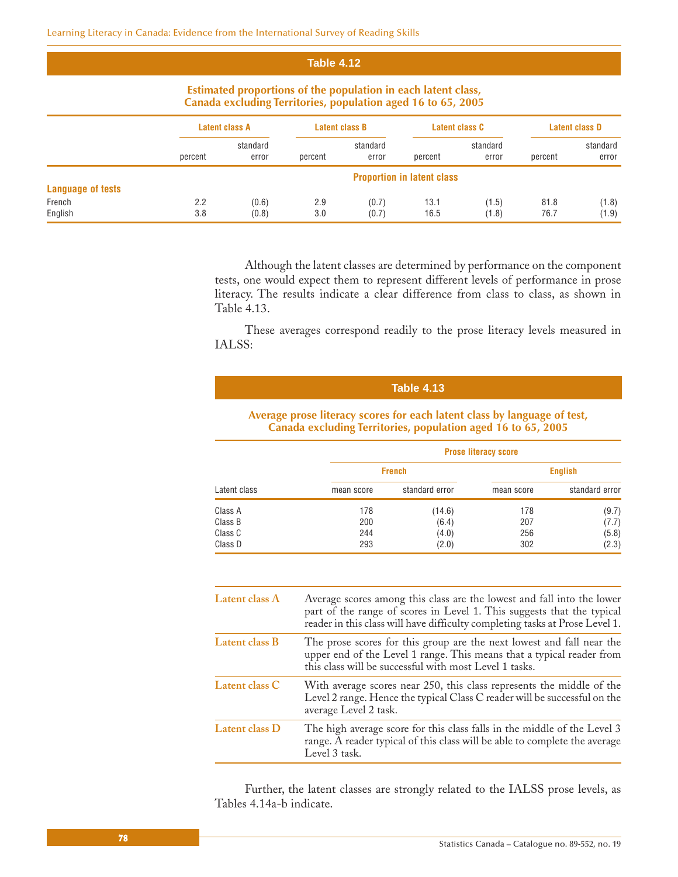|                          |                                   |                   |                | Estimated proportions of the population in each latent class,<br>Canada excluding Territories, population aged 16 to 65, 2005 |                |                   |                |                   |
|--------------------------|-----------------------------------|-------------------|----------------|-------------------------------------------------------------------------------------------------------------------------------|----------------|-------------------|----------------|-------------------|
|                          | Latent class A                    |                   | Latent class B |                                                                                                                               | Latent class C |                   | Latent class D |                   |
|                          | percent                           | standard<br>error | percent        | standard<br>error                                                                                                             | percent        | standard<br>error | percent        | standard<br>error |
| <b>Language of tests</b> | <b>Proportion in latent class</b> |                   |                |                                                                                                                               |                |                   |                |                   |
| French<br>English        | 2.2<br>3.8                        | (0.6)<br>(0.8)    | 2.9<br>3.0     | (0.7)<br>(0.7)                                                                                                                | 13.1<br>16.5   | (1.5)<br>(1.8)    | 81.8<br>76.7   | (1.8)<br>(1.9)    |

**Table 4.12**

Although the latent classes are determined by performance on the component tests, one would expect them to represent different levels of performance in prose literacy. The results indicate a clear difference from class to class, as shown in Table 4.13.

These averages correspond readily to the prose literacy levels measured in IALSS:

#### **Table 4.13**

#### **Average prose literacy scores for each latent class by language of test, Canada excluding Territories, population aged 16 to 65, 2005**

| Latent class |            | <b>Prose literacy score</b> |                |                |  |  |  |  |
|--------------|------------|-----------------------------|----------------|----------------|--|--|--|--|
|              |            | <b>French</b>               | <b>English</b> |                |  |  |  |  |
|              | mean score | standard error              | mean score     | standard error |  |  |  |  |
| Class A      | 178        | (14.6)                      | 178            | (9.7)          |  |  |  |  |
| Class B      | 200        | (6.4)                       | 207            | (7.7)          |  |  |  |  |
| Class C      | 244        | (4.0)                       | 256            | (5.8)          |  |  |  |  |
| Class D      | 293        | (2.0)                       | 302            | (2.3)          |  |  |  |  |

| Latent class A | Average scores among this class are the lowest and fall into the lower<br>part of the range of scores in Level 1. This suggests that the typical<br>reader in this class will have difficulty completing tasks at Prose Level 1. |
|----------------|----------------------------------------------------------------------------------------------------------------------------------------------------------------------------------------------------------------------------------|
| Latent class B | The prose scores for this group are the next lowest and fall near the<br>upper end of the Level 1 range. This means that a typical reader from<br>this class will be successful with most Level 1 tasks.                         |
| Latent class C | With average scores near 250, this class represents the middle of the<br>Level 2 range. Hence the typical Class C reader will be successful on the<br>average Level 2 task.                                                      |
| Latent class D | The high average score for this class falls in the middle of the Level 3<br>range. A reader typical of this class will be able to complete the average<br>Level 3 task.                                                          |

Further, the latent classes are strongly related to the IALSS prose levels, as Tables 4.14a-b indicate.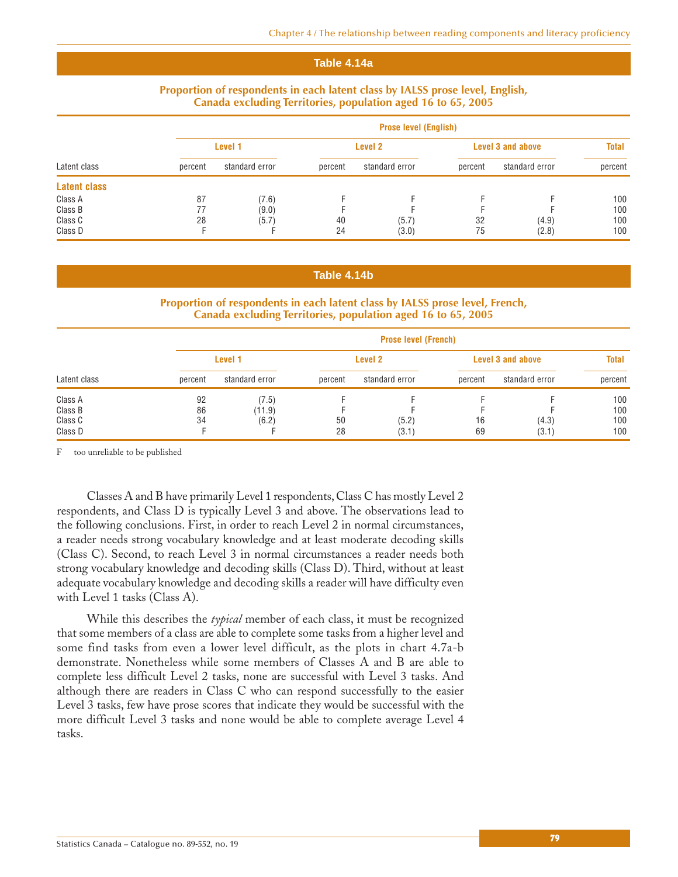#### **Table 4.14a**

#### **Proportion of respondents in each latent class by IALSS prose level, English, Canada excluding Territories, population aged 16 to 65, 2005**

|                     |         | <b>Prose level (English)</b> |         |                |         |                   |         |  |  |  |
|---------------------|---------|------------------------------|---------|----------------|---------|-------------------|---------|--|--|--|
|                     |         | Level 1                      |         | <b>Level 2</b> |         | Level 3 and above |         |  |  |  |
| Latent class        | percent | standard error               | percent | standard error | percent | standard error    | percent |  |  |  |
| <b>Latent class</b> |         |                              |         |                |         |                   |         |  |  |  |
| Class A             | 87      | (7.6)                        |         |                |         |                   | 100     |  |  |  |
| Class B             |         | (9.0)                        |         |                |         |                   | 100     |  |  |  |
| Class C             | 28      | (5.7)                        | 40      | (5.7)          | 32      | (4.9)             | 100     |  |  |  |
| Class D             |         |                              | 24      | (3.0)          | 75      | (2.8)             | 100     |  |  |  |

#### **Table 4.14b**

**Proportion of respondents in each latent class by IALSS prose level, French,**

## **Canada excluding Territories, population aged 16 to 65, 2005 Prose level (French) Level 1 Level 2 Level 3 and above Total** Latent class percent standard error percent standard error percent standard error percent Class A 92 (7.5) F F F F 100 Class B 86 (11.9) F F F F 100 Class C 34 (6.2) 50 (5.2) 16 (4.3) 100 Class D F F 28 (3.1) 69 (3.1) 100

F too unreliable to be published

Classes A and B have primarily Level 1 respondents, Class C has mostly Level 2 respondents, and Class D is typically Level 3 and above. The observations lead to the following conclusions. First, in order to reach Level 2 in normal circumstances, a reader needs strong vocabulary knowledge and at least moderate decoding skills (Class C). Second, to reach Level 3 in normal circumstances a reader needs both strong vocabulary knowledge and decoding skills (Class D). Third, without at least adequate vocabulary knowledge and decoding skills a reader will have difficulty even with Level 1 tasks (Class A).

While this describes the *typical* member of each class, it must be recognized that some members of a class are able to complete some tasks from a higher level and some find tasks from even a lower level difficult, as the plots in chart 4.7a-b demonstrate. Nonetheless while some members of Classes A and B are able to complete less difficult Level 2 tasks, none are successful with Level 3 tasks. And although there are readers in Class C who can respond successfully to the easier Level 3 tasks, few have prose scores that indicate they would be successful with the more difficult Level 3 tasks and none would be able to complete average Level 4 tasks.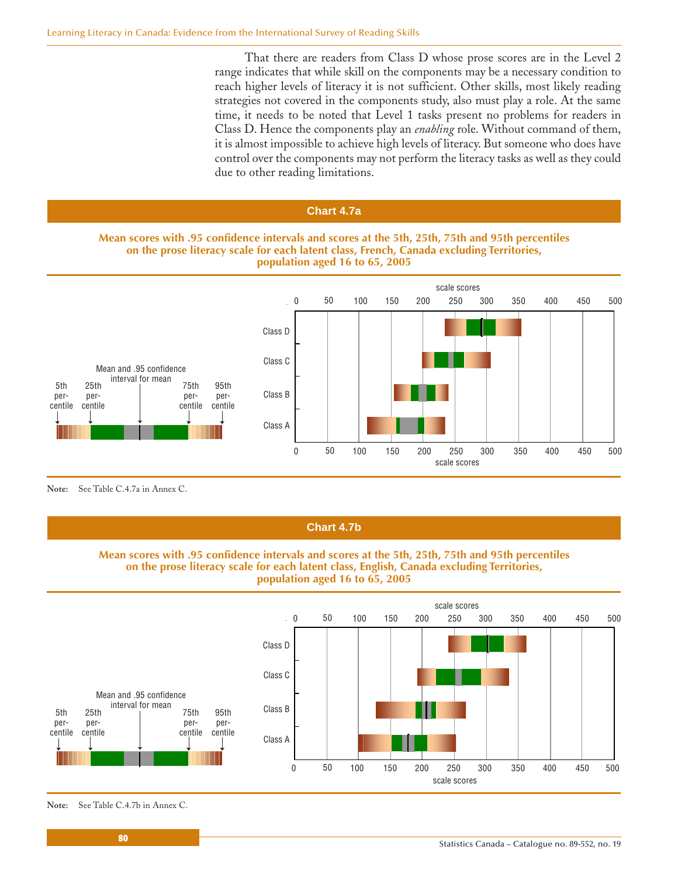That there are readers from Class D whose prose scores are in the Level 2 range indicates that while skill on the components may be a necessary condition to reach higher levels of literacy it is not sufficient. Other skills, most likely reading strategies not covered in the components study, also must play a role. At the same time, it needs to be noted that Level 1 tasks present no problems for readers in Class D. Hence the components play an *enabling* role. Without command of them, it is almost impossible to achieve high levels of literacy. But someone who does have control over the components may not perform the literacy tasks as well as they could due to other reading limitations.

#### **Chart 4.7a**

#### **Mean scores with .95 confidence intervals and scores at the 5th, 25th, 75th and 95th percentiles on the prose literacy scale for each latent class, French, Canada excluding Territories, population aged 16 to 65, 2005**



**Note:** See Table C.4.7a in Annex C.

**Chart 4.7b**

#### **Mean scores with .95 confidence intervals and scores at the 5th, 25th, 75th and 95th percentiles on the prose literacy scale for each latent class, English, Canada excluding Territories, population aged 16 to 65, 2005**



**Note:** See Table C.4.7b in Annex C.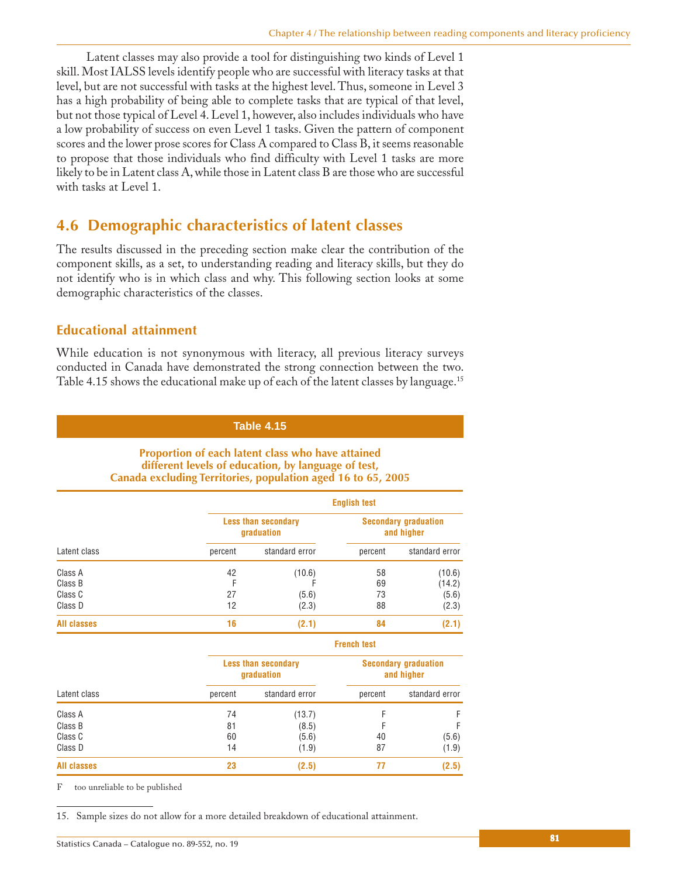Latent classes may also provide a tool for distinguishing two kinds of Level 1 skill. Most IALSS levels identify people who are successful with literacy tasks at that level, but are not successful with tasks at the highest level. Thus, someone in Level 3 has a high probability of being able to complete tasks that are typical of that level, but not those typical of Level 4. Level 1, however, also includes individuals who have a low probability of success on even Level 1 tasks. Given the pattern of component scores and the lower prose scores for Class A compared to Class B, it seems reasonable to propose that those individuals who find difficulty with Level 1 tasks are more likely to be in Latent class A, while those in Latent class B are those who are successful with tasks at Level 1.

## **4.6 Demographic characteristics of latent classes**

The results discussed in the preceding section make clear the contribution of the component skills, as a set, to understanding reading and literacy skills, but they do not identify who is in which class and why. This following section looks at some demographic characteristics of the classes.

## **Educational attainment**

While education is not synonymous with literacy, all previous literacy surveys conducted in Canada have demonstrated the strong connection between the two. Table 4.15 shows the educational make up of each of the latent classes by language.<sup>15</sup>

#### **Table 4.15**

#### **Proportion of each latent class who have attained different levels of education, by language of test, Canada excluding Territories, population aged 16 to 65, 2005**

| Latent class       |                                          | <b>English test</b> |                                           |                |  |  |
|--------------------|------------------------------------------|---------------------|-------------------------------------------|----------------|--|--|
|                    | <b>Less than secondary</b><br>graduation |                     | <b>Secondary graduation</b><br>and higher |                |  |  |
|                    | percent                                  | standard error      | percent                                   | standard error |  |  |
| Class A            | 42                                       | (10.6)              | 58                                        | (10.6)         |  |  |
| Class B            | F                                        |                     | 69                                        | (14.2)         |  |  |
| Class C            | 27                                       | (5.6)               | 73                                        | (5.6)          |  |  |
| Class D            | 12                                       | (2.3)               | 88                                        | (2.3)          |  |  |
| <b>All classes</b> | 16                                       | (2.1)               | 84                                        | (2.1)          |  |  |

|              |         | <b>Less than secondary</b> |         | <b>Secondary graduation</b> |  |  |
|--------------|---------|----------------------------|---------|-----------------------------|--|--|
|              |         | graduation                 |         | and higher                  |  |  |
| Latent class | percent | standard error             | percent | standard error              |  |  |
| Class A      | 74      | (13.7)                     | F       |                             |  |  |
| Class B      | 81      | (8.5)                      |         | F                           |  |  |
| Class C      | 60      | (5.6)                      | 40      | (5.6)                       |  |  |
| Class D      | 14      | (1.9)                      | 87      | (1.9)                       |  |  |
| All classes  | 23      | (2.5)                      | 77      | (2.5)                       |  |  |

**French test**

F too unreliable to be published

15. Sample sizes do not allow for a more detailed breakdown of educational attainment.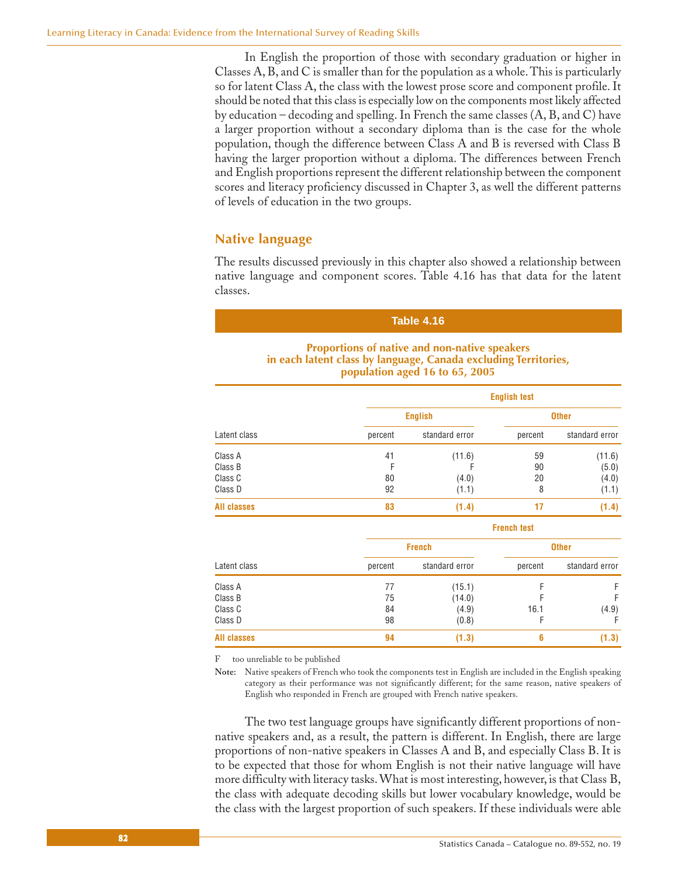In English the proportion of those with secondary graduation or higher in Classes A, B, and C is smaller than for the population as a whole. This is particularly so for latent Class A, the class with the lowest prose score and component profile. It should be noted that this class is especially low on the components most likely affected by education – decoding and spelling. In French the same classes (A, B, and C) have a larger proportion without a secondary diploma than is the case for the whole population, though the difference between Class A and B is reversed with Class B having the larger proportion without a diploma. The differences between French and English proportions represent the different relationship between the component scores and literacy proficiency discussed in Chapter 3, as well the different patterns of levels of education in the two groups.

#### **Native language**

The results discussed previously in this chapter also showed a relationship between native language and component scores. Table 4.16 has that data for the latent classes.

#### **Table 4.16**

#### **Proportions of native and non-native speakers in each latent class by language, Canada excluding Territories, population aged 16 to 65, 2005**

|                    |         | <b>English test</b> |                    |                |  |
|--------------------|---------|---------------------|--------------------|----------------|--|
|                    |         | <b>English</b>      |                    | <b>Other</b>   |  |
| Latent class       | percent | standard error      | percent            | standard error |  |
| Class A            | 41      | (11.6)              | 59                 | (11.6)         |  |
| Class B            | F       | F                   | 90                 | (5.0)          |  |
| Class C            | 80      | (4.0)               | 20                 | (4.0)          |  |
| Class D            | 92      | (1.1)               | 8                  | (1.1)          |  |
| <b>All classes</b> | 83      | (1.4)               | 17                 | (1.4)          |  |
|                    |         |                     | <b>French test</b> |                |  |
|                    |         | <b>French</b>       |                    | <b>Other</b>   |  |
| Latent class       | percent | standard error      | percent            | standard error |  |
| Class A            | 77      | (15.1)              | F                  | F              |  |
| Class B            | 75      | (14.0)              | F                  | F              |  |
| Class C            | 84      | (4.9)               | 16.1               | (4.9)          |  |
| Class D            | 98      | (0.8)               | F                  | F              |  |
| <b>All classes</b> | 94      | (1.3)               | 6                  | (1.3)          |  |

F too unreliable to be published

**Note:** Native speakers of French who took the components test in English are included in the English speaking category as their performance was not significantly different; for the same reason, native speakers of English who responded in French are grouped with French native speakers.

The two test language groups have significantly different proportions of nonnative speakers and, as a result, the pattern is different. In English, there are large proportions of non-native speakers in Classes A and B, and especially Class B. It is to be expected that those for whom English is not their native language will have more difficulty with literacy tasks. What is most interesting, however, is that Class B, the class with adequate decoding skills but lower vocabulary knowledge, would be the class with the largest proportion of such speakers. If these individuals were able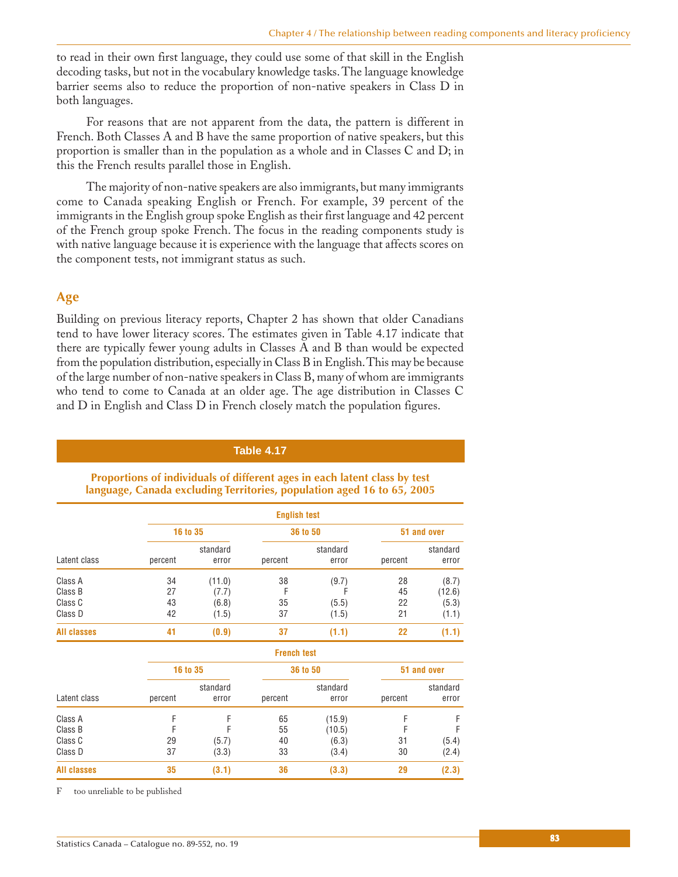to read in their own first language, they could use some of that skill in the English decoding tasks, but not in the vocabulary knowledge tasks. The language knowledge barrier seems also to reduce the proportion of non-native speakers in Class D in both languages.

For reasons that are not apparent from the data, the pattern is different in French. Both Classes A and B have the same proportion of native speakers, but this proportion is smaller than in the population as a whole and in Classes C and D; in this the French results parallel those in English.

The majority of non-native speakers are also immigrants, but many immigrants come to Canada speaking English or French. For example, 39 percent of the immigrants in the English group spoke English as their first language and 42 percent of the French group spoke French. The focus in the reading components study is with native language because it is experience with the language that affects scores on the component tests, not immigrant status as such.

## **Age**

Building on previous literacy reports, Chapter 2 has shown that older Canadians tend to have lower literacy scores. The estimates given in Table 4.17 indicate that there are typically fewer young adults in Classes A and B than would be expected from the population distribution, especially in Class B in English. This may be because of the large number of non-native speakers in Class B, many of whom are immigrants who tend to come to Canada at an older age. The age distribution in Classes C and D in English and Class D in French closely match the population figures.

**Table 4.17**

**Proportions of individuals of different ages in each latent class by test language, Canada excluding Territories, population aged 16 to 65, 2005**

|                    |         |                   | <b>English test</b> |                   |         |                   |
|--------------------|---------|-------------------|---------------------|-------------------|---------|-------------------|
|                    |         | 16 to 35          |                     | 36 to 50          |         | 51 and over       |
| Latent class       | percent | standard<br>error | percent             | standard<br>error | percent | standard<br>error |
| Class A            | 34      | (11.0)            | 38                  | (9.7)             | 28      | (8.7)             |
| Class B            | 27      | (7.7)             | F                   |                   | 45      | (12.6)            |
| Class C            | 43      | (6.8)             | 35                  | (5.5)             | 22      | (5.3)             |
| Class D            | 42      | (1.5)             | 37                  | (1.5)             | 21      | (1.1)             |
| <b>All classes</b> | 41      | (0.9)             | 37                  | (1.1)             | 22      | (1.1)             |

|                    |          |                   | Frenen test |                   |         |                   |
|--------------------|----------|-------------------|-------------|-------------------|---------|-------------------|
|                    | 16 to 35 |                   |             | 36 to 50          |         | 51 and over       |
| Latent class       | percent  | standard<br>error | percent     | standard<br>error | percent | standard<br>error |
| Class A            |          |                   | 65          | (15.9)            | F       |                   |
| Class B            |          |                   | 55          | (10.5)            | F       | F                 |
| Class C            | 29       | (5.7)             | 40          | (6.3)             | 31      | (5.4)             |
| Class D            | 37       | (3.3)             | 33          | (3.4)             | 30      | (2.4)             |
| <b>All classes</b> | 35       | (3.1)             | 36          | (3.3)             | 29      | (2.3)             |

**French test**

F too unreliable to be published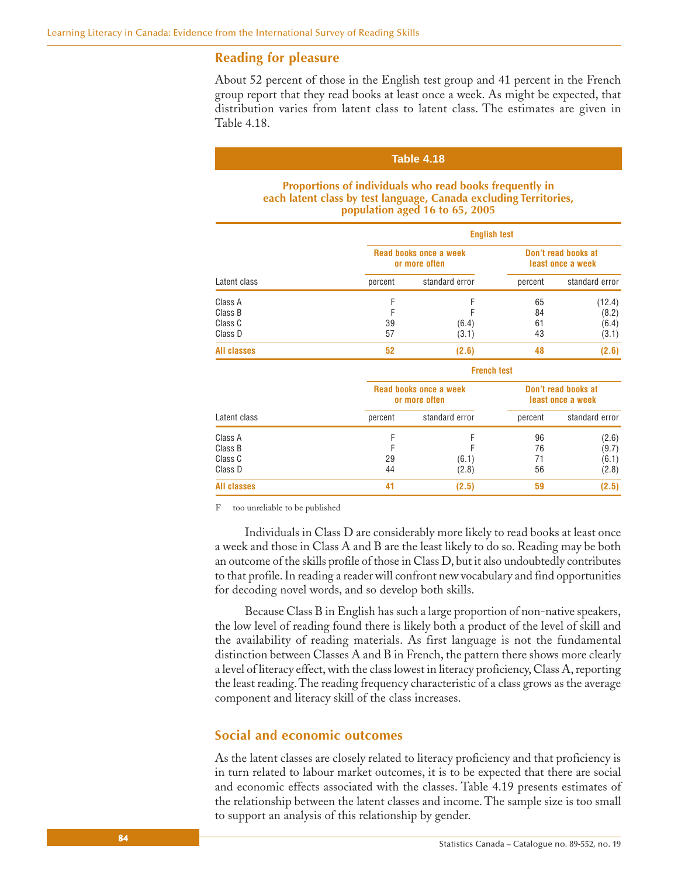#### **Reading for pleasure**

About 52 percent of those in the English test group and 41 percent in the French group report that they read books at least once a week. As might be expected, that distribution varies from latent class to latent class. The estimates are given in Table 4.18.

#### **Table 4.18**

#### **Proportions of individuals who read books frequently in each latent class by test language, Canada excluding Territories, population aged 16 to 65, 2005**

| Latent class       |                                         | <b>English test</b> |                                          |                |  |
|--------------------|-----------------------------------------|---------------------|------------------------------------------|----------------|--|
|                    | Read books once a week<br>or more often |                     | Don't read books at<br>least once a week |                |  |
|                    | percent                                 | standard error      | percent                                  | standard error |  |
| Class A            | F                                       | F                   | 65                                       | (12.4)         |  |
| Class B            |                                         |                     | 84                                       | (8.2)          |  |
| Class C            | 39                                      | (6.4)               | 61                                       | (6.4)          |  |
| Class D            | 57                                      | (3.1)               | 43                                       | (3.1)          |  |
| <b>All classes</b> | 52                                      | (2.6)               | 48                                       | (2.6)          |  |
|                    |                                         |                     |                                          |                |  |

|                    |         | Read books once a week<br>or more often |         | Don't read books at<br>least once a week |  |  |
|--------------------|---------|-----------------------------------------|---------|------------------------------------------|--|--|
| Latent class       | percent | standard error                          | percent | standard error                           |  |  |
| Class A            |         |                                         | 96      | (2.6)                                    |  |  |
| Class B            |         |                                         | 76      | (9.7)                                    |  |  |
| Class C            | 29      | (6.1)                                   | 71      | (6.1)                                    |  |  |
| Class D            | 44      | (2.8)                                   | 56      | (2.8)                                    |  |  |
| <b>All classes</b> | 41      | (2.5)                                   | 59      | (2.5)                                    |  |  |

F too unreliable to be published

Individuals in Class D are considerably more likely to read books at least once a week and those in Class A and B are the least likely to do so. Reading may be both an outcome of the skills profile of those in Class D, but it also undoubtedly contributes to that profile. In reading a reader will confront new vocabulary and find opportunities for decoding novel words, and so develop both skills.

Because Class B in English has such a large proportion of non-native speakers, the low level of reading found there is likely both a product of the level of skill and the availability of reading materials. As first language is not the fundamental distinction between Classes A and B in French, the pattern there shows more clearly a level of literacy effect, with the class lowest in literacy proficiency, Class A, reporting the least reading. The reading frequency characteristic of a class grows as the average component and literacy skill of the class increases.

#### **Social and economic outcomes**

As the latent classes are closely related to literacy proficiency and that proficiency is in turn related to labour market outcomes, it is to be expected that there are social and economic effects associated with the classes. Table 4.19 presents estimates of the relationship between the latent classes and income. The sample size is too small to support an analysis of this relationship by gender.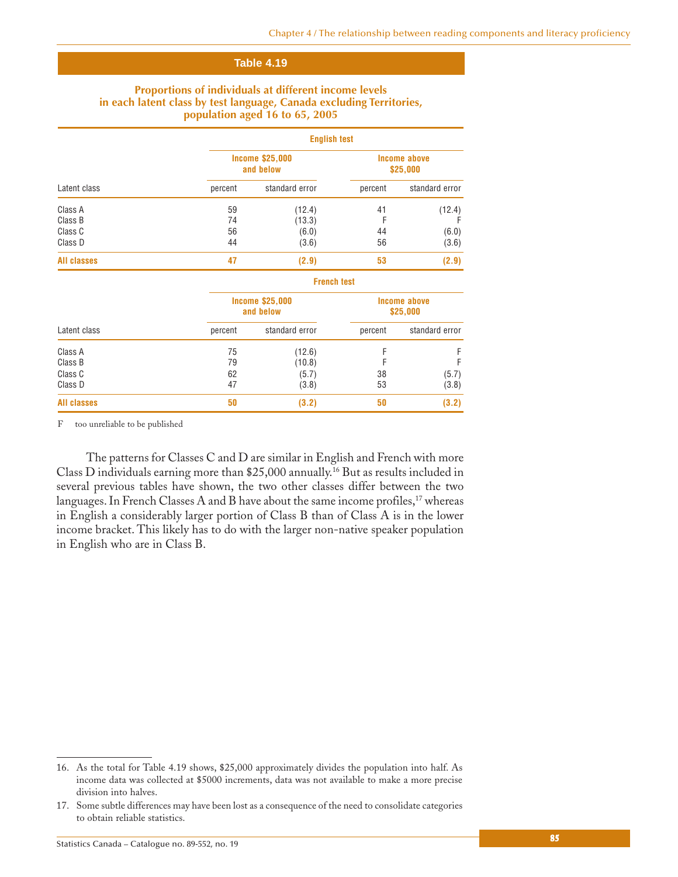#### **Table 4.19**

#### **Proportions of individuals at different income levels in each latent class by test language, Canada excluding Territories, population aged 16 to 65, 2005**

|                    |         | <b>English test</b>                 |                                 |                                 |  |  |
|--------------------|---------|-------------------------------------|---------------------------------|---------------------------------|--|--|
|                    |         | <b>Income \$25,000</b><br>and below |                                 | <b>Income above</b><br>\$25,000 |  |  |
| Latent class       | percent | standard error                      | percent                         | standard error                  |  |  |
| Class A            | 59      | (12.4)                              | 41                              | (12.4)                          |  |  |
| Class B            | 74      | (13.3)                              | F                               | F                               |  |  |
| Class C            | 56      | (6.0)                               | 44                              | (6.0)                           |  |  |
| Class D            | 44      | (3.6)                               | 56                              | (3.6)                           |  |  |
| <b>All classes</b> | 47      | (2.9)                               | 53                              | (2.9)                           |  |  |
|                    |         | <b>French test</b>                  |                                 |                                 |  |  |
|                    |         | <b>Income \$25,000</b><br>and below | <b>Income above</b><br>\$25,000 |                                 |  |  |
| Latent class       | percent | standard error                      | percent                         | standard error                  |  |  |
| Class A            | 75      | (12.6)                              | F                               | F                               |  |  |
| Class B            | 79      | (10.8)                              | F                               | F                               |  |  |
| Class C            | 62      | (5.7)                               | 38                              | (5.7)                           |  |  |
| Class D            | 47      | (3.8)                               | 53                              | (3.8)                           |  |  |
| <b>All classes</b> | 50      | (3.2)                               | 50                              | (3.2)                           |  |  |

F too unreliable to be published

The patterns for Classes C and D are similar in English and French with more Class D individuals earning more than \$25,000 annually.16 But as results included in several previous tables have shown, the two other classes differ between the two languages. In French Classes A and B have about the same income profiles,<sup>17</sup> whereas in English a considerably larger portion of Class B than of Class A is in the lower income bracket. This likely has to do with the larger non-native speaker population in English who are in Class B.

<sup>16.</sup> As the total for Table 4.19 shows, \$25,000 approximately divides the population into half. As income data was collected at \$5000 increments, data was not available to make a more precise division into halves.

<sup>17.</sup> Some subtle differences may have been lost as a consequence of the need to consolidate categories to obtain reliable statistics.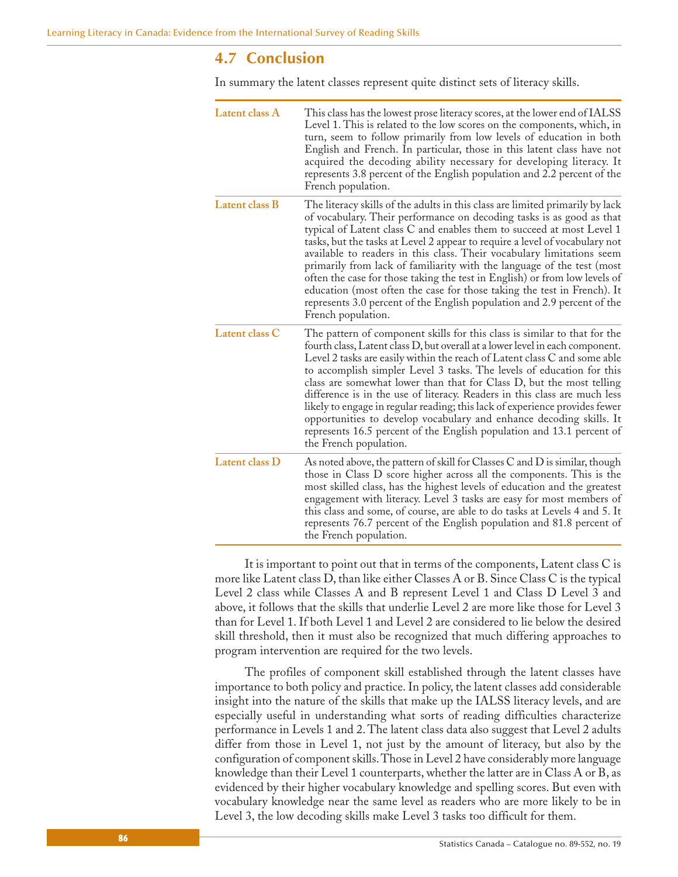## **4.7 Conclusion**

In summary the latent classes represent quite distinct sets of literacy skills.

| Latent class A | This class has the lowest prose literacy scores, at the lower end of IALSS<br>Level 1. This is related to the low scores on the components, which, in<br>turn, seem to follow primarily from low levels of education in both<br>English and French. In particular, those in this latent class have not<br>acquired the decoding ability necessary for developing literacy. It<br>represents 3.8 percent of the English population and 2.2 percent of the<br>French population.                                                                                                                                                                                                                                                 |
|----------------|--------------------------------------------------------------------------------------------------------------------------------------------------------------------------------------------------------------------------------------------------------------------------------------------------------------------------------------------------------------------------------------------------------------------------------------------------------------------------------------------------------------------------------------------------------------------------------------------------------------------------------------------------------------------------------------------------------------------------------|
| Latent class B | The literacy skills of the adults in this class are limited primarily by lack<br>of vocabulary. Their performance on decoding tasks is as good as that<br>typical of Latent class C and enables them to succeed at most Level 1<br>tasks, but the tasks at Level 2 appear to require a level of vocabulary not<br>available to readers in this class. Their vocabulary limitations seem<br>primarily from lack of familiarity with the language of the test (most<br>often the case for those taking the test in English) or from low levels of<br>education (most often the case for those taking the test in French). It<br>represents 3.0 percent of the English population and 2.9 percent of the<br>French population.    |
| Latent class C | The pattern of component skills for this class is similar to that for the<br>fourth class, Latent class D, but overall at a lower level in each component.<br>Level 2 tasks are easily within the reach of Latent class C and some able<br>to accomplish simpler Level 3 tasks. The levels of education for this<br>class are somewhat lower than that for Class D, but the most telling<br>difference is in the use of literacy. Readers in this class are much less<br>likely to engage in regular reading; this lack of experience provides fewer<br>opportunities to develop vocabulary and enhance decoding skills. It<br>represents 16.5 percent of the English population and 13.1 percent of<br>the French population. |
| Latent class D | As noted above, the pattern of skill for Classes C and D is similar, though<br>those in Class D score higher across all the components. This is the<br>most skilled class, has the highest levels of education and the greatest<br>engagement with literacy. Level 3 tasks are easy for most members of<br>this class and some, of course, are able to do tasks at Levels 4 and 5. It<br>represents 76.7 percent of the English population and 81.8 percent of<br>the French population.                                                                                                                                                                                                                                       |

It is important to point out that in terms of the components, Latent class C is more like Latent class D, than like either Classes A or B. Since Class C is the typical Level 2 class while Classes A and B represent Level 1 and Class D Level 3 and above, it follows that the skills that underlie Level 2 are more like those for Level 3 than for Level 1. If both Level 1 and Level 2 are considered to lie below the desired skill threshold, then it must also be recognized that much differing approaches to program intervention are required for the two levels.

The profiles of component skill established through the latent classes have importance to both policy and practice. In policy, the latent classes add considerable insight into the nature of the skills that make up the IALSS literacy levels, and are especially useful in understanding what sorts of reading difficulties characterize performance in Levels 1 and 2. The latent class data also suggest that Level 2 adults differ from those in Level 1, not just by the amount of literacy, but also by the configuration of component skills. Those in Level 2 have considerably more language knowledge than their Level 1 counterparts, whether the latter are in Class A or B, as evidenced by their higher vocabulary knowledge and spelling scores. But even with vocabulary knowledge near the same level as readers who are more likely to be in Level 3, the low decoding skills make Level 3 tasks too difficult for them.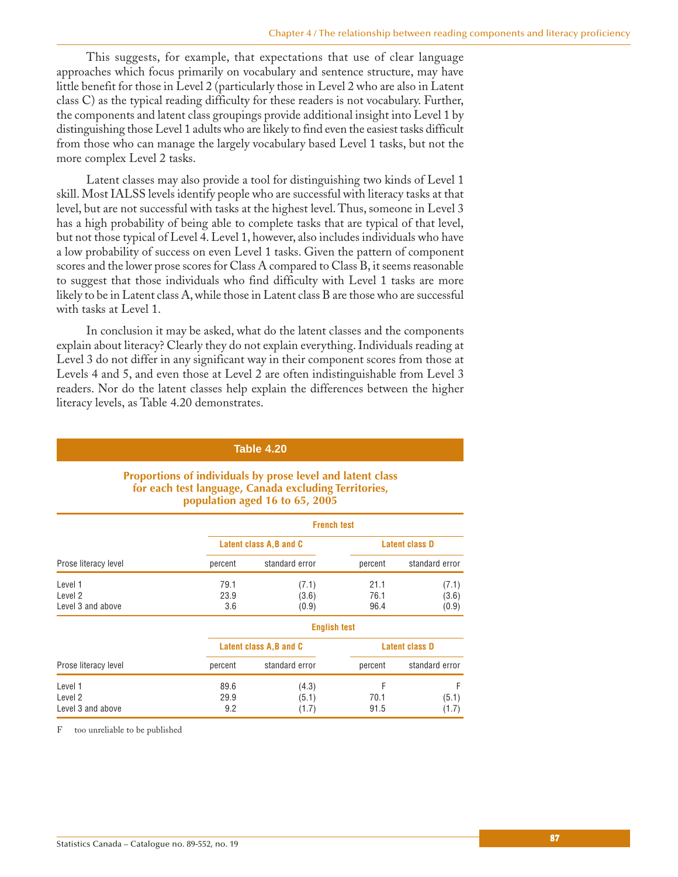This suggests, for example, that expectations that use of clear language approaches which focus primarily on vocabulary and sentence structure, may have little benefit for those in Level 2 (particularly those in Level 2 who are also in Latent class C) as the typical reading difficulty for these readers is not vocabulary. Further, the components and latent class groupings provide additional insight into Level 1 by distinguishing those Level 1 adults who are likely to find even the easiest tasks difficult from those who can manage the largely vocabulary based Level 1 tasks, but not the more complex Level 2 tasks.

Latent classes may also provide a tool for distinguishing two kinds of Level 1 skill. Most IALSS levels identify people who are successful with literacy tasks at that level, but are not successful with tasks at the highest level. Thus, someone in Level 3 has a high probability of being able to complete tasks that are typical of that level, but not those typical of Level 4. Level 1, however, also includes individuals who have a low probability of success on even Level 1 tasks. Given the pattern of component scores and the lower prose scores for Class A compared to Class B, it seems reasonable to suggest that those individuals who find difficulty with Level 1 tasks are more likely to be in Latent class A, while those in Latent class B are those who are successful with tasks at Level 1.

In conclusion it may be asked, what do the latent classes and the components explain about literacy? Clearly they do not explain everything. Individuals reading at Level 3 do not differ in any significant way in their component scores from those at Levels 4 and 5, and even those at Level 2 are often indistinguishable from Level 3 readers. Nor do the latent classes help explain the differences between the higher literacy levels, as Table 4.20 demonstrates.

| Table 4.20           |         |                                                                                                                                                              |         |                       |  |  |
|----------------------|---------|--------------------------------------------------------------------------------------------------------------------------------------------------------------|---------|-----------------------|--|--|
|                      |         | <b>Proportions of individuals by prose level and latent class</b><br>for each test language, Canada excluding Territories,<br>population aged 16 to 65, 2005 |         |                       |  |  |
|                      |         | <b>French test</b>                                                                                                                                           |         |                       |  |  |
|                      |         | Latent class A, B and C                                                                                                                                      |         | <b>Latent class D</b> |  |  |
| Prose literacy level | percent | standard error                                                                                                                                               | percent | standard error        |  |  |
| Level 1              | 79.1    | (7.1)                                                                                                                                                        | 21.1    | (7.1)                 |  |  |
| Level 2              | 23.9    | (3.6)                                                                                                                                                        | 76.1    | (3.6)                 |  |  |
| Level 3 and above    | 3.6     | (0.9)                                                                                                                                                        | 96.4    | (0.9)                 |  |  |
|                      |         | <b>English test</b>                                                                                                                                          |         |                       |  |  |
|                      |         | <b>Latent class D</b><br>Latent class A, B and C                                                                                                             |         |                       |  |  |
| Prose literacy level | percent | standard error                                                                                                                                               | percent | standard error        |  |  |
| Level 1              | 89.6    | (4.3)                                                                                                                                                        | F       | F                     |  |  |
| Level 2              | 29.9    | (5.1)                                                                                                                                                        | 70.1    | (5.1)                 |  |  |
| Level 3 and above    | 9.2     | (1.7)                                                                                                                                                        | 91.5    | (1.7)                 |  |  |

too unreliable to be published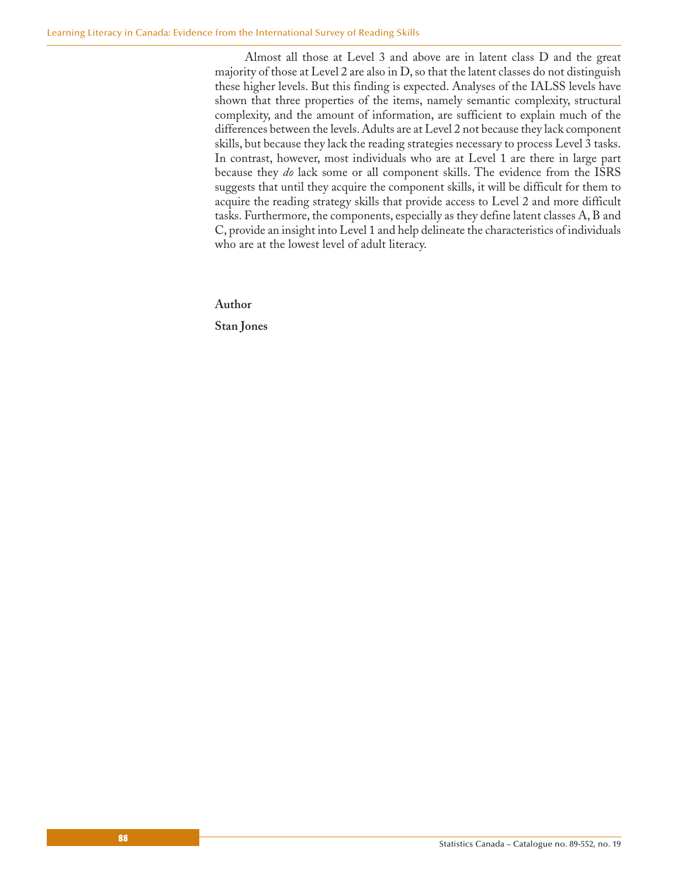Almost all those at Level 3 and above are in latent class D and the great majority of those at Level 2 are also in D, so that the latent classes do not distinguish these higher levels. But this finding is expected. Analyses of the IALSS levels have shown that three properties of the items, namely semantic complexity, structural complexity, and the amount of information, are sufficient to explain much of the differences between the levels. Adults are at Level 2 not because they lack component skills, but because they lack the reading strategies necessary to process Level 3 tasks. In contrast, however, most individuals who are at Level 1 are there in large part because they *do* lack some or all component skills. The evidence from the ISRS suggests that until they acquire the component skills, it will be difficult for them to acquire the reading strategy skills that provide access to Level 2 and more difficult tasks. Furthermore, the components, especially as they define latent classes A, B and C, provide an insight into Level 1 and help delineate the characteristics of individuals who are at the lowest level of adult literacy.

**Author Stan Jones**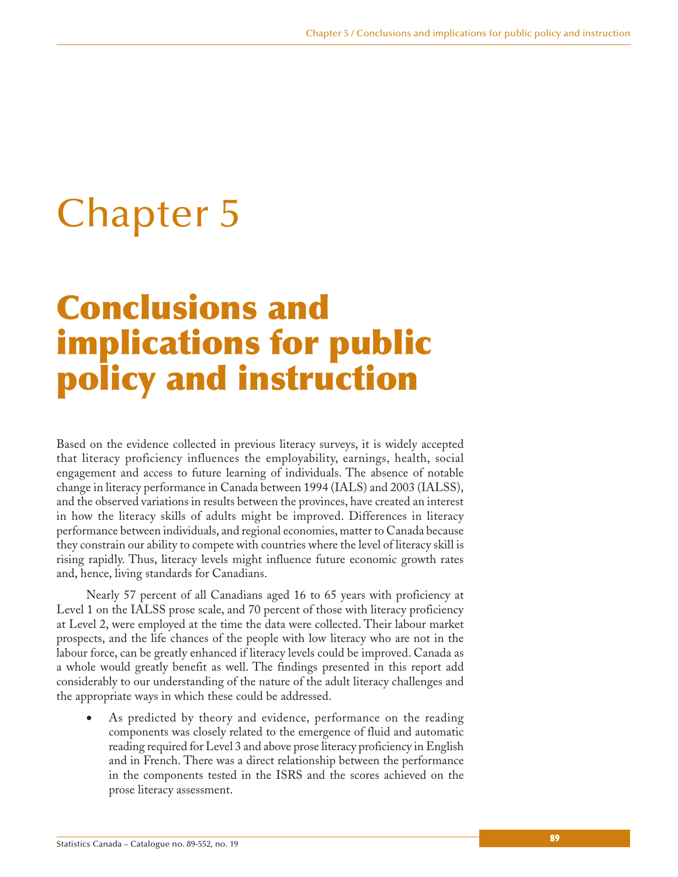# Chapter 5

## **Conclusions and implications for public policy and instruction**

Based on the evidence collected in previous literacy surveys, it is widely accepted that literacy proficiency influences the employability, earnings, health, social engagement and access to future learning of individuals. The absence of notable change in literacy performance in Canada between 1994 (IALS) and 2003 (IALSS), and the observed variations in results between the provinces, have created an interest in how the literacy skills of adults might be improved. Differences in literacy performance between individuals, and regional economies, matter to Canada because they constrain our ability to compete with countries where the level of literacy skill is rising rapidly. Thus, literacy levels might influence future economic growth rates and, hence, living standards for Canadians.

Nearly 57 percent of all Canadians aged 16 to 65 years with proficiency at Level 1 on the IALSS prose scale, and 70 percent of those with literacy proficiency at Level 2, were employed at the time the data were collected. Their labour market prospects, and the life chances of the people with low literacy who are not in the labour force, can be greatly enhanced if literacy levels could be improved. Canada as a whole would greatly benefit as well. The findings presented in this report add considerably to our understanding of the nature of the adult literacy challenges and the appropriate ways in which these could be addressed.

As predicted by theory and evidence, performance on the reading components was closely related to the emergence of fluid and automatic reading required for Level 3 and above prose literacy proficiency in English and in French. There was a direct relationship between the performance in the components tested in the ISRS and the scores achieved on the prose literacy assessment.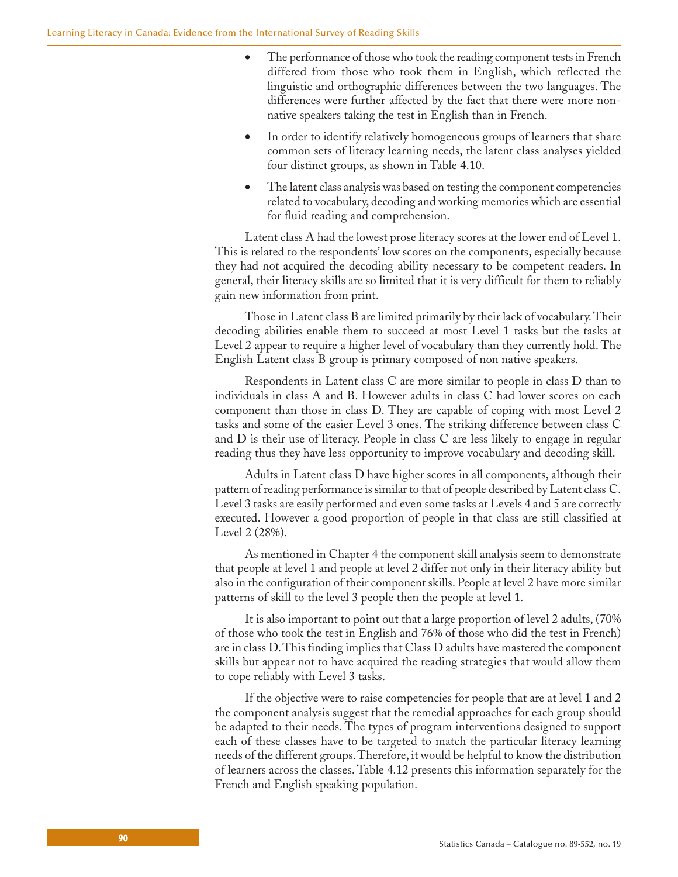- The performance of those who took the reading component tests in French differed from those who took them in English, which reflected the linguistic and orthographic differences between the two languages. The differences were further affected by the fact that there were more nonnative speakers taking the test in English than in French.
- In order to identify relatively homogeneous groups of learners that share common sets of literacy learning needs, the latent class analyses yielded four distinct groups, as shown in Table 4.10.
- The latent class analysis was based on testing the component competencies related to vocabulary, decoding and working memories which are essential for fluid reading and comprehension.

Latent class A had the lowest prose literacy scores at the lower end of Level 1. This is related to the respondents' low scores on the components, especially because they had not acquired the decoding ability necessary to be competent readers. In general, their literacy skills are so limited that it is very difficult for them to reliably gain new information from print.

Those in Latent class B are limited primarily by their lack of vocabulary. Their decoding abilities enable them to succeed at most Level 1 tasks but the tasks at Level 2 appear to require a higher level of vocabulary than they currently hold. The English Latent class B group is primary composed of non native speakers.

Respondents in Latent class C are more similar to people in class D than to individuals in class A and B. However adults in class C had lower scores on each component than those in class D. They are capable of coping with most Level 2 tasks and some of the easier Level 3 ones. The striking difference between class C and D is their use of literacy. People in class C are less likely to engage in regular reading thus they have less opportunity to improve vocabulary and decoding skill.

Adults in Latent class D have higher scores in all components, although their pattern of reading performance is similar to that of people described by Latent class C. Level 3 tasks are easily performed and even some tasks at Levels 4 and 5 are correctly executed. However a good proportion of people in that class are still classified at Level 2 (28%).

As mentioned in Chapter 4 the component skill analysis seem to demonstrate that people at level 1 and people at level 2 differ not only in their literacy ability but also in the configuration of their component skills. People at level 2 have more similar patterns of skill to the level 3 people then the people at level 1.

It is also important to point out that a large proportion of level 2 adults, (70% of those who took the test in English and 76% of those who did the test in French) are in class D. This finding implies that Class D adults have mastered the component skills but appear not to have acquired the reading strategies that would allow them to cope reliably with Level 3 tasks.

If the objective were to raise competencies for people that are at level 1 and 2 the component analysis suggest that the remedial approaches for each group should be adapted to their needs. The types of program interventions designed to support each of these classes have to be targeted to match the particular literacy learning needs of the different groups. Therefore, it would be helpful to know the distribution of learners across the classes. Table 4.12 presents this information separately for the French and English speaking population.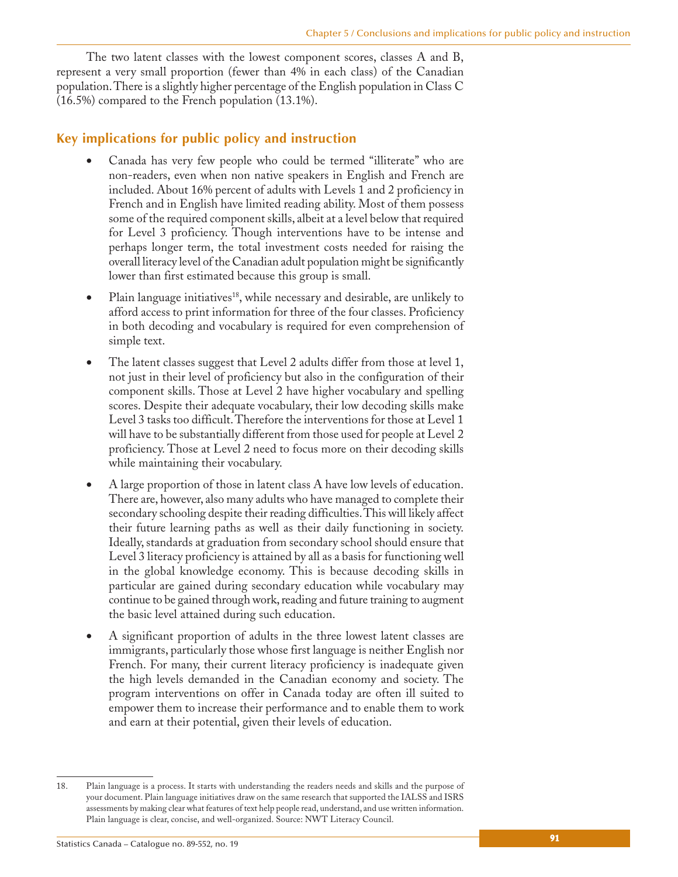The two latent classes with the lowest component scores, classes A and B, represent a very small proportion (fewer than 4% in each class) of the Canadian population. There is a slightly higher percentage of the English population in Class C (16.5%) compared to the French population (13.1%).

## **Key implications for public policy and instruction**

- Canada has very few people who could be termed "illiterate" who are non-readers, even when non native speakers in English and French are included. About 16% percent of adults with Levels 1 and 2 proficiency in French and in English have limited reading ability. Most of them possess some of the required component skills, albeit at a level below that required for Level 3 proficiency. Though interventions have to be intense and perhaps longer term, the total investment costs needed for raising the overall literacy level of the Canadian adult population might be significantly lower than first estimated because this group is small.
- Plain language initiatives<sup>18</sup>, while necessary and desirable, are unlikely to afford access to print information for three of the four classes. Proficiency in both decoding and vocabulary is required for even comprehension of simple text.
- The latent classes suggest that Level 2 adults differ from those at level 1, not just in their level of proficiency but also in the configuration of their component skills. Those at Level 2 have higher vocabulary and spelling scores. Despite their adequate vocabulary, their low decoding skills make Level 3 tasks too difficult. Therefore the interventions for those at Level 1 will have to be substantially different from those used for people at Level 2 proficiency. Those at Level 2 need to focus more on their decoding skills while maintaining their vocabulary.
- A large proportion of those in latent class A have low levels of education. There are, however, also many adults who have managed to complete their secondary schooling despite their reading difficulties. This will likely affect their future learning paths as well as their daily functioning in society. Ideally, standards at graduation from secondary school should ensure that Level 3 literacy proficiency is attained by all as a basis for functioning well in the global knowledge economy. This is because decoding skills in particular are gained during secondary education while vocabulary may continue to be gained through work, reading and future training to augment the basic level attained during such education.
- A significant proportion of adults in the three lowest latent classes are immigrants, particularly those whose first language is neither English nor French. For many, their current literacy proficiency is inadequate given the high levels demanded in the Canadian economy and society. The program interventions on offer in Canada today are often ill suited to empower them to increase their performance and to enable them to work and earn at their potential, given their levels of education.

<sup>18.</sup> Plain language is a process. It starts with understanding the readers needs and skills and the purpose of your document. Plain language initiatives draw on the same research that supported the IALSS and ISRS assessments by making clear what features of text help people read, understand, and use written information. Plain language is clear, concise, and well-organized. Source: NWT Literacy Council.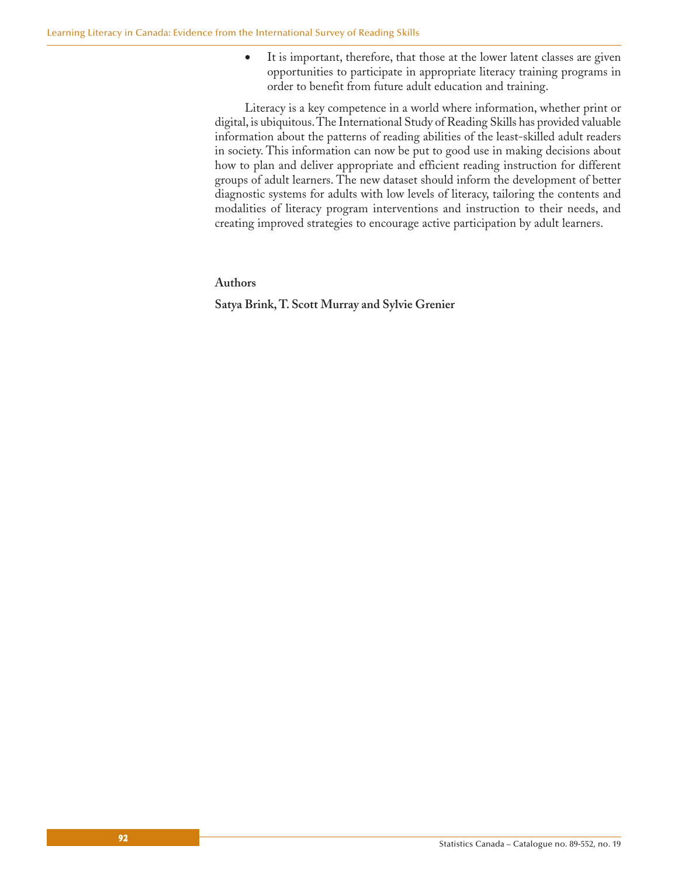It is important, therefore, that those at the lower latent classes are given opportunities to participate in appropriate literacy training programs in order to benefit from future adult education and training.

Literacy is a key competence in a world where information, whether print or digital, is ubiquitous. The International Study of Reading Skills has provided valuable information about the patterns of reading abilities of the least-skilled adult readers in society. This information can now be put to good use in making decisions about how to plan and deliver appropriate and efficient reading instruction for different groups of adult learners. The new dataset should inform the development of better diagnostic systems for adults with low levels of literacy, tailoring the contents and modalities of literacy program interventions and instruction to their needs, and creating improved strategies to encourage active participation by adult learners.

**Authors**

**Satya Brink, T. Scott Murray and Sylvie Grenier**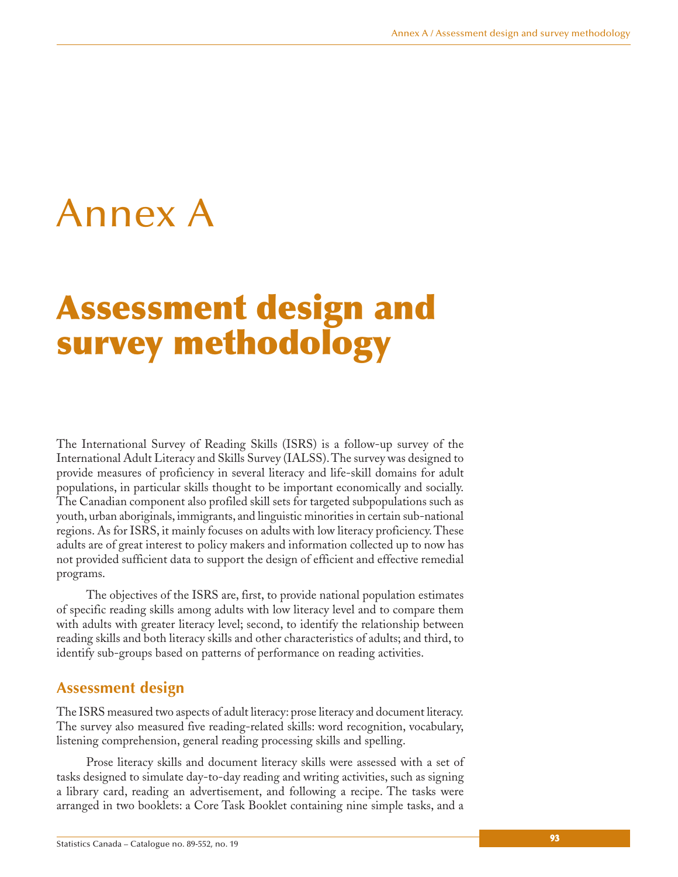# Annex A

## **Assessment design and survey methodology**

The International Survey of Reading Skills (ISRS) is a follow-up survey of the International Adult Literacy and Skills Survey (IALSS). The survey was designed to provide measures of proficiency in several literacy and life-skill domains for adult populations, in particular skills thought to be important economically and socially. The Canadian component also profiled skill sets for targeted subpopulations such as youth, urban aboriginals, immigrants, and linguistic minorities in certain sub-national regions. As for ISRS, it mainly focuses on adults with low literacy proficiency. These adults are of great interest to policy makers and information collected up to now has not provided sufficient data to support the design of efficient and effective remedial programs.

The objectives of the ISRS are, first, to provide national population estimates of specific reading skills among adults with low literacy level and to compare them with adults with greater literacy level; second, to identify the relationship between reading skills and both literacy skills and other characteristics of adults; and third, to identify sub-groups based on patterns of performance on reading activities.

## **Assessment design**

The ISRS measured two aspects of adult literacy: prose literacy and document literacy. The survey also measured five reading-related skills: word recognition, vocabulary, listening comprehension, general reading processing skills and spelling.

Prose literacy skills and document literacy skills were assessed with a set of tasks designed to simulate day-to-day reading and writing activities, such as signing a library card, reading an advertisement, and following a recipe. The tasks were arranged in two booklets: a Core Task Booklet containing nine simple tasks, and a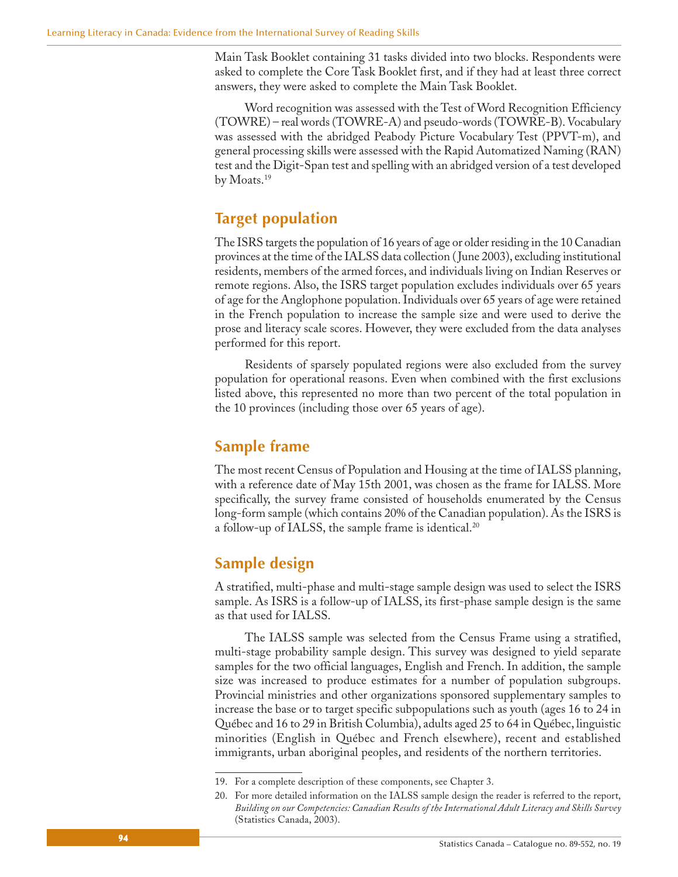Main Task Booklet containing 31 tasks divided into two blocks. Respondents were asked to complete the Core Task Booklet first, and if they had at least three correct answers, they were asked to complete the Main Task Booklet.

Word recognition was assessed with the Test of Word Recognition Efficiency (TOWRE) – real words (TOWRE-A) and pseudo-words (TOWRE-B). Vocabulary was assessed with the abridged Peabody Picture Vocabulary Test (PPVT-m), and general processing skills were assessed with the Rapid Automatized Naming (RAN) test and the Digit-Span test and spelling with an abridged version of a test developed by Moats.<sup>19</sup>

## **Target population**

The ISRS targets the population of 16 years of age or older residing in the 10 Canadian provinces at the time of the IALSS data collection ( June 2003), excluding institutional residents, members of the armed forces, and individuals living on Indian Reserves or remote regions. Also, the ISRS target population excludes individuals over 65 years of age for the Anglophone population. Individuals over 65 years of age were retained in the French population to increase the sample size and were used to derive the prose and literacy scale scores. However, they were excluded from the data analyses performed for this report.

Residents of sparsely populated regions were also excluded from the survey population for operational reasons. Even when combined with the first exclusions listed above, this represented no more than two percent of the total population in the 10 provinces (including those over 65 years of age).

## **Sample frame**

The most recent Census of Population and Housing at the time of IALSS planning, with a reference date of May 15th 2001, was chosen as the frame for IALSS. More specifically, the survey frame consisted of households enumerated by the Census long-form sample (which contains 20% of the Canadian population). As the ISRS is a follow-up of IALSS, the sample frame is identical.20

## **Sample design**

A stratified, multi-phase and multi-stage sample design was used to select the ISRS sample. As ISRS is a follow-up of IALSS, its first-phase sample design is the same as that used for IALSS.

The IALSS sample was selected from the Census Frame using a stratified, multi-stage probability sample design. This survey was designed to yield separate samples for the two official languages, English and French. In addition, the sample size was increased to produce estimates for a number of population subgroups. Provincial ministries and other organizations sponsored supplementary samples to increase the base or to target specific subpopulations such as youth (ages 16 to 24 in Québec and 16 to 29 in British Columbia), adults aged 25 to 64 in Québec, linguistic minorities (English in Québec and French elsewhere), recent and established immigrants, urban aboriginal peoples, and residents of the northern territories.

<sup>19.</sup> For a complete description of these components, see Chapter 3.

<sup>20.</sup> For more detailed information on the IALSS sample design the reader is referred to the report, *Building on our Competencies: Canadian Results of the International Adult Literacy and Skills Survey* (Statistics Canada, 2003).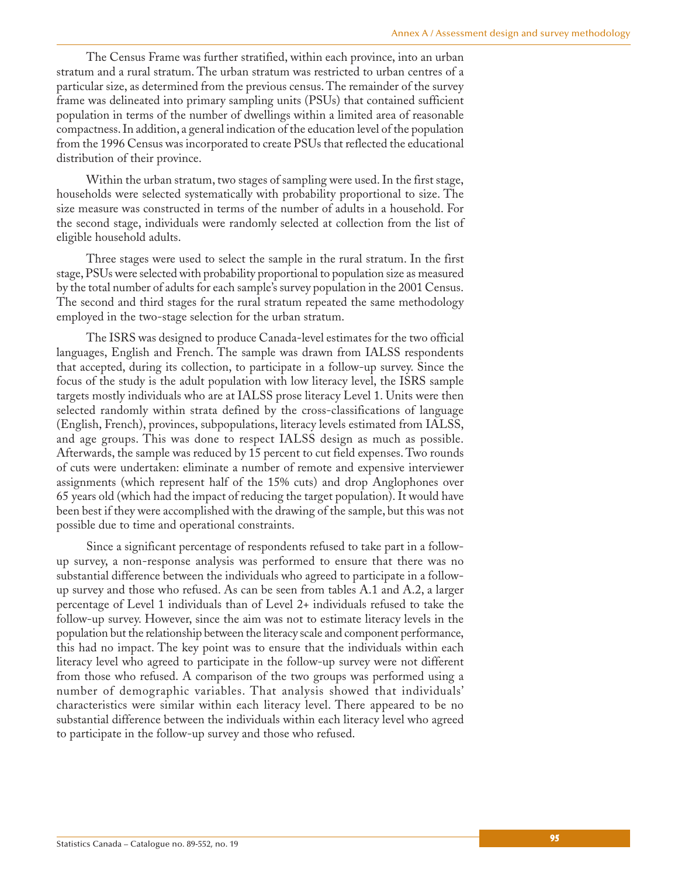The Census Frame was further stratified, within each province, into an urban stratum and a rural stratum. The urban stratum was restricted to urban centres of a particular size, as determined from the previous census. The remainder of the survey frame was delineated into primary sampling units (PSUs) that contained sufficient population in terms of the number of dwellings within a limited area of reasonable compactness. In addition, a general indication of the education level of the population from the 1996 Census was incorporated to create PSUs that reflected the educational distribution of their province.

Within the urban stratum, two stages of sampling were used. In the first stage, households were selected systematically with probability proportional to size. The size measure was constructed in terms of the number of adults in a household. For the second stage, individuals were randomly selected at collection from the list of eligible household adults.

Three stages were used to select the sample in the rural stratum. In the first stage, PSUs were selected with probability proportional to population size as measured by the total number of adults for each sample's survey population in the 2001 Census. The second and third stages for the rural stratum repeated the same methodology employed in the two-stage selection for the urban stratum.

The ISRS was designed to produce Canada-level estimates for the two official languages, English and French. The sample was drawn from IALSS respondents that accepted, during its collection, to participate in a follow-up survey. Since the focus of the study is the adult population with low literacy level, the ISRS sample targets mostly individuals who are at IALSS prose literacy Level 1. Units were then selected randomly within strata defined by the cross-classifications of language (English, French), provinces, subpopulations, literacy levels estimated from IALSS, and age groups. This was done to respect IALSS design as much as possible. Afterwards, the sample was reduced by 15 percent to cut field expenses. Two rounds of cuts were undertaken: eliminate a number of remote and expensive interviewer assignments (which represent half of the 15% cuts) and drop Anglophones over 65 years old (which had the impact of reducing the target population). It would have been best if they were accomplished with the drawing of the sample, but this was not possible due to time and operational constraints.

Since a significant percentage of respondents refused to take part in a followup survey, a non-response analysis was performed to ensure that there was no substantial difference between the individuals who agreed to participate in a followup survey and those who refused. As can be seen from tables A.1 and A.2, a larger percentage of Level 1 individuals than of Level 2+ individuals refused to take the follow-up survey. However, since the aim was not to estimate literacy levels in the population but the relationship between the literacy scale and component performance, this had no impact. The key point was to ensure that the individuals within each literacy level who agreed to participate in the follow-up survey were not different from those who refused. A comparison of the two groups was performed using a number of demographic variables. That analysis showed that individuals' characteristics were similar within each literacy level. There appeared to be no substantial difference between the individuals within each literacy level who agreed to participate in the follow-up survey and those who refused.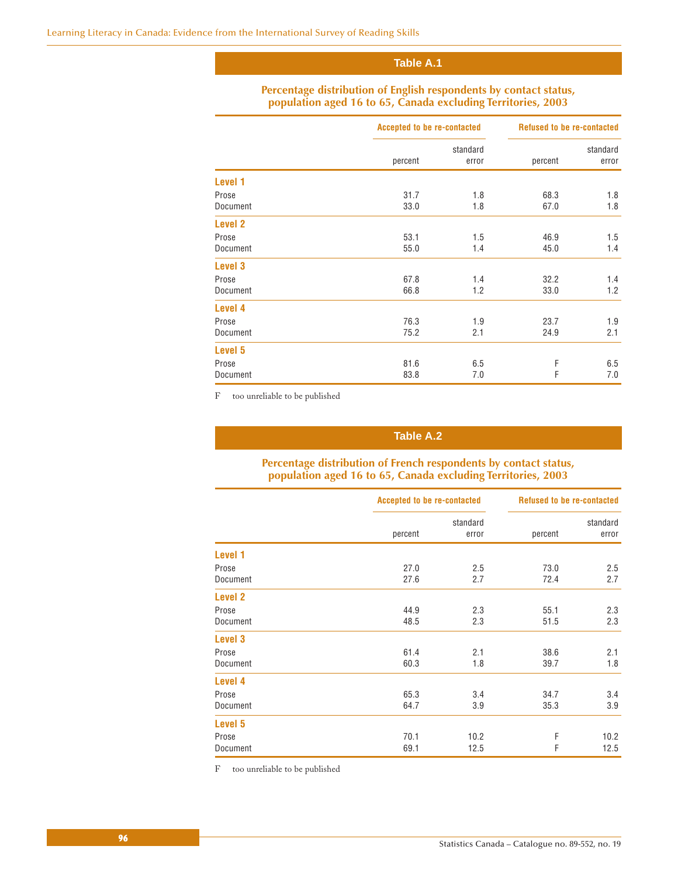#### **Table A.1**

#### **Percentage distribution of English respondents by contact status, population aged 16 to 65, Canada excluding Territories, 2003**

|                   |              | Accepted to be re-contacted |              | <b>Refused to be re-contacted</b> |
|-------------------|--------------|-----------------------------|--------------|-----------------------------------|
|                   | percent      | standard<br>error           | percent      | standard<br>error                 |
| Level 1           |              |                             |              |                                   |
| Prose<br>Document | 31.7<br>33.0 | 1.8<br>1.8                  | 68.3<br>67.0 | 1.8<br>1.8                        |
| Level 2           |              |                             |              |                                   |
| Prose<br>Document | 53.1<br>55.0 | 1.5<br>1.4                  | 46.9<br>45.0 | 1.5<br>1.4                        |
| Level 3           |              |                             |              |                                   |
| Prose<br>Document | 67.8<br>66.8 | 1.4<br>1.2                  | 32.2<br>33.0 | 1.4<br>1.2                        |
| Level 4           |              |                             |              |                                   |
| Prose<br>Document | 76.3<br>75.2 | 1.9<br>2.1                  | 23.7<br>24.9 | 1.9<br>2.1                        |
| Level 5           |              |                             |              |                                   |
| Prose<br>Document | 81.6<br>83.8 | 6.5<br>7.0                  | F<br>F       | 6.5<br>7.0                        |

F too unreliable to be published

#### **Table A.2**

#### **Percentage distribution of French respondents by contact status, population aged 16 to 65, Canada excluding Territories, 2003**

|                   | Accepted to be re-contacted |                   | <b>Refused to be re-contacted</b> |                   |
|-------------------|-----------------------------|-------------------|-----------------------------------|-------------------|
|                   | percent                     | standard<br>error | percent                           | standard<br>error |
| Level 1           |                             |                   |                                   |                   |
| Prose<br>Document | 27.0<br>27.6                | 2.5<br>2.7        | 73.0<br>72.4                      | 2.5<br>2.7        |
| Level 2           |                             |                   |                                   |                   |
| Prose<br>Document | 44.9<br>48.5                | 2.3<br>2.3        | 55.1<br>51.5                      | 2.3<br>2.3        |
| Level 3           |                             |                   |                                   |                   |
| Prose<br>Document | 61.4<br>60.3                | 2.1<br>1.8        | 38.6<br>39.7                      | 2.1<br>1.8        |
| Level 4           |                             |                   |                                   |                   |
| Prose<br>Document | 65.3<br>64.7                | 3.4<br>3.9        | 34.7<br>35.3                      | 3.4<br>3.9        |
| Level 5           |                             |                   |                                   |                   |
| Prose<br>Document | 70.1<br>69.1                | 10.2<br>12.5      | F<br>F                            | 10.2<br>12.5      |

F too unreliable to be published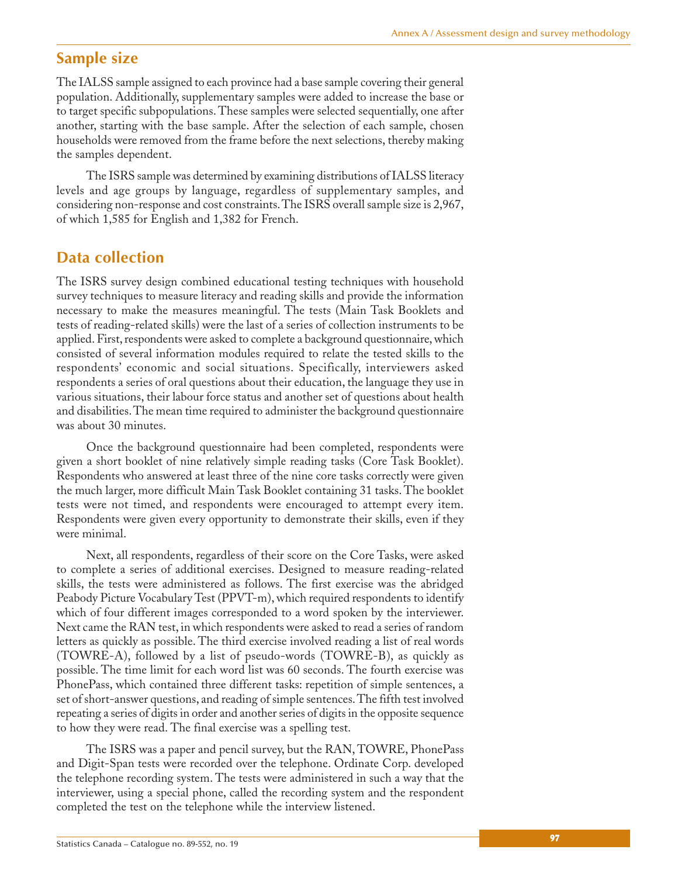## **Sample size**

The IALSS sample assigned to each province had a base sample covering their general population. Additionally, supplementary samples were added to increase the base or to target specific subpopulations. These samples were selected sequentially, one after another, starting with the base sample. After the selection of each sample, chosen households were removed from the frame before the next selections, thereby making the samples dependent.

The ISRS sample was determined by examining distributions of IALSS literacy levels and age groups by language, regardless of supplementary samples, and considering non-response and cost constraints. The ISRS overall sample size is 2,967, of which 1,585 for English and 1,382 for French.

## **Data collection**

The ISRS survey design combined educational testing techniques with household survey techniques to measure literacy and reading skills and provide the information necessary to make the measures meaningful. The tests (Main Task Booklets and tests of reading-related skills) were the last of a series of collection instruments to be applied. First, respondents were asked to complete a background questionnaire, which consisted of several information modules required to relate the tested skills to the respondents' economic and social situations. Specifically, interviewers asked respondents a series of oral questions about their education, the language they use in various situations, their labour force status and another set of questions about health and disabilities. The mean time required to administer the background questionnaire was about 30 minutes.

Once the background questionnaire had been completed, respondents were given a short booklet of nine relatively simple reading tasks (Core Task Booklet). Respondents who answered at least three of the nine core tasks correctly were given the much larger, more difficult Main Task Booklet containing 31 tasks. The booklet tests were not timed, and respondents were encouraged to attempt every item. Respondents were given every opportunity to demonstrate their skills, even if they were minimal.

Next, all respondents, regardless of their score on the Core Tasks, were asked to complete a series of additional exercises. Designed to measure reading-related skills, the tests were administered as follows. The first exercise was the abridged Peabody Picture Vocabulary Test (PPVT-m), which required respondents to identify which of four different images corresponded to a word spoken by the interviewer. Next came the RAN test, in which respondents were asked to read a series of random letters as quickly as possible. The third exercise involved reading a list of real words (TOWRE-A), followed by a list of pseudo-words (TOWRE-B), as quickly as possible. The time limit for each word list was 60 seconds. The fourth exercise was PhonePass, which contained three different tasks: repetition of simple sentences, a set of short-answer questions, and reading of simple sentences. The fifth test involved repeating a series of digits in order and another series of digits in the opposite sequence to how they were read. The final exercise was a spelling test.

The ISRS was a paper and pencil survey, but the RAN, TOWRE, PhonePass and Digit-Span tests were recorded over the telephone. Ordinate Corp. developed the telephone recording system. The tests were administered in such a way that the interviewer, using a special phone, called the recording system and the respondent completed the test on the telephone while the interview listened.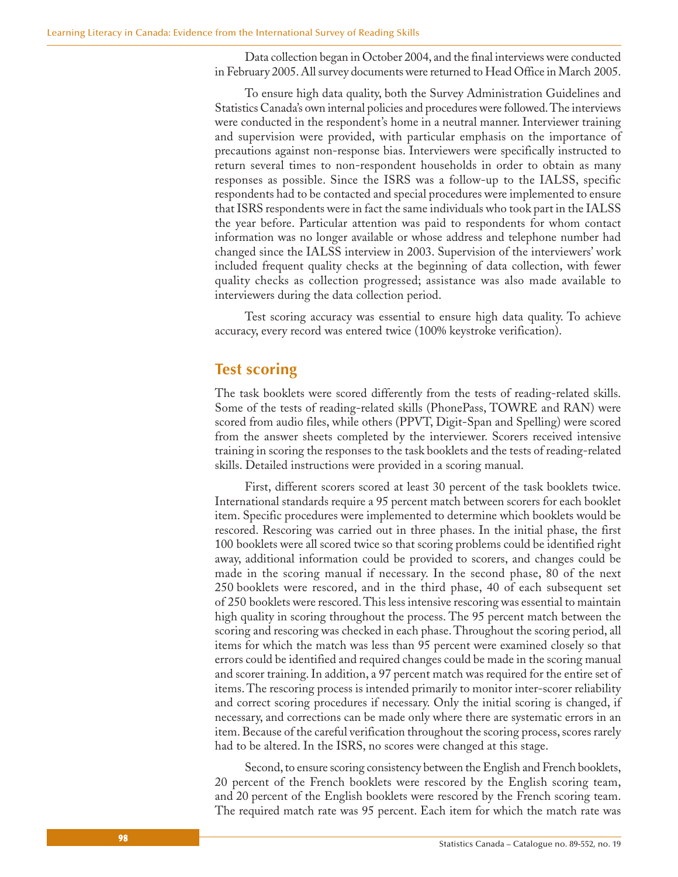Data collection began in October 2004, and the final interviews were conducted in February 2005. All survey documents were returned to Head Office in March 2005.

To ensure high data quality, both the Survey Administration Guidelines and Statistics Canada's own internal policies and procedures were followed. The interviews were conducted in the respondent's home in a neutral manner. Interviewer training and supervision were provided, with particular emphasis on the importance of precautions against non-response bias. Interviewers were specifically instructed to return several times to non-respondent households in order to obtain as many responses as possible. Since the ISRS was a follow-up to the IALSS, specific respondents had to be contacted and special procedures were implemented to ensure that ISRS respondents were in fact the same individuals who took part in the IALSS the year before. Particular attention was paid to respondents for whom contact information was no longer available or whose address and telephone number had changed since the IALSS interview in 2003. Supervision of the interviewers' work included frequent quality checks at the beginning of data collection, with fewer quality checks as collection progressed; assistance was also made available to interviewers during the data collection period.

Test scoring accuracy was essential to ensure high data quality. To achieve accuracy, every record was entered twice (100% keystroke verification).

## **Test scoring**

The task booklets were scored differently from the tests of reading-related skills. Some of the tests of reading-related skills (PhonePass, TOWRE and RAN) were scored from audio files, while others (PPVT, Digit-Span and Spelling) were scored from the answer sheets completed by the interviewer. Scorers received intensive training in scoring the responses to the task booklets and the tests of reading-related skills. Detailed instructions were provided in a scoring manual.

First, different scorers scored at least 30 percent of the task booklets twice. International standards require a 95 percent match between scorers for each booklet item. Specific procedures were implemented to determine which booklets would be rescored. Rescoring was carried out in three phases. In the initial phase, the first 100 booklets were all scored twice so that scoring problems could be identified right away, additional information could be provided to scorers, and changes could be made in the scoring manual if necessary. In the second phase, 80 of the next 250 booklets were rescored, and in the third phase, 40 of each subsequent set of 250 booklets were rescored. This less intensive rescoring was essential to maintain high quality in scoring throughout the process. The 95 percent match between the scoring and rescoring was checked in each phase. Throughout the scoring period, all items for which the match was less than 95 percent were examined closely so that errors could be identified and required changes could be made in the scoring manual and scorer training. In addition, a 97 percent match was required for the entire set of items. The rescoring process is intended primarily to monitor inter-scorer reliability and correct scoring procedures if necessary. Only the initial scoring is changed, if necessary, and corrections can be made only where there are systematic errors in an item. Because of the careful verification throughout the scoring process, scores rarely had to be altered. In the ISRS, no scores were changed at this stage.

Second, to ensure scoring consistency between the English and French booklets, 20 percent of the French booklets were rescored by the English scoring team, and 20 percent of the English booklets were rescored by the French scoring team. The required match rate was 95 percent. Each item for which the match rate was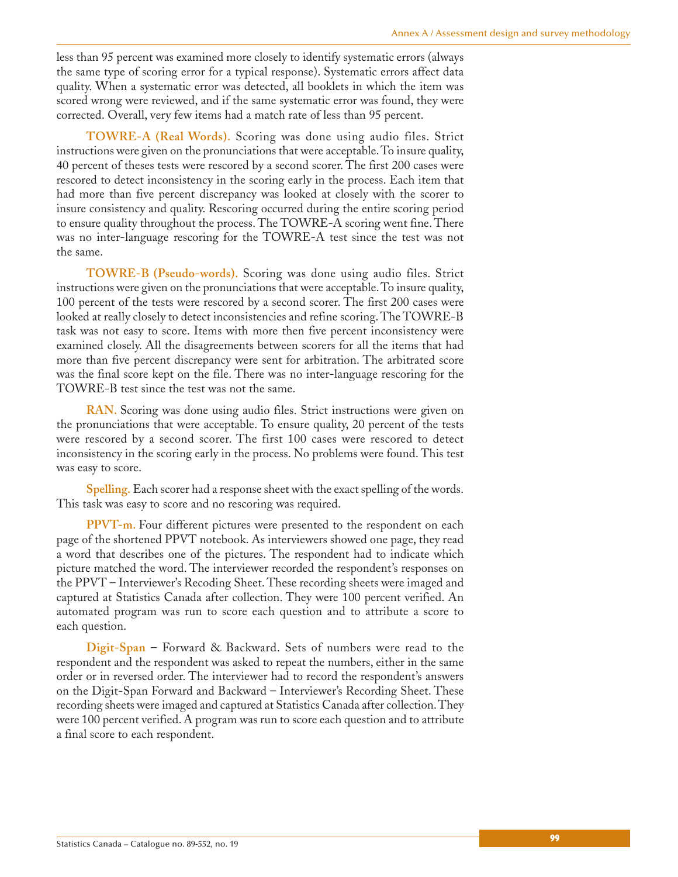less than 95 percent was examined more closely to identify systematic errors (always the same type of scoring error for a typical response). Systematic errors affect data quality. When a systematic error was detected, all booklets in which the item was scored wrong were reviewed, and if the same systematic error was found, they were corrected. Overall, very few items had a match rate of less than 95 percent.

**TOWRE-A (Real Words).** Scoring was done using audio files. Strict instructions were given on the pronunciations that were acceptable. To insure quality, 40 percent of theses tests were rescored by a second scorer. The first 200 cases were rescored to detect inconsistency in the scoring early in the process. Each item that had more than five percent discrepancy was looked at closely with the scorer to insure consistency and quality. Rescoring occurred during the entire scoring period to ensure quality throughout the process. The TOWRE-A scoring went fine. There was no inter-language rescoring for the TOWRE-A test since the test was not the same.

**TOWRE-B (Pseudo-words).** Scoring was done using audio files. Strict instructions were given on the pronunciations that were acceptable. To insure quality, 100 percent of the tests were rescored by a second scorer. The first 200 cases were looked at really closely to detect inconsistencies and refine scoring. The TOWRE-B task was not easy to score. Items with more then five percent inconsistency were examined closely. All the disagreements between scorers for all the items that had more than five percent discrepancy were sent for arbitration. The arbitrated score was the final score kept on the file. There was no inter-language rescoring for the TOWRE-B test since the test was not the same.

**RAN.** Scoring was done using audio files. Strict instructions were given on the pronunciations that were acceptable. To ensure quality, 20 percent of the tests were rescored by a second scorer. The first 100 cases were rescored to detect inconsistency in the scoring early in the process. No problems were found. This test was easy to score.

**Spelling.** Each scorer had a response sheet with the exact spelling of the words. This task was easy to score and no rescoring was required.

**PPVT-m.** Four different pictures were presented to the respondent on each page of the shortened PPVT notebook. As interviewers showed one page, they read a word that describes one of the pictures. The respondent had to indicate which picture matched the word. The interviewer recorded the respondent's responses on the PPVT – Interviewer's Recoding Sheet. These recording sheets were imaged and captured at Statistics Canada after collection. They were 100 percent verified. An automated program was run to score each question and to attribute a score to each question.

**Digit-Span** – Forward & Backward. Sets of numbers were read to the respondent and the respondent was asked to repeat the numbers, either in the same order or in reversed order. The interviewer had to record the respondent's answers on the Digit-Span Forward and Backward – Interviewer's Recording Sheet. These recording sheets were imaged and captured at Statistics Canada after collection. They were 100 percent verified. A program was run to score each question and to attribute a final score to each respondent.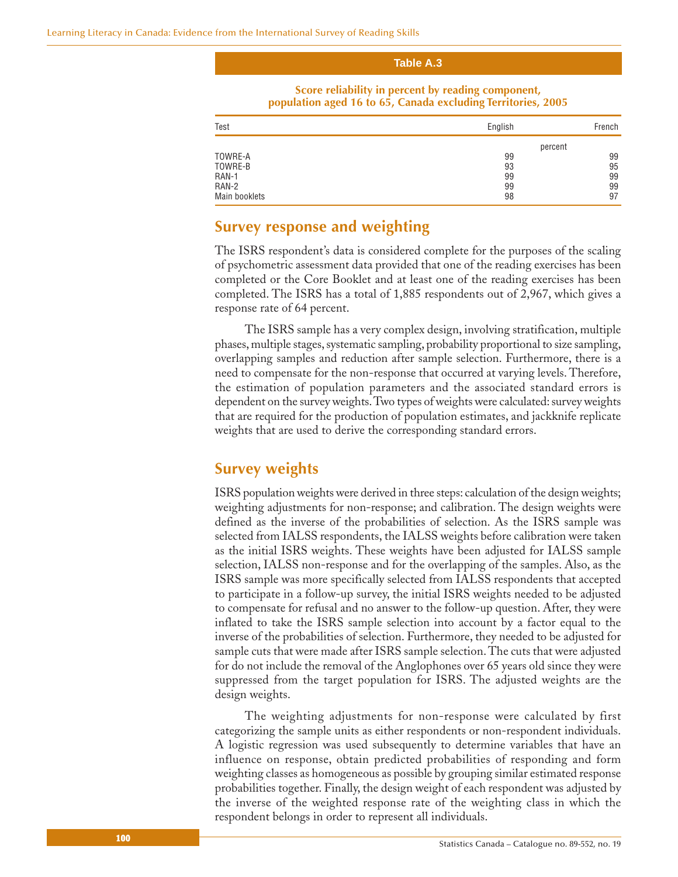**Table A.3**

**Score reliability in percent by reading component, population aged 16 to 65, Canada excluding Territories, 2005**

| Test          | English |               |
|---------------|---------|---------------|
| TOWRE-A       | 99      | percent<br>99 |
| TOWRE-B       | 93      | 95            |
| RAN-1         | 99      | 99            |
| RAN-2         | 99      | 99            |
| Main booklets | 98      | 97            |

### **Survey response and weighting**

The ISRS respondent's data is considered complete for the purposes of the scaling of psychometric assessment data provided that one of the reading exercises has been completed or the Core Booklet and at least one of the reading exercises has been completed. The ISRS has a total of 1,885 respondents out of 2,967, which gives a response rate of 64 percent.

The ISRS sample has a very complex design, involving stratification, multiple phases, multiple stages, systematic sampling, probability proportional to size sampling, overlapping samples and reduction after sample selection. Furthermore, there is a need to compensate for the non-response that occurred at varying levels. Therefore, the estimation of population parameters and the associated standard errors is dependent on the survey weights. Two types of weights were calculated: survey weights that are required for the production of population estimates, and jackknife replicate weights that are used to derive the corresponding standard errors.

## **Survey weights**

ISRS population weights were derived in three steps: calculation of the design weights; weighting adjustments for non-response; and calibration. The design weights were defined as the inverse of the probabilities of selection. As the ISRS sample was selected from IALSS respondents, the IALSS weights before calibration were taken as the initial ISRS weights. These weights have been adjusted for IALSS sample selection, IALSS non-response and for the overlapping of the samples. Also, as the ISRS sample was more specifically selected from IALSS respondents that accepted to participate in a follow-up survey, the initial ISRS weights needed to be adjusted to compensate for refusal and no answer to the follow-up question. After, they were inflated to take the ISRS sample selection into account by a factor equal to the inverse of the probabilities of selection. Furthermore, they needed to be adjusted for sample cuts that were made after ISRS sample selection. The cuts that were adjusted for do not include the removal of the Anglophones over 65 years old since they were suppressed from the target population for ISRS. The adjusted weights are the design weights.

The weighting adjustments for non-response were calculated by first categorizing the sample units as either respondents or non-respondent individuals. A logistic regression was used subsequently to determine variables that have an influence on response, obtain predicted probabilities of responding and form weighting classes as homogeneous as possible by grouping similar estimated response probabilities together. Finally, the design weight of each respondent was adjusted by the inverse of the weighted response rate of the weighting class in which the respondent belongs in order to represent all individuals.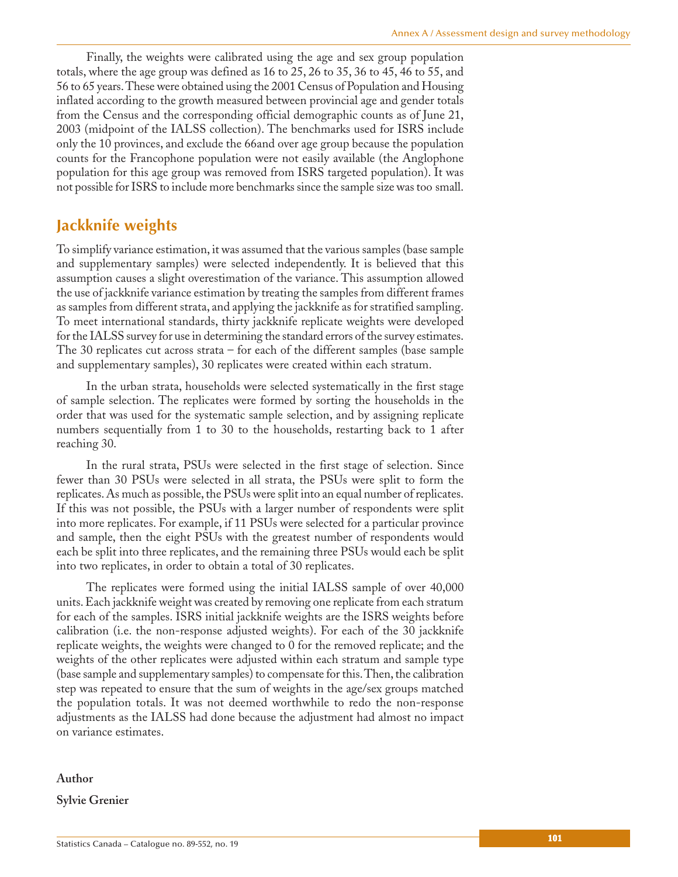Finally, the weights were calibrated using the age and sex group population totals, where the age group was defined as 16 to 25, 26 to 35, 36 to 45, 46 to 55, and 56 to 65 years. These were obtained using the 2001 Census of Population and Housing inflated according to the growth measured between provincial age and gender totals from the Census and the corresponding official demographic counts as of June 21, 2003 (midpoint of the IALSS collection). The benchmarks used for ISRS include only the 10 provinces, and exclude the 66and over age group because the population counts for the Francophone population were not easily available (the Anglophone population for this age group was removed from ISRS targeted population). It was not possible for ISRS to include more benchmarks since the sample size was too small.

## **Jackknife weights**

To simplify variance estimation, it was assumed that the various samples (base sample and supplementary samples) were selected independently. It is believed that this assumption causes a slight overestimation of the variance. This assumption allowed the use of jackknife variance estimation by treating the samples from different frames as samples from different strata, and applying the jackknife as for stratified sampling. To meet international standards, thirty jackknife replicate weights were developed for the IALSS survey for use in determining the standard errors of the survey estimates. The 30 replicates cut across strata – for each of the different samples (base sample and supplementary samples), 30 replicates were created within each stratum.

In the urban strata, households were selected systematically in the first stage of sample selection. The replicates were formed by sorting the households in the order that was used for the systematic sample selection, and by assigning replicate numbers sequentially from 1 to 30 to the households, restarting back to 1 after reaching 30.

In the rural strata, PSUs were selected in the first stage of selection. Since fewer than 30 PSUs were selected in all strata, the PSUs were split to form the replicates. As much as possible, the PSUs were split into an equal number of replicates. If this was not possible, the PSUs with a larger number of respondents were split into more replicates. For example, if 11 PSUs were selected for a particular province and sample, then the eight PSUs with the greatest number of respondents would each be split into three replicates, and the remaining three PSUs would each be split into two replicates, in order to obtain a total of 30 replicates.

The replicates were formed using the initial IALSS sample of over 40,000 units. Each jackknife weight was created by removing one replicate from each stratum for each of the samples. ISRS initial jackknife weights are the ISRS weights before calibration (i.e. the non-response adjusted weights). For each of the 30 jackknife replicate weights, the weights were changed to 0 for the removed replicate; and the weights of the other replicates were adjusted within each stratum and sample type (base sample and supplementary samples) to compensate for this. Then, the calibration step was repeated to ensure that the sum of weights in the age/sex groups matched the population totals. It was not deemed worthwhile to redo the non-response adjustments as the IALSS had done because the adjustment had almost no impact on variance estimates.

**Author**

**Sylvie Grenier**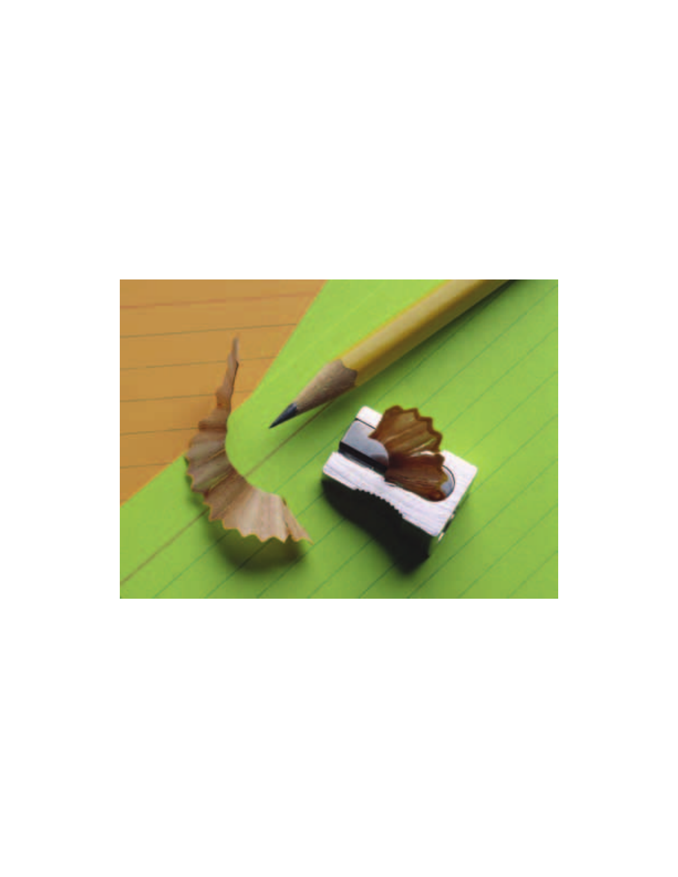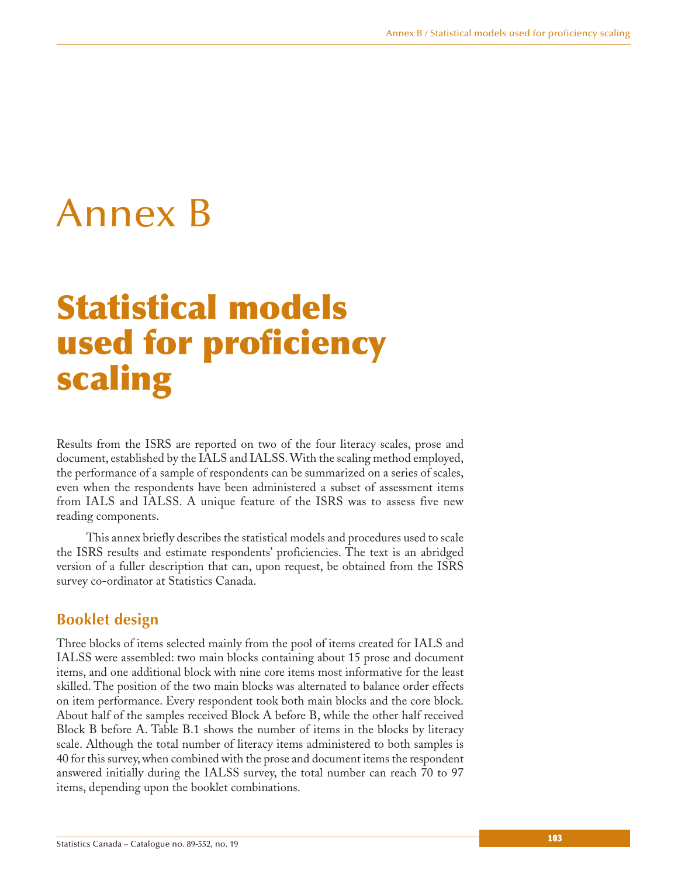# Annex B

## **Statistical models used for proficiency scaling**

Results from the ISRS are reported on two of the four literacy scales, prose and document, established by the IALS and IALSS. With the scaling method employed, the performance of a sample of respondents can be summarized on a series of scales, even when the respondents have been administered a subset of assessment items from IALS and IALSS. A unique feature of the ISRS was to assess five new reading components.

This annex briefly describes the statistical models and procedures used to scale the ISRS results and estimate respondents' proficiencies. The text is an abridged version of a fuller description that can, upon request, be obtained from the ISRS survey co-ordinator at Statistics Canada.

## **Booklet design**

Three blocks of items selected mainly from the pool of items created for IALS and IALSS were assembled: two main blocks containing about 15 prose and document items, and one additional block with nine core items most informative for the least skilled. The position of the two main blocks was alternated to balance order effects on item performance. Every respondent took both main blocks and the core block. About half of the samples received Block A before B, while the other half received Block B before A. Table B.1 shows the number of items in the blocks by literacy scale. Although the total number of literacy items administered to both samples is 40 for this survey, when combined with the prose and document items the respondent answered initially during the IALSS survey, the total number can reach 70 to 97 items, depending upon the booklet combinations.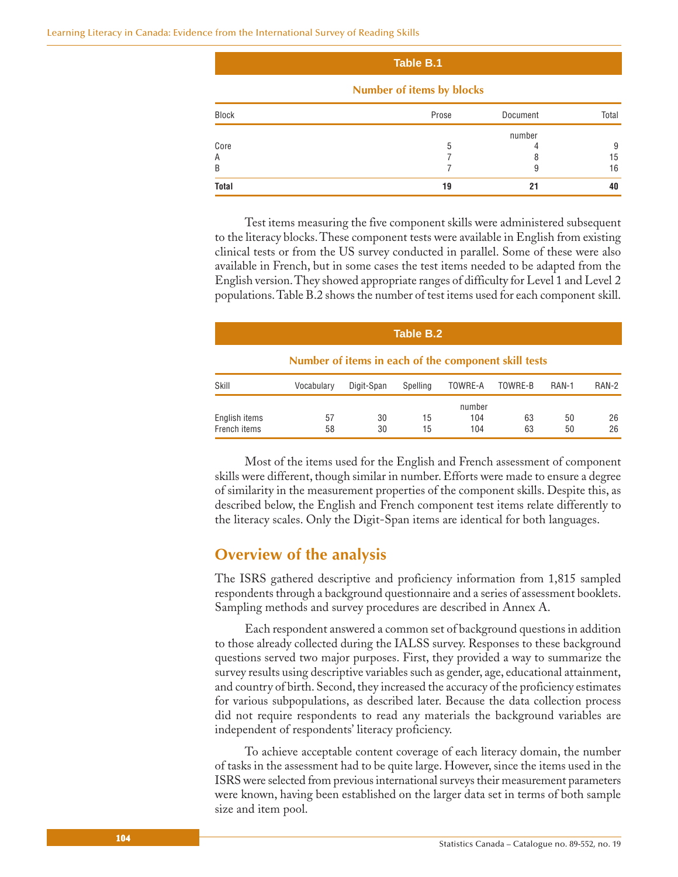| <b>Table B.1</b><br><b>Number of items by blocks</b> |    |        |    |  |  |
|------------------------------------------------------|----|--------|----|--|--|
|                                                      |    |        |    |  |  |
|                                                      |    | number |    |  |  |
| Core                                                 | 5  | 4      | 9  |  |  |
| A                                                    |    | 8      | 15 |  |  |
| B                                                    |    | 9      | 16 |  |  |
| <b>Total</b>                                         | 19 | 21     | 40 |  |  |

Test items measuring the five component skills were administered subsequent to the literacy blocks. These component tests were available in English from existing clinical tests or from the US survey conducted in parallel. Some of these were also available in French, but in some cases the test items needed to be adapted from the English version. They showed appropriate ranges of difficulty for Level 1 and Level 2 populations. Table B.2 shows the number of test items used for each component skill.

| Table B.2                                            |            |            |          |                      |          |          |          |
|------------------------------------------------------|------------|------------|----------|----------------------|----------|----------|----------|
| Number of items in each of the component skill tests |            |            |          |                      |          |          |          |
| Skill                                                | Vocabulary | Digit-Span | Spelling | TOWRE-A              | TOWRE-B  | RAN-1    | RAN-2    |
| English items<br>French items                        | 57<br>58   | 30<br>30   | 15<br>15 | number<br>104<br>104 | 63<br>63 | 50<br>50 | 26<br>26 |

Most of the items used for the English and French assessment of component skills were different, though similar in number. Efforts were made to ensure a degree of similarity in the measurement properties of the component skills. Despite this, as described below, the English and French component test items relate differently to the literacy scales. Only the Digit-Span items are identical for both languages.

## **Overview of the analysis**

The ISRS gathered descriptive and proficiency information from 1,815 sampled respondents through a background questionnaire and a series of assessment booklets. Sampling methods and survey procedures are described in Annex A.

Each respondent answered a common set of background questions in addition to those already collected during the IALSS survey. Responses to these background questions served two major purposes. First, they provided a way to summarize the survey results using descriptive variables such as gender, age, educational attainment, and country of birth. Second, they increased the accuracy of the proficiency estimates for various subpopulations, as described later. Because the data collection process did not require respondents to read any materials the background variables are independent of respondents' literacy proficiency.

To achieve acceptable content coverage of each literacy domain, the number of tasks in the assessment had to be quite large. However, since the items used in the ISRS were selected from previous international surveys their measurement parameters were known, having been established on the larger data set in terms of both sample size and item pool.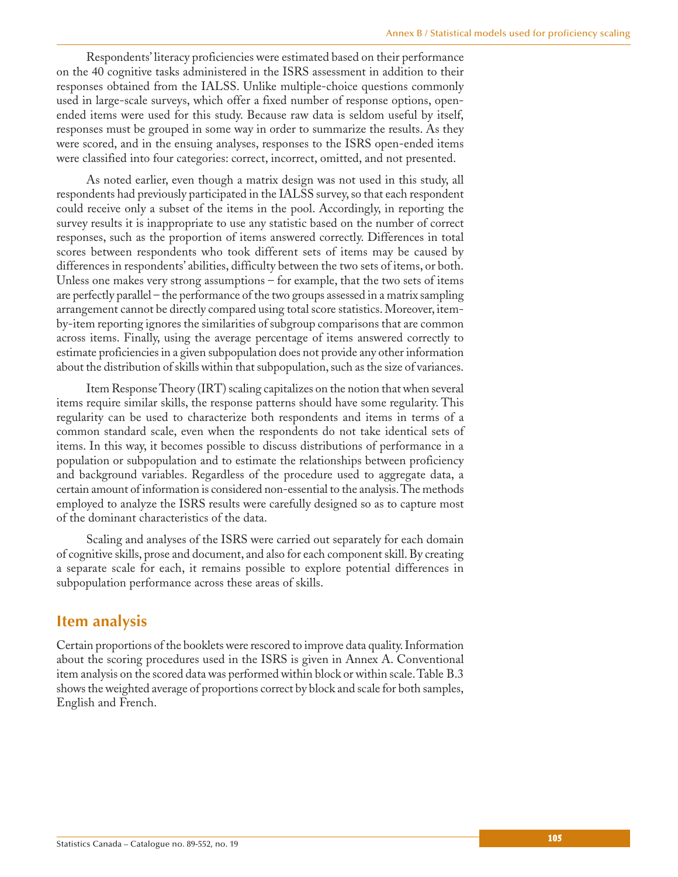Respondents' literacy proficiencies were estimated based on their performance on the 40 cognitive tasks administered in the ISRS assessment in addition to their responses obtained from the IALSS. Unlike multiple-choice questions commonly used in large-scale surveys, which offer a fixed number of response options, openended items were used for this study. Because raw data is seldom useful by itself, responses must be grouped in some way in order to summarize the results. As they were scored, and in the ensuing analyses, responses to the ISRS open-ended items were classified into four categories: correct, incorrect, omitted, and not presented.

As noted earlier, even though a matrix design was not used in this study, all respondents had previously participated in the IALSS survey, so that each respondent could receive only a subset of the items in the pool. Accordingly, in reporting the survey results it is inappropriate to use any statistic based on the number of correct responses, such as the proportion of items answered correctly. Differences in total scores between respondents who took different sets of items may be caused by differences in respondents' abilities, difficulty between the two sets of items, or both. Unless one makes very strong assumptions – for example, that the two sets of items are perfectly parallel – the performance of the two groups assessed in a matrix sampling arrangement cannot be directly compared using total score statistics. Moreover, itemby-item reporting ignores the similarities of subgroup comparisons that are common across items. Finally, using the average percentage of items answered correctly to estimate proficiencies in a given subpopulation does not provide any other information about the distribution of skills within that subpopulation, such as the size of variances.

Item Response Theory (IRT) scaling capitalizes on the notion that when several items require similar skills, the response patterns should have some regularity. This regularity can be used to characterize both respondents and items in terms of a common standard scale, even when the respondents do not take identical sets of items. In this way, it becomes possible to discuss distributions of performance in a population or subpopulation and to estimate the relationships between proficiency and background variables. Regardless of the procedure used to aggregate data, a certain amount of information is considered non-essential to the analysis. The methods employed to analyze the ISRS results were carefully designed so as to capture most of the dominant characteristics of the data.

Scaling and analyses of the ISRS were carried out separately for each domain of cognitive skills, prose and document, and also for each component skill. By creating a separate scale for each, it remains possible to explore potential differences in subpopulation performance across these areas of skills.

## **Item analysis**

Certain proportions of the booklets were rescored to improve data quality. Information about the scoring procedures used in the ISRS is given in Annex A. Conventional item analysis on the scored data was performed within block or within scale. Table B.3 shows the weighted average of proportions correct by block and scale for both samples, English and French.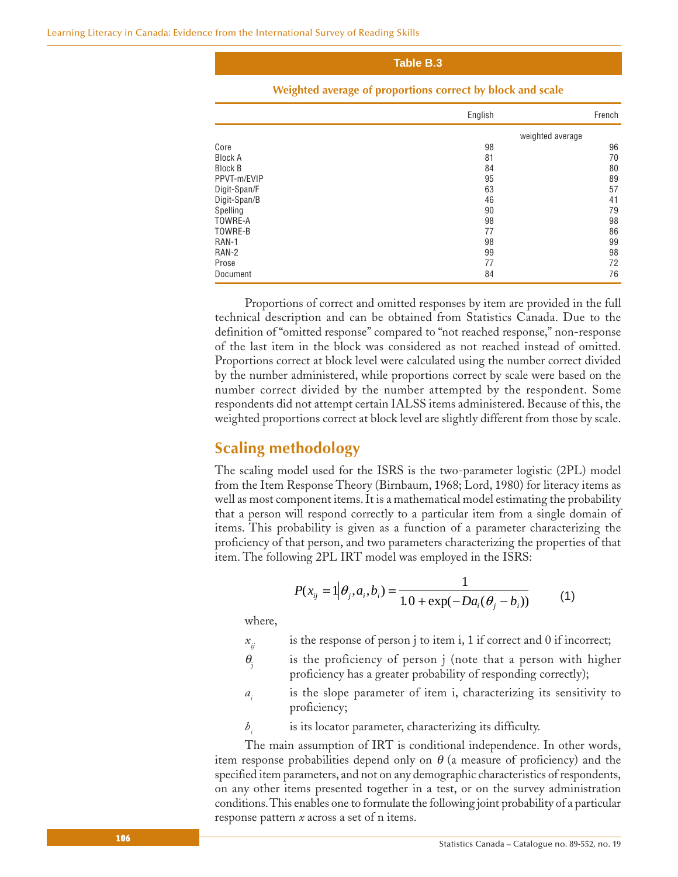#### **Table B.3**

|                | English | French           |
|----------------|---------|------------------|
|                |         |                  |
|                |         | weighted average |
| Core           | 98      | 96               |
| <b>Block A</b> | 81      | 70               |
| <b>Block B</b> | 84      | 80               |
| PPVT-m/EVIP    | 95      | 89               |
| Digit-Span/F   | 63      | 57               |
| Digit-Span/B   | 46      | 41               |
| Spelling       | 90      | 79               |
| TOWRE-A        | 98      | 98               |
| TOWRE-B        | 77      | 86               |
| RAN-1          | 98      | 99               |
| RAN-2          | 99      | 98               |
| Prose          | 77      | 72               |
| Document       | 84      | 76               |

|  | Weighted average of proportions correct by block and scale |  |  |  |  |  |  |
|--|------------------------------------------------------------|--|--|--|--|--|--|
|--|------------------------------------------------------------|--|--|--|--|--|--|

Proportions of correct and omitted responses by item are provided in the full technical description and can be obtained from Statistics Canada. Due to the definition of "omitted response" compared to "not reached response," non-response of the last item in the block was considered as not reached instead of omitted. Proportions correct at block level were calculated using the number correct divided by the number administered, while proportions correct by scale were based on the number correct divided by the number attempted by the respondent. Some respondents did not attempt certain IALSS items administered. Because of this, the weighted proportions correct at block level are slightly different from those by scale.

#### **Scaling methodology**

The scaling model used for the ISRS is the two-parameter logistic (2PL) model from the Item Response Theory (Birnbaum, 1968; Lord, 1980) for literacy items as well as most component items. It is a mathematical model estimating the probability that a person will respond correctly to a particular item from a single domain of items. This probability is given as a function of a parameter characterizing the proficiency of that person, and two parameters characterizing the properties of that item. The following 2PL IRT model was employed in the ISRS:

$$
P(x_{ij} = 1 | \theta_j, a_i, b_i) = \frac{1}{1.0 + \exp(-Da_i(\theta_j - b_i))}
$$
(1)

where,

- $x_{ij}$  is the response of person j to item i, 1 if correct and 0 if incorrect;
- $\theta$  is the proficiency of person j (note that a person with higher proficiency has a greater probability of responding correctly);
- *a<sub>i</sub>* is the slope parameter of item i, characterizing its sensitivity to proficiency;
- *b* is its locator parameter, characterizing its difficulty.

The main assumption of IRT is conditional independence. In other words, item response probabilities depend only on  $\theta$  (a measure of proficiency) and the specified item parameters, and not on any demographic characteristics of respondents, on any other items presented together in a test, or on the survey administration conditions. This enables one to formulate the following joint probability of a particular response pattern *x* across a set of n items.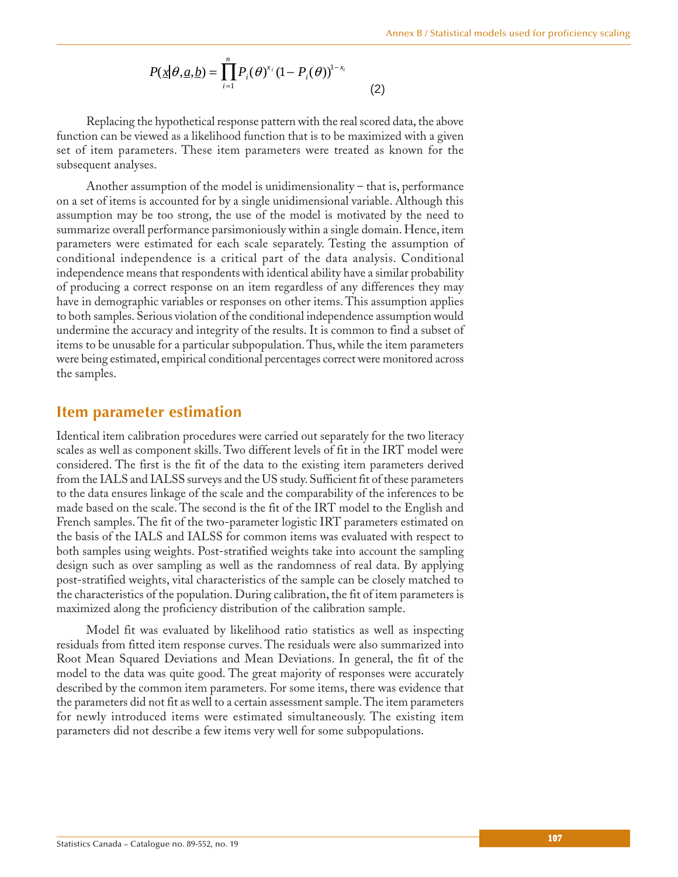$$
P(\underline{x}|\theta,\underline{a},\underline{b})=\prod_{i=1}^n P_i(\theta)^{x_i}(1-P_i(\theta))^{1-x_i}
$$

(2)

Replacing the hypothetical response pattern with the real scored data, the above function can be viewed as a likelihood function that is to be maximized with a given set of item parameters. These item parameters were treated as known for the subsequent analyses.

Another assumption of the model is unidimensionality – that is, performance on a set of items is accounted for by a single unidimensional variable. Although this assumption may be too strong, the use of the model is motivated by the need to summarize overall performance parsimoniously within a single domain. Hence, item parameters were estimated for each scale separately. Testing the assumption of conditional independence is a critical part of the data analysis. Conditional independence means that respondents with identical ability have a similar probability of producing a correct response on an item regardless of any differences they may have in demographic variables or responses on other items. This assumption applies to both samples. Serious violation of the conditional independence assumption would undermine the accuracy and integrity of the results. It is common to find a subset of items to be unusable for a particular subpopulation. Thus, while the item parameters were being estimated, empirical conditional percentages correct were monitored across the samples.

#### **Item parameter estimation**

Identical item calibration procedures were carried out separately for the two literacy scales as well as component skills. Two different levels of fit in the IRT model were considered. The first is the fit of the data to the existing item parameters derived from the IALS and IALSS surveys and the US study. Sufficient fit of these parameters to the data ensures linkage of the scale and the comparability of the inferences to be made based on the scale. The second is the fit of the IRT model to the English and French samples. The fit of the two-parameter logistic IRT parameters estimated on the basis of the IALS and IALSS for common items was evaluated with respect to both samples using weights. Post-stratified weights take into account the sampling design such as over sampling as well as the randomness of real data. By applying post-stratified weights, vital characteristics of the sample can be closely matched to the characteristics of the population. During calibration, the fit of item parameters is maximized along the proficiency distribution of the calibration sample.

Model fit was evaluated by likelihood ratio statistics as well as inspecting residuals from fitted item response curves. The residuals were also summarized into Root Mean Squared Deviations and Mean Deviations. In general, the fit of the model to the data was quite good. The great majority of responses were accurately described by the common item parameters. For some items, there was evidence that the parameters did not fit as well to a certain assessment sample. The item parameters for newly introduced items were estimated simultaneously. The existing item parameters did not describe a few items very well for some subpopulations.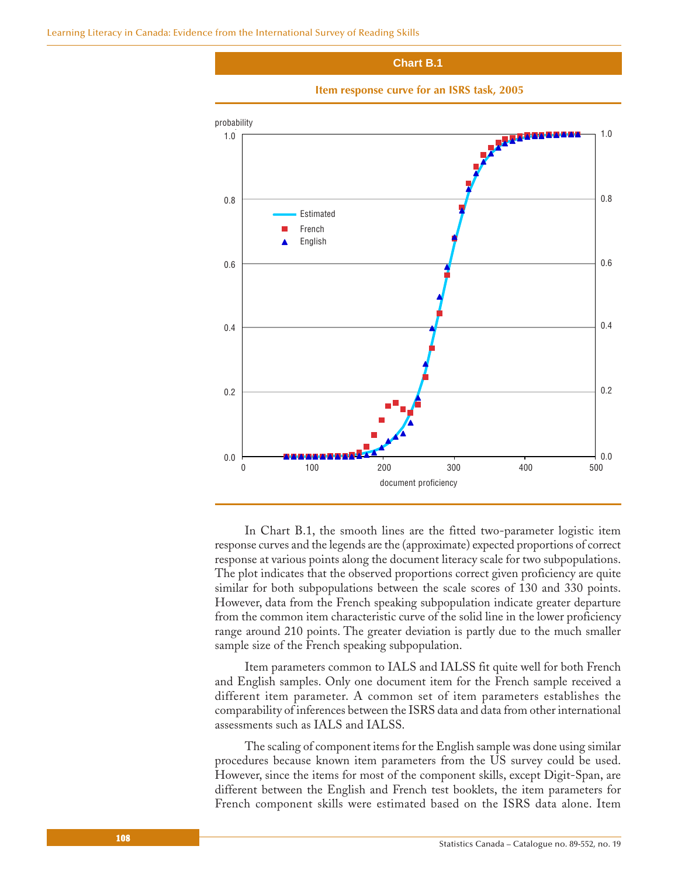**Chart B.1**





In Chart B.1, the smooth lines are the fitted two-parameter logistic item response curves and the legends are the (approximate) expected proportions of correct response at various points along the document literacy scale for two subpopulations. The plot indicates that the observed proportions correct given proficiency are quite similar for both subpopulations between the scale scores of 130 and 330 points. However, data from the French speaking subpopulation indicate greater departure from the common item characteristic curve of the solid line in the lower proficiency range around 210 points. The greater deviation is partly due to the much smaller sample size of the French speaking subpopulation.

Item parameters common to IALS and IALSS fit quite well for both French and English samples. Only one document item for the French sample received a different item parameter. A common set of item parameters establishes the comparability of inferences between the ISRS data and data from other international assessments such as IALS and IALSS.

The scaling of component items for the English sample was done using similar procedures because known item parameters from the US survey could be used. However, since the items for most of the component skills, except Digit-Span, are different between the English and French test booklets, the item parameters for French component skills were estimated based on the ISRS data alone. Item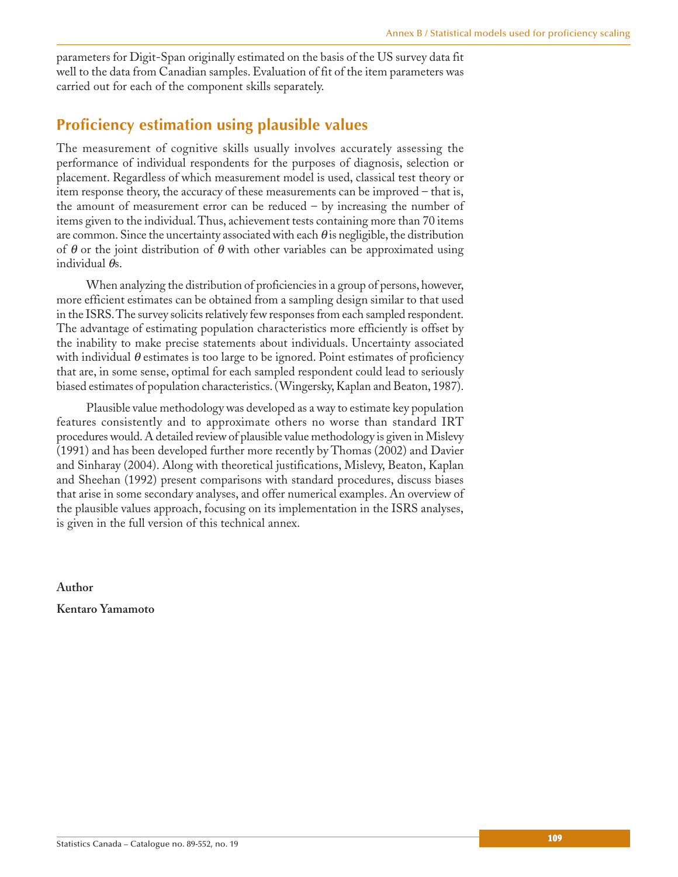parameters for Digit-Span originally estimated on the basis of the US survey data fit well to the data from Canadian samples. Evaluation of fit of the item parameters was carried out for each of the component skills separately.

## **Proficiency estimation using plausible values**

The measurement of cognitive skills usually involves accurately assessing the performance of individual respondents for the purposes of diagnosis, selection or placement. Regardless of which measurement model is used, classical test theory or item response theory, the accuracy of these measurements can be improved – that is, the amount of measurement error can be reduced – by increasing the number of items given to the individual. Thus, achievement tests containing more than 70 items are common. Since the uncertainty associated with each  $\theta$  is negligible, the distribution of  $\theta$  or the joint distribution of  $\theta$  with other variables can be approximated using individual θs.

When analyzing the distribution of proficiencies in a group of persons, however, more efficient estimates can be obtained from a sampling design similar to that used in the ISRS. The survey solicits relatively few responses from each sampled respondent. The advantage of estimating population characteristics more efficiently is offset by the inability to make precise statements about individuals. Uncertainty associated with individual  $\theta$  estimates is too large to be ignored. Point estimates of proficiency that are, in some sense, optimal for each sampled respondent could lead to seriously biased estimates of population characteristics. (Wingersky, Kaplan and Beaton, 1987).

Plausible value methodology was developed as a way to estimate key population features consistently and to approximate others no worse than standard IRT procedures would. A detailed review of plausible value methodology is given in Mislevy (1991) and has been developed further more recently by Thomas (2002) and Davier and Sinharay (2004). Along with theoretical justifications, Mislevy, Beaton, Kaplan and Sheehan (1992) present comparisons with standard procedures, discuss biases that arise in some secondary analyses, and offer numerical examples. An overview of the plausible values approach, focusing on its implementation in the ISRS analyses, is given in the full version of this technical annex.

**Author Kentaro Yamamoto**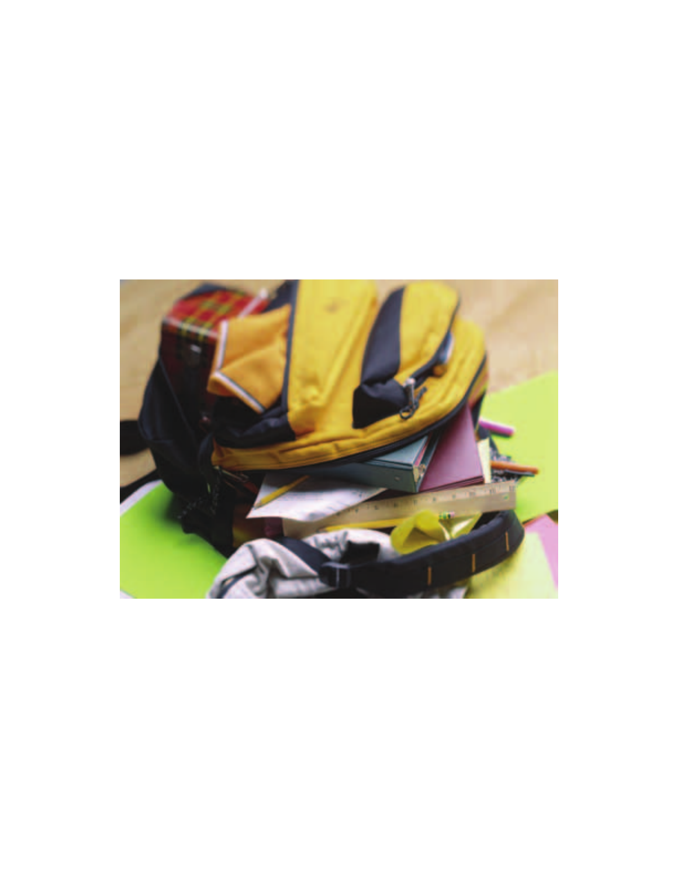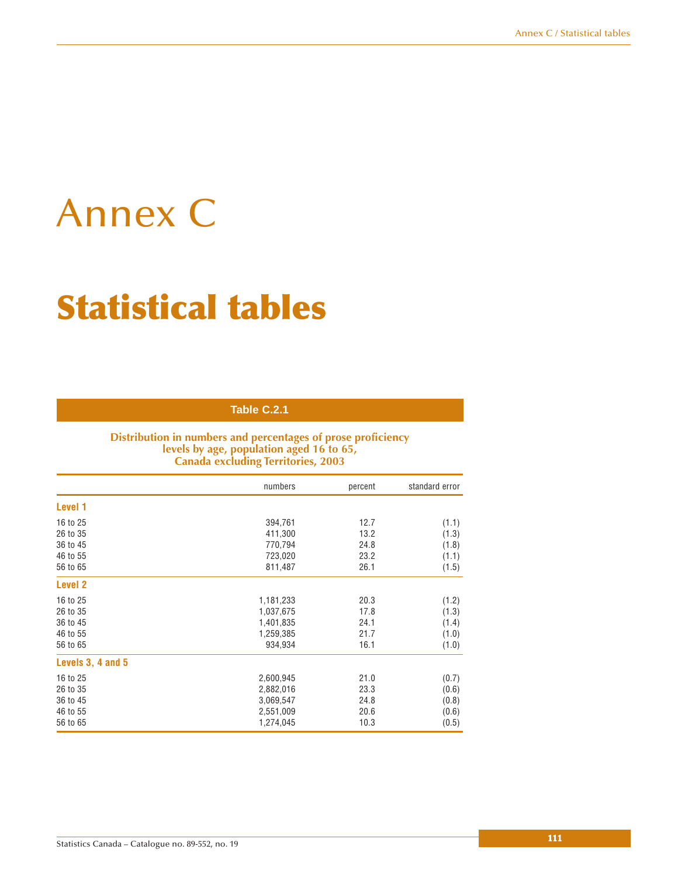# Annex C

## **Statistical tables**

## **Table C.2.1**

#### **Distribution in numbers and percentages of prose proficiency levels by age, population aged 16 to 65, Canada excluding Territories, 2003**

|                    | numbers   | percent | standard error |
|--------------------|-----------|---------|----------------|
| Level 1            |           |         |                |
| 16 to 25           | 394,761   | 12.7    | (1.1)          |
| 26 to 35           | 411,300   | 13.2    | (1.3)          |
| 36 to 45           | 770,794   | 24.8    | (1.8)          |
| 46 to 55           | 723,020   | 23.2    | (1.1)          |
| 56 to 65           | 811,487   | 26.1    | (1.5)          |
| Level <sub>2</sub> |           |         |                |
| 16 to 25           | 1,181,233 | 20.3    | (1.2)          |
| 26 to 35           | 1,037,675 | 17.8    | (1.3)          |
| 36 to 45           | 1,401,835 | 24.1    | (1.4)          |
| 46 to 55           | 1,259,385 | 21.7    | (1.0)          |
| 56 to 65           | 934,934   | 16.1    | (1.0)          |
| Levels 3, 4 and 5  |           |         |                |
| 16 to 25           | 2,600,945 | 21.0    | (0.7)          |
| 26 to 35           | 2,882,016 | 23.3    | (0.6)          |
| 36 to 45           | 3,069,547 | 24.8    | (0.8)          |
| 46 to 55           | 2,551,009 | 20.6    | (0.6)          |
| 56 to 65           | 1,274,045 | 10.3    | (0.5)          |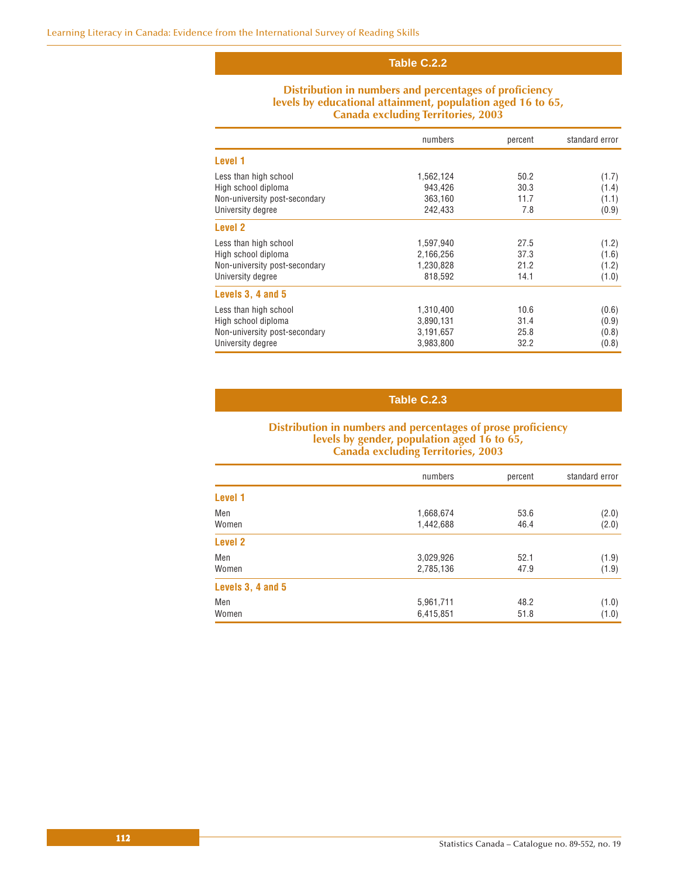#### **Distribution in numbers and percentages of proficiency levels by educational attainment, population aged 16 to 65, Canada excluding Territories, 2003**

|                                                                                                    | numbers                                          | percent                      | standard error                   |
|----------------------------------------------------------------------------------------------------|--------------------------------------------------|------------------------------|----------------------------------|
| Level 1                                                                                            |                                                  |                              |                                  |
| Less than high school<br>High school diploma<br>Non-university post-secondary<br>University degree | 1,562,124<br>943.426<br>363,160<br>242,433       | 50.2<br>30.3<br>11.7<br>7.8  | (1.7)<br>(1.4)<br>(1.1)<br>(0.9) |
| Level <sub>2</sub>                                                                                 |                                                  |                              |                                  |
| Less than high school<br>High school diploma<br>Non-university post-secondary<br>University degree | 1,597,940<br>2,166,256<br>1,230,828<br>818.592   | 27.5<br>37.3<br>21.2<br>14.1 | (1.2)<br>(1.6)<br>(1.2)<br>(1.0) |
| Levels 3, 4 and 5                                                                                  |                                                  |                              |                                  |
| Less than high school<br>High school diploma<br>Non-university post-secondary<br>University degree | 1,310,400<br>3,890,131<br>3,191,657<br>3,983,800 | 10.6<br>31.4<br>25.8<br>32.2 | (0.6)<br>(0.9)<br>(0.8)<br>(0.8) |

#### **Table C.2.3**

#### **Distribution in numbers and percentages of prose proficiency levels by gender, population aged 16 to 65, Canada excluding Territories, 2003**

|                   | numbers                | percent      | standard error |
|-------------------|------------------------|--------------|----------------|
| Level 1           |                        |              |                |
| Men<br>Women      | 1,668,674<br>1,442,688 | 53.6<br>46.4 | (2.0)<br>(2.0) |
| Level 2           |                        |              |                |
| Men<br>Women      | 3,029,926<br>2,785,136 | 52.1<br>47.9 | (1.9)<br>(1.9) |
| Levels 3, 4 and 5 |                        |              |                |
| Men<br>Women      | 5,961,711<br>6,415,851 | 48.2<br>51.8 | (1.0)<br>(1.0) |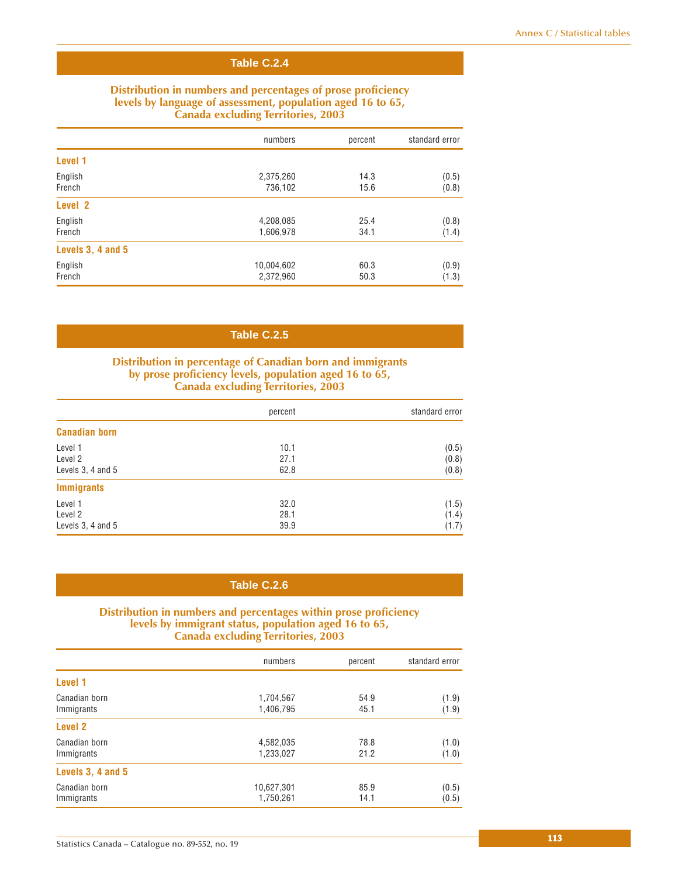#### **Distribution in numbers and percentages of prose proficiency levels by language of assessment, population aged 16 to 65, Canada excluding Territories, 2003**

|                   | numbers                 | percent      | standard error |
|-------------------|-------------------------|--------------|----------------|
| Level 1           |                         |              |                |
| English<br>French | 2,375,260<br>736,102    | 14.3<br>15.6 | (0.5)<br>(0.8) |
| Level 2           |                         |              |                |
| English<br>French | 4,208,085<br>1,606,978  | 25.4<br>34.1 | (0.8)<br>(1.4) |
| Levels 3, 4 and 5 |                         |              |                |
| English<br>French | 10,004,602<br>2,372,960 | 60.3<br>50.3 | (0.9)<br>(1.3) |

#### **Table C.2.5**

#### **Distribution in percentage of Canadian born and immigrants by prose proficiency levels, population aged 16 to 65, Canada excluding Territories, 2003**

|                                         | percent              | standard error          |
|-----------------------------------------|----------------------|-------------------------|
| <b>Canadian born</b>                    |                      |                         |
| Level 1<br>Level 2<br>Levels 3, 4 and 5 | 10.1<br>27.1<br>62.8 | (0.5)<br>(0.8)<br>(0.8) |
| <b>Immigrants</b>                       |                      |                         |
| Level 1<br>Level 2<br>Levels 3, 4 and 5 | 32.0<br>28.1<br>39.9 | (1.5)<br>(1.4)<br>(1.7) |

#### **Table C.2.6**

#### **Distribution in numbers and percentages within prose proficiency levels by immigrant status, population aged 16 to 65, Canada excluding Territories, 2003**

|                             | numbers                 | percent      | standard error |
|-----------------------------|-------------------------|--------------|----------------|
| Level 1                     |                         |              |                |
| Canadian born<br>Immigrants | 1,704,567<br>1,406,795  | 54.9<br>45.1 | (1.9)<br>(1.9) |
| Level 2                     |                         |              |                |
| Canadian born<br>Immigrants | 4,582,035<br>1,233,027  | 78.8<br>21.2 | (1.0)<br>(1.0) |
| Levels 3, 4 and 5           |                         |              |                |
| Canadian born<br>Immigrants | 10,627,301<br>1,750,261 | 85.9<br>14.1 | (0.5)<br>(0.5) |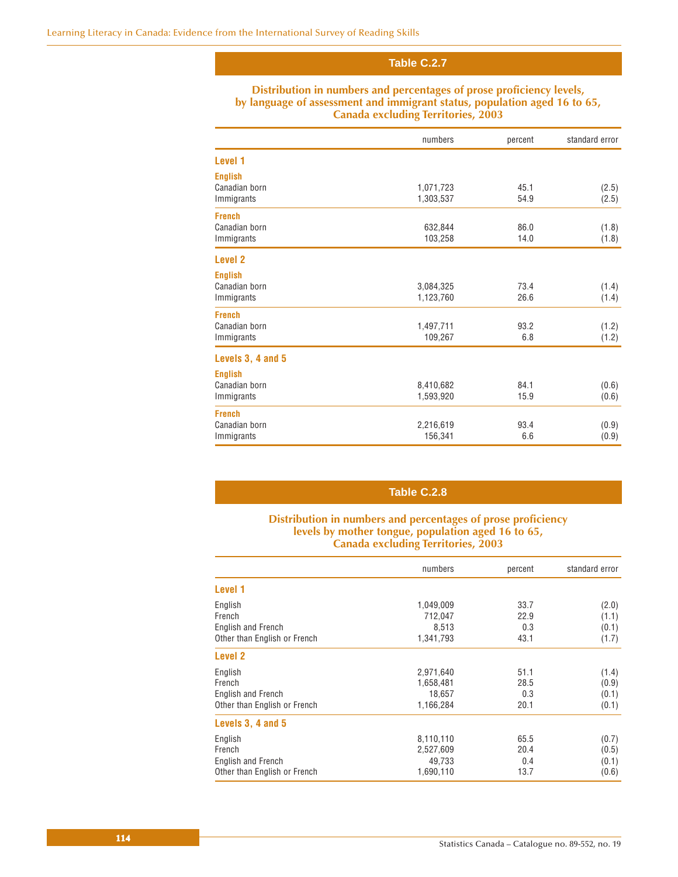#### **Distribution in numbers and percentages of prose proficiency levels, by language of assessment and immigrant status, population aged 16 to 65, Canada excluding Territories, 2003**

|                    | numbers   | percent | standard error |
|--------------------|-----------|---------|----------------|
| Level 1            |           |         |                |
| <b>English</b>     |           |         |                |
| Canadian born      | 1,071,723 | 45.1    | (2.5)          |
| Immigrants         | 1,303,537 | 54.9    | (2.5)          |
| <b>French</b>      |           |         |                |
| Canadian born      | 632,844   | 86.0    | (1.8)          |
| Immigrants         | 103,258   | 14.0    | (1.8)          |
| Level <sub>2</sub> |           |         |                |
| <b>English</b>     |           |         |                |
| Canadian born      | 3,084,325 | 73.4    | (1.4)          |
| Immigrants         | 1,123,760 | 26.6    | (1.4)          |
| <b>French</b>      |           |         |                |
| Canadian born      | 1,497,711 | 93.2    | (1.2)          |
| Immigrants         | 109,267   | 6.8     | (1.2)          |
| Levels 3, 4 and 5  |           |         |                |
| <b>English</b>     |           |         |                |
| Canadian born      | 8,410,682 | 84.1    | (0.6)          |
| Immigrants         | 1,593,920 | 15.9    | (0.6)          |
| <b>French</b>      |           |         |                |
| Canadian born      | 2,216,619 | 93.4    | (0.9)          |
| Immigrants         | 156,341   | 6.6     | (0.9)          |

#### **Table C.2.8**

#### **Distribution in numbers and percentages of prose proficiency levels by mother tongue, population aged 16 to 65, Canada excluding Territories, 2003**

|                              | numbers          | percent     | standard error |
|------------------------------|------------------|-------------|----------------|
| Level 1                      |                  |             |                |
| English                      | 1,049,009        | 33.7        | (2.0)          |
| French<br>English and French | 712,047<br>8,513 | 22.9<br>0.3 | (1.1)<br>(0.1) |
| Other than English or French | 1,341,793        | 43.1        | (1.7)          |
| Level <sub>2</sub>           |                  |             |                |
| English                      | 2,971,640        | 51.1        | (1.4)          |
| French                       | 1,658,481        | 28.5        | (0.9)          |
| English and French           | 18,657           | 0.3         | (0.1)          |
| Other than English or French | 1,166,284        | 20.1        | (0.1)          |
| Levels 3, 4 and 5            |                  |             |                |
| English                      | 8,110,110        | 65.5        | (0.7)          |
| French                       | 2,527,609        | 20.4        | (0.5)          |
| English and French           | 49,733           | 0.4         | (0.1)          |
| Other than English or French | 1,690,110        | 13.7        | (0.6)          |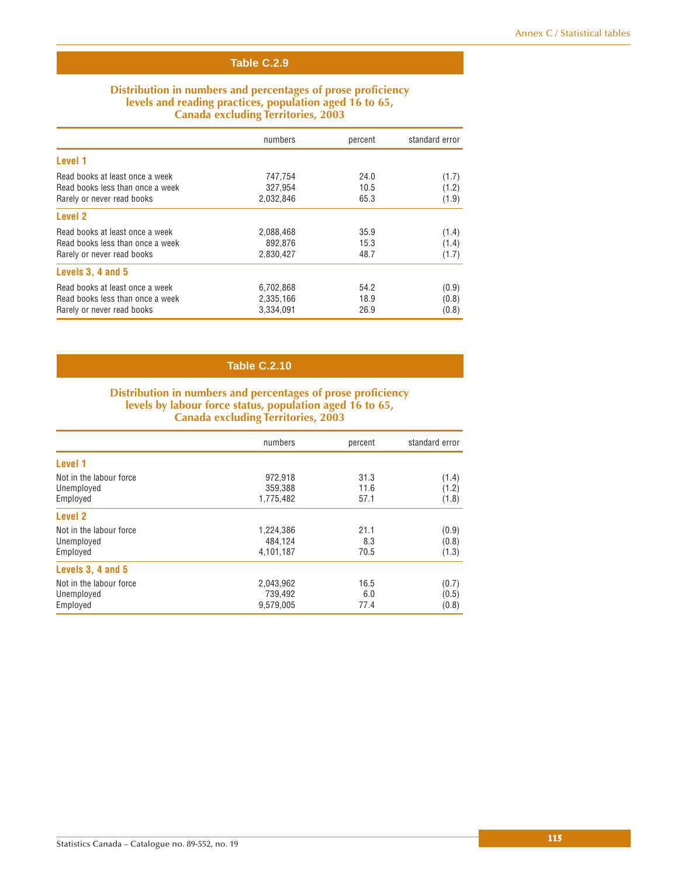#### **Distribution in numbers and percentages of prose proficiency levels and reading practices, population aged 16 to 65, Canada excluding Territories, 2003**

|                                                                                                   | numbers                             | percent              | standard error          |
|---------------------------------------------------------------------------------------------------|-------------------------------------|----------------------|-------------------------|
| Level 1                                                                                           |                                     |                      |                         |
| Read books at least once a week<br>Read books less than once a week<br>Rarely or never read books | 747.754<br>327.954<br>2,032,846     | 24.0<br>10.5<br>65.3 | (1.7)<br>(1.2)<br>(1.9) |
| Level <sub>2</sub>                                                                                |                                     |                      |                         |
| Read books at least once a week<br>Read books less than once a week<br>Rarely or never read books | 2,088,468<br>892.876<br>2,830,427   | 35.9<br>15.3<br>48.7 | (1.4)<br>(1.4)<br>(1.7) |
| Levels 3, 4 and 5                                                                                 |                                     |                      |                         |
| Read books at least once a week<br>Read books less than once a week<br>Rarely or never read books | 6,702,868<br>2,335,166<br>3,334,091 | 54.2<br>18.9<br>26.9 | (0.9)<br>(0.8)<br>(0.8) |

## **Table C.2.10**

#### **Distribution in numbers and percentages of prose proficiency levels by labour force status, population aged 16 to 65, Canada excluding Territories, 2003**

|                                                   | numbers                           | percent              | standard error          |
|---------------------------------------------------|-----------------------------------|----------------------|-------------------------|
| Level 1                                           |                                   |                      |                         |
| Not in the labour force<br>Unemployed<br>Employed | 972.918<br>359,388<br>1,775,482   | 31.3<br>11.6<br>57.1 | (1.4)<br>(1.2)<br>(1.8) |
| Level <sub>2</sub>                                |                                   |                      |                         |
| Not in the labour force<br>Unemployed<br>Employed | 1,224,386<br>484.124<br>4,101,187 | 21.1<br>8.3<br>70.5  | (0.9)<br>(0.8)<br>(1.3) |
| Levels 3, 4 and 5                                 |                                   |                      |                         |
| Not in the labour force<br>Unemployed<br>Employed | 2,043,962<br>739,492<br>9,579,005 | 16.5<br>6.0<br>77.4  | (0.7)<br>(0.5)<br>(0.8) |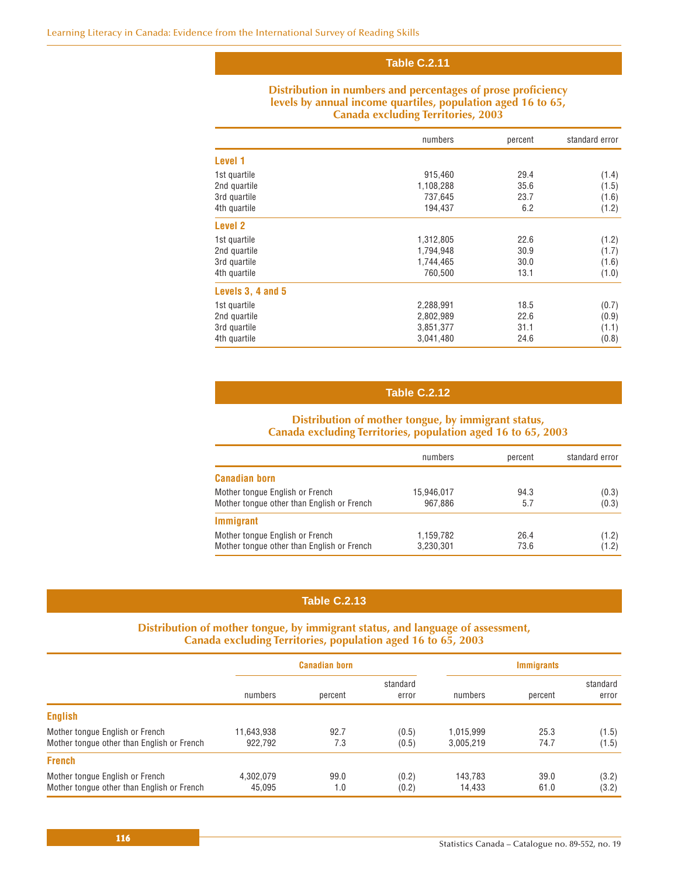#### **Distribution in numbers and percentages of prose proficiency levels by annual income quartiles, population aged 16 to 65, Canada excluding Territories, 2003**

|                    | numbers   | percent | standard error |
|--------------------|-----------|---------|----------------|
| Level 1            |           |         |                |
| 1st quartile       | 915,460   | 29.4    | (1.4)          |
| 2nd quartile       | 1,108,288 | 35.6    | (1.5)          |
| 3rd quartile       | 737,645   | 23.7    | (1.6)          |
| 4th quartile       | 194,437   | 6.2     | (1.2)          |
| Level <sub>2</sub> |           |         |                |
| 1st quartile       | 1,312,805 | 22.6    | (1.2)          |
| 2nd quartile       | 1,794,948 | 30.9    | (1.7)          |
| 3rd quartile       | 1,744,465 | 30.0    | (1.6)          |
| 4th quartile       | 760,500   | 13.1    | (1.0)          |
| Levels 3, 4 and 5  |           |         |                |
| 1st quartile       | 2,288,991 | 18.5    | (0.7)          |
| 2nd quartile       | 2,802,989 | 22.6    | (0.9)          |
| 3rd quartile       | 3,851,377 | 31.1    | (1.1)          |
| 4th quartile       | 3,041,480 | 24.6    | (0.8)          |

#### **Table C.2.12**

#### **Distribution of mother tongue, by immigrant status, Canada excluding Territories, population aged 16 to 65, 2003**

|                                                                               | numbers                | percent      | standard error |
|-------------------------------------------------------------------------------|------------------------|--------------|----------------|
| <b>Canadian born</b>                                                          |                        |              |                |
| Mother tonque English or French<br>Mother tonque other than English or French | 15,946,017<br>967.886  | 94.3<br>5.7  | (0.3)<br>(0.3) |
| <b>Immigrant</b>                                                              |                        |              |                |
| Mother tonque English or French<br>Mother tonque other than English or French | 1,159,782<br>3,230,301 | 26.4<br>73.6 | (1.2)<br>(1.2) |

#### **Table C.2.13**

#### **Distribution of mother tongue, by immigrant status, and language of assessment, Canada excluding Territories, population aged 16 to 65, 2003**

|                                                                               |                       | <b>Canadian born</b> |                   |                        | <b>Immigrants</b> |                   |
|-------------------------------------------------------------------------------|-----------------------|----------------------|-------------------|------------------------|-------------------|-------------------|
|                                                                               | numbers               | percent              | standard<br>error | numbers                | percent           | standard<br>error |
| <b>English</b>                                                                |                       |                      |                   |                        |                   |                   |
| Mother tonque English or French<br>Mother tonque other than English or French | 11,643,938<br>922,792 | 92.7<br>7.3          | (0.5)<br>(0.5)    | 1.015.999<br>3,005,219 | 25.3<br>74.7      | (1.5)<br>(1.5)    |
| <b>French</b>                                                                 |                       |                      |                   |                        |                   |                   |
| Mother tonque English or French<br>Mother tonque other than English or French | 4,302,079<br>45,095   | 99.0<br>1.0          | (0.2)<br>(0.2)    | 143,783<br>14.433      | 39.0<br>61.0      | (3.2)<br>(3.2)    |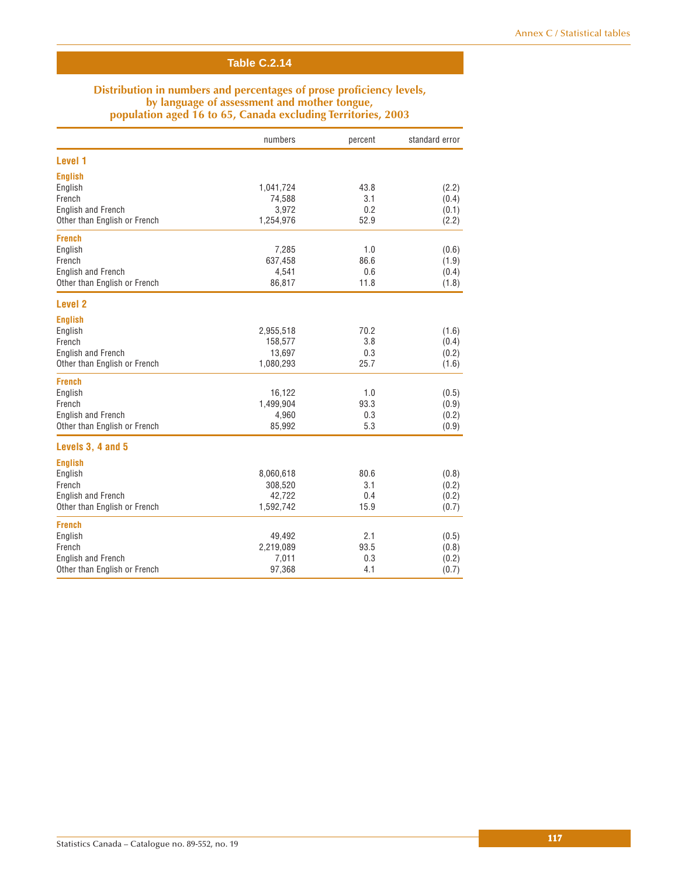#### **Distribution in numbers and percentages of prose proficiency levels, by language of assessment and mother tongue, population aged 16 to 65, Canada excluding Territories, 2003**

|                                                                                                  | numbers                                     | percent                    | standard error                   |
|--------------------------------------------------------------------------------------------------|---------------------------------------------|----------------------------|----------------------------------|
| Level 1                                                                                          |                                             |                            |                                  |
| <b>English</b><br>English<br>French<br><b>English and French</b><br>Other than English or French | 1,041,724<br>74,588<br>3,972<br>1,254,976   | 43.8<br>3.1<br>0.2<br>52.9 | (2.2)<br>(0.4)<br>(0.1)<br>(2.2) |
| <b>French</b><br>English<br>French<br>English and French<br>Other than English or French         | 7,285<br>637,458<br>4,541<br>86,817         | 1.0<br>86.6<br>0.6<br>11.8 | (0.6)<br>(1.9)<br>(0.4)<br>(1.8) |
| <b>Level 2</b>                                                                                   |                                             |                            |                                  |
| <b>English</b><br>English<br>French<br>English and French<br>Other than English or French        | 2,955,518<br>158,577<br>13,697<br>1,080,293 | 70.2<br>3.8<br>0.3<br>25.7 | (1.6)<br>(0.4)<br>(0.2)<br>(1.6) |
| <b>French</b><br>English<br>French<br><b>English and French</b><br>Other than English or French  | 16,122<br>1,499,904<br>4,960<br>85,992      | 1.0<br>93.3<br>0.3<br>5.3  | (0.5)<br>(0.9)<br>(0.2)<br>(0.9) |
| Levels 3, 4 and 5                                                                                |                                             |                            |                                  |
| <b>English</b><br>English<br>French<br>English and French<br>Other than English or French        | 8,060,618<br>308,520<br>42,722<br>1,592,742 | 80.6<br>3.1<br>0.4<br>15.9 | (0.8)<br>(0.2)<br>(0.2)<br>(0.7) |
| <b>French</b><br>English<br>French<br>English and French<br>Other than English or French         | 49,492<br>2,219,089<br>7,011<br>97,368      | 2.1<br>93.5<br>0.3<br>4.1  | (0.5)<br>(0.8)<br>(0.2)<br>(0.7) |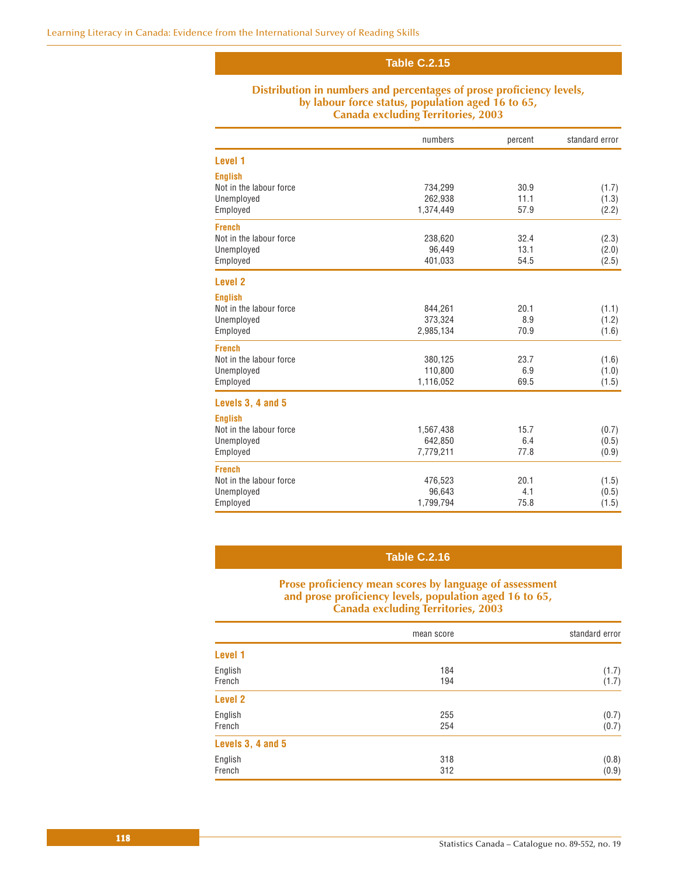#### **Distribution in numbers and percentages of prose proficiency levels, by labour force status, population aged 16 to 65, Canada excluding Territories, 2003**

|                                                                     | numbers                           | percent              | standard error          |
|---------------------------------------------------------------------|-----------------------------------|----------------------|-------------------------|
| Level 1                                                             |                                   |                      |                         |
| <b>English</b><br>Not in the labour force<br>Unemployed<br>Employed | 734,299<br>262,938<br>1,374,449   | 30.9<br>11.1<br>57.9 | (1.7)<br>(1.3)<br>(2.2) |
| <b>French</b><br>Not in the labour force<br>Unemployed<br>Employed  | 238,620<br>96,449<br>401,033      | 32.4<br>13.1<br>54.5 | (2.3)<br>(2.0)<br>(2.5) |
| <b>Level 2</b>                                                      |                                   |                      |                         |
| <b>English</b><br>Not in the labour force<br>Unemployed<br>Employed | 844,261<br>373,324<br>2,985,134   | 20.1<br>8.9<br>70.9  | (1.1)<br>(1.2)<br>(1.6) |
| <b>French</b><br>Not in the labour force<br>Unemployed<br>Employed  | 380,125<br>110,800<br>1,116,052   | 23.7<br>6.9<br>69.5  | (1.6)<br>(1.0)<br>(1.5) |
| Levels 3, 4 and 5                                                   |                                   |                      |                         |
| <b>Enalish</b><br>Not in the labour force<br>Unemployed<br>Employed | 1,567,438<br>642,850<br>7,779,211 | 15.7<br>6.4<br>77.8  | (0.7)<br>(0.5)<br>(0.9) |
| <b>French</b><br>Not in the labour force<br>Unemployed<br>Employed  | 476,523<br>96,643<br>1,799,794    | 20.1<br>4.1<br>75.8  | (1.5)<br>(0.5)<br>(1.5) |

#### **Table C.2.16**

#### **Prose proficiency mean scores by language of assessment and prose proficiency levels, population aged 16 to 65, Canada excluding Territories, 2003**

|                   | mean score | standard error |
|-------------------|------------|----------------|
| Level 1           |            |                |
| English           | 184        | (1.7)          |
| French            | 194        | (1.7)          |
| <b>Level 2</b>    |            |                |
| English           | 255        | (0.7)          |
| French            | 254        | (0.7)          |
| Levels 3, 4 and 5 |            |                |
| English           | 318        | (0.8)          |
| French            | 312        | (0.9)          |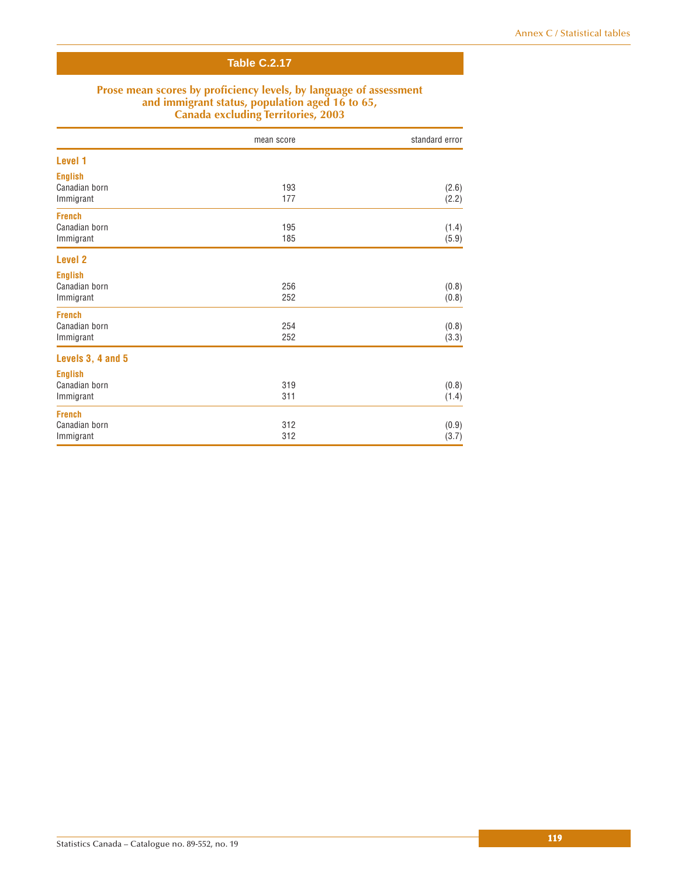#### **Prose mean scores by proficiency levels, by language of assessment and immigrant status, population aged 16 to 65, Canada excluding Territories, 2003**

|                                              | mean score | standard error |
|----------------------------------------------|------------|----------------|
| Level 1                                      |            |                |
| <b>English</b><br>Canadian born<br>Immigrant | 193<br>177 | (2.6)<br>(2.2) |
| <b>French</b><br>Canadian born<br>Immigrant  | 195<br>185 | (1.4)<br>(5.9) |
| Level <sub>2</sub>                           |            |                |
| <b>English</b><br>Canadian born<br>Immigrant | 256<br>252 | (0.8)<br>(0.8) |
| <b>French</b><br>Canadian born<br>Immigrant  | 254<br>252 | (0.8)<br>(3.3) |
| Levels 3, 4 and 5                            |            |                |
| <b>English</b><br>Canadian born<br>Immigrant | 319<br>311 | (0.8)<br>(1.4) |
| <b>French</b><br>Canadian born<br>Immigrant  | 312<br>312 | (0.9)<br>(3.7) |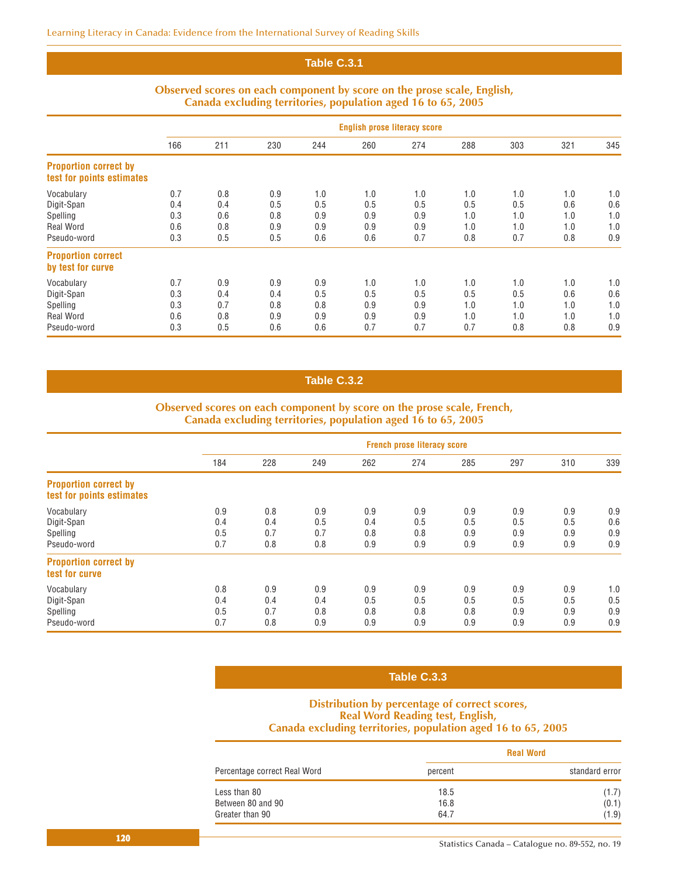#### **Table C.3.1**

#### **Observed scores on each component by score on the prose scale, English, Canada excluding territories, population aged 16 to 65, 2005**

|                                                                         | <b>English prose literacy score</b> |                                 |                                 |                                 |                                 |                                 |                                 |                                 |                                 |                                 |
|-------------------------------------------------------------------------|-------------------------------------|---------------------------------|---------------------------------|---------------------------------|---------------------------------|---------------------------------|---------------------------------|---------------------------------|---------------------------------|---------------------------------|
|                                                                         | 166                                 | 211                             | 230                             | 244                             | 260                             | 274                             | 288                             | 303                             | 321                             | 345                             |
| <b>Proportion correct by</b><br>test for points estimates               |                                     |                                 |                                 |                                 |                                 |                                 |                                 |                                 |                                 |                                 |
| Vocabulary<br>Digit-Span<br>Spelling<br><b>Real Word</b><br>Pseudo-word | 0.7<br>0.4<br>0.3<br>0.6<br>0.3     | 0.8<br>0.4<br>0.6<br>0.8<br>0.5 | 0.9<br>0.5<br>0.8<br>0.9<br>0.5 | 1.0<br>0.5<br>0.9<br>0.9<br>0.6 | 1.0<br>0.5<br>0.9<br>0.9<br>0.6 | 1.0<br>0.5<br>0.9<br>0.9<br>0.7 | 1.0<br>0.5<br>1.0<br>1.0<br>0.8 | 1.0<br>0.5<br>1.0<br>1.0<br>0.7 | 1.0<br>0.6<br>1.0<br>1.0<br>0.8 | 1.0<br>0.6<br>1.0<br>1.0<br>0.9 |
| <b>Proportion correct</b><br>by test for curve                          |                                     |                                 |                                 |                                 |                                 |                                 |                                 |                                 |                                 |                                 |
| Vocabulary<br>Digit-Span<br>Spelling<br><b>Real Word</b><br>Pseudo-word | 0.7<br>0.3<br>0.3<br>0.6<br>0.3     | 0.9<br>0.4<br>0.7<br>0.8<br>0.5 | 0.9<br>0.4<br>0.8<br>0.9<br>0.6 | 0.9<br>0.5<br>0.8<br>0.9<br>0.6 | 1.0<br>0.5<br>0.9<br>0.9<br>0.7 | 1.0<br>0.5<br>0.9<br>0.9<br>0.7 | 1.0<br>0.5<br>1.0<br>1.0<br>0.7 | 1.0<br>0.5<br>1.0<br>1.0<br>0.8 | 1.0<br>0.6<br>1.0<br>1.0<br>0.8 | 1.0<br>0.6<br>1.0<br>1.0<br>0.9 |

#### **Table C.3.2**

#### **Observed scores on each component by score on the prose scale, French, Canada excluding territories, population aged 16 to 65, 2005**

|                                                           |                          | <b>French prose literacy score</b> |                          |                          |                          |                          |                          |                          |                          |
|-----------------------------------------------------------|--------------------------|------------------------------------|--------------------------|--------------------------|--------------------------|--------------------------|--------------------------|--------------------------|--------------------------|
|                                                           | 184                      | 228                                | 249                      | 262                      | 274                      | 285                      | 297                      | 310                      | 339                      |
| <b>Proportion correct by</b><br>test for points estimates |                          |                                    |                          |                          |                          |                          |                          |                          |                          |
| Vocabulary<br>Digit-Span<br>Spelling<br>Pseudo-word       | 0.9<br>0.4<br>0.5<br>0.7 | 0.8<br>0.4<br>0.7<br>0.8           | 0.9<br>0.5<br>0.7<br>0.8 | 0.9<br>0.4<br>0.8<br>0.9 | 0.9<br>0.5<br>0.8<br>0.9 | 0.9<br>0.5<br>0.9<br>0.9 | 0.9<br>0.5<br>0.9<br>0.9 | 0.9<br>0.5<br>0.9<br>0.9 | 0.9<br>0.6<br>0.9<br>0.9 |
| <b>Proportion correct by</b><br>test for curve            |                          |                                    |                          |                          |                          |                          |                          |                          |                          |
| Vocabulary<br>Digit-Span<br>Spelling<br>Pseudo-word       | 0.8<br>0.4<br>0.5<br>0.7 | 0.9<br>0.4<br>0.7<br>0.8           | 0.9<br>0.4<br>0.8<br>0.9 | 0.9<br>0.5<br>0.8<br>0.9 | 0.9<br>0.5<br>0.8<br>0.9 | 0.9<br>0.5<br>0.8<br>0.9 | 0.9<br>0.5<br>0.9<br>0.9 | 0.9<br>0.5<br>0.9<br>0.9 | 1.0<br>0.5<br>0.9<br>0.9 |

|  | Table C.3.3 |  |
|--|-------------|--|
|  |             |  |
|  |             |  |
|  |             |  |

#### **Distribution by percentage of correct scores, Real Word Reading test, English, Canada excluding territories, population aged 16 to 65, 2005**

|                              | <b>Real Word</b> |                |  |
|------------------------------|------------------|----------------|--|
| Percentage correct Real Word | percent          | standard error |  |
| Less than 80                 | 18.5             | (1.7)          |  |
| Between 80 and 90            | 16.8             | (0.1)          |  |
| Greater than 90              | 64.7             | (1.9)          |  |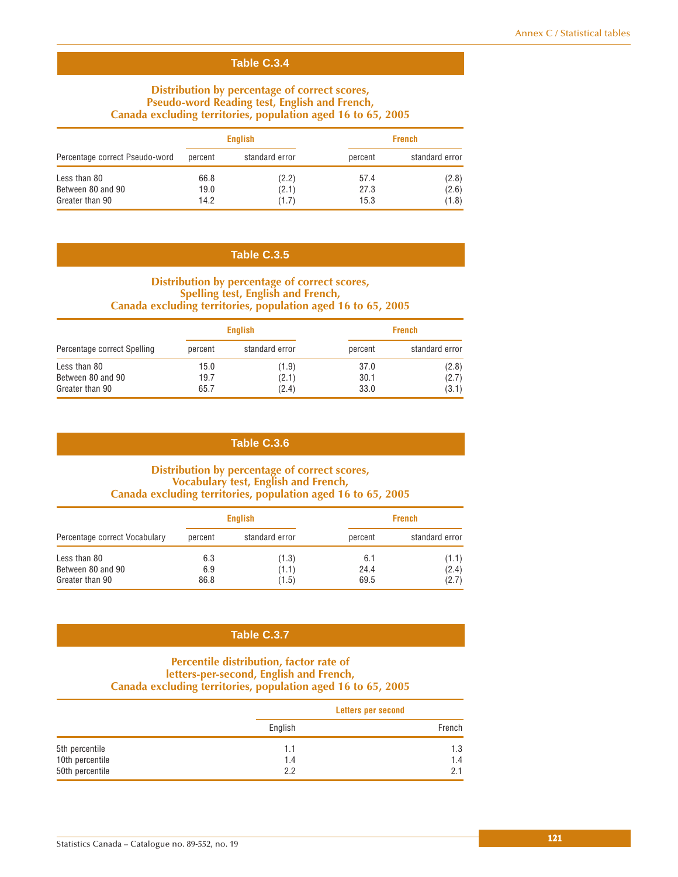#### **Table C.3.4**

#### **Distribution by percentage of correct scores, Pseudo-word Reading test, English and French, Canada excluding territories, population aged 16 to 65, 2005**

|                                                      |                      | <b>English</b>          | <b>French</b>        |                         |  |
|------------------------------------------------------|----------------------|-------------------------|----------------------|-------------------------|--|
| Percentage correct Pseudo-word                       | percent              | standard error          | percent              | standard error          |  |
| Less than 80<br>Between 80 and 90<br>Greater than 90 | 66.8<br>19.0<br>14.2 | (2.2)<br>(2.1)<br>(1.7) | 57.4<br>27.3<br>15.3 | (2.8)<br>(2.6)<br>(1.8) |  |

#### **Table C.3.5**

#### **Distribution by percentage of correct scores, Spelling test, English and French, Canada excluding territories, population aged 16 to 65, 2005**

|                             |         | <b>English</b> |         | <b>French</b>  |
|-----------------------------|---------|----------------|---------|----------------|
| Percentage correct Spelling | percent | standard error | percent | standard error |
| Less than 80                | 15.0    | (1.9)          | 37.0    | (2.8)          |
| Between 80 and 90           | 19.7    | (2.1)          | 30.1    | (2.7)          |
| Greater than 90             | 65.7    | (2.4)          | 33.0    | (3.1)          |

#### **Table C.3.6**

#### **Distribution by percentage of correct scores, Vocabulary test, English and French, Canada excluding territories, population aged 16 to 65, 2005**

|                               |         | <b>English</b> | <b>French</b> |                |  |
|-------------------------------|---------|----------------|---------------|----------------|--|
| Percentage correct Vocabulary | percent | standard error | percent       | standard error |  |
| Less than 80                  | 6.3     | (1.3)          | 6.1           | (1.1)          |  |
| Between 80 and 90             | 6.9     | (1.1)          | 24.4          | (2.4)          |  |
| Greater than 90               | 86.8    | (1.5)          | 69.5          | (2.7)          |  |

### **Table C.3.7**

#### **Percentile distribution, factor rate of letters-per-second, English and French, Canada excluding territories, population aged 16 to 65, 2005**

|                 | Letters per second |        |
|-----------------|--------------------|--------|
|                 | English            | French |
| 5th percentile  | 1.1                | 1.3    |
| 10th percentile | 1.4                | 1.4    |
| 50th percentile | 2.2                | 2.1    |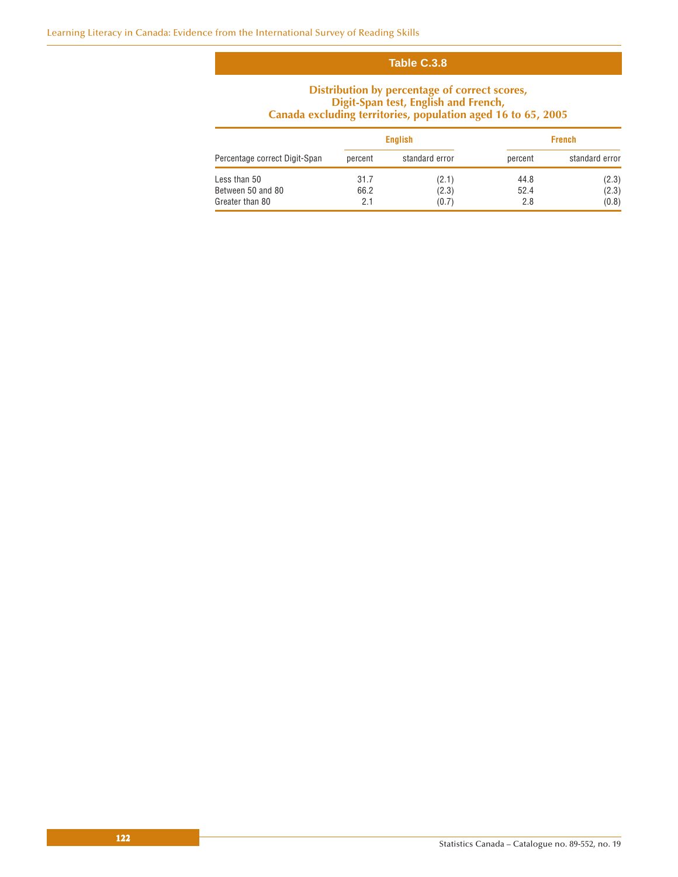## **Table C.3.8**

#### **Distribution by percentage of correct scores, Digit-Span test, English and French, Canada excluding territories, population aged 16 to 65, 2005**

|                               |         | <b>Enalish</b> |         | <b>French</b>  |
|-------------------------------|---------|----------------|---------|----------------|
| Percentage correct Digit-Span | percent | standard error | percent | standard error |
| Less than 50                  | 31.7    | (2.1)          | 44.8    | (2.3)          |
| Between 50 and 80             | 66.2    | (2.3)          | 52.4    | (2.3)          |
| Greater than 80               | 2.1     | (0.7)          | 2.8     | (0.8)          |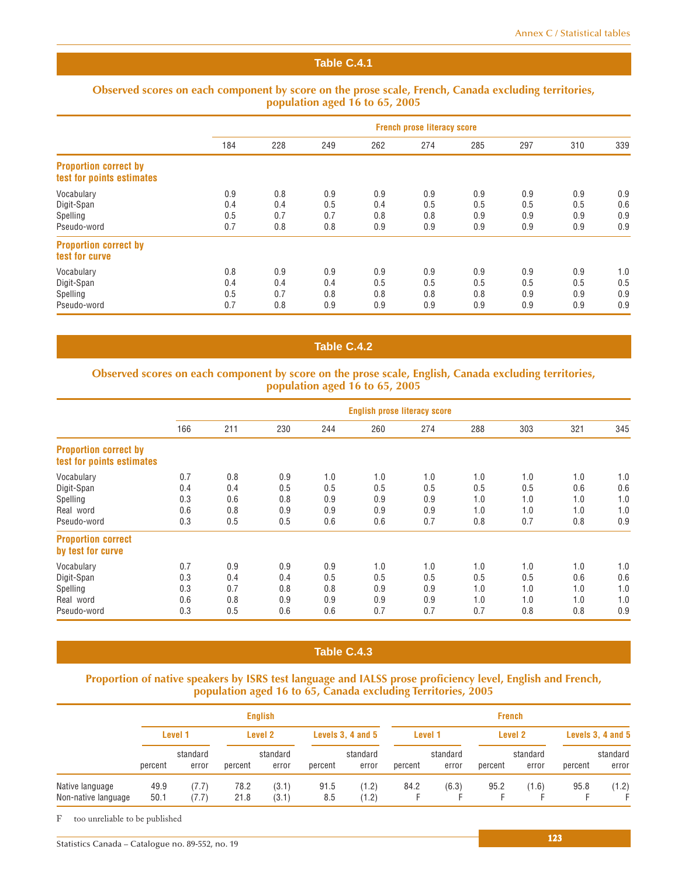#### **Table C.4.1**

#### **Observed scores on each component by score on the prose scale, French, Canada excluding territories, population aged 16 to 65, 2005**

|                                                           |                          | <b>French prose literacy score</b> |                          |                          |                          |                          |                          |                          |                          |  |  |
|-----------------------------------------------------------|--------------------------|------------------------------------|--------------------------|--------------------------|--------------------------|--------------------------|--------------------------|--------------------------|--------------------------|--|--|
|                                                           | 184                      | 228                                | 249                      | 262                      | 274                      | 285                      | 297                      | 310                      | 339                      |  |  |
| <b>Proportion correct by</b><br>test for points estimates |                          |                                    |                          |                          |                          |                          |                          |                          |                          |  |  |
| Vocabulary<br>Digit-Span<br>Spelling<br>Pseudo-word       | 0.9<br>0.4<br>0.5<br>0.7 | 0.8<br>0.4<br>0.7<br>0.8           | 0.9<br>0.5<br>0.7<br>0.8 | 0.9<br>0.4<br>0.8<br>0.9 | 0.9<br>0.5<br>0.8<br>0.9 | 0.9<br>0.5<br>0.9<br>0.9 | 0.9<br>0.5<br>0.9<br>0.9 | 0.9<br>0.5<br>0.9<br>0.9 | 0.9<br>0.6<br>0.9<br>0.9 |  |  |
| <b>Proportion correct by</b><br>test for curve            |                          |                                    |                          |                          |                          |                          |                          |                          |                          |  |  |
| Vocabulary<br>Digit-Span<br>Spelling<br>Pseudo-word       | 0.8<br>0.4<br>0.5<br>0.7 | 0.9<br>0.4<br>0.7<br>0.8           | 0.9<br>0.4<br>0.8<br>0.9 | 0.9<br>0.5<br>0.8<br>0.9 | 0.9<br>0.5<br>0.8<br>0.9 | 0.9<br>0.5<br>0.8<br>0.9 | 0.9<br>0.5<br>0.9<br>0.9 | 0.9<br>0.5<br>0.9<br>0.9 | 1.0<br>0.5<br>0.9<br>0.9 |  |  |

#### **Table C.4.2**

#### **Observed scores on each component by score on the prose scale, English, Canada excluding territories, population aged 16 to 65, 2005**

|                                                           | <b>English prose literacy score</b> |     |     |     |     |     |     |     |     |     |  |
|-----------------------------------------------------------|-------------------------------------|-----|-----|-----|-----|-----|-----|-----|-----|-----|--|
|                                                           | 166                                 | 211 | 230 | 244 | 260 | 274 | 288 | 303 | 321 | 345 |  |
| <b>Proportion correct by</b><br>test for points estimates |                                     |     |     |     |     |     |     |     |     |     |  |
| Vocabulary                                                | 0.7                                 | 0.8 | 0.9 | 1.0 | 1.0 | 1.0 | 1.0 | 1.0 | 1.0 | 1.0 |  |
| Digit-Span                                                | 0.4                                 | 0.4 | 0.5 | 0.5 | 0.5 | 0.5 | 0.5 | 0.5 | 0.6 | 0.6 |  |
| Spelling                                                  | 0.3                                 | 0.6 | 0.8 | 0.9 | 0.9 | 0.9 | 1.0 | 1.0 | 1.0 | 1.0 |  |
| Real word                                                 | 0.6                                 | 0.8 | 0.9 | 0.9 | 0.9 | 0.9 | 1.0 | 1.0 | 1.0 | 1.0 |  |
| Pseudo-word                                               | 0.3                                 | 0.5 | 0.5 | 0.6 | 0.6 | 0.7 | 0.8 | 0.7 | 0.8 | 0.9 |  |
| <b>Proportion correct</b><br>by test for curve            |                                     |     |     |     |     |     |     |     |     |     |  |
| Vocabulary                                                | 0.7                                 | 0.9 | 0.9 | 0.9 | 1.0 | 1.0 | 1.0 | 1.0 | 1.0 | 1.0 |  |
| Digit-Span                                                | 0.3                                 | 0.4 | 0.4 | 0.5 | 0.5 | 0.5 | 0.5 | 0.5 | 0.6 | 0.6 |  |
| Spelling                                                  | 0.3                                 | 0.7 | 0.8 | 0.8 | 0.9 | 0.9 | 1.0 | 1.0 | 1.0 | 1.0 |  |
| Real word                                                 | 0.6                                 | 0.8 | 0.9 | 0.9 | 0.9 | 0.9 | 1.0 | 1.0 | 1.0 | 1.0 |  |
| Pseudo-word                                               | 0.3                                 | 0.5 | 0.6 | 0.6 | 0.7 | 0.7 | 0.7 | 0.8 | 0.8 | 0.9 |  |

## **Table C.4.3**

#### **Proportion of native speakers by ISRS test language and IALSS prose proficiency level, English and French, population aged 16 to 65, Canada excluding Territories, 2005**

|                                        | <b>English</b> |                   |              |                   |                              |                   |         | <b>French</b>     |         |                   |         |                   |
|----------------------------------------|----------------|-------------------|--------------|-------------------|------------------------------|-------------------|---------|-------------------|---------|-------------------|---------|-------------------|
|                                        |                | Level 1           | Level 2      |                   | Levels 3, 4 and 5<br>Level 1 |                   |         | Level 2           |         | Levels 3, 4 and 5 |         |                   |
|                                        | percent        | standard<br>error | percent      | standard<br>error | percent                      | standard<br>error | percent | standard<br>error | percent | standard<br>error | percent | standard<br>error |
| Native language<br>Non-native language | 49.9<br>50.1   | (7.7)<br>7.7)     | 78.2<br>21.8 | (3.1)<br>(3.1)    | 91.5<br>8.5                  | (1.2)<br>(1.2)    | 84.2    | (6.3)             | 95.2    | (1.6)             | 95.8    | (1.2)             |

F too unreliable to be published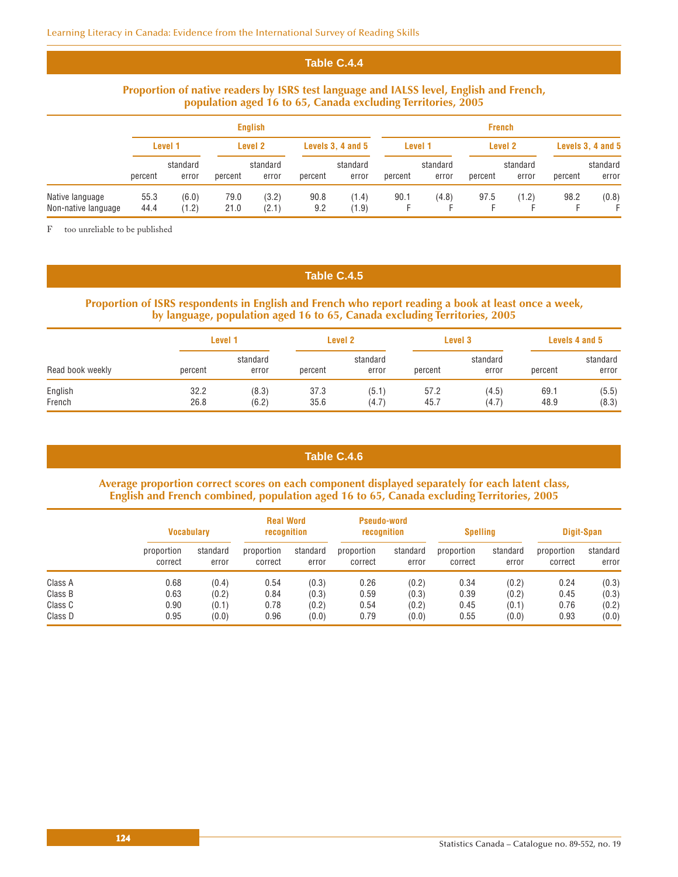#### **Table C.4.4**

#### **Proportion of native readers by ISRS test language and IALSS level, English and French, population aged 16 to 65, Canada excluding Territories, 2005**

|                                        | <b>English</b>     |                   |              |                   |                   |                   |         | <b>French</b>     |         |                   |         |                   |  |
|----------------------------------------|--------------------|-------------------|--------------|-------------------|-------------------|-------------------|---------|-------------------|---------|-------------------|---------|-------------------|--|
|                                        | Level 2<br>Level 1 |                   |              |                   | Levels 3, 4 and 5 |                   |         | Level 1           |         | Level 2           |         | Levels 3, 4 and 5 |  |
|                                        | percent            | standard<br>error | percent      | standard<br>error | percent           | standard<br>error | percent | standard<br>error | percent | standard<br>error | percent | standard<br>error |  |
| Native language<br>Non-native language | 55.3<br>44.4       | (6.0)<br>(1.2)    | 79.0<br>21.0 | (3.2)<br>(2.1)    | 90.8<br>9.2       | (1.4)<br>(1.9)    | 90.1    | (4.8)             | 97.5    | (1.2)             | 98.2    | (0.8)             |  |

F too unreliable to be published

#### **Table C.4.5**

#### **Proportion of ISRS respondents in English and French who report reading a book at least once a week, by language, population aged 16 to 65, Canada excluding Territories, 2005**

|                   |              | Level 1           |              | Level 2           |              | Level 3           | Levels 4 and 5 |                   |
|-------------------|--------------|-------------------|--------------|-------------------|--------------|-------------------|----------------|-------------------|
| Read book weekly  | percent      | standard<br>error | percent      | standard<br>error | percent      | standard<br>error | percent        | standard<br>error |
| English<br>French | 32.2<br>26.8 | (8.3)<br>(6.2)    | 37.3<br>35.6 | (5.1)<br>(4.7'    | 57.2<br>45.7 | (4.5)<br>(4.7)    | 69.1<br>48.9   | (5.5)<br>(8.3)    |

#### **Table C.4.6**

#### **Average proportion correct scores on each component displayed separately for each latent class, English and French combined, population aged 16 to 65, Canada excluding Territories, 2005**

|         |                       | <b>Vocabulary</b> |                       | <b>Real Word</b><br>recognition |                       | Pseudo-word<br>recognition |                       | <b>Spelling</b>   | Digit-Span            |                   |
|---------|-----------------------|-------------------|-----------------------|---------------------------------|-----------------------|----------------------------|-----------------------|-------------------|-----------------------|-------------------|
|         | proportion<br>correct | standard<br>error | proportion<br>correct | standard<br>error               | proportion<br>correct | standard<br>error          | proportion<br>correct | standard<br>error | proportion<br>correct | standard<br>error |
| Class A | 0.68                  | (0.4)             | 0.54                  | (0.3)                           | 0.26                  | (0.2)                      | 0.34                  | (0.2)             | 0.24                  | (0.3)             |
| Class B | 0.63                  | (0.2)             | 0.84                  | (0.3)                           | 0.59                  | (0.3)                      | 0.39                  | (0.2)             | 0.45                  | (0.3)             |
| Class C | 0.90                  | (0.1)             | 0.78                  | (0.2)                           | 0.54                  | (0.2)                      | 0.45                  | (0.1)             | 0.76                  | (0.2)             |
| Class D | 0.95                  | (0.0)             | 0.96                  | (0.0)                           | 0.79                  | (0.0)                      | 0.55                  | (0.0)             | 0.93                  | (0.0)             |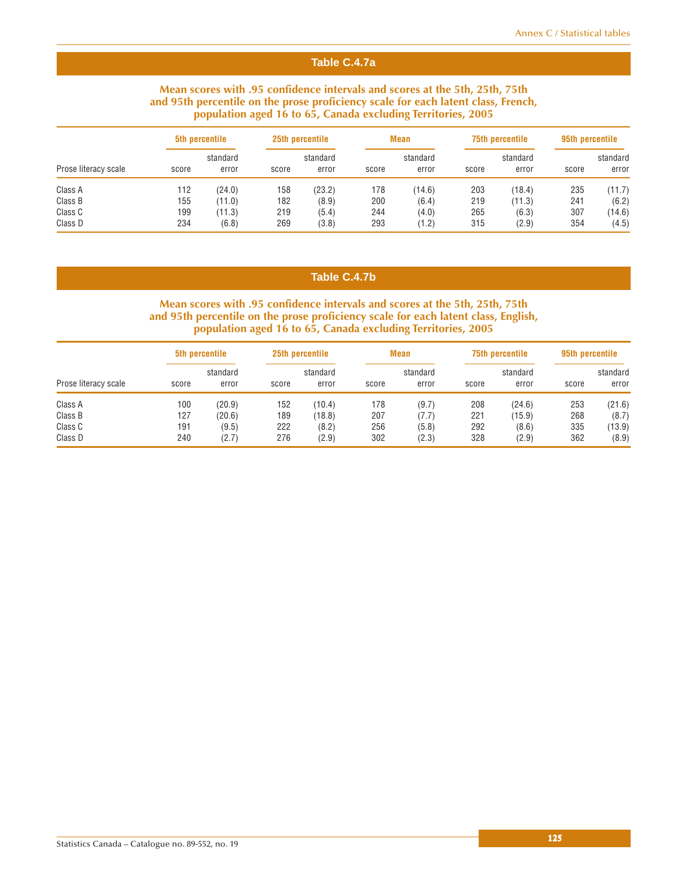#### **Table C.4.7a**

#### **Mean scores with .95 confidence intervals and scores at the 5th, 25th, 75th and 95th percentile on the prose proficiency scale for each latent class, French, population aged 16 to 65, Canada excluding Territories, 2005**

| Prose literacy scale |       | 5th percentile    |       | 25th percentile   |       | <b>Mean</b>       |       | 75th percentile   | 95th percentile |                   |
|----------------------|-------|-------------------|-------|-------------------|-------|-------------------|-------|-------------------|-----------------|-------------------|
|                      | score | standard<br>error | score | standard<br>error | score | standard<br>error | score | standard<br>error | score           | standard<br>error |
| Class A              | 112   | (24.0)            | 158   | (23.2)            | 178   | (14.6)            | 203   | (18.4)            | 235             | (11.7)            |
| Class B              | 155   | (11.0)            | 182   | (8.9)             | 200   | (6.4)             | 219   | (11.3)            | 241             | (6.2)             |
| Class C              | 199   | (11.3)            | 219   | (5.4)             | 244   | (4.0)             | 265   | (6.3)             | 307             | (14.6)            |
| Class D              | 234   | (6.8)             | 269   | (3.8)             | 293   | (1.2)             | 315   | (2.9)             | 354             | (4.5)             |

#### **Table C.4.7b**

#### **Mean scores with .95 confidence intervals and scores at the 5th, 25th, 75th and 95th percentile on the prose proficiency scale for each latent class, English, population aged 16 to 65, Canada excluding Territories, 2005**

|                      |          | 5th percentile |       | 25th percentile |       | <b>Mean</b> |          | 75th percentile | 95th percentile |        |
|----------------------|----------|----------------|-------|-----------------|-------|-------------|----------|-----------------|-----------------|--------|
|                      | standard |                |       | standard        |       | standard    | standard |                 | standard        |        |
| Prose literacy scale | score    | error          | score | error           | score | error       | score    | error           | score           | error  |
| Class A              | 100      | (20.9)         | 152   | (10.4)          | 178   | (9.7)       | 208      | (24.6)          | 253             | (21.6) |
| Class B              | 127      | (20.6)         | 189   | (18.8)          | 207   | (7.7)       | 221      | (15.9)          | 268             | (8.7)  |
| Class C              | 191      | (9.5)          | 222   | (8.2)           | 256   | (5.8)       | 292      | (8.6)           | 335             | (13.9) |
| Class D              | 240      | (2.7)          | 276   | (2.9)           | 302   | (2.3)       | 328      | (2.9)           | 362             | (8.9)  |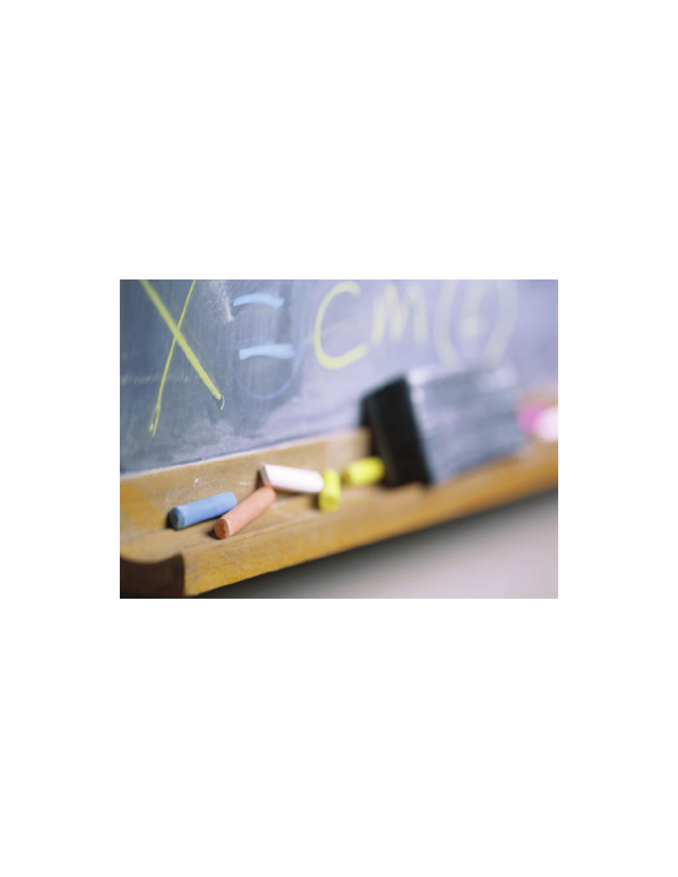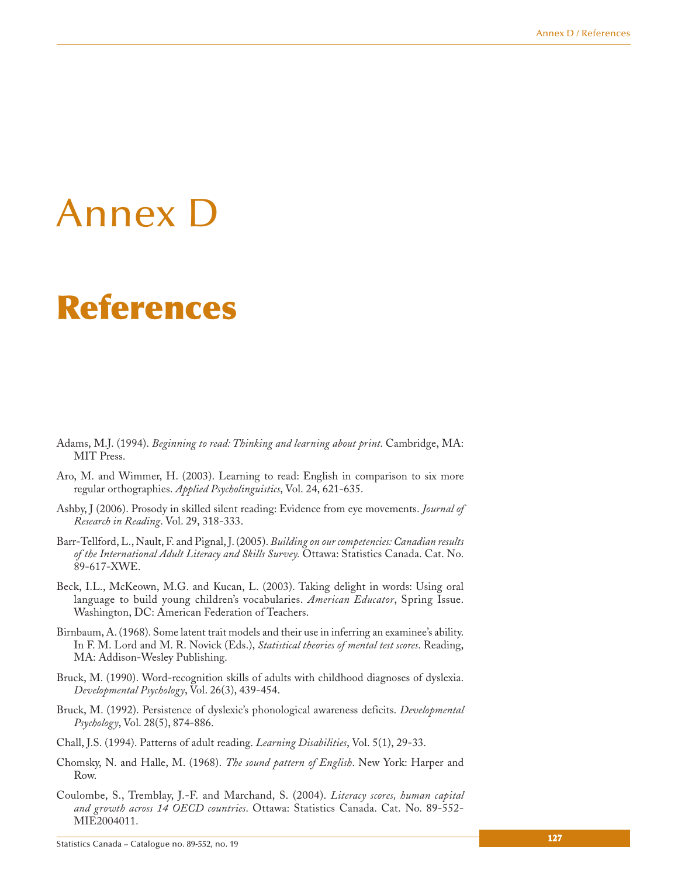# Annex D

## **References**

- Adams, M.J. (1994). *Beginning to read: Thinking and learning about print.* Cambridge, MA: MIT Press.
- Aro, M. and Wimmer, H. (2003). Learning to read: English in comparison to six more regular orthographies. *Applied Psycholinguistics*, Vol. 24, 621-635.
- Ashby, J (2006). Prosody in skilled silent reading: Evidence from eye movements. *Journal of Research in Reading*. Vol. 29, 318-333.
- Barr-Tellford, L., Nault, F. and Pignal, J. (2005). *Building on our competencies: Canadian results of the International Adult Literacy and Skills Survey.* Ottawa: Statistics Canada. Cat. No. 89-617-XWE.
- Beck, I.L., McKeown, M.G. and Kucan, L. (2003). Taking delight in words: Using oral language to build young children's vocabularies. *American Educator*, Spring Issue. Washington, DC: American Federation of Teachers.
- Birnbaum, A. (1968). Some latent trait models and their use in inferring an examinee's ability. In F. M. Lord and M. R. Novick (Eds.), *Statistical theories of mental test scores*. Reading, MA: Addison-Wesley Publishing.
- Bruck, M. (1990). Word-recognition skills of adults with childhood diagnoses of dyslexia. *Developmental Psychology*, Vol. 26(3), 439-454.
- Bruck, M. (1992). Persistence of dyslexic's phonological awareness deficits. *Developmental Psychology*, Vol. 28(5), 874-886.
- Chall, J.S. (1994). Patterns of adult reading. *Learning Disabilities*, Vol. 5(1), 29-33.
- Chomsky, N. and Halle, M. (1968). *The sound pattern of English*. New York: Harper and Row.
- Coulombe, S., Tremblay, J.-F. and Marchand, S. (2004). *Literacy scores, human capital and growth across 14 OECD countries*. Ottawa: Statistics Canada. Cat. No. 89-552- MIE2004011.

Statistics Canada – Catalogue no. 89-552, no. 19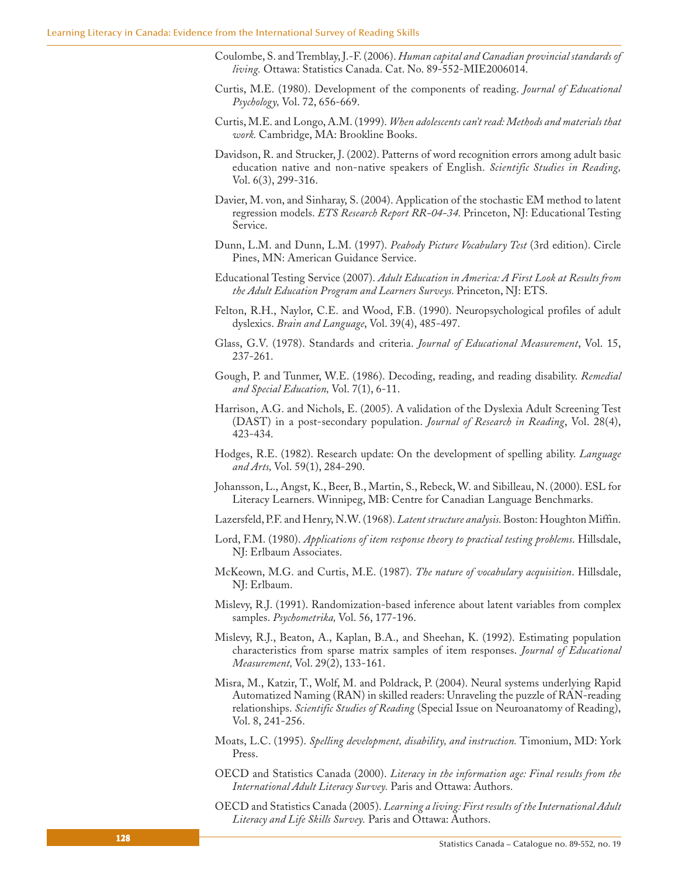- Coulombe, S. and Tremblay, J.-F. (2006). *Human capital and Canadian provincial standards of living.* Ottawa: Statistics Canada. Cat. No. 89-552-MIE2006014.
- Curtis, M.E. (1980). Development of the components of reading. *Journal of Educational Psychology,* Vol. 72, 656-669.
- Curtis, M.E. and Longo, A.M. (1999). *When adolescents can't read: Methods and materials that work.* Cambridge, MA: Brookline Books.
- Davidson, R. and Strucker, J. (2002). Patterns of word recognition errors among adult basic education native and non-native speakers of English. *Scientific Studies in Reading,* Vol. 6(3), 299-316.
- Davier, M. von, and Sinharay, S. (2004). Application of the stochastic EM method to latent regression models. *ETS Research Report RR-04-34.* Princeton, NJ: Educational Testing Service.
- Dunn, L.M. and Dunn, L.M. (1997). *Peabody Picture Vocabulary Test* (3rd edition). Circle Pines, MN: American Guidance Service.
- Educational Testing Service (2007). *Adult Education in America: A First Look at Results from the Adult Education Program and Learners Surveys.* Princeton, NJ: ETS.
- Felton, R.H., Naylor, C.E. and Wood, F.B. (1990). Neuropsychological profiles of adult dyslexics. *Brain and Language*, Vol. 39(4), 485-497.
- Glass, G.V. (1978). Standards and criteria. *Journal of Educational Measurement*, Vol. 15, 237-261.
- Gough, P. and Tunmer, W.E. (1986). Decoding, reading, and reading disability. *Remedial and Special Education,* Vol. 7(1), 6-11.
- Harrison, A.G. and Nichols, E. (2005). A validation of the Dyslexia Adult Screening Test (DAST) in a post-secondary population. *Journal of Research in Reading*, Vol. 28(4), 423-434.
- Hodges, R.E. (1982). Research update: On the development of spelling ability. *Language and Arts,* Vol. 59(1), 284-290.
- Johansson, L., Angst, K., Beer, B., Martin, S., Rebeck, W. and Sibilleau, N. (2000). ESL for Literacy Learners. Winnipeg, MB: Centre for Canadian Language Benchmarks.
- Lazersfeld, P.F. and Henry, N.W. (1968). *Latent structure analysis.* Boston: Houghton Miffin.
- Lord, F.M. (1980). *Applications of item response theory to practical testing problems*. Hillsdale, NJ: Erlbaum Associates.
- McKeown, M.G. and Curtis, M.E. (1987). *The nature of vocabulary acquisition*. Hillsdale, NJ: Erlbaum.
- Mislevy, R.J. (1991). Randomization-based inference about latent variables from complex samples. *Psychometrika,* Vol. 56, 177-196.
- Mislevy, R.J., Beaton, A., Kaplan, B.A., and Sheehan, K. (1992). Estimating population characteristics from sparse matrix samples of item responses. *Journal of Educational Measurement,* Vol. 29(2), 133-161.
- Misra, M., Katzir, T., Wolf, M. and Poldrack, P. (2004). Neural systems underlying Rapid Automatized Naming (RAN) in skilled readers: Unraveling the puzzle of RAN-reading relationships. *Scientific Studies of Reading* (Special Issue on Neuroanatomy of Reading), Vol. 8, 241-256.
- Moats, L.C. (1995). *Spelling development, disability, and instruction.* Timonium, MD: York Press.
- OECD and Statistics Canada (2000). *Literacy in the information age: Final results from the International Adult Literacy Survey.* Paris and Ottawa: Authors.
- OECD and Statistics Canada (2005). *Learning a living: First results of the International Adult Literacy and Life Skills Survey.* Paris and Ottawa: Authors.